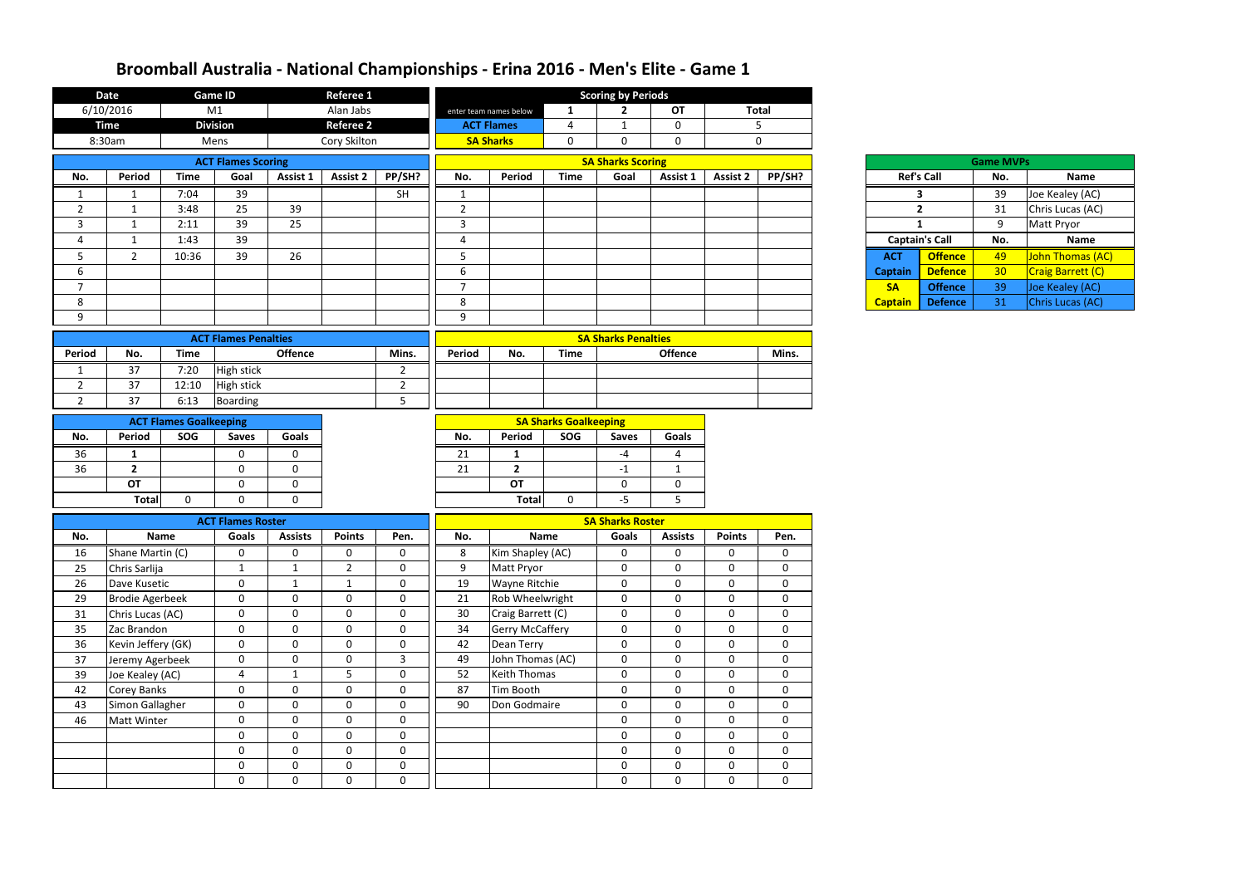|                                         |              | <b>Game ID</b>                    |                   | Referee 1           |                                |                |                                |                              | <b>Scoring by Periods</b>               |                            |                   |                  |                |                       |                  |                              |
|-----------------------------------------|--------------|-----------------------------------|-------------------|---------------------|--------------------------------|----------------|--------------------------------|------------------------------|-----------------------------------------|----------------------------|-------------------|------------------|----------------|-----------------------|------------------|------------------------------|
| 6/10/2016                               |              | M1                                |                   | Alan Jabs           |                                |                | enter team names below         | 1                            | $\mathbf{2}$                            | <b>OT</b>                  |                   | <b>Total</b>     |                |                       |                  |                              |
| <b>Time</b>                             |              | <b>Division</b>                   |                   | <b>Referee 2</b>    |                                |                | <b>ACT Flames</b>              | $\overline{4}$               | $\mathbf{1}$                            | $\mathbf 0$                |                   | 5                |                |                       |                  |                              |
| 8:30am                                  |              | Mens                              |                   | Cory Skilton        |                                |                | <b>SA Sharks</b>               | $\mathbf 0$                  | $\mathbf 0$                             | $\mathbf 0$                |                   | $\mathbf{0}$     |                |                       |                  |                              |
|                                         |              | <b>ACT Flames Scoring</b>         |                   |                     |                                |                |                                |                              | <b>SA Sharks Scoring</b>                |                            |                   |                  |                |                       | <b>Game MVPs</b> |                              |
| Period<br>No.                           | <b>Time</b>  | Goal                              | Assist 1          | Assist 2            | PP/SH?                         | No.            | Period                         | <b>Time</b>                  | Goal                                    | Assist 1                   | Assist 2          | PP/SH?           |                | <b>Ref's Call</b>     | No.              | <b>Name</b>                  |
| 1<br>1                                  | 7:04         | 39                                |                   |                     | <b>SH</b>                      | $\mathbf{1}$   |                                |                              |                                         |                            |                   |                  |                | 3                     | 39               | Joe Kealey (AC)              |
| $\overline{2}$<br>-1                    | 3:48         | 25                                | 39                |                     |                                | $\overline{2}$ |                                |                              |                                         |                            |                   |                  |                | $\overline{2}$        | 31               | Chris Lucas (AC)             |
| 3<br>1                                  | 2:11         | 39                                | $\overline{25}$   |                     |                                | $\mathbf{3}$   |                                |                              |                                         |                            |                   |                  | $\mathbf{1}$   |                       | 9                | Matt Pryor                   |
| 4<br>$\mathbf 1$                        | 1:43         | 39                                |                   |                     |                                | 4              |                                |                              |                                         |                            |                   |                  |                | <b>Captain's Call</b> | No.              | Name                         |
| 5<br>$2^{\circ}$                        | 10:36        | 39                                | 26                |                     |                                | 5              |                                |                              |                                         |                            |                   |                  | <b>ACT</b>     | <b>Offence</b>        | 49               | <mark>John Thomas (AC</mark> |
| 6                                       |              |                                   |                   |                     |                                | 6              |                                |                              |                                         |                            |                   |                  | <b>Captain</b> | <b>Defence</b>        | 30 <sup>°</sup>  | Craig Barrett (C)            |
| $\overline{7}$                          |              |                                   |                   |                     |                                | $\overline{7}$ |                                |                              |                                         |                            |                   |                  | <b>SA</b>      | <b>Offence</b>        | 39               | Joe Kealey (AC)              |
| 8                                       |              |                                   |                   |                     |                                | 8              |                                |                              |                                         |                            |                   |                  | <b>Captain</b> | <b>Defence</b>        | 31               | Chris Lucas (AC)             |
| 9                                       |              |                                   |                   |                     |                                | 9              |                                |                              |                                         |                            |                   |                  |                |                       |                  |                              |
|                                         |              | <b>ACT Flames Penalties</b>       |                   |                     |                                |                |                                |                              | <b>SA Sharks Penalties</b>              |                            |                   |                  |                |                       |                  |                              |
| No.<br><b>Period</b>                    | <b>Time</b>  |                                   | <b>Offence</b>    |                     | Mins.                          | Period         | No.                            | <b>Time</b>                  |                                         | <b>Offence</b>             |                   | Mins.            |                |                       |                  |                              |
| 37<br>$\mathbf{1}$                      | 7:20         | <b>High stick</b>                 |                   |                     | $\overline{2}$                 |                |                                |                              |                                         |                            |                   |                  |                |                       |                  |                              |
| $\overline{2}$<br>37                    | 12:10        | <b>High stick</b>                 |                   |                     | $\overline{2}$                 |                |                                |                              |                                         |                            |                   |                  |                |                       |                  |                              |
| $\overline{2}$<br>37                    | 6:13         | <b>Boarding</b>                   |                   |                     | 5                              |                |                                |                              |                                         |                            |                   |                  |                |                       |                  |                              |
| <b>ACT Flames Goalkeeping</b>           |              |                                   |                   |                     |                                |                |                                | <b>SA Sharks Goalkeeping</b> |                                         |                            |                   |                  |                |                       |                  |                              |
| <b>Period</b><br>No.                    | SOG          | <b>Saves</b>                      | <b>Goals</b>      |                     |                                | No.            | Period                         | SOG                          | <b>Saves</b>                            | Goals                      |                   |                  |                |                       |                  |                              |
| 36<br>1                                 |              | 0                                 | $\mathbf{0}$      |                     |                                | 21             | $\mathbf{1}$                   |                              | -4                                      | 4                          |                   |                  |                |                       |                  |                              |
| 36<br>$\overline{2}$                    |              | $\mathbf 0$                       | $\mathbf 0$       |                     |                                | 21             | $\mathbf{2}$                   |                              | $-1$                                    | $\mathbf{1}$               |                   |                  |                |                       |                  |                              |
| <b>OT</b>                               |              | $\mathbf 0$                       | $\mathbf 0$       |                     |                                |                | OT                             |                              | $\mathbf 0$                             | $\mathbf 0$                |                   |                  |                |                       |                  |                              |
| <b>Total</b>                            | $\mathbf{0}$ | $\mathbf 0$                       | $\mathbf 0$       |                     |                                |                | Total                          | $\mathbf{0}$                 | $-5$                                    | 5 <sub>o</sub>             |                   |                  |                |                       |                  |                              |
|                                         |              |                                   |                   |                     |                                |                |                                |                              |                                         |                            |                   |                  |                |                       |                  |                              |
| <b>Name</b>                             |              | <b>ACT Flames Roster</b><br>Goals |                   | <b>Points</b>       |                                |                | <b>Name</b>                    |                              | <b>SA Sharks Roster</b><br><b>Goals</b> |                            | <b>Points</b>     |                  |                |                       |                  |                              |
| No.                                     |              |                                   | <b>Assists</b>    |                     | Pen.                           | No.            |                                |                              |                                         | <b>Assists</b>             |                   | Pen.             |                |                       |                  |                              |
| Shane Martin (C)<br>16<br>Chris Sarlija |              | 0<br>$\mathbf{1}$                 | 0<br>$\mathbf{1}$ | 0<br>$\overline{2}$ | $\mathbf{0}$<br>$\overline{0}$ | 8<br>9         | Kim Shapley (AC)<br>Matt Pryor |                              | $\boldsymbol{0}$<br>$\mathbf 0$         | $\mathbf 0$<br>$\mathbf 0$ | 0<br>$\mathbf{0}$ | 0<br>$\mathbf 0$ |                |                       |                  |                              |
| 25<br>Dave Kusetic<br>26                |              | $\mathbf 0$                       | $\mathbf{1}$      | $\mathbf{1}$        | $\overline{0}$                 | 19             | Wayne Ritchie                  |                              | $\mathbf 0$                             | $\mathbf 0$                | 0                 | $\mathbf 0$      |                |                       |                  |                              |
| 29<br><b>Brodie Agerbeek</b>            |              | $\mathbf 0$                       | $\mathbf 0$       | 0                   | $\mathbf 0$                    | 21             | Rob Wheelwright                |                              | $\mathbf 0$                             | $\mathbf 0$                | 0                 | 0                |                |                       |                  |                              |
| 31<br>Chris Lucas (AC)                  |              | $\mathbf 0$                       | $\mathbf 0$       | $\overline{0}$      | $\mathbf 0$                    | 30             | Craig Barrett (C)              |                              | $\mathbf 0$                             | $\mathbf 0$                | $\mathbf 0$       | $\mathbf 0$      |                |                       |                  |                              |
| 35<br>Zac Brandon                       |              | $\mathbf 0$                       | $\mathbf 0$       | $\mathbf 0$         | $\overline{0}$                 | 34             | <b>Gerry McCaffery</b>         |                              | $\boldsymbol{0}$                        | $\mathbf 0$                | $\mathbf{0}$      | $\mathbf 0$      |                |                       |                  |                              |
| 36<br>Kevin Jeffery (GK)                |              | $\mathbf 0$                       | $\mathbf 0$       | $\mathbf 0$         | $\mathbf 0$                    | 42             | Dean Terry                     |                              | $\mathbf 0$                             | $\mathbf 0$                | $\mathbf{0}$      | $\mathbf 0$      |                |                       |                  |                              |
| 37<br>Jeremy Agerbeek                   |              | $\mathbf 0$                       | $\mathbf 0$       | $\overline{0}$      | $\mathbf{3}$                   | 49             | John Thomas (AC)               |                              | $\mathbf 0$                             | $\mathbf 0$                | $\mathbf{0}$      | $\mathbf 0$      |                |                       |                  |                              |
| 39<br>Joe Kealey (AC)                   |              | $\overline{4}$                    | $\mathbf{1}$      | 5                   | $\mathbf 0$                    | 52             | Keith Thomas                   |                              | $\mathbf 0$                             | $\overline{0}$             | 0                 | 0                |                |                       |                  |                              |
| Corey Banks<br>42                       |              | $\mathbf 0$                       | $\mathbf 0$       | $\overline{0}$      | $\overline{0}$                 | 87             | Tim Booth                      |                              | $\mathbf 0$                             | $\mathbf 0$                | $\mathbf{0}$      | $\mathbf 0$      |                |                       |                  |                              |
| Simon Gallagher<br>43                   |              | $\mathbf 0$                       | $\boldsymbol{0}$  | 0                   | $\overline{0}$                 | 90             | Don Godmaire                   |                              | $\mathbf 0$                             | $\mathbf 0$                | $\mathbf{0}$      | $\mathbf 0$      |                |                       |                  |                              |
| 46<br>Matt Winter                       |              | $\mathbf 0$                       | $\mathbf 0$       | $\overline{0}$      | $\overline{0}$                 |                |                                |                              | $\mathbf 0$                             | $\overline{0}$             | 0                 | $\mathbf 0$      |                |                       |                  |                              |
|                                         |              | $\boldsymbol{0}$                  | $\mathbf 0$       | 0                   | $\mathbf 0$                    |                |                                |                              | $\mathbf 0$                             | $\mathbf 0$                | 0                 | $\mathbf 0$      |                |                       |                  |                              |
|                                         |              | $\mathbf 0$                       | $\mathbf 0$       | $\mathbf 0$         | $\mathbf 0$                    |                |                                |                              | $\mathbf 0$                             | $\mathbf 0$                | $\mathbf{0}$      | $\mathbf 0$      |                |                       |                  |                              |
|                                         |              | $\boldsymbol{0}$                  | $\mathbf 0$       | $\mathbf 0$         | $\mathbf 0$                    |                |                                |                              | $\mathbf 0$                             | $\mathbf 0$                | $\mathbf{0}$      | $\mathbf 0$      |                |                       |                  |                              |
|                                         |              | $\mathbf 0$                       | $\mathbf 0$       | 0                   | 0                              |                |                                |                              | $\mathbf 0$                             | $\mathbf 0$                | 0                 | $\mathbf 0$      |                |                       |                  |                              |

|                | <b>Ref's Call</b> |
|----------------|-------------------|
|                | 3                 |
|                | 2                 |
|                | 1                 |
| Captain's Ca   |                   |
| АСТ            | Off               |
| <b>Captain</b> | Def               |
| SΑ             | Off               |
| <b>Captain</b> | Def               |

|                   |                       | <b>Game MVPs</b> |                         |
|-------------------|-----------------------|------------------|-------------------------|
| <b>Ref's Call</b> |                       | No.              | <b>Name</b>             |
|                   | з                     | 39               | Joe Kealey (AC)         |
|                   | 2                     | 31               | Chris Lucas (AC)        |
|                   | 1                     | 9                | Matt Pryor              |
|                   |                       |                  |                         |
|                   | <b>Captain's Call</b> | No.              | <b>Name</b>             |
|                   | <b>Offence</b>        | 49               | <b>John Thomas (AC)</b> |
| ۱CT<br>ptain      | <b>Defence</b>        | 30               | Craig Barrett (C)       |
| SΑ                | <b>Offence</b>        | 39               | Joe Kealey (AC)         |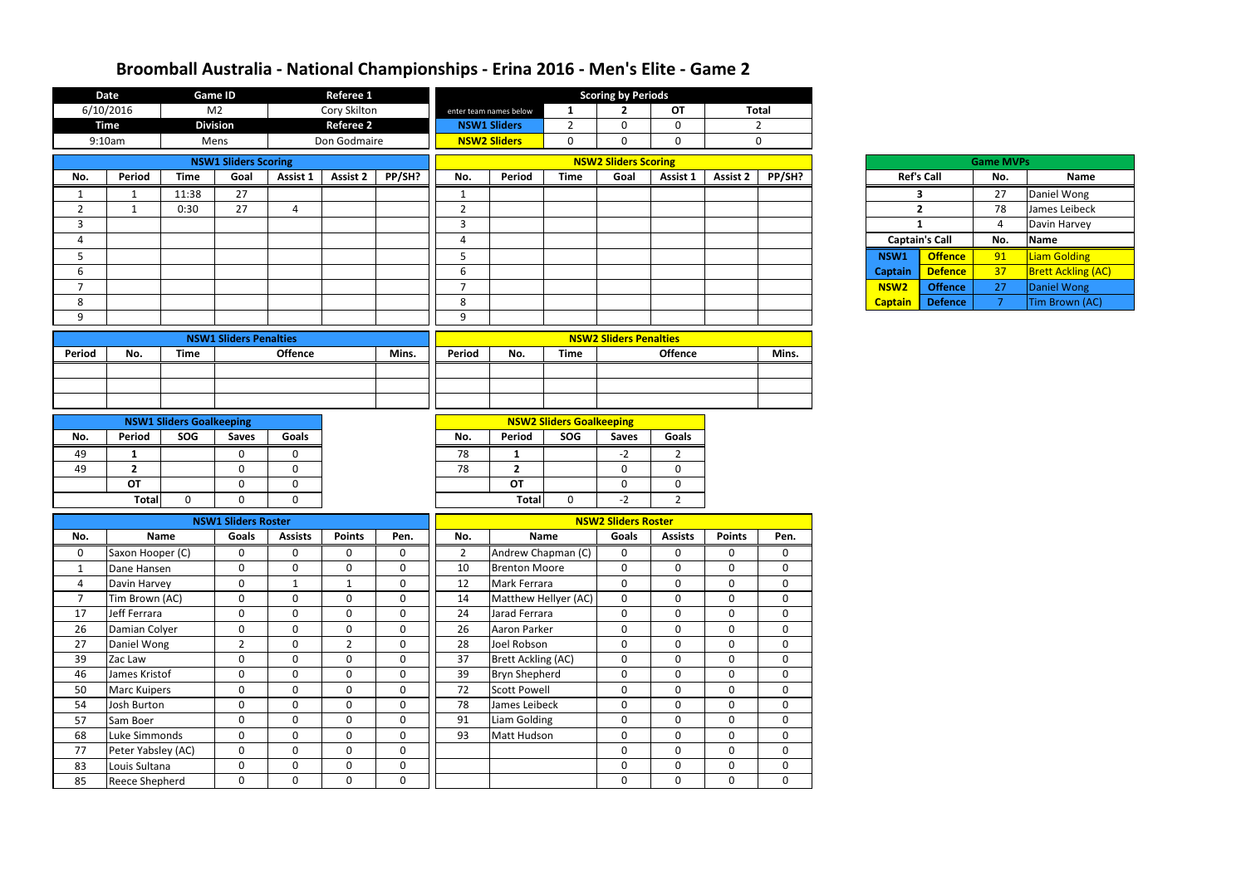| 6/10/2016<br>M <sub>2</sub><br>Cory Skilton<br><b>OT</b><br><b>Total</b><br>$\mathbf{1}$<br>$\mathbf{2}$<br>enter team names below<br><b>Division</b><br><b>Referee 2</b><br><b>Time</b><br><b>NSW1 Sliders</b><br>$\overline{2}$<br>$\mathbf 0$<br>$\overline{2}$<br>$\mathbf 0$<br><b>NSW2 Sliders</b><br>9:10am<br>Don Godmaire<br>$\mathbf 0$<br>$\mathbf 0$<br>$\mathbf 0$<br>$\mathbf{0}$<br>Mens<br><b>NSW2 Sliders Scoring</b><br><b>NSW1 Sliders Scoring</b><br><b>Game MVPs</b><br><b>Time</b><br>PP/SH?<br>PP/SH?<br><b>Ref's Call</b><br>Period<br>Goal<br>Assist 1<br><b>Assist 2</b><br>No.<br>Period<br><b>Time</b><br>Goal<br>Assist 1<br><b>Assist 2</b><br>No.<br><b>Name</b><br>No.<br>Daniel Wong<br>27<br>27<br>11:38<br>$\overline{\mathbf{3}}$<br>$\mathbf{1}$<br>$\mathbf{1}$<br>$\mathbf{1}$<br>27<br>78<br>$\overline{2}$<br>0:30<br>$\overline{2}$<br>$\overline{2}$<br>James Leibeck<br>4<br>$\mathbf{1}$<br>$\overline{3}$<br>$\mathbf{3}$<br>Davin Harvey<br>$\mathbf{1}$<br>$\overline{4}$<br><b>Captain's Call</b><br>Name<br>4<br>4<br>No.<br>Liam Golding<br>5<br><b>Offence</b><br>91<br>5<br>NSW1<br>6<br>37<br>6<br><b>Defence</b><br><b>Captain</b><br>$\overline{7}$<br>$\overline{7}$<br>NSW <sub>2</sub><br>27<br>Daniel Wong<br><b>Offence</b><br>8<br>8<br><b>Defence</b><br>7 <sup>1</sup><br><b>Captain</b><br>9<br>9<br><b>NSW2 Sliders Penalties</b><br><b>NSW1 Sliders Penalties</b><br><b>Offence</b><br><b>Offence</b><br><b>Time</b><br>Mins.<br>Period<br><b>Time</b><br>Mins.<br><b>Period</b><br>No.<br>No.<br><b>NSW2 Sliders Goalkeeping</b><br><b>NSW1 Sliders Goalkeeping</b><br>Period<br>SOG<br>Goals<br>Period<br>SOG<br>No.<br>Goals<br>No.<br><b>Saves</b><br><b>Saves</b><br>$\overline{2}$<br>49<br>78<br>$-2$<br>$\mathbf 0$<br>$\mathbf{0}$<br>1<br>1<br>49<br>78<br>$\overline{2}$<br>$\mathbf 0$<br>$\mathbf 0$<br>$\overline{2}$<br>$\mathbf 0$<br>$\mathbf 0$<br><b>OT</b><br><b>OT</b><br>$\mathbf 0$<br>$\mathbf 0$<br>$\mathbf 0$<br>$\mathbf 0$<br>$-2$<br><b>Total</b><br><b>Total</b><br>$\mathbf 0$<br>$2^{\circ}$<br>$\mathbf{0}$<br>$\Omega$<br>$\mathbf 0$<br><b>NSW2 Sliders Roster</b><br><b>NSW1 Sliders Roster</b><br>Name<br><b>Goals</b><br><b>Assists</b><br><b>Points</b><br>Pen.<br>No.<br><b>Name</b><br><b>Goals</b><br><b>Assists</b><br><b>Points</b><br>No.<br>Pen.<br>Andrew Chapman (C)<br>Saxon Hooper (C)<br>$\overline{2}$<br>0<br>$\mathbf{0}$<br>0<br>0<br>0<br>0<br>$\mathbf 0$<br>0<br>0<br>$\mathbf 0$<br>$\mathbf 0$<br>$\mathbf 0$<br>$\mathbf 0$<br>$\mathbf 0$<br>10<br><b>Brenton Moore</b><br>$\mathbf 0$<br>$\mathbf 0$<br>$\mathbf 0$<br>Dane Hansen<br>$\mathbf{1}$<br>$\mathbf 0$<br>$\mathbf 0$<br>Davin Harvey<br>$\mathbf 0$<br>12<br>Mark Ferrara<br>$\mathbf 0$<br>0<br>$\mathbf 0$<br>$\mathbf{1}$<br>$\mathbf{1}$<br>$\overline{4}$<br>Tim Brown (AC)<br>Matthew Hellyer (AC)<br>$\overline{7}$<br>$\mathbf 0$<br>$\mathbf 0$<br>$\mathbf 0$<br>0<br>$\mathbf 0$<br>$\mathbf 0$<br>$\mathbf 0$<br>14<br>$\boldsymbol{0}$<br>Jeff Ferrara<br>$\pmb{0}$<br>17<br>$\mathbf 0$<br>$\mathbf 0$<br>$\mathbf 0$<br>$\mathbf 0$<br>24<br>Jarad Ferrara<br>$\mathbf 0$<br>$\mathbf 0$<br>$\mathbf{0}$<br>$\mathbf 0$<br>Aaron Parker<br>$\mathbf 0$<br>$\mathbf 0$<br>26<br>$\mathbf 0$<br>$\mathbf 0$<br>$\mathbf{0}$<br>26<br>$\mathbf 0$<br>$\mathbf 0$<br>Damian Colyer<br>$\overline{2}$<br>$2^{\circ}$<br>$\mathbf{0}$<br>$\boldsymbol{0}$<br>$\overline{0}$<br>27<br>Daniel Wong<br>$\mathbf 0$<br>28<br>Joel Robson<br>$\mathbf 0$<br>$\mathbf 0$ | <b>Date</b> | <b>Game ID</b> | <b>Referee 1</b> |  |  | <b>Scoring by Periods</b> |  |  |  |                           |
|----------------------------------------------------------------------------------------------------------------------------------------------------------------------------------------------------------------------------------------------------------------------------------------------------------------------------------------------------------------------------------------------------------------------------------------------------------------------------------------------------------------------------------------------------------------------------------------------------------------------------------------------------------------------------------------------------------------------------------------------------------------------------------------------------------------------------------------------------------------------------------------------------------------------------------------------------------------------------------------------------------------------------------------------------------------------------------------------------------------------------------------------------------------------------------------------------------------------------------------------------------------------------------------------------------------------------------------------------------------------------------------------------------------------------------------------------------------------------------------------------------------------------------------------------------------------------------------------------------------------------------------------------------------------------------------------------------------------------------------------------------------------------------------------------------------------------------------------------------------------------------------------------------------------------------------------------------------------------------------------------------------------------------------------------------------------------------------------------------------------------------------------------------------------------------------------------------------------------------------------------------------------------------------------------------------------------------------------------------------------------------------------------------------------------------------------------------------------------------------------------------------------------------------------------------------------------------------------------------------------------------------------------------------------------------------------------------------------------------------------------------------------------------------------------------------------------------------------------------------------------------------------------------------------------------------------------------------------------------------------------------------------------------------------------------------------------------------------------------------------------------------------------------------------------------------------------------------------------------------------------------------------------------------------------------------------------------------------------------------------------------------------------------------------------------------------------------------------------------------------------------------------------------------------------------------------------|-------------|----------------|------------------|--|--|---------------------------|--|--|--|---------------------------|
|                                                                                                                                                                                                                                                                                                                                                                                                                                                                                                                                                                                                                                                                                                                                                                                                                                                                                                                                                                                                                                                                                                                                                                                                                                                                                                                                                                                                                                                                                                                                                                                                                                                                                                                                                                                                                                                                                                                                                                                                                                                                                                                                                                                                                                                                                                                                                                                                                                                                                                                                                                                                                                                                                                                                                                                                                                                                                                                                                                                                                                                                                                                                                                                                                                                                                                                                                                                                                                                                                                                                                                            |             |                |                  |  |  |                           |  |  |  |                           |
|                                                                                                                                                                                                                                                                                                                                                                                                                                                                                                                                                                                                                                                                                                                                                                                                                                                                                                                                                                                                                                                                                                                                                                                                                                                                                                                                                                                                                                                                                                                                                                                                                                                                                                                                                                                                                                                                                                                                                                                                                                                                                                                                                                                                                                                                                                                                                                                                                                                                                                                                                                                                                                                                                                                                                                                                                                                                                                                                                                                                                                                                                                                                                                                                                                                                                                                                                                                                                                                                                                                                                                            |             |                |                  |  |  |                           |  |  |  |                           |
|                                                                                                                                                                                                                                                                                                                                                                                                                                                                                                                                                                                                                                                                                                                                                                                                                                                                                                                                                                                                                                                                                                                                                                                                                                                                                                                                                                                                                                                                                                                                                                                                                                                                                                                                                                                                                                                                                                                                                                                                                                                                                                                                                                                                                                                                                                                                                                                                                                                                                                                                                                                                                                                                                                                                                                                                                                                                                                                                                                                                                                                                                                                                                                                                                                                                                                                                                                                                                                                                                                                                                                            |             |                |                  |  |  |                           |  |  |  |                           |
|                                                                                                                                                                                                                                                                                                                                                                                                                                                                                                                                                                                                                                                                                                                                                                                                                                                                                                                                                                                                                                                                                                                                                                                                                                                                                                                                                                                                                                                                                                                                                                                                                                                                                                                                                                                                                                                                                                                                                                                                                                                                                                                                                                                                                                                                                                                                                                                                                                                                                                                                                                                                                                                                                                                                                                                                                                                                                                                                                                                                                                                                                                                                                                                                                                                                                                                                                                                                                                                                                                                                                                            |             |                |                  |  |  |                           |  |  |  |                           |
|                                                                                                                                                                                                                                                                                                                                                                                                                                                                                                                                                                                                                                                                                                                                                                                                                                                                                                                                                                                                                                                                                                                                                                                                                                                                                                                                                                                                                                                                                                                                                                                                                                                                                                                                                                                                                                                                                                                                                                                                                                                                                                                                                                                                                                                                                                                                                                                                                                                                                                                                                                                                                                                                                                                                                                                                                                                                                                                                                                                                                                                                                                                                                                                                                                                                                                                                                                                                                                                                                                                                                                            |             |                |                  |  |  |                           |  |  |  |                           |
|                                                                                                                                                                                                                                                                                                                                                                                                                                                                                                                                                                                                                                                                                                                                                                                                                                                                                                                                                                                                                                                                                                                                                                                                                                                                                                                                                                                                                                                                                                                                                                                                                                                                                                                                                                                                                                                                                                                                                                                                                                                                                                                                                                                                                                                                                                                                                                                                                                                                                                                                                                                                                                                                                                                                                                                                                                                                                                                                                                                                                                                                                                                                                                                                                                                                                                                                                                                                                                                                                                                                                                            |             |                |                  |  |  |                           |  |  |  |                           |
|                                                                                                                                                                                                                                                                                                                                                                                                                                                                                                                                                                                                                                                                                                                                                                                                                                                                                                                                                                                                                                                                                                                                                                                                                                                                                                                                                                                                                                                                                                                                                                                                                                                                                                                                                                                                                                                                                                                                                                                                                                                                                                                                                                                                                                                                                                                                                                                                                                                                                                                                                                                                                                                                                                                                                                                                                                                                                                                                                                                                                                                                                                                                                                                                                                                                                                                                                                                                                                                                                                                                                                            |             |                |                  |  |  |                           |  |  |  |                           |
|                                                                                                                                                                                                                                                                                                                                                                                                                                                                                                                                                                                                                                                                                                                                                                                                                                                                                                                                                                                                                                                                                                                                                                                                                                                                                                                                                                                                                                                                                                                                                                                                                                                                                                                                                                                                                                                                                                                                                                                                                                                                                                                                                                                                                                                                                                                                                                                                                                                                                                                                                                                                                                                                                                                                                                                                                                                                                                                                                                                                                                                                                                                                                                                                                                                                                                                                                                                                                                                                                                                                                                            |             |                |                  |  |  |                           |  |  |  |                           |
|                                                                                                                                                                                                                                                                                                                                                                                                                                                                                                                                                                                                                                                                                                                                                                                                                                                                                                                                                                                                                                                                                                                                                                                                                                                                                                                                                                                                                                                                                                                                                                                                                                                                                                                                                                                                                                                                                                                                                                                                                                                                                                                                                                                                                                                                                                                                                                                                                                                                                                                                                                                                                                                                                                                                                                                                                                                                                                                                                                                                                                                                                                                                                                                                                                                                                                                                                                                                                                                                                                                                                                            |             |                |                  |  |  |                           |  |  |  |                           |
|                                                                                                                                                                                                                                                                                                                                                                                                                                                                                                                                                                                                                                                                                                                                                                                                                                                                                                                                                                                                                                                                                                                                                                                                                                                                                                                                                                                                                                                                                                                                                                                                                                                                                                                                                                                                                                                                                                                                                                                                                                                                                                                                                                                                                                                                                                                                                                                                                                                                                                                                                                                                                                                                                                                                                                                                                                                                                                                                                                                                                                                                                                                                                                                                                                                                                                                                                                                                                                                                                                                                                                            |             |                |                  |  |  |                           |  |  |  |                           |
|                                                                                                                                                                                                                                                                                                                                                                                                                                                                                                                                                                                                                                                                                                                                                                                                                                                                                                                                                                                                                                                                                                                                                                                                                                                                                                                                                                                                                                                                                                                                                                                                                                                                                                                                                                                                                                                                                                                                                                                                                                                                                                                                                                                                                                                                                                                                                                                                                                                                                                                                                                                                                                                                                                                                                                                                                                                                                                                                                                                                                                                                                                                                                                                                                                                                                                                                                                                                                                                                                                                                                                            |             |                |                  |  |  |                           |  |  |  | <b>Brett Ackling (AC)</b> |
|                                                                                                                                                                                                                                                                                                                                                                                                                                                                                                                                                                                                                                                                                                                                                                                                                                                                                                                                                                                                                                                                                                                                                                                                                                                                                                                                                                                                                                                                                                                                                                                                                                                                                                                                                                                                                                                                                                                                                                                                                                                                                                                                                                                                                                                                                                                                                                                                                                                                                                                                                                                                                                                                                                                                                                                                                                                                                                                                                                                                                                                                                                                                                                                                                                                                                                                                                                                                                                                                                                                                                                            |             |                |                  |  |  |                           |  |  |  |                           |
|                                                                                                                                                                                                                                                                                                                                                                                                                                                                                                                                                                                                                                                                                                                                                                                                                                                                                                                                                                                                                                                                                                                                                                                                                                                                                                                                                                                                                                                                                                                                                                                                                                                                                                                                                                                                                                                                                                                                                                                                                                                                                                                                                                                                                                                                                                                                                                                                                                                                                                                                                                                                                                                                                                                                                                                                                                                                                                                                                                                                                                                                                                                                                                                                                                                                                                                                                                                                                                                                                                                                                                            |             |                |                  |  |  |                           |  |  |  | Tim Brown (AC)            |
|                                                                                                                                                                                                                                                                                                                                                                                                                                                                                                                                                                                                                                                                                                                                                                                                                                                                                                                                                                                                                                                                                                                                                                                                                                                                                                                                                                                                                                                                                                                                                                                                                                                                                                                                                                                                                                                                                                                                                                                                                                                                                                                                                                                                                                                                                                                                                                                                                                                                                                                                                                                                                                                                                                                                                                                                                                                                                                                                                                                                                                                                                                                                                                                                                                                                                                                                                                                                                                                                                                                                                                            |             |                |                  |  |  |                           |  |  |  |                           |
|                                                                                                                                                                                                                                                                                                                                                                                                                                                                                                                                                                                                                                                                                                                                                                                                                                                                                                                                                                                                                                                                                                                                                                                                                                                                                                                                                                                                                                                                                                                                                                                                                                                                                                                                                                                                                                                                                                                                                                                                                                                                                                                                                                                                                                                                                                                                                                                                                                                                                                                                                                                                                                                                                                                                                                                                                                                                                                                                                                                                                                                                                                                                                                                                                                                                                                                                                                                                                                                                                                                                                                            |             |                |                  |  |  |                           |  |  |  |                           |
|                                                                                                                                                                                                                                                                                                                                                                                                                                                                                                                                                                                                                                                                                                                                                                                                                                                                                                                                                                                                                                                                                                                                                                                                                                                                                                                                                                                                                                                                                                                                                                                                                                                                                                                                                                                                                                                                                                                                                                                                                                                                                                                                                                                                                                                                                                                                                                                                                                                                                                                                                                                                                                                                                                                                                                                                                                                                                                                                                                                                                                                                                                                                                                                                                                                                                                                                                                                                                                                                                                                                                                            |             |                |                  |  |  |                           |  |  |  |                           |
|                                                                                                                                                                                                                                                                                                                                                                                                                                                                                                                                                                                                                                                                                                                                                                                                                                                                                                                                                                                                                                                                                                                                                                                                                                                                                                                                                                                                                                                                                                                                                                                                                                                                                                                                                                                                                                                                                                                                                                                                                                                                                                                                                                                                                                                                                                                                                                                                                                                                                                                                                                                                                                                                                                                                                                                                                                                                                                                                                                                                                                                                                                                                                                                                                                                                                                                                                                                                                                                                                                                                                                            |             |                |                  |  |  |                           |  |  |  |                           |
|                                                                                                                                                                                                                                                                                                                                                                                                                                                                                                                                                                                                                                                                                                                                                                                                                                                                                                                                                                                                                                                                                                                                                                                                                                                                                                                                                                                                                                                                                                                                                                                                                                                                                                                                                                                                                                                                                                                                                                                                                                                                                                                                                                                                                                                                                                                                                                                                                                                                                                                                                                                                                                                                                                                                                                                                                                                                                                                                                                                                                                                                                                                                                                                                                                                                                                                                                                                                                                                                                                                                                                            |             |                |                  |  |  |                           |  |  |  |                           |
|                                                                                                                                                                                                                                                                                                                                                                                                                                                                                                                                                                                                                                                                                                                                                                                                                                                                                                                                                                                                                                                                                                                                                                                                                                                                                                                                                                                                                                                                                                                                                                                                                                                                                                                                                                                                                                                                                                                                                                                                                                                                                                                                                                                                                                                                                                                                                                                                                                                                                                                                                                                                                                                                                                                                                                                                                                                                                                                                                                                                                                                                                                                                                                                                                                                                                                                                                                                                                                                                                                                                                                            |             |                |                  |  |  |                           |  |  |  |                           |
|                                                                                                                                                                                                                                                                                                                                                                                                                                                                                                                                                                                                                                                                                                                                                                                                                                                                                                                                                                                                                                                                                                                                                                                                                                                                                                                                                                                                                                                                                                                                                                                                                                                                                                                                                                                                                                                                                                                                                                                                                                                                                                                                                                                                                                                                                                                                                                                                                                                                                                                                                                                                                                                                                                                                                                                                                                                                                                                                                                                                                                                                                                                                                                                                                                                                                                                                                                                                                                                                                                                                                                            |             |                |                  |  |  |                           |  |  |  |                           |
|                                                                                                                                                                                                                                                                                                                                                                                                                                                                                                                                                                                                                                                                                                                                                                                                                                                                                                                                                                                                                                                                                                                                                                                                                                                                                                                                                                                                                                                                                                                                                                                                                                                                                                                                                                                                                                                                                                                                                                                                                                                                                                                                                                                                                                                                                                                                                                                                                                                                                                                                                                                                                                                                                                                                                                                                                                                                                                                                                                                                                                                                                                                                                                                                                                                                                                                                                                                                                                                                                                                                                                            |             |                |                  |  |  |                           |  |  |  |                           |
|                                                                                                                                                                                                                                                                                                                                                                                                                                                                                                                                                                                                                                                                                                                                                                                                                                                                                                                                                                                                                                                                                                                                                                                                                                                                                                                                                                                                                                                                                                                                                                                                                                                                                                                                                                                                                                                                                                                                                                                                                                                                                                                                                                                                                                                                                                                                                                                                                                                                                                                                                                                                                                                                                                                                                                                                                                                                                                                                                                                                                                                                                                                                                                                                                                                                                                                                                                                                                                                                                                                                                                            |             |                |                  |  |  |                           |  |  |  |                           |
|                                                                                                                                                                                                                                                                                                                                                                                                                                                                                                                                                                                                                                                                                                                                                                                                                                                                                                                                                                                                                                                                                                                                                                                                                                                                                                                                                                                                                                                                                                                                                                                                                                                                                                                                                                                                                                                                                                                                                                                                                                                                                                                                                                                                                                                                                                                                                                                                                                                                                                                                                                                                                                                                                                                                                                                                                                                                                                                                                                                                                                                                                                                                                                                                                                                                                                                                                                                                                                                                                                                                                                            |             |                |                  |  |  |                           |  |  |  |                           |
|                                                                                                                                                                                                                                                                                                                                                                                                                                                                                                                                                                                                                                                                                                                                                                                                                                                                                                                                                                                                                                                                                                                                                                                                                                                                                                                                                                                                                                                                                                                                                                                                                                                                                                                                                                                                                                                                                                                                                                                                                                                                                                                                                                                                                                                                                                                                                                                                                                                                                                                                                                                                                                                                                                                                                                                                                                                                                                                                                                                                                                                                                                                                                                                                                                                                                                                                                                                                                                                                                                                                                                            |             |                |                  |  |  |                           |  |  |  |                           |
|                                                                                                                                                                                                                                                                                                                                                                                                                                                                                                                                                                                                                                                                                                                                                                                                                                                                                                                                                                                                                                                                                                                                                                                                                                                                                                                                                                                                                                                                                                                                                                                                                                                                                                                                                                                                                                                                                                                                                                                                                                                                                                                                                                                                                                                                                                                                                                                                                                                                                                                                                                                                                                                                                                                                                                                                                                                                                                                                                                                                                                                                                                                                                                                                                                                                                                                                                                                                                                                                                                                                                                            |             |                |                  |  |  |                           |  |  |  |                           |
|                                                                                                                                                                                                                                                                                                                                                                                                                                                                                                                                                                                                                                                                                                                                                                                                                                                                                                                                                                                                                                                                                                                                                                                                                                                                                                                                                                                                                                                                                                                                                                                                                                                                                                                                                                                                                                                                                                                                                                                                                                                                                                                                                                                                                                                                                                                                                                                                                                                                                                                                                                                                                                                                                                                                                                                                                                                                                                                                                                                                                                                                                                                                                                                                                                                                                                                                                                                                                                                                                                                                                                            |             |                |                  |  |  |                           |  |  |  |                           |
|                                                                                                                                                                                                                                                                                                                                                                                                                                                                                                                                                                                                                                                                                                                                                                                                                                                                                                                                                                                                                                                                                                                                                                                                                                                                                                                                                                                                                                                                                                                                                                                                                                                                                                                                                                                                                                                                                                                                                                                                                                                                                                                                                                                                                                                                                                                                                                                                                                                                                                                                                                                                                                                                                                                                                                                                                                                                                                                                                                                                                                                                                                                                                                                                                                                                                                                                                                                                                                                                                                                                                                            |             |                |                  |  |  |                           |  |  |  |                           |
|                                                                                                                                                                                                                                                                                                                                                                                                                                                                                                                                                                                                                                                                                                                                                                                                                                                                                                                                                                                                                                                                                                                                                                                                                                                                                                                                                                                                                                                                                                                                                                                                                                                                                                                                                                                                                                                                                                                                                                                                                                                                                                                                                                                                                                                                                                                                                                                                                                                                                                                                                                                                                                                                                                                                                                                                                                                                                                                                                                                                                                                                                                                                                                                                                                                                                                                                                                                                                                                                                                                                                                            |             |                |                  |  |  |                           |  |  |  |                           |
|                                                                                                                                                                                                                                                                                                                                                                                                                                                                                                                                                                                                                                                                                                                                                                                                                                                                                                                                                                                                                                                                                                                                                                                                                                                                                                                                                                                                                                                                                                                                                                                                                                                                                                                                                                                                                                                                                                                                                                                                                                                                                                                                                                                                                                                                                                                                                                                                                                                                                                                                                                                                                                                                                                                                                                                                                                                                                                                                                                                                                                                                                                                                                                                                                                                                                                                                                                                                                                                                                                                                                                            |             |                |                  |  |  |                           |  |  |  |                           |
|                                                                                                                                                                                                                                                                                                                                                                                                                                                                                                                                                                                                                                                                                                                                                                                                                                                                                                                                                                                                                                                                                                                                                                                                                                                                                                                                                                                                                                                                                                                                                                                                                                                                                                                                                                                                                                                                                                                                                                                                                                                                                                                                                                                                                                                                                                                                                                                                                                                                                                                                                                                                                                                                                                                                                                                                                                                                                                                                                                                                                                                                                                                                                                                                                                                                                                                                                                                                                                                                                                                                                                            |             |                |                  |  |  |                           |  |  |  |                           |
|                                                                                                                                                                                                                                                                                                                                                                                                                                                                                                                                                                                                                                                                                                                                                                                                                                                                                                                                                                                                                                                                                                                                                                                                                                                                                                                                                                                                                                                                                                                                                                                                                                                                                                                                                                                                                                                                                                                                                                                                                                                                                                                                                                                                                                                                                                                                                                                                                                                                                                                                                                                                                                                                                                                                                                                                                                                                                                                                                                                                                                                                                                                                                                                                                                                                                                                                                                                                                                                                                                                                                                            |             |                |                  |  |  |                           |  |  |  |                           |
|                                                                                                                                                                                                                                                                                                                                                                                                                                                                                                                                                                                                                                                                                                                                                                                                                                                                                                                                                                                                                                                                                                                                                                                                                                                                                                                                                                                                                                                                                                                                                                                                                                                                                                                                                                                                                                                                                                                                                                                                                                                                                                                                                                                                                                                                                                                                                                                                                                                                                                                                                                                                                                                                                                                                                                                                                                                                                                                                                                                                                                                                                                                                                                                                                                                                                                                                                                                                                                                                                                                                                                            |             |                |                  |  |  |                           |  |  |  |                           |
|                                                                                                                                                                                                                                                                                                                                                                                                                                                                                                                                                                                                                                                                                                                                                                                                                                                                                                                                                                                                                                                                                                                                                                                                                                                                                                                                                                                                                                                                                                                                                                                                                                                                                                                                                                                                                                                                                                                                                                                                                                                                                                                                                                                                                                                                                                                                                                                                                                                                                                                                                                                                                                                                                                                                                                                                                                                                                                                                                                                                                                                                                                                                                                                                                                                                                                                                                                                                                                                                                                                                                                            |             |                |                  |  |  |                           |  |  |  |                           |
|                                                                                                                                                                                                                                                                                                                                                                                                                                                                                                                                                                                                                                                                                                                                                                                                                                                                                                                                                                                                                                                                                                                                                                                                                                                                                                                                                                                                                                                                                                                                                                                                                                                                                                                                                                                                                                                                                                                                                                                                                                                                                                                                                                                                                                                                                                                                                                                                                                                                                                                                                                                                                                                                                                                                                                                                                                                                                                                                                                                                                                                                                                                                                                                                                                                                                                                                                                                                                                                                                                                                                                            |             |                |                  |  |  |                           |  |  |  |                           |
| 39<br>$\mathbf 0$<br>$\mathbf 0$<br>$\mathbf 0$<br>37<br><b>Brett Ackling (AC)</b><br>$\boldsymbol{0}$<br>$\mathbf 0$<br>$\mathbf 0$<br>$\mathbf 0$<br>Zac Law<br>$\mathbf 0$                                                                                                                                                                                                                                                                                                                                                                                                                                                                                                                                                                                                                                                                                                                                                                                                                                                                                                                                                                                                                                                                                                                                                                                                                                                                                                                                                                                                                                                                                                                                                                                                                                                                                                                                                                                                                                                                                                                                                                                                                                                                                                                                                                                                                                                                                                                                                                                                                                                                                                                                                                                                                                                                                                                                                                                                                                                                                                                                                                                                                                                                                                                                                                                                                                                                                                                                                                                              |             |                |                  |  |  |                           |  |  |  |                           |
| James Kristof<br>$\mathbf 0$<br><b>Bryn Shepherd</b><br>$\mathbf 0$<br>46<br>$\mathbf{0}$<br>$\mathbf 0$<br>$\mathbf 0$<br>39<br>$\mathbf 0$<br>0<br>$\mathbf 0$                                                                                                                                                                                                                                                                                                                                                                                                                                                                                                                                                                                                                                                                                                                                                                                                                                                                                                                                                                                                                                                                                                                                                                                                                                                                                                                                                                                                                                                                                                                                                                                                                                                                                                                                                                                                                                                                                                                                                                                                                                                                                                                                                                                                                                                                                                                                                                                                                                                                                                                                                                                                                                                                                                                                                                                                                                                                                                                                                                                                                                                                                                                                                                                                                                                                                                                                                                                                           |             |                |                  |  |  |                           |  |  |  |                           |
| $\mathbf 0$<br>$\mathbf 0$<br>$\mathbf 0$<br>$\mathbf 0$<br>72<br><b>Scott Powell</b><br>$\boldsymbol{0}$<br>$\mathbf 0$<br>$\mathbf 0$<br>$\mathbf{0}$<br>50<br><b>Marc Kuipers</b>                                                                                                                                                                                                                                                                                                                                                                                                                                                                                                                                                                                                                                                                                                                                                                                                                                                                                                                                                                                                                                                                                                                                                                                                                                                                                                                                                                                                                                                                                                                                                                                                                                                                                                                                                                                                                                                                                                                                                                                                                                                                                                                                                                                                                                                                                                                                                                                                                                                                                                                                                                                                                                                                                                                                                                                                                                                                                                                                                                                                                                                                                                                                                                                                                                                                                                                                                                                       |             |                |                  |  |  |                           |  |  |  |                           |
| James Leibeck<br>$\mathbf 0$<br>$\mathbf 0$<br>$\mathbf 0$<br>$\mathbf 0$<br>78<br>$\mathbf 0$<br>$\mathbf 0$<br>$\mathbf 0$<br>$\mathbf 0$<br>54<br>Josh Burton                                                                                                                                                                                                                                                                                                                                                                                                                                                                                                                                                                                                                                                                                                                                                                                                                                                                                                                                                                                                                                                                                                                                                                                                                                                                                                                                                                                                                                                                                                                                                                                                                                                                                                                                                                                                                                                                                                                                                                                                                                                                                                                                                                                                                                                                                                                                                                                                                                                                                                                                                                                                                                                                                                                                                                                                                                                                                                                                                                                                                                                                                                                                                                                                                                                                                                                                                                                                           |             |                |                  |  |  |                           |  |  |  |                           |
| $\mathbf 0$<br>91<br>Liam Golding<br>$\mathbf 0$<br>57<br>Sam Boer<br>$\mathbf 0$<br>$\mathbf 0$<br>$\overline{0}$<br>$\mathbf 0$<br>$\mathbf 0$<br>$\mathbf 0$                                                                                                                                                                                                                                                                                                                                                                                                                                                                                                                                                                                                                                                                                                                                                                                                                                                                                                                                                                                                                                                                                                                                                                                                                                                                                                                                                                                                                                                                                                                                                                                                                                                                                                                                                                                                                                                                                                                                                                                                                                                                                                                                                                                                                                                                                                                                                                                                                                                                                                                                                                                                                                                                                                                                                                                                                                                                                                                                                                                                                                                                                                                                                                                                                                                                                                                                                                                                            |             |                |                  |  |  |                           |  |  |  |                           |
| $\mathbf 0$<br>$\mathbf 0$<br>93<br>$\mathbf 0$<br>$\mathbf 0$<br>$\mathbf 0$<br>68<br>Luke Simmonds<br>$\mathbf 0$<br>$\mathbf 0$<br>Matt Hudson<br>$\mathbf 0$                                                                                                                                                                                                                                                                                                                                                                                                                                                                                                                                                                                                                                                                                                                                                                                                                                                                                                                                                                                                                                                                                                                                                                                                                                                                                                                                                                                                                                                                                                                                                                                                                                                                                                                                                                                                                                                                                                                                                                                                                                                                                                                                                                                                                                                                                                                                                                                                                                                                                                                                                                                                                                                                                                                                                                                                                                                                                                                                                                                                                                                                                                                                                                                                                                                                                                                                                                                                           |             |                |                  |  |  |                           |  |  |  |                           |
| $\mathbf 0$<br>$\mathbf 0$<br>$\mathbf 0$<br>77<br>Peter Yabsley (AC)<br>$\mathbf 0$<br>$\mathbf 0$<br>$\mathbf 0$<br>$\mathbf 0$<br>$\mathbf 0$                                                                                                                                                                                                                                                                                                                                                                                                                                                                                                                                                                                                                                                                                                                                                                                                                                                                                                                                                                                                                                                                                                                                                                                                                                                                                                                                                                                                                                                                                                                                                                                                                                                                                                                                                                                                                                                                                                                                                                                                                                                                                                                                                                                                                                                                                                                                                                                                                                                                                                                                                                                                                                                                                                                                                                                                                                                                                                                                                                                                                                                                                                                                                                                                                                                                                                                                                                                                                           |             |                |                  |  |  |                           |  |  |  |                           |
| $\boldsymbol{0}$<br>$\mathbf 0$<br>$\mathbf 0$<br>$\boldsymbol{0}$<br>$\mathbf 0$<br>$\mathbf 0$<br>$\mathbf 0$<br>$\mathbf 0$<br>83<br>Louis Sultana                                                                                                                                                                                                                                                                                                                                                                                                                                                                                                                                                                                                                                                                                                                                                                                                                                                                                                                                                                                                                                                                                                                                                                                                                                                                                                                                                                                                                                                                                                                                                                                                                                                                                                                                                                                                                                                                                                                                                                                                                                                                                                                                                                                                                                                                                                                                                                                                                                                                                                                                                                                                                                                                                                                                                                                                                                                                                                                                                                                                                                                                                                                                                                                                                                                                                                                                                                                                                      |             |                |                  |  |  |                           |  |  |  |                           |
| $\mathbf 0$<br>$\mathbf 0$<br>$\mathbf 0$<br>85<br>Reece Shepherd<br>$\mathbf 0$<br>$\mathbf 0$<br>$\mathbf{0}$<br>$\mathbf 0$<br>$\mathbf 0$                                                                                                                                                                                                                                                                                                                                                                                                                                                                                                                                                                                                                                                                                                                                                                                                                                                                                                                                                                                                                                                                                                                                                                                                                                                                                                                                                                                                                                                                                                                                                                                                                                                                                                                                                                                                                                                                                                                                                                                                                                                                                                                                                                                                                                                                                                                                                                                                                                                                                                                                                                                                                                                                                                                                                                                                                                                                                                                                                                                                                                                                                                                                                                                                                                                                                                                                                                                                                              |             |                |                  |  |  |                           |  |  |  |                           |

|       | <b>Game MVPs</b> |                           |
|-------|------------------|---------------------------|
|       | No.              | <b>Name</b>               |
|       | 27               | Daniel Wong               |
|       | 78               | James Leibeck             |
|       | 4                | Davin Harvey              |
|       |                  |                           |
| all   | No.              | <b>Name</b>               |
| fence | 91               | <b>Liam Golding</b>       |
| fence | 37               | <b>Brett Ackling (AC)</b> |
| fence | 27               | <b>Daniel Wong</b>        |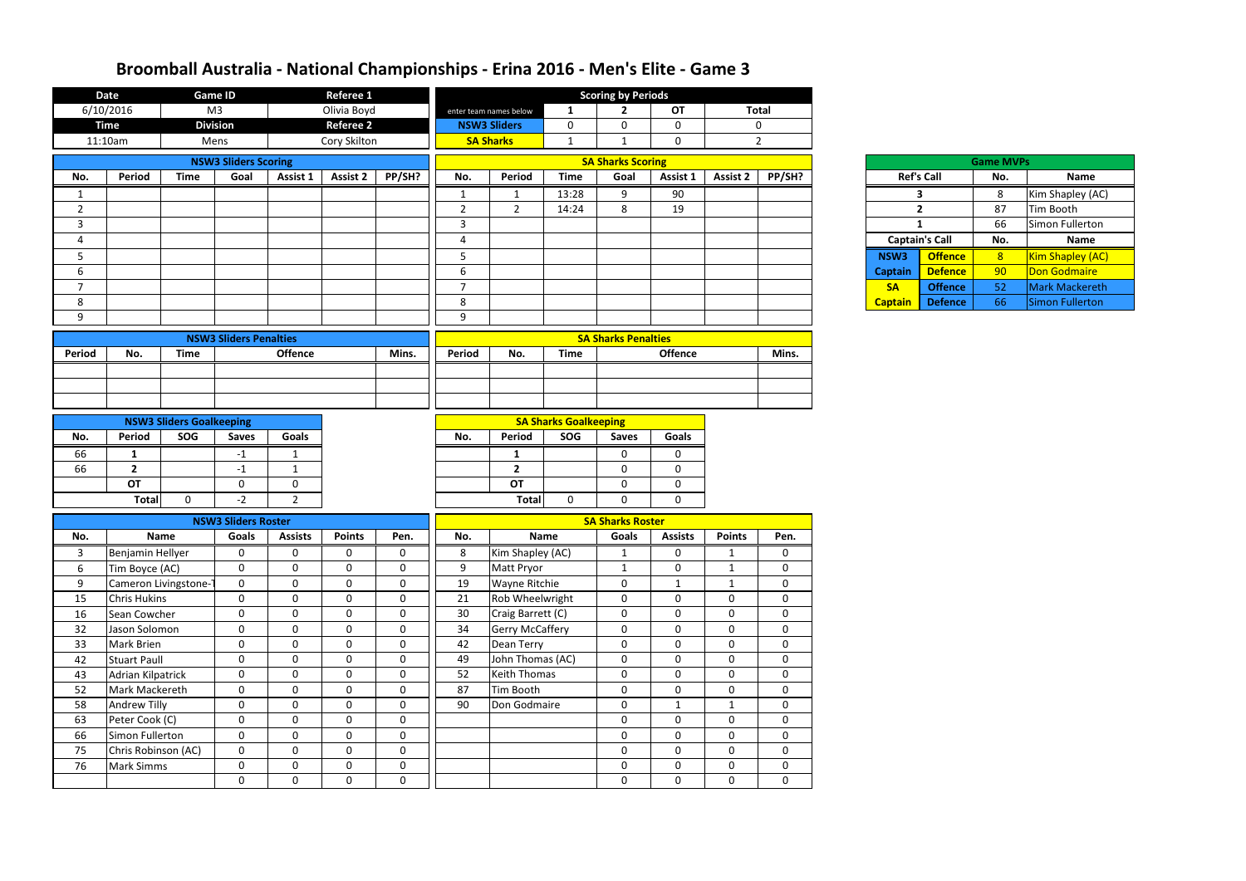|                | <b>Date</b>              |                                 | <b>Game ID</b>                      |                 | <b>Referee 1</b> |              |                        |                        |                              | <b>Scoring by Periods</b>  |                |                  |                |                |                       |                  |                        |
|----------------|--------------------------|---------------------------------|-------------------------------------|-----------------|------------------|--------------|------------------------|------------------------|------------------------------|----------------------------|----------------|------------------|----------------|----------------|-----------------------|------------------|------------------------|
|                | 6/10/2016                |                                 | M <sub>3</sub>                      |                 | Olivia Boyd      |              |                        | enter team names below | 1                            | $\mathbf{2}$               | OT             |                  | <b>Total</b>   |                |                       |                  |                        |
|                | <b>Time</b>              |                                 | <b>Division</b>                     |                 | <b>Referee 2</b> |              |                        | <b>NSW3 Sliders</b>    | $\mathbf 0$                  | $\mathbf 0$                | $\mathbf 0$    |                  | $\mathbf 0$    |                |                       |                  |                        |
|                | 11:10am                  |                                 | Mens                                |                 | Cory Skilton     |              |                        | <b>SA Sharks</b>       | $\mathbf{1}$                 | $\mathbf{1}$               | $\mathbf 0$    |                  | $\overline{2}$ |                |                       |                  |                        |
|                |                          |                                 | <b>NSW3 Sliders Scoring</b>         |                 |                  |              |                        |                        |                              | <b>SA Sharks Scoring</b>   |                |                  |                |                |                       | <b>Game MVPs</b> |                        |
| No.            | <b>Period</b>            | <b>Time</b>                     | Goal                                | <b>Assist 1</b> | <b>Assist 2</b>  | PP/SH?       | No.                    | Period                 | <b>Time</b>                  | Goal                       | Assist 1       | <b>Assist 2</b>  | PP/SH?         |                | <b>Ref's Call</b>     | No.              | <b>Name</b>            |
| 1              |                          |                                 |                                     |                 |                  |              | $\mathbf{1}$           | $\mathbf{1}$           | 13:28                        | 9                          | 90             |                  |                |                | 3                     | 8                | Kim Shapley (AC)       |
| $\overline{2}$ |                          |                                 |                                     |                 |                  |              | $\overline{2}$         | $\overline{2}$         | 14:24                        | 8                          | 19             |                  |                |                | $\overline{2}$        | 87               | Tim Booth              |
| 3              |                          |                                 |                                     |                 |                  |              | $\overline{3}$         |                        |                              |                            |                |                  |                |                | $\mathbf{1}$          | 66               | Simon Fullerton        |
| 4              |                          |                                 |                                     |                 |                  |              | $\boldsymbol{\Lambda}$ |                        |                              |                            |                |                  |                |                | <b>Captain's Call</b> | No.              | <b>Name</b>            |
| 5              |                          |                                 |                                     |                 |                  |              | 5                      |                        |                              |                            |                |                  |                | NSW3           | <b>Offence</b>        | 8                | Kim Shapley (AC)       |
| 6              |                          |                                 |                                     |                 |                  |              | $6\phantom{1}6$        |                        |                              |                            |                |                  |                | <b>Captain</b> | <b>Defence</b>        | 90               | Don Godmaire           |
| $\overline{7}$ |                          |                                 |                                     |                 |                  |              | $\overline{7}$         |                        |                              |                            |                |                  |                | <b>SA</b>      | <b>Offence</b>        | 52               | <b>Mark Mackereth</b>  |
| 8              |                          |                                 |                                     |                 |                  |              | 8                      |                        |                              |                            |                |                  |                | <b>Captain</b> | <b>Defence</b>        | 66               | <b>Simon Fullerton</b> |
| 9              |                          |                                 |                                     |                 |                  |              | 9                      |                        |                              |                            |                |                  |                |                |                       |                  |                        |
|                |                          |                                 | <b>NSW3 Sliders Penalties</b>       |                 |                  |              |                        |                        |                              | <b>SA Sharks Penalties</b> |                |                  |                |                |                       |                  |                        |
| Period         | No.                      | <b>Time</b>                     |                                     | <b>Offence</b>  |                  | Mins.        | Period                 | No.                    | <b>Time</b>                  |                            | <b>Offence</b> |                  | Mins.          |                |                       |                  |                        |
|                |                          |                                 |                                     |                 |                  |              |                        |                        |                              |                            |                |                  |                |                |                       |                  |                        |
|                |                          |                                 |                                     |                 |                  |              |                        |                        |                              |                            |                |                  |                |                |                       |                  |                        |
|                |                          |                                 |                                     |                 |                  |              |                        |                        |                              |                            |                |                  |                |                |                       |                  |                        |
|                |                          | <b>NSW3 Sliders Goalkeeping</b> |                                     |                 |                  |              |                        |                        | <b>SA Sharks Goalkeeping</b> |                            |                |                  |                |                |                       |                  |                        |
| No.            | Period                   | SOG                             | <b>Saves</b>                        | Goals           |                  |              | No.                    | Period                 | SOG                          | <b>Saves</b>               | <b>Goals</b>   |                  |                |                |                       |                  |                        |
| 66             | 1                        |                                 | $-1$                                | -1              |                  |              |                        | 1                      |                              | $\mathbf 0$                | $\mathbf{0}$   |                  |                |                |                       |                  |                        |
| 66             | $\overline{2}$           |                                 | $-1$                                | $\mathbf{1}$    |                  |              |                        | $\overline{2}$         |                              | $\mathbf 0$                | $\mathbf 0$    |                  |                |                |                       |                  |                        |
|                | <b>OT</b>                |                                 | $\mathbf 0$                         | $\overline{0}$  |                  |              |                        | <b>OT</b>              |                              | $\mathbf 0$                | $\mathbf 0$    |                  |                |                |                       |                  |                        |
|                | <b>Total</b>             | $\mathbf{0}$                    | $-2$                                | $\overline{2}$  |                  |              |                        | <b>Total</b>           | $\Omega$                     | $\mathbf{0}$               | $\Omega$       |                  |                |                |                       |                  |                        |
|                |                          |                                 |                                     |                 |                  |              |                        |                        |                              | <b>SA Sharks Roster</b>    |                |                  |                |                |                       |                  |                        |
| No.            |                          | <b>Name</b>                     | <b>NSW3 Sliders Roster</b><br>Goals | <b>Assists</b>  | <b>Points</b>    | Pen.         | No.                    |                        | <b>Name</b>                  | <b>Goals</b>               | <b>Assists</b> | <b>Points</b>    | Pen.           |                |                       |                  |                        |
| 3              | Benjamin Hellyer         |                                 | 0                                   | 0               | $\mathbf 0$      | 0            | 8                      | Kim Shapley (AC)       |                              | -1                         | 0              |                  | 0              |                |                       |                  |                        |
| 6              | Tim Boyce (AC)           |                                 | $\mathbf 0$                         | 0               | $\mathbf 0$      | $\mathbf{0}$ | 9                      | Matt Pryor             |                              | $\mathbf{1}$               | $\mathbf 0$    | $\mathbf{1}$     | 0              |                |                       |                  |                        |
| 9              |                          | Cameron Livingstone-            | $\mathbf 0$                         | $\mathbf 0$     | $\mathbf 0$      | $\mathbf{0}$ | 19                     | Wayne Ritchie          |                              | $\pmb{0}$                  | $\mathbf{1}$   | $\mathbf{1}$     | $\mathbf{0}$   |                |                       |                  |                        |
| 15             | <b>Chris Hukins</b>      |                                 | $\boldsymbol{0}$                    | $\mathbf 0$     | $\mathbf 0$      | $\mathbf{0}$ | 21                     | Rob Wheelwright        |                              | $\mathbf 0$                | $\mathbf 0$    | $\overline{0}$   | $\mathbf{0}$   |                |                       |                  |                        |
| 16             | Sean Cowcher             |                                 | $\mathbf 0$                         | $\mathbf 0$     | $\mathbf 0$      | $\mathbf{0}$ | 30                     | Craig Barrett (C)      |                              | $\pmb{0}$                  | $\mathbf 0$    | $\mathbf 0$      | $\mathbf 0$    |                |                       |                  |                        |
| 32             | Jason Solomon            |                                 | $\mathbf 0$                         | $\mathbf 0$     | $\mathbf 0$      | $\mathbf 0$  | 34                     | <b>Gerry McCaffery</b> |                              | $\mathbf 0$                | $\mathbf 0$    | $\mathbf 0$      | 0              |                |                       |                  |                        |
| 33             | Mark Brien               |                                 | $\mathbf 0$                         | $\mathbf 0$     | $\mathbf 0$      | $\mathbf{0}$ | 42                     | Dean Terry             |                              | $\mathbf 0$                | $\mathbf 0$    | $\boldsymbol{0}$ | $\mathbf{0}$   |                |                       |                  |                        |
| 42             | <b>Stuart Paull</b>      |                                 | $\mathbf 0$                         | $\mathbf 0$     | $\mathbf 0$      | $\mathbf{0}$ | 49                     | John Thomas (AC)       |                              | $\mathbf 0$                | $\mathbf 0$    | $\mathbf 0$      | 0              |                |                       |                  |                        |
| 43             | <b>Adrian Kilpatrick</b> |                                 | $\mathbf 0$                         | $\mathbf 0$     | $\mathbf 0$      | $\mathbf{0}$ | 52                     | <b>Keith Thomas</b>    |                              | $\mathbf 0$                | $\mathbf 0$    | $\mathbf 0$      | $\mathbf{0}$   |                |                       |                  |                        |
| 52             | Mark Mackereth           |                                 | $\mathbf 0$                         | $\mathbf 0$     | $\mathbf 0$      | $\mathbf{0}$ | 87                     | Tim Booth              |                              | $\mathbf 0$                | $\mathbf 0$    | $\mathbf 0$      | $\mathbf{0}$   |                |                       |                  |                        |
| 58             | Andrew Tilly             |                                 | $\mathbf 0$                         | $\mathbf 0$     | $\mathbf 0$      | $\mathbf 0$  | 90                     | Don Godmaire           |                              | $\mathbf 0$                | $\mathbf{1}$   | $\mathbf{1}$     | $\mathbf{0}$   |                |                       |                  |                        |
| 63             | Peter Cook (C)           |                                 | $\mathbf 0$                         | $\mathbf 0$     | $\mathbf 0$      | $\mathbf 0$  |                        |                        |                              | $\mathbf 0$                | $\mathbf 0$    | $\mathbf 0$      | 0              |                |                       |                  |                        |
| 66             | Simon Fullerton          |                                 | $\mathbf 0$                         | $\mathbf 0$     | $\mathbf 0$      | $\mathbf 0$  |                        |                        |                              | $\mathbf 0$                | $\mathbf 0$    | $\mathbf 0$      | 0              |                |                       |                  |                        |
| 75             | Chris Robinson (AC)      |                                 | $\mathbf 0$                         | $\mathbf 0$     | $\mathbf 0$      | $\mathbf 0$  |                        |                        |                              | $\mathbf 0$                | $\mathbf 0$    | $\overline{0}$   | 0              |                |                       |                  |                        |
| 76             | <b>Mark Simms</b>        |                                 | $\mathbf 0$                         | $\mathbf 0$     | $\mathbf 0$      | $\mathbf{0}$ |                        |                        |                              | $\mathbf 0$                | $\mathbf 0$    | $\mathbf 0$      | 0              |                |                       |                  |                        |
|                |                          |                                 | $\boldsymbol{0}$                    | $\mathbf 0$     | $\mathbf 0$      | $\mathbf{0}$ |                        |                        |                              | $\mathbf 0$                | $\mathbf 0$    | $\mathbf 0$      | $\mathbf{0}$   |                |                       |                  |                        |
|                |                          |                                 |                                     |                 |                  |              |                        |                        |                              |                            |                |                  |                |                |                       |                  |                        |

|                       |                   | <b>Game MVPs</b> |                        |
|-----------------------|-------------------|------------------|------------------------|
|                       | <b>Ref's Call</b> | No.              | <b>Name</b>            |
| 3                     |                   | 8                | Kim Shapley (AC)       |
|                       | $\overline{2}$    | 87               | Tim Booth              |
| 1                     |                   | 66               | <b>Simon Fullerton</b> |
|                       |                   |                  |                        |
| <b>Captain's Call</b> |                   | No.              | <b>Name</b>            |
| <b>NSW3</b>           | <b>Offence</b>    | 8                | Kim Shapley (AC)       |
| aptain                | <b>Defence</b>    | 90               | <b>Don Godmaire</b>    |
| <b>SA</b>             | <b>Offence</b>    | 52               | <b>Mark Mackereth</b>  |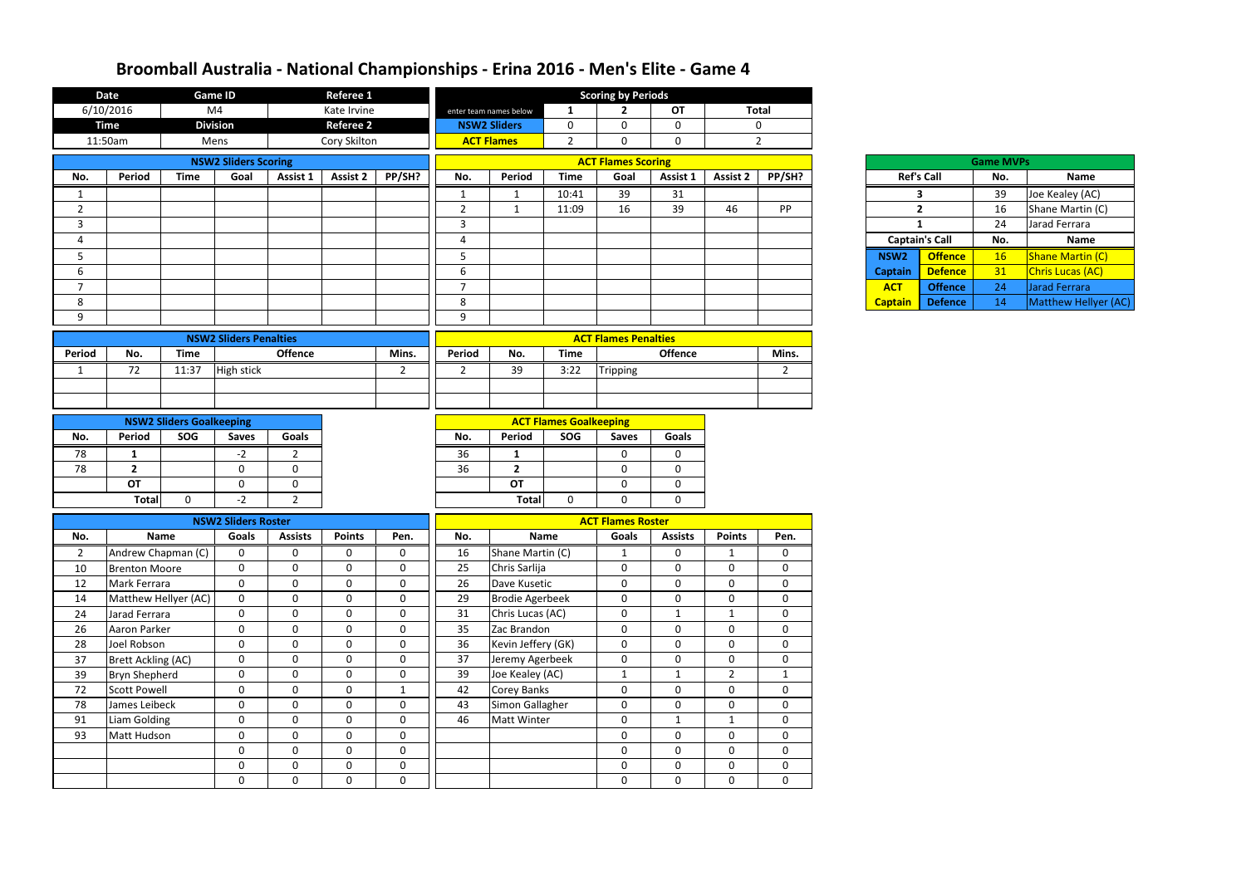|                | <b>Date</b>                   |                                 | <b>Game ID</b>                |                             | Referee 1                  |                             |                |                                       |                               | <b>Scoring by Periods</b>   |                            |                            |                              |                  |                       |                  |                         |
|----------------|-------------------------------|---------------------------------|-------------------------------|-----------------------------|----------------------------|-----------------------------|----------------|---------------------------------------|-------------------------------|-----------------------------|----------------------------|----------------------------|------------------------------|------------------|-----------------------|------------------|-------------------------|
|                | 6/10/2016                     |                                 | M <sub>4</sub>                |                             | Kate Irvine                |                             |                | enter team names below                |                               | $\mathbf{2}$                | OT                         |                            | <b>Total</b>                 |                  |                       |                  |                         |
|                | <b>Time</b>                   |                                 | <b>Division</b>               |                             | <b>Referee 2</b>           |                             |                | <b>NSW2 Sliders</b>                   | $\mathbf 0$                   | 0                           | $\mathbf 0$                |                            | $\mathbf 0$                  |                  |                       |                  |                         |
|                | 11:50am                       |                                 | Mens                          |                             | Cory Skilton               |                             |                | <b>ACT Flames</b>                     | $\overline{2}$                | 0                           | $\mathbf 0$                |                            | $2^{\circ}$                  |                  |                       |                  |                         |
|                |                               |                                 | <b>NSW2 Sliders Scoring</b>   |                             |                            |                             |                |                                       |                               | <b>ACT Flames Scoring</b>   |                            |                            |                              |                  |                       | <b>Game MVPs</b> |                         |
| No.            | Period                        | <b>Time</b>                     | Goal                          | Assist 1                    | <b>Assist 2</b>            | PP/SH?                      | No.            | Period                                | <b>Time</b>                   | Goal                        | Assist 1                   | <b>Assist 2</b>            | PP/SH?                       |                  | <b>Ref's Call</b>     | No.              | <b>Name</b>             |
| 1              |                               |                                 |                               |                             |                            |                             | $\mathbf{1}$   | $\mathbf{1}$                          | 10:41                         | 39                          | 31                         |                            |                              |                  | $\mathbf{3}$          | 39               | Joe Kealey (AC)         |
| $\overline{2}$ |                               |                                 |                               |                             |                            |                             | $\overline{2}$ | $\mathbf{1}$                          | 11:09                         | 16                          | 39                         | 46                         | <b>PP</b>                    |                  | $\overline{2}$        | 16               | Shane Martin (C)        |
| 3              |                               |                                 |                               |                             |                            |                             | $\overline{3}$ |                                       |                               |                             |                            |                            |                              |                  | $\mathbf{1}$          | 24               | Jarad Ferrara           |
| 4              |                               |                                 |                               |                             |                            |                             | 4              |                                       |                               |                             |                            |                            |                              |                  | <b>Captain's Call</b> | No.              | Name                    |
| 5              |                               |                                 |                               |                             |                            |                             | 5              |                                       |                               |                             |                            |                            |                              | NSW <sub>2</sub> | <b>Offence</b>        | 16               | <b>Shane Martin (C)</b> |
| 6              |                               |                                 |                               |                             |                            |                             | 6              |                                       |                               |                             |                            |                            |                              | <b>Captain</b>   | <b>Defence</b>        | 31               | Chris Lucas (AC)        |
| $\overline{7}$ |                               |                                 |                               |                             |                            |                             | $\overline{7}$ |                                       |                               |                             |                            |                            |                              | <b>ACT</b>       | <b>Offence</b>        | 24               | Jarad Ferrara           |
| 8              |                               |                                 |                               |                             |                            |                             | 8              |                                       |                               |                             |                            |                            |                              | <b>Captain</b>   | <b>Defence</b>        | 14               | Matthew Hellyer (AC)    |
| 9              |                               |                                 |                               |                             |                            |                             | 9              |                                       |                               |                             |                            |                            |                              |                  |                       |                  |                         |
|                |                               |                                 |                               |                             |                            |                             |                |                                       |                               |                             |                            |                            |                              |                  |                       |                  |                         |
|                |                               |                                 | <b>NSW2 Sliders Penalties</b> |                             |                            |                             |                |                                       |                               | <b>ACT Flames Penalties</b> |                            |                            |                              |                  |                       |                  |                         |
| <b>Period</b>  | No.                           | <b>Time</b>                     |                               | <b>Offence</b>              |                            | Mins.                       | Period         | No.                                   | <b>Time</b>                   |                             | <b>Offence</b>             |                            | Mins.                        |                  |                       |                  |                         |
| 1              | 72                            | 11:37                           | <b>High stick</b>             |                             |                            | $\overline{2}$              | $\overline{2}$ | 39                                    | 3:22                          | Tripping                    |                            |                            | $\overline{2}$               |                  |                       |                  |                         |
|                |                               |                                 |                               |                             |                            |                             |                |                                       |                               |                             |                            |                            |                              |                  |                       |                  |                         |
|                |                               |                                 |                               |                             |                            |                             |                |                                       |                               |                             |                            |                            |                              |                  |                       |                  |                         |
|                |                               | <b>NSW2 Sliders Goalkeeping</b> |                               |                             |                            |                             |                |                                       | <b>ACT Flames Goalkeeping</b> |                             |                            |                            |                              |                  |                       |                  |                         |
| No.            | Period                        | SOG                             | <b>Saves</b>                  | <b>Goals</b>                |                            |                             | No.            | Period                                | SOG                           | <b>Saves</b>                | <b>Goals</b>               |                            |                              |                  |                       |                  |                         |
| 78             | -1                            |                                 | $-2$                          | $\overline{2}$              |                            |                             | 36             | 1                                     |                               | 0                           | 0                          |                            |                              |                  |                       |                  |                         |
| 78             | $\overline{2}$                |                                 | $\mathbf 0$                   | $\Omega$                    |                            |                             | 36             | $\overline{2}$                        |                               | 0                           | 0                          |                            |                              |                  |                       |                  |                         |
|                | OT                            |                                 | $\mathbf 0$                   | $\mathbf 0$                 |                            |                             |                | <b>OT</b>                             |                               | 0                           | 0                          |                            |                              |                  |                       |                  |                         |
|                | <b>Total</b>                  | $\mathbf 0$                     | $-2$                          | $\overline{2}$              |                            |                             |                | <b>Total</b>                          | 0                             | $\Omega$                    | $\mathbf 0$                |                            |                              |                  |                       |                  |                         |
|                |                               |                                 |                               |                             |                            |                             |                |                                       |                               |                             |                            |                            |                              |                  |                       |                  |                         |
|                |                               |                                 | <b>NSW2 Sliders Roster</b>    |                             |                            |                             |                |                                       |                               | <b>ACT Flames Roster</b>    |                            |                            |                              |                  |                       |                  |                         |
| No.            |                               | Name                            | <b>Goals</b>                  | <b>Assists</b>              | <b>Points</b>              | Pen.                        | No.            |                                       | <b>Name</b>                   | Goals                       | <b>Assists</b>             | <b>Points</b>              | Pen.                         |                  |                       |                  |                         |
| 2              | Andrew Chapman (C)            |                                 | $\mathbf{0}$                  | $\mathbf 0$                 | 0                          | $\mathbf{0}$                | 16             | Shane Martin (C)                      |                               |                             | 0                          |                            | 0                            |                  |                       |                  |                         |
| 10             | <b>Brenton Moore</b>          |                                 | $\mathbf 0$                   | $\mathbf 0$                 | $\mathbf 0$                | $\mathbf 0$                 | 25             | Chris Sarlija                         |                               | $\mathbf 0$                 | $\mathbf 0$                | $\mathbf 0$                | $\mathbf{0}$                 |                  |                       |                  |                         |
| 12             | Mark Ferrara                  |                                 | $\mathbf 0$                   | $\mathbf 0$                 | $\pmb{0}$                  | $\boldsymbol{0}$            | 26             | Dave Kusetic                          |                               | 0                           | $\mathbf 0$                | $\mathbf 0$                | $\mathbf 0$                  |                  |                       |                  |                         |
| 14             | Matthew Hellyer (AC)          |                                 | $\mathbf 0$                   | $\mathbf{0}$                | $\mathbf 0$                | $\mathbf 0$                 | 29             | <b>Brodie Agerbeek</b>                |                               | $\mathbf 0$                 | $\mathbf 0$                | $\boldsymbol{0}$           | $\mathbf{0}$                 |                  |                       |                  |                         |
| 24             | Jarad Ferrara                 |                                 | $\mathbf 0$                   | $\mathbf{0}$                | $\mathbf 0$                | $\mathbf 0$                 | 31             | Chris Lucas (AC)                      |                               | $\mathbf 0$                 | $\mathbf{1}$               | $\mathbf{1}$               | $\mathbf 0$                  |                  |                       |                  |                         |
| 26             | Aaron Parker                  |                                 | $\mathbf 0$                   | $\mathbf{0}$                | 0                          | 0                           | 35             | Zac Brandon                           |                               | $\mathbf 0$                 | $\mathbf 0$                | $\mathbf 0$                | $\mathbf{0}$                 |                  |                       |                  |                         |
| 28             | Joel Robson                   |                                 | $\mathbf 0$                   | $\mathbf 0$<br>$\mathbf 0$  | $\pmb{0}$<br>$\mathbf 0$   | $\mathbf 0$<br>$\mathbf 0$  | 36             | Kevin Jeffery (GK)                    |                               | $\mathbf 0$                 | $\mathbf 0$                | $\mathbf 0$                | $\mathbf 0$                  |                  |                       |                  |                         |
| 37             | <b>Brett Ackling (AC)</b>     |                                 | $\mathbf 0$                   |                             |                            | $\mathbf 0$                 | 37<br>39       | Jeremy Agerbeek                       |                               | $\mathbf 0$                 | $\mathbf 0$                | $\mathbf 0$                | $\overline{0}$               |                  |                       |                  |                         |
| 39             | <b>Bryn Shepherd</b>          |                                 | $\mathbf 0$                   | $\mathbf 0$                 | $\mathbf 0$                |                             |                | Joe Kealey (AC)                       |                               | $\mathbf{1}$                | $\mathbf{1}$               | $\overline{2}$             | $\mathbf{1}$<br>$\mathbf{0}$ |                  |                       |                  |                         |
| 72             | <b>Scott Powell</b>           |                                 | $\mathbf 0$<br>$\mathbf 0$    | $\mathbf 0$<br>$\mathbf{0}$ | $\mathbf 0$<br>$\mathbf 0$ | $\mathbf{1}$<br>$\mathbf 0$ | 42<br>43       | <b>Corey Banks</b>                    |                               | $\mathbf 0$<br>$\mathbf 0$  | $\mathbf 0$<br>$\mathbf 0$ | $\mathbf 0$<br>$\mathbf 0$ | $\overline{0}$               |                  |                       |                  |                         |
| 78<br>91       | James Leibeck<br>Liam Golding |                                 | $\mathbf 0$                   | $\mathbf{0}$                | $\mathbf 0$                | $\mathbf 0$                 | 46             | Simon Gallagher<br><b>Matt Winter</b> |                               | 0                           | $\mathbf{1}$               | $\mathbf{1}$               | $\mathbf 0$                  |                  |                       |                  |                         |
| 93             | Matt Hudson                   |                                 | $\mathbf 0$                   | $\mathbf 0$                 | $\mathbf 0$                | $\mathbf 0$                 |                |                                       |                               | $\mathbf 0$                 | $\mathbf 0$                | $\mathbf 0$                | $\mathbf{0}$                 |                  |                       |                  |                         |
|                |                               |                                 | $\mathbf 0$                   | $\mathbf 0$                 | $\mathbf 0$                | $\mathbf 0$                 |                |                                       |                               |                             |                            | $\mathbf 0$                | $\overline{0}$               |                  |                       |                  |                         |
|                |                               |                                 | $\mathbf 0$                   | $\mathbf 0$                 | $\pmb{0}$                  | $\pmb{0}$                   |                |                                       |                               | 0<br>$\mathbf{0}$           | $\mathbf 0$<br>$\mathbf 0$ | $\mathbf 0$                | $\overline{0}$               |                  |                       |                  |                         |
|                |                               |                                 |                               |                             |                            |                             |                |                                       |                               |                             |                            |                            |                              |                  |                       |                  |                         |
|                |                               |                                 | $\mathbf 0$                   | $\mathbf 0$                 | $\mathbf 0$                | $\mathbf 0$                 |                |                                       |                               | 0                           | $\mathbf 0$                | $\mathbf 0$                | $\overline{0}$               |                  |                       |                  |                         |

| Ref's Cal          |    |
|--------------------|----|
|                    | 3  |
|                    | 2  |
|                    | 1  |
| <b>Captain's C</b> |    |
| <b>NSW2</b>        | Of |
| Captain            | De |
| <b>ACT</b>         | Ωſ |
| Cantain            | De |

|                        |                       | <b>Game MVPs</b> |                         |
|------------------------|-----------------------|------------------|-------------------------|
|                        | <b>Ref's Call</b>     | No.              | <b>Name</b>             |
|                        | з                     | 39               | Joe Kealey (AC)         |
|                        | 2                     | 16               | Shane Martin (C)        |
|                        | 1                     | 24               | Jarad Ferrara           |
|                        | <b>Captain's Call</b> | No.              | <b>Name</b>             |
|                        |                       |                  |                         |
| SW2                    | <b>Offence</b>        | 16               | <b>Shane Martin (C)</b> |
| ptain                  | <b>Defence</b>        | 31               | <b>Chris Lucas (AC)</b> |
| $\overline{\text{CT}}$ | <b>Offence</b>        | 24               | Jarad Ferrara           |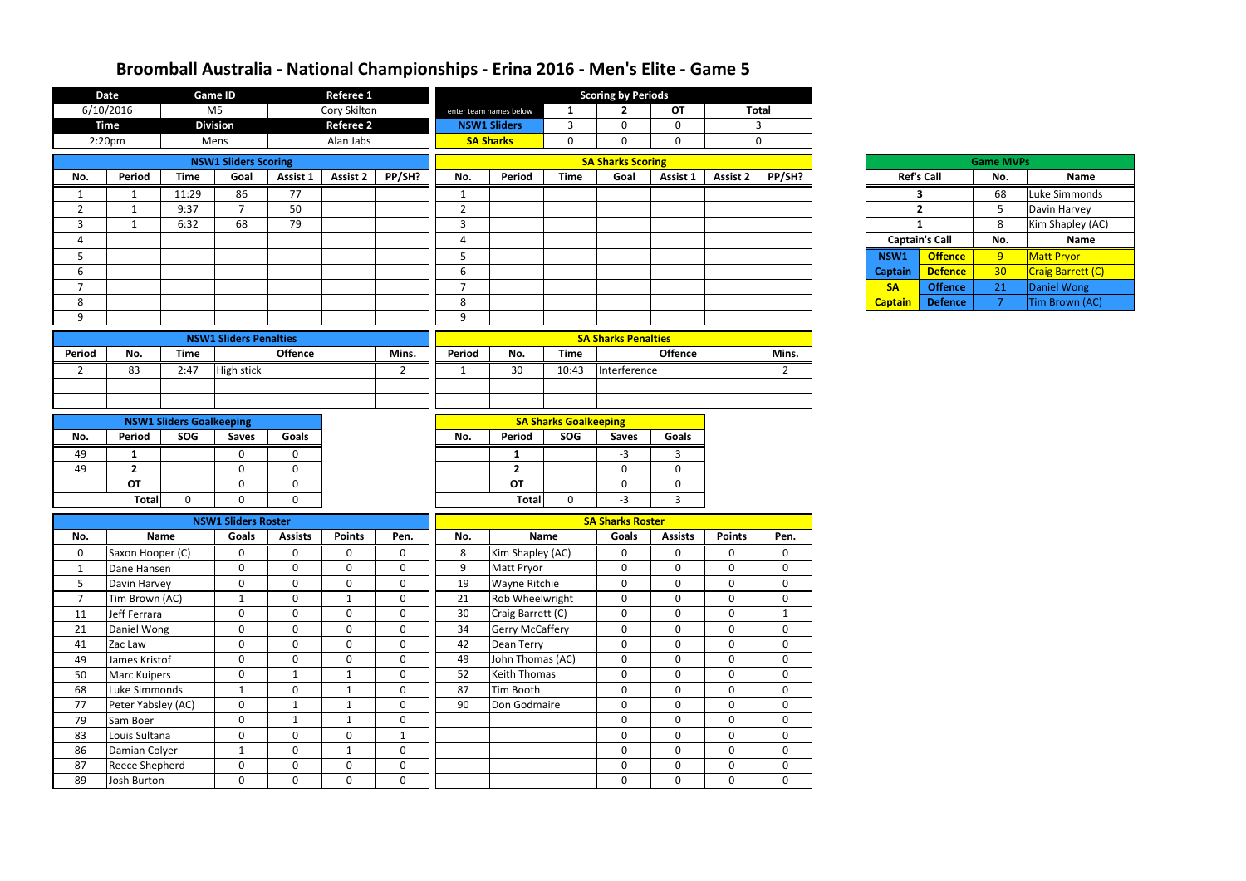|                | <b>Date</b>           |                                 | <b>Game ID</b>                |                | Referee 1        |                |                |                        |                              | <b>Scoring by Periods</b>  |                |                 |                |                   |                       |                  |                   |
|----------------|-----------------------|---------------------------------|-------------------------------|----------------|------------------|----------------|----------------|------------------------|------------------------------|----------------------------|----------------|-----------------|----------------|-------------------|-----------------------|------------------|-------------------|
|                | 6/10/2016             |                                 | M <sub>5</sub>                |                | Cory Skilton     |                |                | enter team names below | 1                            | $\mathbf{2}$               | OT             |                 | <b>Total</b>   |                   |                       |                  |                   |
|                | <b>Time</b>           |                                 | <b>Division</b>               |                | <b>Referee 2</b> |                |                | <b>NSW1 Sliders</b>    | $\mathbf{3}$                 | $\mathbf 0$                | $\mathbf 0$    |                 | $\mathbf{3}$   |                   |                       |                  |                   |
|                | 2:20 <sub>pm</sub>    |                                 | Mens                          |                | Alan Jabs        |                |                | <b>SA Sharks</b>       | 0                            | $\mathbf 0$                | $\mathbf 0$    |                 | $\mathbf 0$    |                   |                       |                  |                   |
|                |                       |                                 | <b>NSW1 Sliders Scoring</b>   |                |                  |                |                |                        |                              | <b>SA Sharks Scoring</b>   |                |                 |                |                   |                       | <b>Game MVPs</b> |                   |
| No.            | Period                | <b>Time</b>                     | Goal                          | Assist 1       | <b>Assist 2</b>  | PP/SH?         | No.            | Period                 | <b>Time</b>                  | Goal                       | Assist 1       | <b>Assist 2</b> | PP/SH?         | <b>Ref's Call</b> |                       | No.              | Name              |
| $\mathbf{1}$   | 1                     | 11:29                           | 86                            | 77             |                  |                | $\mathbf{1}$   |                        |                              |                            |                |                 |                |                   | 3                     | 68               | Luke Simmonds     |
| $\overline{2}$ | 1                     | 9:37                            | $\overline{7}$                | 50             |                  |                | $\overline{2}$ |                        |                              |                            |                |                 |                |                   | $\overline{2}$        | 5                | Davin Harvey      |
| $\overline{3}$ | $\mathbf{1}$          | 6:32                            | 68                            | 79             |                  |                | $\overline{3}$ |                        |                              |                            |                |                 |                | $\mathbf{1}$      |                       | 8                | Kim Shapley (AC)  |
| 4              |                       |                                 |                               |                |                  |                | 4              |                        |                              |                            |                |                 |                |                   | <b>Captain's Call</b> | No.              | Name              |
| 5              |                       |                                 |                               |                |                  |                | 5              |                        |                              |                            |                |                 |                | NSW1              | <b>Offence</b>        | 9                | Matt Pryor        |
| 6              |                       |                                 |                               |                |                  |                | 6              |                        |                              |                            |                |                 |                | <b>Captain</b>    | <b>Defence</b>        | 30 <sub>2</sub>  | Craig Barrett (C) |
| $\overline{7}$ |                       |                                 |                               |                |                  |                | $\overline{7}$ |                        |                              |                            |                |                 |                | <b>SA</b>         | <b>Offence</b>        | 21               | Daniel Wong       |
| 8              |                       |                                 |                               |                |                  |                | $\,8\,$        |                        |                              |                            |                |                 |                | <b>Captain</b>    | <b>Defence</b>        | $\overline{7}$   | Tim Brown (AC)    |
| 9              |                       |                                 |                               |                |                  |                | 9              |                        |                              |                            |                |                 |                |                   |                       |                  |                   |
|                |                       |                                 | <b>NSW1 Sliders Penalties</b> |                |                  |                |                |                        |                              | <b>SA Sharks Penalties</b> |                |                 |                |                   |                       |                  |                   |
| <b>Period</b>  | No.                   | <b>Time</b>                     |                               | <b>Offence</b> |                  | Mins.          | Period         | No.                    | <b>Time</b>                  |                            | <b>Offence</b> |                 | Mins.          |                   |                       |                  |                   |
| $\overline{2}$ | 83                    | 2:47                            | <b>High stick</b>             |                |                  | $\overline{2}$ | $\mathbf{1}$   | 30                     | 10:43                        | Interference               |                |                 | $\overline{2}$ |                   |                       |                  |                   |
|                |                       |                                 |                               |                |                  |                |                |                        |                              |                            |                |                 |                |                   |                       |                  |                   |
|                |                       |                                 |                               |                |                  |                |                |                        |                              |                            |                |                 |                |                   |                       |                  |                   |
|                |                       | <b>NSW1 Sliders Goalkeeping</b> |                               |                |                  |                |                |                        | <b>SA Sharks Goalkeeping</b> |                            |                |                 |                |                   |                       |                  |                   |
| No.            | Period                | SOG                             | <b>Saves</b>                  | Goals          |                  |                | No.            | Period                 | SOG                          | <b>Saves</b>               | <b>Goals</b>   |                 |                |                   |                       |                  |                   |
| 49             | 1                     |                                 | $\mathbf{0}$                  | 0              |                  |                |                | 1                      |                              | $-3$                       | 3              |                 |                |                   |                       |                  |                   |
| 49             | $\overline{2}$        |                                 | $\mathbf 0$                   | $\mathbf{0}$   |                  |                |                | $\overline{2}$         |                              | $\mathbf 0$                | $\mathbf 0$    |                 |                |                   |                       |                  |                   |
|                | OT                    |                                 | $\mathbf 0$                   | $\mathbf 0$    |                  |                |                | <b>OT</b>              |                              | $\mathbf 0$                | $\mathbf 0$    |                 |                |                   |                       |                  |                   |
|                | <b>Total</b>          | $\mathbf 0$                     | $\Omega$                      | 0              |                  |                |                | <b>Total</b>           | $\mathbf 0$                  | $-3$                       | $\mathbf{3}$   |                 |                |                   |                       |                  |                   |
|                |                       |                                 | <b>NSW1 Sliders Roster</b>    |                |                  |                |                |                        |                              | <b>SA Sharks Roster</b>    |                |                 |                |                   |                       |                  |                   |
| No.            | Name                  |                                 | Goals                         | <b>Assists</b> | <b>Points</b>    | Pen.           | No.            |                        | <b>Name</b>                  | Goals                      | <b>Assists</b> | <b>Points</b>   | Pen.           |                   |                       |                  |                   |
| 0              | Saxon Hooper (C)      |                                 | 0                             | 0              | 0                | $\Omega$       | 8              | Kim Shapley (AC)       |                              | $\mathbf 0$                | 0              | 0               | 0              |                   |                       |                  |                   |
| $\mathbf{1}$   | Dane Hansen           |                                 | $\mathbf 0$                   | $\mathbf 0$    | $\mathbf 0$      | $\mathbf 0$    | 9              | Matt Pryor             |                              | $\mathbf 0$                | $\mathbf 0$    | $\overline{0}$  | $\mathbf 0$    |                   |                       |                  |                   |
| 5              | Davin Harvey          |                                 | $\mathbf 0$                   | $\mathbf 0$    | $\mathbf 0$      | $\mathbf 0$    | 19             | <b>Wayne Ritchie</b>   |                              | $\mathbf 0$                | $\mathbf 0$    | $\mathbf 0$     | $\mathbf 0$    |                   |                       |                  |                   |
| $\overline{7}$ | Tim Brown (AC)        |                                 | $\mathbf{1}$                  | $\mathbf 0$    | $\mathbf{1}$     | $\mathbf 0$    | 21             | Rob Wheelwright        |                              | $\mathbf 0$                | $\mathbf 0$    | $\mathbf 0$     | 0              |                   |                       |                  |                   |
| 11             | Jeff Ferrara          |                                 | $\mathbf 0$                   | $\mathbf 0$    | $\mathbf 0$      | $\mathbf{0}$   | 30             | Craig Barrett (C)      |                              | $\mathbf 0$                | $\mathbf 0$    | $\mathbf 0$     | $\mathbf 1$    |                   |                       |                  |                   |
| 21             | Daniel Wong           |                                 | $\mathbf 0$                   | $\mathbf 0$    | $\pmb{0}$        | $\mathbf{0}$   | 34             | <b>Gerry McCaffery</b> |                              | $\mathbf 0$                | $\mathbf 0$    | $\mathbf 0$     | 0              |                   |                       |                  |                   |
| 41             | Zac Law               |                                 | $\mathbf 0$                   | $\mathbf 0$    | $\mathbf 0$      | $\mathbf 0$    | 42             | Dean Terry             |                              | $\pmb{0}$                  | $\mathbf 0$    | $\mathbf 0$     | $\mathbf 0$    |                   |                       |                  |                   |
| 49             | James Kristof         |                                 | $\mathbf 0$                   | $\mathbf 0$    | $\mathbf 0$      | $\mathbf 0$    | 49             | John Thomas (AC)       |                              | $\mathbf 0$                | $\mathbf 0$    | $\mathbf 0$     | $\mathbf 0$    |                   |                       |                  |                   |
| 50             | <b>Marc Kuipers</b>   |                                 | $\mathbf 0$                   | $\mathbf{1}$   | $\mathbf{1}$     | $\mathbf 0$    | 52             | <b>Keith Thomas</b>    |                              | $\mathbf 0$                | $\mathbf 0$    | $\mathbf 0$     | $\mathbf 0$    |                   |                       |                  |                   |
| 68             | Luke Simmonds         |                                 | $\mathbf{1}$                  | $\mathbf 0$    | $\mathbf{1}$     | $\mathbf 0$    | 87             | Tim Booth              |                              | $\pmb{0}$                  | $\overline{0}$ | $\mathbf 0$     | $\mathbf 0$    |                   |                       |                  |                   |
| 77             | Peter Yabsley (AC)    |                                 | $\mathbf 0$                   | $\mathbf{1}$   | $\mathbf{1}$     | $\mathbf{0}$   | 90             | Don Godmaire           |                              | $\mathbf 0$                | $\mathbf 0$    | $\mathbf 0$     | $\mathbf 0$    |                   |                       |                  |                   |
| 79             | Sam Boer              |                                 | $\mathbf 0$                   | $\mathbf{1}$   | $\mathbf{1}$     | $\mathbf{0}$   |                |                        |                              | $\mathbf 0$                | $\mathbf 0$    | $\mathbf 0$     | $\mathbf 0$    |                   |                       |                  |                   |
| 83             | Louis Sultana         |                                 | $\mathbf 0$                   | $\mathbf 0$    | $\mathbf 0$      | $\mathbf{1}$   |                |                        |                              | $\mathbf 0$                | $\mathbf 0$    | $\mathbf 0$     | 0              |                   |                       |                  |                   |
| 86             | Damian Colyer         |                                 | $\mathbf{1}$                  | $\mathbf 0$    | $\mathbf{1}$     | $\mathbf 0$    |                |                        |                              | $\mathbf 0$                | $\mathbf 0$    | $\mathbf 0$     | $\mathbf 0$    |                   |                       |                  |                   |
| 87             | <b>Reece Shepherd</b> |                                 | $\mathbf 0$                   | 0              | $\mathbf 0$      | $\mathbf 0$    |                |                        |                              | $\pmb{0}$                  | $\mathbf 0$    | $\mathbf 0$     | $\mathbf 0$    |                   |                       |                  |                   |
| 89             | Josh Burton           |                                 | $\mathbf 0$                   | $\mathbf 0$    | $\mathbf 0$      | $\mathbf 0$    |                |                        |                              | $\mathbf 0$                | $\mathbf 0$    | $\mathbf 0$     | $\mathbf 0$    |                   |                       |                  |                   |

|                |                       | <b>Game MVPs</b> |                    |
|----------------|-----------------------|------------------|--------------------|
|                | <b>Ref's Call</b>     | No.              | <b>Name</b>        |
|                | 3                     | 68               | Luke Simmonds      |
|                | 2                     | 5                | Davin Harvey       |
|                | 1                     | 8                | Kim Shapley (AC)   |
|                |                       |                  |                    |
|                | <b>Captain's Call</b> | No.              | <b>Name</b>        |
| NSW1           | <b>Offence</b>        | 9                | <b>Matt Pryor</b>  |
| <b>Captain</b> | <b>Defence</b>        | 30               | Craig Barrett (C)  |
| <b>SA</b>      | <b>Offence</b>        | 21               | <b>Daniel Wong</b> |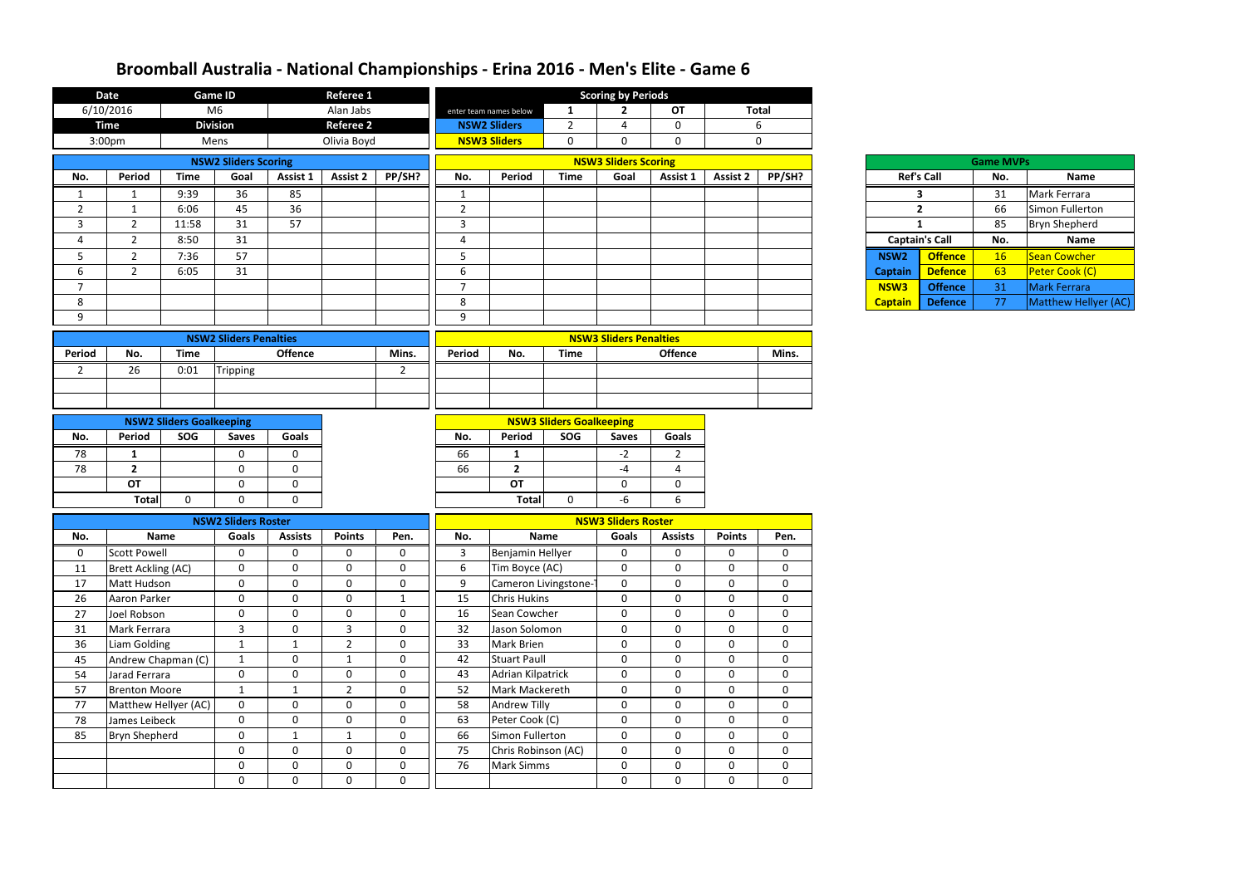|                | <b>Date</b>               |                                        | <b>Game ID</b>                |                             | Referee 1                     |                            |                |                                |                                        | <b>Scoring by Periods</b>     |                                  |                            |                             |                  |                       |                  |                      |
|----------------|---------------------------|----------------------------------------|-------------------------------|-----------------------------|-------------------------------|----------------------------|----------------|--------------------------------|----------------------------------------|-------------------------------|----------------------------------|----------------------------|-----------------------------|------------------|-----------------------|------------------|----------------------|
|                | 6/10/2016                 |                                        | M <sub>6</sub>                |                             | Alan Jabs                     |                            |                | enter team names below         | 1                                      | $\mathbf{2}$                  | OT                               |                            | <b>Total</b>                |                  |                       |                  |                      |
|                | <b>Time</b>               |                                        | <b>Division</b>               |                             | <b>Referee 2</b>              |                            |                | <b>NSW2 Sliders</b>            | $\overline{2}$                         | 4                             | 0                                |                            | 6                           |                  |                       |                  |                      |
|                | 3:00pm                    |                                        | Mens                          |                             | Olivia Boyd                   |                            |                | <b>NSW3 Sliders</b>            | $\mathbf 0$                            | $\Omega$                      | $\Omega$                         |                            | $\mathbf 0$                 |                  |                       |                  |                      |
|                |                           |                                        | <b>NSW2 Sliders Scoring</b>   |                             |                               |                            |                |                                |                                        | <b>NSW3 Sliders Scoring</b>   |                                  |                            |                             |                  |                       | <b>Game MVPs</b> |                      |
| No.            | <b>Period</b>             | <b>Time</b>                            | Goal                          | Assist 1                    | <b>Assist 2</b>               | PP/SH?                     | No.            | Period                         | <b>Time</b>                            | Goal                          | Assist 1                         | <b>Assist 2</b>            | PP/SH?                      |                  | <b>Ref's Call</b>     | No.              | Name                 |
| 1              | $\mathbf{1}$              | 9:39                                   | 36                            | 85                          |                               |                            | 1              |                                |                                        |                               |                                  |                            |                             |                  | 3                     | 31               | Mark Ferrara         |
| $\overline{2}$ | -1                        | 6:06                                   | 45                            | 36                          |                               |                            | $\overline{2}$ |                                |                                        |                               |                                  |                            |                             |                  | $\overline{2}$        | 66               | Simon Fullerton      |
| $\mathbf{3}$   | $\overline{2}$            | 11:58                                  | 31                            | 57                          |                               |                            | $\mathbf{3}$   |                                |                                        |                               |                                  |                            |                             |                  | $\mathbf{1}$          | 85               | <b>Bryn Shepherd</b> |
| 4              | $\overline{2}$            | 8:50                                   | 31                            |                             |                               |                            | $\overline{4}$ |                                |                                        |                               |                                  |                            |                             |                  | <b>Captain's Call</b> | No.              | Name                 |
| 5              | $2^{\circ}$               | 7:36                                   | 57                            |                             |                               |                            | 5              |                                |                                        |                               |                                  |                            |                             | NSW <sub>2</sub> | <b>Offence</b>        | 16               | Sean Cowcher         |
| 6              | $\overline{2}$            | 6:05                                   | 31                            |                             |                               |                            | 6              |                                |                                        |                               |                                  |                            |                             | <b>Captain</b>   | <b>Defence</b>        | 63               | Peter Cook (C)       |
| $\overline{7}$ |                           |                                        |                               |                             |                               |                            | $\overline{7}$ |                                |                                        |                               |                                  |                            |                             | NSW3             | <b>Offence</b>        | 31               | Mark Ferrara         |
| 8              |                           |                                        |                               |                             |                               |                            | 8              |                                |                                        |                               |                                  |                            |                             | <b>Captain</b>   | <b>Defence</b>        | 77               | Matthew Hellyer (AC) |
| 9              |                           |                                        |                               |                             |                               |                            | 9              |                                |                                        |                               |                                  |                            |                             |                  |                       |                  |                      |
|                |                           |                                        | <b>NSW2 Sliders Penalties</b> |                             |                               |                            |                |                                |                                        | <b>NSW3 Sliders Penalties</b> |                                  |                            |                             |                  |                       |                  |                      |
| <b>Period</b>  | No.                       | <b>Time</b>                            |                               | <b>Offence</b>              |                               | Mins.                      | Period         | No.                            | <b>Time</b>                            |                               | <b>Offence</b>                   |                            | Mins.                       |                  |                       |                  |                      |
| $\overline{2}$ | 26                        | 0:01                                   | Tripping                      |                             |                               | $\overline{2}$             |                |                                |                                        |                               |                                  |                            |                             |                  |                       |                  |                      |
|                |                           |                                        |                               |                             |                               |                            |                |                                |                                        |                               |                                  |                            |                             |                  |                       |                  |                      |
|                |                           |                                        |                               |                             |                               |                            |                |                                |                                        |                               |                                  |                            |                             |                  |                       |                  |                      |
|                |                           |                                        |                               |                             |                               |                            |                |                                |                                        |                               |                                  |                            |                             |                  |                       |                  |                      |
| No.            | <b>Period</b>             | <b>NSW2 Sliders Goalkeeping</b><br>SOG | <b>Saves</b>                  | Goals                       |                               |                            | No.            | Period                         | <b>NSW3 Sliders Goalkeeping</b><br>SOG | <b>Saves</b>                  | <b>Goals</b>                     |                            |                             |                  |                       |                  |                      |
|                |                           |                                        |                               |                             |                               |                            |                |                                |                                        |                               |                                  |                            |                             |                  |                       |                  |                      |
| 78<br>78       | -1<br>$\overline{2}$      |                                        | 0<br>$\mathbf 0$              | 0<br>$\mathbf 0$            |                               |                            | 66<br>66       | $\mathbf{1}$<br>$\overline{2}$ |                                        | $-2$<br>$-4$                  | $\overline{2}$<br>$\overline{a}$ |                            |                             |                  |                       |                  |                      |
|                | <b>OT</b>                 |                                        | $\mathbf 0$                   | $\mathbf 0$                 |                               |                            |                | <b>OT</b>                      |                                        | $\mathbf 0$                   | $\mathbf 0$                      |                            |                             |                  |                       |                  |                      |
|                | <b>Total</b>              | $\mathbf{0}$                           | $\mathbf 0$                   | $\mathbf{0}$                |                               |                            |                | <b>Total</b>                   | $\mathbf 0$                            | -6                            | 6                                |                            |                             |                  |                       |                  |                      |
|                |                           |                                        |                               |                             |                               |                            |                |                                |                                        |                               |                                  |                            |                             |                  |                       |                  |                      |
|                |                           |                                        | <b>NSW2 Sliders Roster</b>    |                             |                               |                            |                |                                |                                        | <b>NSW3 Sliders Roster</b>    |                                  |                            |                             |                  |                       |                  |                      |
| No.            |                           | <b>Name</b>                            | Goals                         | <b>Assists</b>              | <b>Points</b>                 | Pen.                       | No.            |                                | <b>Name</b>                            | Goals                         | <b>Assists</b>                   | <b>Points</b>              | Pen.                        |                  |                       |                  |                      |
| $\mathbf 0$    | <b>Scott Powell</b>       |                                        | 0                             | 0                           | $\boldsymbol{0}$              | 0                          | 3              | Benjamin Hellyer               |                                        | 0                             | 0                                | 0                          | 0                           |                  |                       |                  |                      |
| 11             | <b>Brett Ackling (AC)</b> |                                        | $\mathbf 0$                   | $\mathbf 0$                 | $\mathbf 0$                   | $\mathbf 0$                | 6              | Tim Boyce (AC)                 |                                        | $\mathbf 0$                   | 0                                | $\mathbf 0$                | $\mathbf{0}$                |                  |                       |                  |                      |
| 17             | Matt Hudson               |                                        | $\mathbf 0$                   | $\mathbf{0}$                | $\mathbf 0$                   | $\mathbf 0$                | 9              | Cameron Livingstone-1          |                                        | $\mathbf 0$                   | $\mathbf 0$                      | $\mathbf 0$                | $\mathbf{0}$                |                  |                       |                  |                      |
| 26             | Aaron Parker              |                                        | $\mathbf 0$                   | $\mathbf 0$                 | $\mathbf 0$                   | $\mathbf{1}$               | 15             | <b>Chris Hukins</b>            |                                        | $\mathbf 0$                   | $\mathbf 0$                      | $\mathbf 0$                | $\mathbf 0$                 |                  |                       |                  |                      |
| 27             | Joel Robson               |                                        | $\mathbf 0$                   | $\mathbf 0$                 | $\mathbf 0$                   | $\mathbf 0$                | 16             | Sean Cowcher                   |                                        | $\mathbf 0$                   | $\mathbf 0$                      | $\mathbf 0$                | $\overline{0}$              |                  |                       |                  |                      |
| 31             | Mark Ferrara              |                                        | $\overline{3}$                | $\mathbf 0$                 | $\overline{3}$                | $\mathbf 0$                | 32             | Jason Solomon                  |                                        | $\mathbf 0$                   | $\mathbf 0$                      | $\mathbf 0$                | $\overline{0}$              |                  |                       |                  |                      |
| 36             | Liam Golding              |                                        | $\mathbf{1}$                  | $\mathbf{1}$                | $\overline{2}$                | $\mathbf 0$                | 33             | Mark Brien                     |                                        | $\mathbf 0$                   | 0                                | $\mathbf 0$                | $\mathbf{0}$                |                  |                       |                  |                      |
| 45             | Andrew Chapman (C)        |                                        | $\mathbf{1}$                  | $\mathbf 0$                 | $\mathbf{1}$                  | $\mathbf 0$                | 42             | <b>Stuart Paull</b>            |                                        | 0                             | $\mathbf 0$                      | $\mathbf 0$                | $\mathbf{0}$                |                  |                       |                  |                      |
| 54             | Jarad Ferrara             |                                        | $\mathbf 0$                   | $\mathbf 0$                 | $\mathbf 0$                   | $\mathbf 0$                | 43             | Adrian Kilpatrick              |                                        | $\mathbf 0$                   | $\mathbf 0$                      | $\mathbf{0}$               | $\mathbf{0}$                |                  |                       |                  |                      |
| 57<br>77       | <b>Brenton Moore</b>      | Matthew Hellyer (AC)                   | $\mathbf{1}$<br>$\mathbf 0$   | $\mathbf{1}$<br>$\mathbf 0$ | $\overline{2}$<br>$\mathbf 0$ | $\mathbf 0$<br>$\mathbf 0$ | 52<br>58       | Mark Mackereth<br>Andrew Tilly |                                        | 0<br>$\mathbf 0$              | 0<br>$\mathbf 0$                 | $\mathbf 0$<br>$\mathbf 0$ | $\mathbf 0$<br>$\mathbf{0}$ |                  |                       |                  |                      |
| 78             | James Leibeck             |                                        | $\mathbf 0$                   | $\mathbf 0$                 | $\mathbf 0$                   | $\mathbf 0$                | 63             | Peter Cook (C)                 |                                        | $\mathbf 0$                   | $\mathbf 0$                      | $\mathbf 0$                | $\mathbf 0$                 |                  |                       |                  |                      |
| 85             | <b>Bryn Shepherd</b>      |                                        | $\mathbf 0$                   | 1                           | $\mathbf{1}$                  | $\mathbf 0$                | 66             | Simon Fullerton                |                                        | $\mathbf 0$                   | $\mathbf 0$                      | $\mathbf 0$                | $\mathbf{0}$                |                  |                       |                  |                      |
|                |                           |                                        | $\mathbf 0$                   | $\mathbf 0$                 | $\mathbf 0$                   | $\mathbf 0$                | 75             | Chris Robinson (AC)            |                                        | $\mathbf 0$                   | 0                                | $\mathbf 0$                | $\overline{0}$              |                  |                       |                  |                      |
|                |                           |                                        | $\mathbf 0$                   | $\mathbf{0}$                | $\boldsymbol{0}$              | $\mathbf 0$                | 76             | <b>Mark Simms</b>              |                                        | 0                             | 0                                | $\mathbf 0$                | $\overline{0}$              |                  |                       |                  |                      |
|                |                           |                                        | $\mathbf 0$                   | $\mathbf{0}$                | $\mathbf 0$                   | $\mathbf 0$                |                |                                |                                        | 0                             | 0                                | $\mathbf 0$                | $\overline{0}$              |                  |                       |                  |                      |
|                |                           |                                        |                               |                             |                               |                            |                |                                |                                        |                               |                                  |                            |                             |                  |                       |                  |                      |

|                | <b>Game MVPs</b> |                      |
|----------------|------------------|----------------------|
|                | No.              | <b>Name</b>          |
|                | 31               | Mark Ferrara         |
|                | 66               | Simon Fullerton      |
|                | 85               | <b>Bryn Shepherd</b> |
|                |                  |                      |
| all            | No.              | <b>Name</b>          |
|                | 16               | <b>Sean Cowcher</b>  |
| fence<br>fence | 63               | Peter Cook (C)       |
| fence          | 31               | <b>Mark Ferrara</b>  |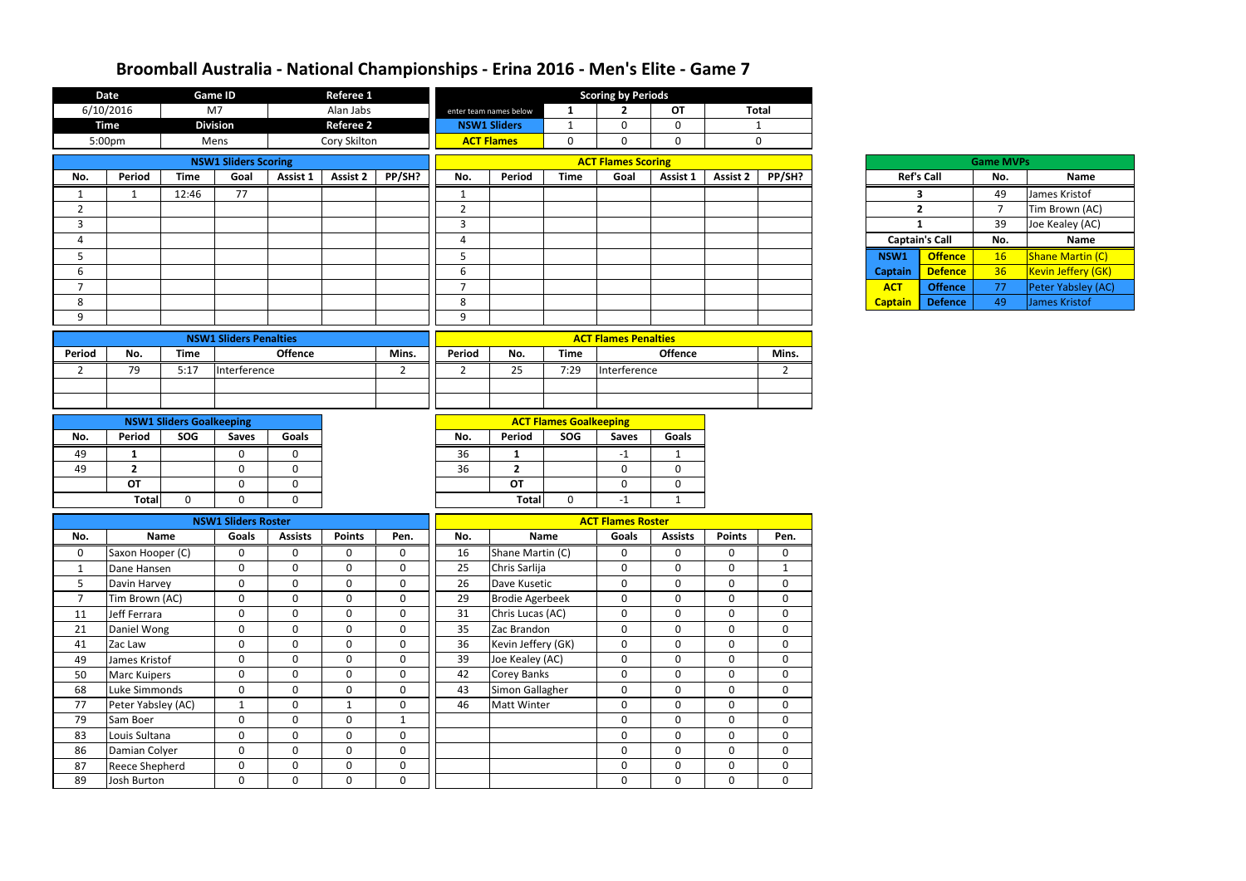|                | <b>Date</b>                 |                                 | <b>Game ID</b>                |                 | Referee 1                   |                |                |                        |                               | <b>Scoring by Periods</b>   |                            |                              |                |                |                         |                  |                    |
|----------------|-----------------------------|---------------------------------|-------------------------------|-----------------|-----------------------------|----------------|----------------|------------------------|-------------------------------|-----------------------------|----------------------------|------------------------------|----------------|----------------|-------------------------|------------------|--------------------|
|                | 6/10/2016                   |                                 | M <sub>7</sub>                |                 | Alan Jabs                   |                |                | enter team names below | 1                             | $\mathbf{2}$                | <b>OT</b>                  |                              | <b>Total</b>   |                |                         |                  |                    |
|                | <b>Time</b>                 |                                 | <b>Division</b>               |                 | <b>Referee 2</b>            |                |                | <b>NSW1 Sliders</b>    | $\mathbf{1}$                  | $\mathbf{0}$                | $\mathbf 0$                |                              | $\mathbf{1}$   |                |                         |                  |                    |
|                | 5:00pm                      |                                 | Mens                          |                 | Cory Skilton                |                |                | <b>ACT Flames</b>      | $\mathbf 0$                   | $\mathbf 0$                 | $\mathbf 0$                |                              | $\mathbf 0$    |                |                         |                  |                    |
|                |                             |                                 | <b>NSW1 Sliders Scoring</b>   |                 |                             |                |                |                        |                               | <b>ACT Flames Scoring</b>   |                            |                              |                |                |                         | <b>Game MVPs</b> |                    |
| No.            | Period                      | <b>Time</b>                     | Goal                          | <b>Assist 1</b> | Assist 2                    | PP/SH?         | No.            | Period                 | <b>Time</b>                   | Goal                        | Assist 1                   | <b>Assist 2</b>              | PP/SH?         |                | <b>Ref's Call</b>       | No.              | <b>Name</b>        |
| 1              | 1                           | 12:46                           | 77                            |                 |                             |                | 1              |                        |                               |                             |                            |                              |                |                | $\overline{\mathbf{3}}$ | 49               | James Kristof      |
| $\overline{2}$ |                             |                                 |                               |                 |                             |                | $\overline{2}$ |                        |                               |                             |                            |                              |                |                | $\overline{2}$          | $\overline{7}$   | Tim Brown (AC)     |
| $\mathbf{3}$   |                             |                                 |                               |                 |                             |                | 3              |                        |                               |                             |                            |                              |                |                | $\mathbf{1}$            | 39               | Joe Kealey (AC)    |
| 4              |                             |                                 |                               |                 |                             |                | 4              |                        |                               |                             |                            |                              |                |                | <b>Captain's Call</b>   | No.              | <b>Name</b>        |
| 5              |                             |                                 |                               |                 |                             |                | 5              |                        |                               |                             |                            |                              |                | NSW1           | <b>Offence</b>          | 16               | Shane Martin (C)   |
| 6              |                             |                                 |                               |                 |                             |                | 6              |                        |                               |                             |                            |                              |                | <b>Captain</b> | <b>Defence</b>          | 36               | Kevin Jeffery (GK) |
| $\overline{7}$ |                             |                                 |                               |                 |                             |                | $\overline{7}$ |                        |                               |                             |                            |                              |                | <b>ACT</b>     | <b>Offence</b>          | 77               | Peter Yabsley (AC) |
| 8              |                             |                                 |                               |                 |                             |                | 8              |                        |                               |                             |                            |                              |                | <b>Captain</b> | <b>Defence</b>          | 49               | James Kristof      |
| 9              |                             |                                 |                               |                 |                             |                | 9              |                        |                               |                             |                            |                              |                |                |                         |                  |                    |
|                |                             |                                 | <b>NSW1 Sliders Penalties</b> |                 |                             |                |                |                        |                               | <b>ACT Flames Penalties</b> |                            |                              |                |                |                         |                  |                    |
| Period         | No.                         | <b>Time</b>                     |                               | <b>Offence</b>  |                             | Mins.          | <b>Period</b>  | No.                    | <b>Time</b>                   |                             | <b>Offence</b>             |                              | Mins.          |                |                         |                  |                    |
| $\overline{2}$ | 79                          | 5:17                            | Interference                  |                 |                             | $\overline{2}$ | $\overline{2}$ | 25                     | 7:29                          | Interference                |                            |                              | $\overline{2}$ |                |                         |                  |                    |
|                |                             |                                 |                               |                 |                             |                |                |                        |                               |                             |                            |                              |                |                |                         |                  |                    |
|                |                             |                                 |                               |                 |                             |                |                |                        |                               |                             |                            |                              |                |                |                         |                  |                    |
|                |                             |                                 |                               |                 |                             |                |                |                        |                               |                             |                            |                              |                |                |                         |                  |                    |
|                |                             | <b>NSW1 Sliders Goalkeeping</b> |                               |                 |                             |                |                |                        | <b>ACT Flames Goalkeeping</b> |                             |                            |                              |                |                |                         |                  |                    |
| No.            | Period                      | SOG                             | <b>Saves</b>                  | Goals           |                             |                | No.            | Period                 | SOG                           | <b>Saves</b>                | <b>Goals</b>               |                              |                |                |                         |                  |                    |
| 49             | 1                           |                                 | $\mathbf 0$                   | $\mathbf{0}$    |                             |                | 36             | 1                      |                               | $-1$                        |                            |                              |                |                |                         |                  |                    |
| 49             | $\overline{2}$<br><b>OT</b> |                                 | $\mathbf 0$                   | $\mathbf 0$     |                             |                | 36             | $\overline{2}$         |                               | $\mathbf 0$                 | $\mathbf{0}$               |                              |                |                |                         |                  |                    |
|                |                             |                                 | $\mathbf 0$                   | $\mathbf 0$     |                             |                |                | <b>OT</b>              |                               | $\mathbf 0$                 | $\mathbf 0$                |                              |                |                |                         |                  |                    |
|                | <b>Total</b>                | 0                               | $\mathbf 0$                   | $\mathbf 0$     |                             |                |                | <b>Total</b>           | $\mathbf 0$                   | $-1$                        | $\mathbf{1}$               |                              |                |                |                         |                  |                    |
|                |                             |                                 | <b>NSW1 Sliders Roster</b>    |                 |                             |                |                |                        |                               | <b>ACT Flames Roster</b>    |                            |                              |                |                |                         |                  |                    |
| No.            |                             | Name                            | Goals                         | <b>Assists</b>  | <b>Points</b>               | Pen.           | No.            |                        | Name                          | Goals                       | <b>Assists</b>             | <b>Points</b>                | Pen.           |                |                         |                  |                    |
| 0              | Saxon Hooper (C)            |                                 | 0                             | 0               | $\boldsymbol{0}$            | 0              | 16             | Shane Martin (C)       |                               | $\mathbf 0$                 | $\mathbf 0$                | 0                            | $\mathbf 0$    |                |                         |                  |                    |
| 1              | Dane Hansen                 |                                 | $\mathbf 0$                   | $\mathbf 0$     | $\mathbf 0$                 | $\mathbf 0$    | 25             | Chris Sarlija          |                               | $\mathbf 0$                 | $\mathbf 0$                | $\mathbf{0}$                 | $\mathbf{1}$   |                |                         |                  |                    |
| 5              | Davin Harvey                |                                 | $\boldsymbol{0}$              | $\mathbf 0$     | $\mathbf 0$                 | $\mathbf 0$    | 26             | Dave Kusetic           |                               | $\overline{0}$              | $\mathbf 0$                | $\mathbf 0$                  | $\mathbf 0$    |                |                         |                  |                    |
| $\overline{7}$ | Tim Brown (AC)              |                                 | $\mathbf 0$                   | $\mathbf 0$     | $\mathbf 0$                 | $\mathbf 0$    | 29             | <b>Brodie Agerbeek</b> |                               | $\mathbf 0$                 | $\boldsymbol{0}$           | $\mathbf 0$                  | $\mathbf 0$    |                |                         |                  |                    |
| 11             | Jeff Ferrara                |                                 | $\mathbf 0$                   | $\mathbf 0$     | $\mathbf 0$                 | $\mathbf 0$    | 31             | Chris Lucas (AC)       |                               | $\mathbf 0$                 | $\mathbf 0$                | $\mathbf 0$                  | $\mathbf 0$    |                |                         |                  |                    |
| 21             | Daniel Wong                 |                                 | $\mathbf 0$                   | $\mathbf 0$     | $\mathbf 0$                 | $\mathbf 0$    | 35             | Zac Brandon            |                               | $\mathbf 0$                 | $\mathbf 0$                | $\mathbf 0$                  | $\mathbf 0$    |                |                         |                  |                    |
| 41             | Zac Law                     |                                 | $\mathbf 0$                   | $\mathbf 0$     | $\mathbf 0$                 | $\mathbf 0$    | 36             | Kevin Jeffery (GK)     |                               | $\overline{0}$              | $\mathbf 0$                | $\mathbf 0$                  | $\mathbf 0$    |                |                         |                  |                    |
| 49             | James Kristof               |                                 | $\mathbf 0$                   | $\mathbf 0$     | $\mathbf{0}$                | $\mathbf 0$    | 39             | Joe Kealey (AC)        |                               | $\mathbf 0$                 | $\mathbf 0$                | $\mathbf{0}$                 | $\mathbf 0$    |                |                         |                  |                    |
| 50             | Marc Kuipers                |                                 | $\mathbf 0$                   | $\mathbf 0$     | $\mathbf{0}$                | $\mathbf 0$    | 42             | <b>Corey Banks</b>     |                               | $\mathbf 0$                 | $\mathbf 0$                | $\mathbf{0}$                 | $\mathbf 0$    |                |                         |                  |                    |
| 68             | Luke Simmonds               |                                 | $\mathbf 0$                   | $\mathbf 0$     | $\mathbf 0$                 | $\mathbf 0$    | 43             | Simon Gallagher        |                               | $\mathbf 0$                 | $\mathbf 0$                | $\mathbf 0$                  | $\mathbf 0$    |                |                         |                  |                    |
| 77             | Peter Yabsley (AC)          |                                 | $\mathbf{1}$                  | $\mathbf 0$     | $\mathbf{1}$                | $\mathbf 0$    | 46             | <b>Matt Winter</b>     |                               | $\mathbf 0$                 | $\mathbf 0$                | $\mathbf 0$                  | $\mathbf 0$    |                |                         |                  |                    |
| 79             | Sam Boer                    |                                 | $\mathbf 0$                   | $\mathbf 0$     | $\mathbf{0}$                | $\mathbf{1}$   |                |                        |                               | $\overline{0}$              | $\mathbf 0$                | $\mathbf{0}$                 | $\mathbf 0$    |                |                         |                  |                    |
| 83             | Louis Sultana               |                                 | $\mathbf 0$                   | $\mathbf 0$     | $\mathbf 0$                 | $\mathbf 0$    |                |                        |                               | $\mathbf 0$                 | $\boldsymbol{0}$           | $\mathbf 0$                  | $\mathbf 0$    |                |                         |                  |                    |
| 86             | Damian Colyer               |                                 | $\mathbf 0$<br>$\mathbf 0$    | $\mathbf 0$     | $\mathbf 0$<br>$\mathbf{0}$ | $\mathbf 0$    |                |                        |                               | $\mathbf 0$                 | $\mathbf 0$<br>$\mathbf 0$ | $\mathbf{0}$<br>$\mathbf{0}$ | $\mathbf 0$    |                |                         |                  |                    |
| 87             | <b>Reece Shepherd</b>       |                                 |                               | $\mathbf 0$     |                             | $\mathbf 0$    |                |                        |                               | $\mathbf 0$                 | $\overline{0}$             |                              | $\mathbf 0$    |                |                         |                  |                    |
| 89             | Josh Burton                 |                                 | $\mathbf 0$                   | $\mathbf 0$     | $\mathbf 0$                 | $\mathbf 0$    |                |                        |                               | $\mathbf 0$                 |                            | $\mathbf 0$                  | $\mathbf{0}$   |                |                         |                  |                    |

| <b>Game MVPs</b>       |                       |     |                           |  |  |  |  |  |  |  |  |  |
|------------------------|-----------------------|-----|---------------------------|--|--|--|--|--|--|--|--|--|
|                        | <b>Ref's Call</b>     | No. | <b>Name</b>               |  |  |  |  |  |  |  |  |  |
|                        | з                     | 49  | James Kristof             |  |  |  |  |  |  |  |  |  |
|                        | $\mathbf{2}$          | 7   | Tim Brown (AC)            |  |  |  |  |  |  |  |  |  |
|                        | 1                     | 39  | Joe Kealey (AC)           |  |  |  |  |  |  |  |  |  |
|                        |                       |     |                           |  |  |  |  |  |  |  |  |  |
|                        | <b>Captain's Call</b> | No. | <b>Name</b>               |  |  |  |  |  |  |  |  |  |
| SW1                    | <b>Offence</b>        | 16  | <b>Shane Martin (C)</b>   |  |  |  |  |  |  |  |  |  |
| ptain                  | <b>Defence</b>        | 36  | <b>Kevin Jeffery (GK)</b> |  |  |  |  |  |  |  |  |  |
| $\overline{\text{CT}}$ | <b>Offence</b>        | 77  | Peter Yabsley (AC)        |  |  |  |  |  |  |  |  |  |

| Ref's Cal      |    |
|----------------|----|
|                | 3  |
|                | 2  |
|                | 1  |
| Captain's O    |    |
| <b>NSW1</b>    | Ωf |
| <b>Captain</b> | De |
| <b>ACT</b>     | Of |
| <b>Captain</b> | De |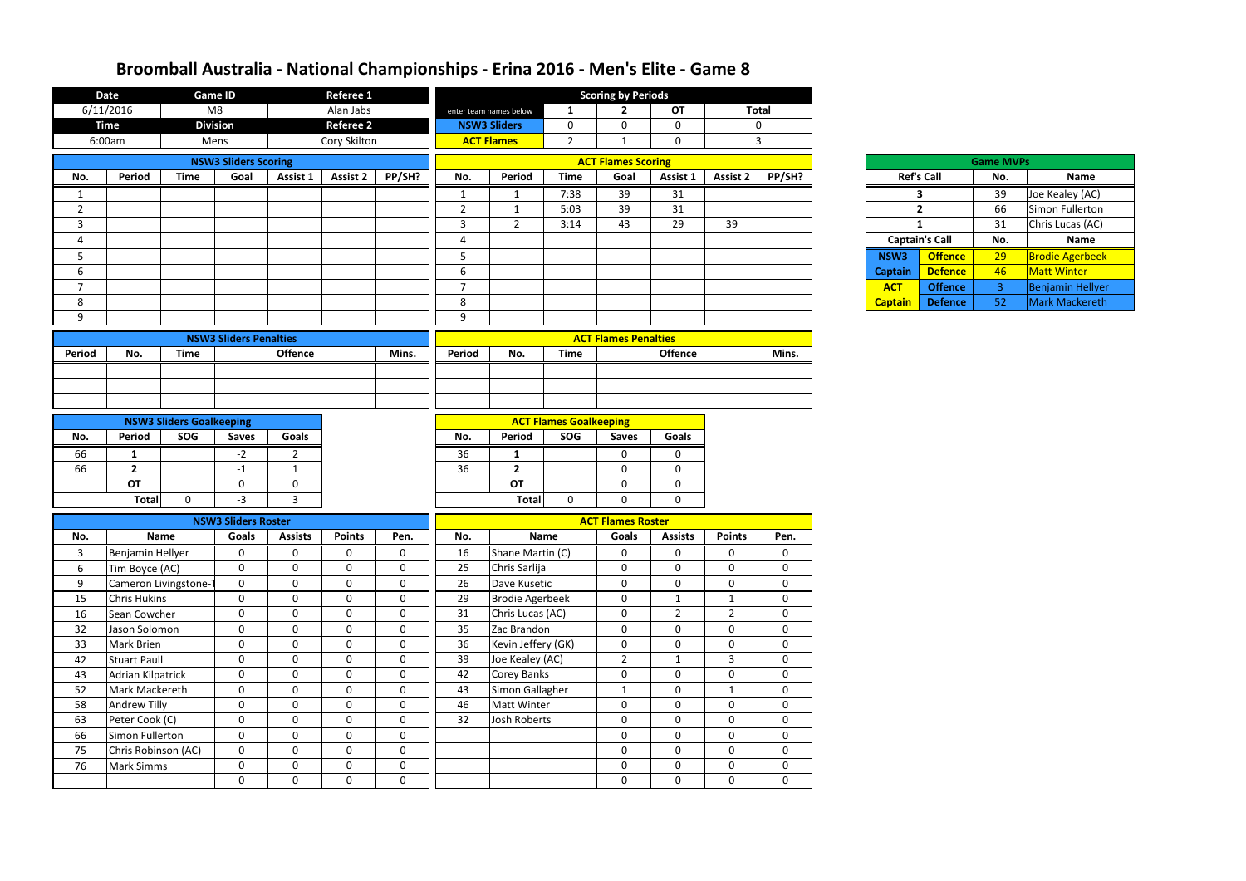|                | <b>Date</b>                 |                                        | <b>Game ID</b>                |                     | <b>Referee 1</b> |                            | <b>Scoring by Periods</b>   |                        |                                      |                           |                                 |                 |                |                   |                       |                  |                        |
|----------------|-----------------------------|----------------------------------------|-------------------------------|---------------------|------------------|----------------------------|-----------------------------|------------------------|--------------------------------------|---------------------------|---------------------------------|-----------------|----------------|-------------------|-----------------------|------------------|------------------------|
|                | 6/11/2016                   |                                        | M8                            |                     | Alan Jabs        |                            |                             | enter team names below | 1                                    | $\mathbf{2}$              | <b>OT</b>                       | <b>Total</b>    |                |                   |                       |                  |                        |
|                | <b>Time</b>                 |                                        | <b>Division</b>               |                     | <b>Referee 2</b> |                            |                             | <b>NSW3 Sliders</b>    | $\mathbf 0$                          | $\mathbf 0$               | $\mathbf 0$                     |                 | $\mathbf 0$    |                   |                       |                  |                        |
|                | 6:00am                      |                                        | Mens                          |                     | Cory Skilton     |                            |                             | <b>ACT Flames</b>      | $2^{\circ}$                          | $\mathbf{1}$              | $\mathbf 0$                     |                 | $\mathbf{3}$   |                   |                       |                  |                        |
|                |                             |                                        | <b>NSW3 Sliders Scoring</b>   |                     |                  |                            |                             |                        |                                      | <b>ACT Flames Scoring</b> |                                 |                 |                |                   |                       | <b>Game MVPs</b> |                        |
| No.            | Period                      | <b>Time</b>                            | Goal                          | Assist 1            | <b>Assist 2</b>  | PP/SH?                     | No.                         | Period                 | <b>Time</b>                          | Goal                      | Assist 1                        | <b>Assist 2</b> | PP/SH?         | <b>Ref's Call</b> |                       | No.              | Name                   |
| 1              |                             |                                        |                               |                     |                  |                            | $\mathbf{1}$                | 1                      | 7:38                                 | 39                        | 31                              |                 |                |                   | $\mathbf{3}$          | 39               | Joe Kealey (AC)        |
| $2^{\circ}$    |                             |                                        |                               |                     |                  |                            | $\overline{2}$              | 1                      | 5:03                                 | 39                        | 31                              |                 |                |                   | $\overline{2}$        | 66               | Simon Fullerton        |
| $\mathbf{3}$   |                             |                                        |                               |                     |                  |                            | $\overline{3}$              | $\overline{2}$         | 3:14                                 | 43                        | 29                              | 39              |                |                   | $\mathbf{1}$          | 31               | Chris Lucas (AC)       |
| 4              |                             |                                        |                               |                     |                  |                            | $\overline{4}$              |                        |                                      |                           |                                 |                 |                |                   | <b>Captain's Call</b> | No.              | Name                   |
| 5              |                             |                                        |                               |                     |                  |                            | 5                           |                        |                                      |                           |                                 |                 |                | NSW3              | <b>Offence</b>        | 29               | <b>Brodie Agerbeek</b> |
| 6              |                             |                                        |                               |                     |                  |                            | 6                           |                        |                                      |                           |                                 |                 |                | <b>Captain</b>    | <b>Defence</b>        | 46               | Matt Winter            |
| $\overline{7}$ |                             |                                        |                               |                     |                  |                            | $\overline{7}$              |                        |                                      |                           |                                 |                 |                | <b>ACT</b>        | <b>Offence</b>        | $\overline{3}$   | Benjamin Hellyer       |
| 8              |                             |                                        |                               |                     |                  |                            | 8                           |                        |                                      |                           |                                 |                 |                | <b>Captain</b>    | <b>Defence</b>        | 52               | <b>Mark Mackereth</b>  |
| 9              |                             |                                        |                               |                     |                  |                            | 9                           |                        |                                      |                           |                                 |                 |                |                   |                       |                  |                        |
|                |                             |                                        | <b>NSW3 Sliders Penalties</b> |                     |                  |                            | <b>ACT Flames Penalties</b> |                        |                                      |                           |                                 |                 |                |                   |                       |                  |                        |
| Period         | No.                         | <b>Time</b>                            |                               | <b>Offence</b>      |                  | Mins.                      | Period                      | No.                    | <b>Time</b>                          |                           | <b>Offence</b>                  |                 | Mins.          |                   |                       |                  |                        |
|                |                             |                                        |                               |                     |                  |                            |                             |                        |                                      |                           |                                 |                 |                |                   |                       |                  |                        |
|                |                             |                                        |                               |                     |                  |                            |                             |                        |                                      |                           |                                 |                 |                |                   |                       |                  |                        |
|                |                             |                                        |                               |                     |                  |                            |                             |                        |                                      |                           |                                 |                 |                |                   |                       |                  |                        |
|                |                             |                                        |                               |                     |                  |                            |                             |                        |                                      |                           |                                 |                 |                |                   |                       |                  |                        |
|                | Period                      | <b>NSW3 Sliders Goalkeeping</b><br>SOG |                               |                     |                  |                            |                             |                        | <b>ACT Flames Goalkeeping</b><br>SOG |                           |                                 |                 |                |                   |                       |                  |                        |
| No.            |                             |                                        | <b>Saves</b>                  | <b>Goals</b>        |                  |                            | No.                         | Period                 |                                      | <b>Saves</b>              | <b>Goals</b>                    |                 |                |                   |                       |                  |                        |
| 66             | 1                           |                                        | $-2$                          | $\overline{2}$      |                  |                            | 36                          | 1                      |                                      | $\mathbf 0$               | $\mathbf 0$                     |                 |                |                   |                       |                  |                        |
| 66             | $\overline{2}$<br><b>OT</b> |                                        | $-1$                          | 1                   |                  |                            | 36                          | $\overline{2}$<br>OT   |                                      | $\mathbf 0$               | $\mathbf 0$                     |                 |                |                   |                       |                  |                        |
|                |                             | $\mathbf{0}$                           | $\mathbf 0$<br>$-3$           | 0<br>$\overline{3}$ |                  |                            |                             | <b>Total</b>           |                                      | $\mathbf 0$               | $\boldsymbol{0}$<br>$\mathbf 0$ |                 |                |                   |                       |                  |                        |
|                | <b>Total</b>                |                                        |                               |                     |                  |                            |                             |                        | $\mathbf 0$                          | $\mathbf 0$               |                                 |                 |                |                   |                       |                  |                        |
|                |                             |                                        | <b>NSW3 Sliders Roster</b>    |                     |                  |                            |                             |                        |                                      | <b>ACT Flames Roster</b>  |                                 |                 |                |                   |                       |                  |                        |
| No.            |                             | <b>Name</b>                            | <b>Goals</b>                  | <b>Assists</b>      | <b>Points</b>    | Pen.                       | No.                         |                        | Name                                 | <b>Goals</b>              | <b>Assists</b>                  | <b>Points</b>   | Pen.           |                   |                       |                  |                        |
| 3              | Benjamin Hellyer            |                                        | 0                             | 0                   | $\mathbf{0}$     | $\mathbf{0}$               | 16                          | Shane Martin (C)       |                                      | $\mathbf 0$               | 0                               | 0               | 0              |                   |                       |                  |                        |
| 6              | Tim Boyce (AC)              |                                        | $\mathbf 0$                   | $\mathbf 0$         | $\mathbf 0$      | $\mathbf 0$                | 25                          | Chris Sarlija          |                                      | $\mathbf 0$               | $\mathbf 0$                     | $\mathbf 0$     | $\mathbf 0$    |                   |                       |                  |                        |
| 9              |                             | Cameron Livingstone-                   | $\mathbf 0$                   | $\mathbf 0$         | $\mathbf 0$      | $\mathbf 0$                | 26                          | Dave Kusetic           |                                      | $\mathbf 0$               | $\mathbf 0$                     | $\mathbf 0$     | $\mathbf{0}$   |                   |                       |                  |                        |
| 15             | <b>Chris Hukins</b>         |                                        | $\mathbf 0$                   | 0                   | $\mathbf 0$      | $\overline{0}$             | 29                          | <b>Brodie Agerbeek</b> |                                      | $\mathbf 0$               | $\mathbf{1}$                    | $\mathbf{1}$    | $\mathbf{0}$   |                   |                       |                  |                        |
| 16             | Sean Cowcher                |                                        | $\mathbf 0$                   | $\mathbf 0$         | $\mathbf 0$      | $\mathbf{0}$               | 31                          | Chris Lucas (AC)       |                                      | $\mathbf 0$               | $2^{\circ}$                     | $\overline{2}$  | $\mathbf 0$    |                   |                       |                  |                        |
| 32             | Jason Solomon               |                                        | $\mathbf 0$                   | $\mathbf 0$         | $\mathbf 0$      | $\mathbf 0$                | 35                          | Zac Brandon            |                                      | $\mathbf 0$               | $\boldsymbol{0}$                | $\mathbf 0$     | 0              |                   |                       |                  |                        |
| 33             | Mark Brien                  |                                        | $\mathbf 0$                   | $\mathbf 0$         | $\overline{0}$   | $\mathbf 0$                | 36                          | Kevin Jeffery (GK)     |                                      | $\mathbf 0$               | $\boldsymbol{0}$                | $\mathbf 0$     | $\mathbf 0$    |                   |                       |                  |                        |
| 42             | <b>Stuart Paull</b>         |                                        | $\mathbf 0$                   | $\mathbf 0$         | $\mathbf 0$      | $\mathbf{0}$               | 39                          | Joe Kealey (AC)        |                                      | $\overline{2}$            | $\mathbf{1}$                    | $\mathbf{3}$    | $\overline{0}$ |                   |                       |                  |                        |
| 43             | <b>Adrian Kilpatrick</b>    |                                        | $\mathbf 0$                   | $\mathbf 0$         | $\mathbf{0}$     | $\overline{0}$             | 42                          | Corey Banks            |                                      | $\mathbf 0$               | $\mathbf 0$                     | $\mathbf 0$     | $\mathbf{0}$   |                   |                       |                  |                        |
| 52             | Mark Mackereth              |                                        | $\boldsymbol{0}$              | $\mathbf 0$         | $\overline{0}$   | $\mathbf{0}$               | 43                          | Simon Gallagher        |                                      | $\mathbf{1}$              | $\mathbf 0$                     | $\mathbf{1}$    | $\mathbf 0$    |                   |                       |                  |                        |
| 58             | Andrew Tilly                |                                        | $\mathbf 0$                   | $\mathbf 0$         | $\mathbf 0$      | $\overline{0}$             | 46                          | Matt Winter            |                                      | $\mathbf 0$               | $\mathbf 0$                     | $\mathbf 0$     | $\mathbf{0}$   |                   |                       |                  |                        |
| 63             | Peter Cook (C)              |                                        | $\mathbf 0$                   | $\mathbf 0$         | $\mathbf 0$      | $\mathbf 0$                | 32                          | Josh Roberts           |                                      | $\pmb{0}$                 | $\mathbf 0$                     | $\mathbf 0$     | 0              |                   |                       |                  |                        |
| 66             | Simon Fullerton             |                                        | $\mathbf 0$                   | $\mathbf 0$         | $\mathbf 0$      | $\mathbf{0}$               |                             |                        |                                      | $\mathbf 0$               | $\boldsymbol{0}$                | $\mathbf 0$     | $\mathbf 0$    |                   |                       |                  |                        |
| 75             | Chris Robinson (AC)         |                                        | $\mathbf 0$                   | $\mathbf 0$         | $\mathbf 0$      | $\mathbf 0$<br>$\mathbf 0$ |                             |                        |                                      | $\mathbf 0$               | $\mathbf 0$                     | $\mathbf 0$     | $\mathbf{0}$   |                   |                       |                  |                        |
| 76             | <b>Mark Simms</b>           |                                        | $\mathbf 0$                   | $\mathbf 0$         | $\mathbf{0}$     |                            |                             |                        |                                      | $\mathbf 0$               | $\mathbf 0$<br>$\overline{0}$   | $\mathbf 0$     | $\mathbf 0$    |                   |                       |                  |                        |
|                |                             |                                        | $\mathbf 0$                   | $\mathbf 0$         | $\overline{0}$   | $\mathbf 0$                |                             |                        |                                      | $\mathbf 0$               |                                 | $\mathbf 0$     | $\mathbf{0}$   |                   |                       |                  |                        |

|                | <b>Game MVPs</b> |                         |  |  |  |  |  |  |  |  |  |
|----------------|------------------|-------------------------|--|--|--|--|--|--|--|--|--|
|                | No.              | <b>Name</b>             |  |  |  |  |  |  |  |  |  |
|                | 39               | Joe Kealey (AC)         |  |  |  |  |  |  |  |  |  |
|                | 66               | Simon Fullerton         |  |  |  |  |  |  |  |  |  |
|                | 31               | Chris Lucas (AC)        |  |  |  |  |  |  |  |  |  |
|                |                  |                         |  |  |  |  |  |  |  |  |  |
| all            | No.              | <b>Name</b>             |  |  |  |  |  |  |  |  |  |
|                | 29               | <b>Brodie Agerbeek</b>  |  |  |  |  |  |  |  |  |  |
| fence<br>fence | 46               | <b>Matt Winter</b>      |  |  |  |  |  |  |  |  |  |
| fence          | 3                | <b>Benjamin Hellyer</b> |  |  |  |  |  |  |  |  |  |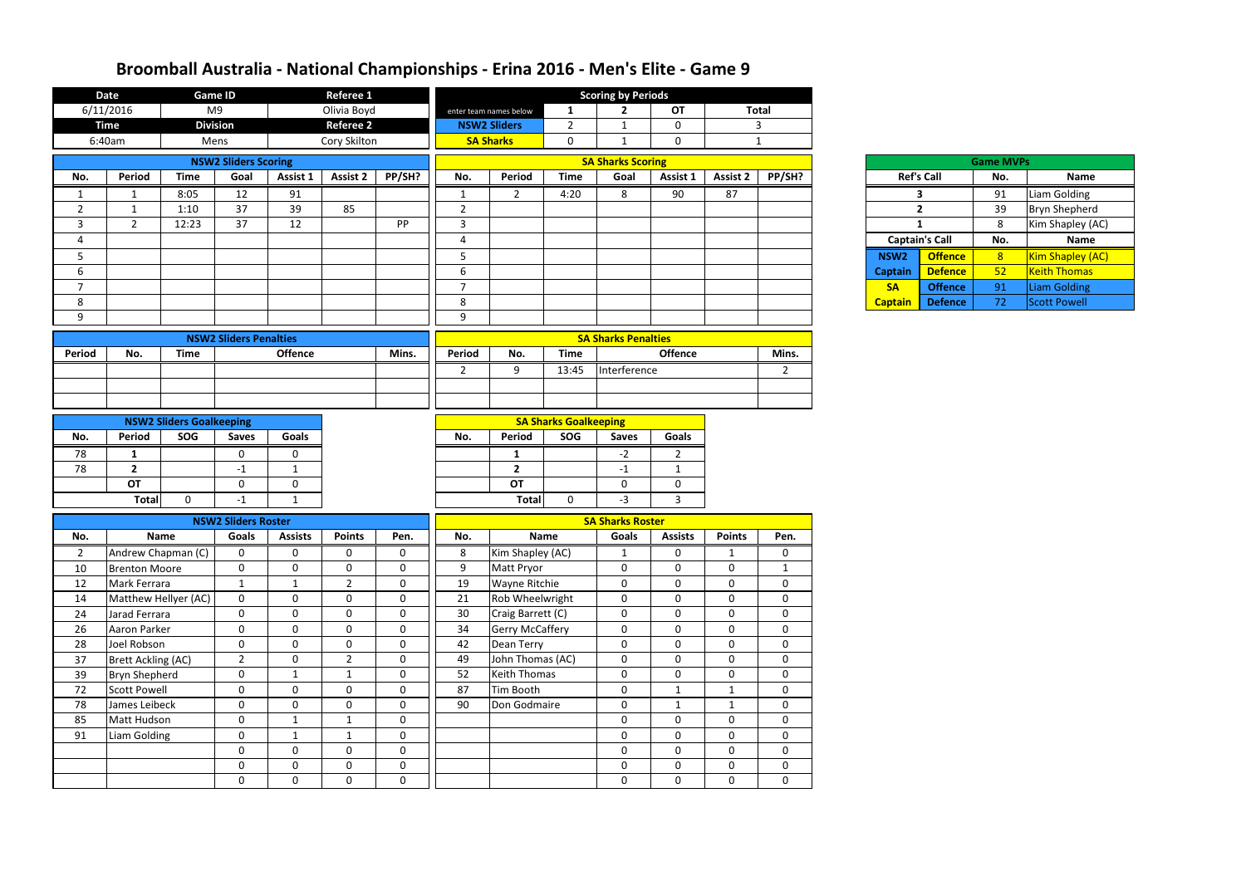|                | <b>Date</b>               |                                 | <b>Game ID</b>                      |                | Referee 1        |              |                |                        |                              | <b>Scoring by Periods</b>               |                |                 |                |                       |                |                  |                      |
|----------------|---------------------------|---------------------------------|-------------------------------------|----------------|------------------|--------------|----------------|------------------------|------------------------------|-----------------------------------------|----------------|-----------------|----------------|-----------------------|----------------|------------------|----------------------|
|                | 6/11/2016                 |                                 | M <sub>9</sub>                      |                | Olivia Boyd      |              |                | enter team names below | 1                            | $\mathbf{2}$                            | OT             |                 | <b>Total</b>   |                       |                |                  |                      |
|                | <b>Time</b>               |                                 | <b>Division</b>                     |                | <b>Referee 2</b> |              |                | <b>NSW2 Sliders</b>    | $\overline{2}$               | $\mathbf 1$                             | $\mathbf 0$    |                 | $\mathbf{3}$   |                       |                |                  |                      |
|                | 6:40am                    |                                 | Mens                                |                | Cory Skilton     |              |                | <b>SA Sharks</b>       | 0                            | $\mathbf 1$                             | $\mathbf 0$    |                 | $\mathbf{1}$   |                       |                |                  |                      |
|                |                           |                                 | <b>NSW2 Sliders Scoring</b>         |                |                  |              |                |                        |                              | <b>SA Sharks Scoring</b>                |                |                 |                |                       |                | <b>Game MVPs</b> |                      |
| No.            | Period                    | <b>Time</b>                     | Goal                                | Assist 1       | <b>Assist 2</b>  | PP/SH?       | No.            | Period                 | <b>Time</b>                  | Goal                                    | Assist 1       | <b>Assist 2</b> | PP/SH?         | <b>Ref's Call</b>     |                | No.              | Name                 |
| $\mathbf{1}$   | 1                         | 8:05                            | 12                                  | 91             |                  |              | $\mathbf{1}$   | $2^{\circ}$            | 4:20                         | 8                                       | 90             | 87              |                | 3                     |                | 91               | Liam Golding         |
| $\overline{2}$ | 1                         | 1:10                            | 37                                  | 39             | 85               |              | $\overline{2}$ |                        |                              |                                         |                |                 |                | $\overline{2}$        |                | 39               | <b>Bryn Shepherd</b> |
| $\overline{3}$ | $2^{\circ}$               | 12:23                           | 37                                  | 12             |                  | PP           | $\overline{3}$ |                        |                              |                                         |                |                 |                | $\mathbf{1}$          |                | 8                | Kim Shapley (AC)     |
| 4              |                           |                                 |                                     |                |                  |              | 4              |                        |                              |                                         |                |                 |                | <b>Captain's Call</b> |                | No.              | <b>Name</b>          |
| 5              |                           |                                 |                                     |                |                  |              | 5              |                        |                              |                                         |                |                 |                | NSW <sub>2</sub>      | <b>Offence</b> | 8                | Kim Shapley (AC)     |
| 6              |                           |                                 |                                     |                |                  |              | 6              |                        |                              |                                         |                |                 |                | <b>Captain</b>        | <b>Defence</b> | 52               | <b>Keith Thomas</b>  |
| $\overline{7}$ |                           |                                 |                                     |                |                  |              | $\overline{7}$ |                        |                              |                                         |                |                 |                | <b>SA</b>             | <b>Offence</b> | 91               | <b>Liam Golding</b>  |
| 8              |                           |                                 |                                     |                |                  |              | $\,8\,$        |                        |                              |                                         |                |                 |                | <b>Captain</b>        | <b>Defence</b> | 72               | <b>Scott Powell</b>  |
| 9              |                           |                                 |                                     |                |                  |              | 9              |                        |                              |                                         |                |                 |                |                       |                |                  |                      |
|                |                           |                                 | <b>NSW2 Sliders Penalties</b>       |                |                  |              |                |                        |                              | <b>SA Sharks Penalties</b>              |                |                 |                |                       |                |                  |                      |
| <b>Period</b>  | No.                       | <b>Time</b>                     |                                     | <b>Offence</b> |                  | Mins.        | Period         | No.                    | <b>Time</b>                  |                                         | <b>Offence</b> |                 | Mins.          |                       |                |                  |                      |
|                |                           |                                 |                                     |                |                  |              | $\overline{2}$ | 9                      | 13:45                        | Interference                            |                |                 | $\overline{2}$ |                       |                |                  |                      |
|                |                           |                                 |                                     |                |                  |              |                |                        |                              |                                         |                |                 |                |                       |                |                  |                      |
|                |                           |                                 |                                     |                |                  |              |                |                        |                              |                                         |                |                 |                |                       |                |                  |                      |
|                |                           | <b>NSW2 Sliders Goalkeeping</b> |                                     |                |                  |              |                |                        | <b>SA Sharks Goalkeeping</b> |                                         |                |                 |                |                       |                |                  |                      |
| No.            | Period                    | SOG                             | <b>Saves</b>                        | Goals          |                  |              | No.            | Period                 | SOG                          | <b>Saves</b>                            | <b>Goals</b>   |                 |                |                       |                |                  |                      |
| 78             | 1                         |                                 | $\mathbf{0}$                        | 0              |                  |              |                | 1                      |                              | $-2$                                    | $\overline{2}$ |                 |                |                       |                |                  |                      |
| 78             | $2^{\circ}$               |                                 | $-1$                                | $\mathbf{1}$   |                  |              |                | $\overline{2}$         |                              | $-1$                                    | $\mathbf{1}$   |                 |                |                       |                |                  |                      |
|                | OT                        |                                 | $\mathbf 0$                         | $\mathbf 0$    |                  |              |                | OT                     |                              | $\mathbf 0$                             | $\mathbf 0$    |                 |                |                       |                |                  |                      |
|                | <b>Total</b>              | $\mathbf 0$                     | $-1$                                | 1              |                  |              |                | <b>Total</b>           | $\mathbf 0$                  | $-3$                                    | $\mathbf{3}$   |                 |                |                       |                |                  |                      |
|                |                           |                                 |                                     |                |                  |              |                |                        |                              |                                         |                |                 |                |                       |                |                  |                      |
| No.            | Name                      |                                 | <b>NSW2 Sliders Roster</b><br>Goals | <b>Assists</b> | <b>Points</b>    | Pen.         | No.            |                        | <b>Name</b>                  | <b>SA Sharks Roster</b><br><b>Goals</b> | <b>Assists</b> | <b>Points</b>   | Pen.           |                       |                |                  |                      |
| $\overline{2}$ | Andrew Chapman (C)        |                                 | $\mathbf{0}$                        | 0              | 0                | $\Omega$     | 8              | Kim Shapley (AC)       |                              | -1                                      | 0              |                 | 0              |                       |                |                  |                      |
| 10             | <b>Brenton Moore</b>      |                                 | $\mathbf 0$                         | $\mathbf 0$    | $\mathbf 0$      | $\mathbf 0$  | 9              | Matt Pryor             |                              | $\mathbf 0$                             | $\mathbf 0$    | $\overline{0}$  | 1              |                       |                |                  |                      |
| 12             | Mark Ferrara              |                                 | $\mathbf{1}$                        | $\mathbf{1}$   | $\overline{2}$   | $\mathbf 0$  | 19             | <b>Wayne Ritchie</b>   |                              | $\mathbf 0$                             | $\mathbf 0$    | $\mathbf 0$     | $\mathbf 0$    |                       |                |                  |                      |
| 14             | Matthew Hellyer (AC)      |                                 | $\mathbf 0$                         | $\mathbf 0$    | $\mathbf 0$      | $\mathbf 0$  | 21             | Rob Wheelwright        |                              | $\mathbf 0$                             | $\mathbf 0$    | $\mathbf 0$     | 0              |                       |                |                  |                      |
| 24             | Jarad Ferrara             |                                 | $\mathbf 0$                         | $\mathbf 0$    | $\mathbf 0$      | $\mathbf 0$  | 30             | Craig Barrett (C)      |                              | $\mathbf 0$                             | $\mathbf 0$    | $\mathbf 0$     | $\mathbf 0$    |                       |                |                  |                      |
| 26             | Aaron Parker              |                                 | $\mathbf 0$                         | $\mathbf 0$    | $\pmb{0}$        | $\mathbf{0}$ | 34             | <b>Gerry McCaffery</b> |                              | $\mathbf 0$                             | $\mathbf 0$    | $\mathbf 0$     | 0              |                       |                |                  |                      |
| 28             | Joel Robson               |                                 | $\mathbf 0$                         | $\mathbf 0$    | $\mathbf 0$      | $\mathbf 0$  | 42             | Dean Terry             |                              | $\pmb{0}$                               | $\mathbf 0$    | $\mathbf 0$     | $\mathbf 0$    |                       |                |                  |                      |
| 37             | <b>Brett Ackling (AC)</b> |                                 | $\overline{2}$                      | $\mathbf 0$    | $\overline{2}$   | $\mathbf 0$  | 49             | John Thomas (AC)       |                              | $\mathbf 0$                             | $\mathbf 0$    | $\mathbf 0$     | $\mathbf 0$    |                       |                |                  |                      |
| 39             | <b>Bryn Shepherd</b>      |                                 | $\mathbf 0$                         | $\mathbf{1}$   | $\mathbf{1}$     | $\mathbf 0$  | 52             | <b>Keith Thomas</b>    |                              | $\mathbf 0$                             | $\mathbf 0$    | $\mathbf 0$     | $\mathbf 0$    |                       |                |                  |                      |
| 72             | <b>Scott Powell</b>       |                                 | $\boldsymbol{0}$                    | $\mathbf 0$    | $\mathbf 0$      | $\mathbf 0$  | 87             | Tim Booth              |                              | $\pmb{0}$                               | $\mathbf 1$    | $\mathbf{1}$    | $\mathbf 0$    |                       |                |                  |                      |
| 78             | James Leibeck             |                                 | $\mathbf 0$                         | $\mathbf 0$    | $\mathbf 0$      | $\mathbf{0}$ | 90             | Don Godmaire           |                              | $\mathbf 0$                             | $\mathbf{1}$   | $\mathbf{1}$    | $\mathbf 0$    |                       |                |                  |                      |
| 85             | Matt Hudson               |                                 | $\mathbf 0$                         | $\mathbf{1}$   | $\mathbf{1}$     | $\mathbf{0}$ |                |                        |                              | $\mathbf 0$                             | $\mathbf 0$    | $\mathbf 0$     | $\mathbf 0$    |                       |                |                  |                      |
| 91             | Liam Golding              |                                 | $\mathbf 0$                         | $\mathbf{1}$   | $\mathbf{1}$     | $\mathbf 0$  |                |                        |                              | $\mathbf 0$                             | $\mathbf 0$    | $\mathbf 0$     | 0              |                       |                |                  |                      |
|                |                           |                                 | $\mathbf 0$                         | $\mathbf 0$    | $\mathbf 0$      | $\mathbf 0$  |                |                        |                              | $\mathbf 0$                             | $\mathbf 0$    | $\mathbf 0$     | $\mathbf 0$    |                       |                |                  |                      |
|                |                           |                                 | $\mathbf 0$                         | $\mathbf 0$    | $\mathbf 0$      | $\mathbf 0$  |                |                        |                              | $\pmb{0}$                               | $\mathbf 0$    | $\mathbf 0$     | $\mathbf 0$    |                       |                |                  |                      |
|                |                           |                                 | $\mathbf 0$                         | $\mathbf 0$    | $\mathbf 0$      | $\mathbf 0$  |                |                        |                              | $\mathbf 0$                             | $\mathbf 0$    | $\mathbf 0$     | $\mathbf 0$    |                       |                |                  |                      |

| <b>Game MVPs</b> |                       |     |                         |  |  |  |  |  |  |  |  |
|------------------|-----------------------|-----|-------------------------|--|--|--|--|--|--|--|--|
|                  | <b>Ref's Call</b>     | No. | Name                    |  |  |  |  |  |  |  |  |
| 3                |                       | 91  | Liam Golding            |  |  |  |  |  |  |  |  |
|                  | $\overline{2}$        | 39  | <b>Bryn Shepherd</b>    |  |  |  |  |  |  |  |  |
| 1                |                       | 8   | Kim Shapley (AC)        |  |  |  |  |  |  |  |  |
|                  | <b>Captain's Call</b> | No. | <b>Name</b>             |  |  |  |  |  |  |  |  |
| NSW <sub>2</sub> | <b>Offence</b>        | 8   | <b>Kim Shapley (AC)</b> |  |  |  |  |  |  |  |  |
| <b>Captain</b>   | <b>Defence</b>        | 52  | <b>Keith Thomas</b>     |  |  |  |  |  |  |  |  |
| <b>SA</b>        | <b>Offence</b>        | 91  | <b>Liam Golding</b>     |  |  |  |  |  |  |  |  |
| <b>Captain</b>   | <b>Defence</b>        | 72  | <b>Scott Powell</b>     |  |  |  |  |  |  |  |  |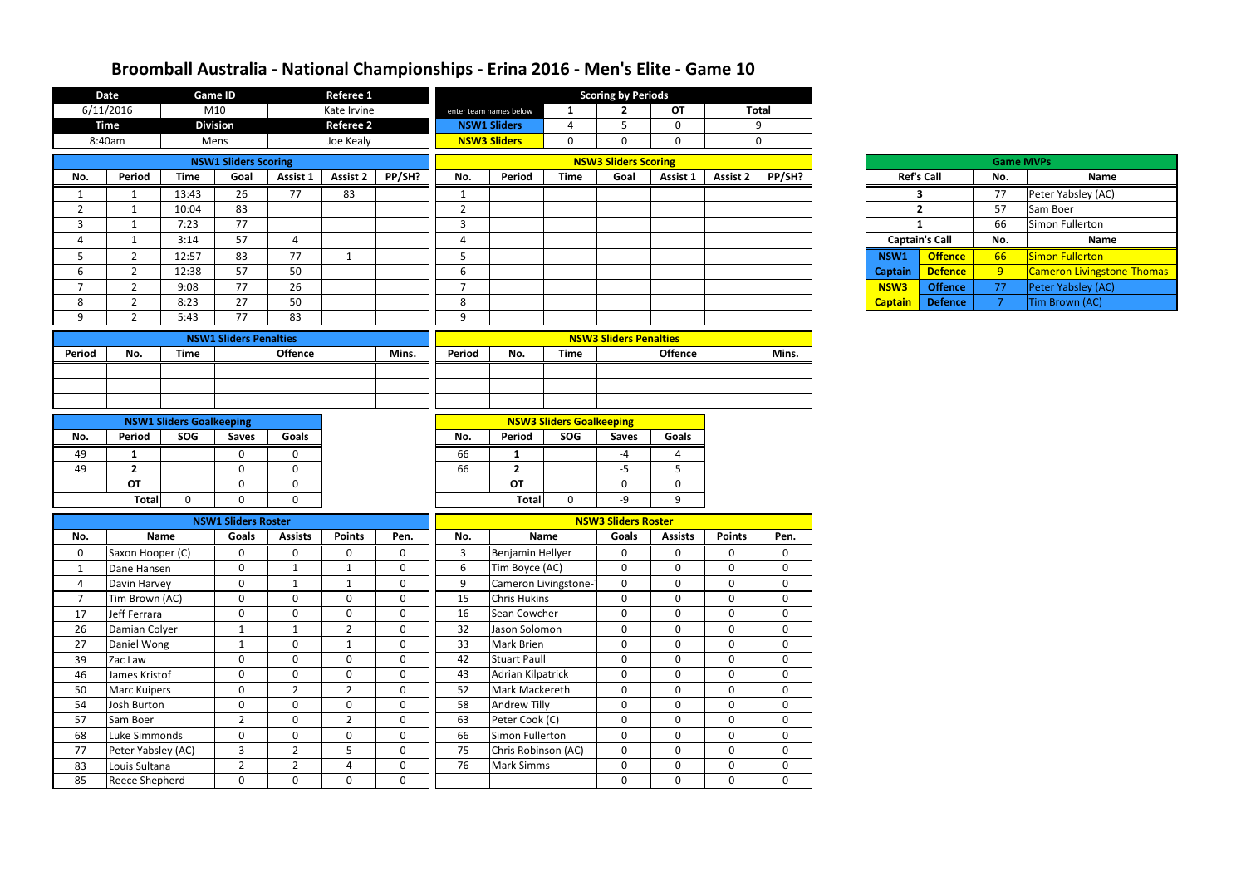|                | <b>Date</b>           |                                 | <b>Game ID</b>                |                | <b>Referee 1</b> |             |                        |                          |                                 | <b>Scoring by Periods</b>     |                |                 |                |                  |                       |                  |                            |
|----------------|-----------------------|---------------------------------|-------------------------------|----------------|------------------|-------------|------------------------|--------------------------|---------------------------------|-------------------------------|----------------|-----------------|----------------|------------------|-----------------------|------------------|----------------------------|
|                | 6/11/2016             |                                 | M10                           |                | Kate Irvine      |             |                        | enter team names below   | 1                               | $\mathbf{2}$                  | <b>OT</b>      |                 | <b>Total</b>   |                  |                       |                  |                            |
|                | <b>Time</b>           |                                 | <b>Division</b>               |                | <b>Referee 2</b> |             |                        | <b>NSW1 Sliders</b>      | 4                               | 5                             | $\mathbf 0$    |                 | 9              |                  |                       |                  |                            |
|                | 8:40am                |                                 | Mens                          |                | Joe Kealy        |             |                        | <b>NSW3 Sliders</b>      | $\overline{0}$                  | $\mathbf 0$                   | $\mathbf 0$    |                 | $\mathbf 0$    |                  |                       |                  |                            |
|                |                       |                                 | <b>NSW1 Sliders Scoring</b>   |                |                  |             |                        |                          |                                 | <b>NSW3 Sliders Scoring</b>   |                |                 |                |                  |                       | <b>Game MVPs</b> |                            |
| No.            | <b>Period</b>         | <b>Time</b>                     | Goal                          | Assist 1       | <b>Assist 2</b>  | PP/SH?      | No.                    | Period                   | <b>Time</b>                     | Goal                          | Assist 1       | <b>Assist 2</b> | PP/SH?         |                  | <b>Ref's Call</b>     | No.              | <b>Name</b>                |
|                | $\mathbf{1}$          | 13:43                           | 26                            | 77             | 83               |             | 1                      |                          |                                 |                               |                |                 |                |                  | 3                     | 77               | Peter Yabsley (AC)         |
| $\overline{2}$ | $\mathbf{1}$          | 10:04                           | 83                            |                |                  |             | $\overline{2}$         |                          |                                 |                               |                |                 |                |                  | $\overline{2}$        | 57               | Sam Boer                   |
| 3              | 1                     | 7:23                            | $\overline{77}$               |                |                  |             | 3                      |                          |                                 |                               |                |                 |                |                  | 1                     | 66               | Simon Fullerton            |
| 4              | -1                    | 3:14                            | 57                            | 4              |                  |             | $\boldsymbol{\Lambda}$ |                          |                                 |                               |                |                 |                |                  | <b>Captain's Call</b> | No.              | <b>Name</b>                |
| 5              | $\overline{2}$        | 12:57                           | 83                            | 77             | 1                |             | 5                      |                          |                                 |                               |                |                 |                | NSW1             | <b>Offence</b>        | 66               | <b>Simon Fullerton</b>     |
| 6              | $\overline{2}$        | 12:38                           | 57                            | 50             |                  |             | $\epsilon$             |                          |                                 |                               |                |                 |                | <b>Captain</b>   | <b>Defence</b>        | 9                | Cameron Livingstone-Thomas |
| $\overline{ }$ | $\overline{2}$        | 9:08                            | 77                            | 26             |                  |             | $\overline{7}$         |                          |                                 |                               |                |                 |                | NSW <sub>3</sub> | <b>Offence</b>        | 77               | Peter Yabsley (AC)         |
| 8              | $\overline{2}$        | 8:23                            | 27                            | 50             |                  |             | 8                      |                          |                                 |                               |                |                 |                | <b>Captain</b>   | <b>Defence</b>        | -7               | Tim Brown (AC)             |
| 9              | $\overline{2}$        | 5:43                            | 77                            | 83             |                  |             | 9                      |                          |                                 |                               |                |                 |                |                  |                       |                  |                            |
|                |                       |                                 | <b>NSW1 Sliders Penalties</b> |                |                  |             |                        |                          |                                 | <b>NSW3 Sliders Penalties</b> |                |                 |                |                  |                       |                  |                            |
| Period         | No.                   | <b>Time</b>                     |                               | <b>Offence</b> |                  | Mins.       | Period                 | No.                      | <b>Time</b>                     |                               | <b>Offence</b> |                 | Mins.          |                  |                       |                  |                            |
|                |                       |                                 |                               |                |                  |             |                        |                          |                                 |                               |                |                 |                |                  |                       |                  |                            |
|                |                       |                                 |                               |                |                  |             |                        |                          |                                 |                               |                |                 |                |                  |                       |                  |                            |
|                |                       |                                 |                               |                |                  |             |                        |                          |                                 |                               |                |                 |                |                  |                       |                  |                            |
|                |                       | <b>NSW1 Sliders Goalkeeping</b> |                               |                |                  |             |                        |                          | <b>NSW3 Sliders Goalkeeping</b> |                               |                |                 |                |                  |                       |                  |                            |
| No.            | Period                | SOG                             | <b>Saves</b>                  | <b>Goals</b>   |                  |             | No.                    | Period                   | SOG                             | <b>Saves</b>                  | <b>Goals</b>   |                 |                |                  |                       |                  |                            |
| 49             | 1                     |                                 | 0                             | $\Omega$       |                  |             | 66                     | 1                        |                                 | $-4$                          | 4              |                 |                |                  |                       |                  |                            |
| 49             | $\overline{2}$        |                                 | $\Omega$                      | $\Omega$       |                  |             | 66                     | $\overline{2}$           |                                 | $-5$                          | 5              |                 |                |                  |                       |                  |                            |
|                | <b>OT</b>             |                                 | $\mathbf 0$                   | $\Omega$       |                  |             |                        | <b>OT</b>                |                                 | $\mathbf 0$                   | $\mathbf 0$    |                 |                |                  |                       |                  |                            |
|                | <b>Total</b>          | $\Omega$                        | $\Omega$                      | $\Omega$       |                  |             |                        | <b>Total</b>             | $\Omega$                        | -9                            | 9              |                 |                |                  |                       |                  |                            |
|                |                       |                                 | <b>NSW1 Sliders Roster</b>    |                |                  |             |                        |                          |                                 | <b>NSW3 Sliders Roster</b>    |                |                 |                |                  |                       |                  |                            |
| No.            |                       | Name                            | Goals                         | <b>Assists</b> | <b>Points</b>    | Pen.        | No.                    |                          | <b>Name</b>                     | <b>Goals</b>                  | <b>Assists</b> | <b>Points</b>   | Pen.           |                  |                       |                  |                            |
| $\mathbf{0}$   | Saxon Hooper (C)      |                                 | $\Omega$                      | 0              | $\mathbf{0}$     | $\Omega$    | 3                      | Benjamin Hellyer         |                                 | $\mathbf{0}$                  | $\mathbf 0$    | 0               | $\Omega$       |                  |                       |                  |                            |
| $\mathbf{1}$   | Dane Hansen           |                                 | $\mathbf 0$                   | 1              |                  | $\mathbf 0$ | 6                      | Tim Boyce (AC)           |                                 | $\mathbf 0$                   | $\mathbf 0$    | $\mathbf 0$     | $\mathbf 0$    |                  |                       |                  |                            |
| 4              | Davin Harvey          |                                 | $\mathbf 0$                   | $\mathbf{1}$   |                  | $\mathbf 0$ | 9                      |                          | Cameron Livingstone-            | $\mathbf 0$                   | $\mathbf 0$    | 0               | $\overline{0}$ |                  |                       |                  |                            |
| $\overline{7}$ | Tim Brown (AC)        |                                 | $\mathbf 0$                   | $\mathbf 0$    | $\mathbf 0$      | $\mathbf 0$ | 15                     | <b>Chris Hukins</b>      |                                 | $\mathbf 0$                   | $\mathbf{0}$   | $\mathbf 0$     | $\mathbf{0}$   |                  |                       |                  |                            |
| 17             | Jeff Ferrara          |                                 | $\overline{0}$                | $\mathbf 0$    | $\mathbf 0$      | $\mathbf 0$ | 16                     | Sean Cowcher             |                                 | $\mathbf 0$                   | $\mathbf 0$    | $\mathbf 0$     | $\mathbf 0$    |                  |                       |                  |                            |
| 26             | Damian Colyer         |                                 | - 1                           | $\mathbf{1}$   | $\overline{2}$   | $\mathbf 0$ | 32                     | Jason Solomon            |                                 | $\mathbf 0$                   | $\mathbf 0$    | $\Omega$        | $\overline{0}$ |                  |                       |                  |                            |
| 27             | Daniel Wong           |                                 | -1                            | $\mathbf 0$    | $\mathbf{1}$     | $\mathbf 0$ | 33                     | <b>Mark Brien</b>        |                                 | $\mathbf 0$                   | $\mathbf 0$    | $\mathbf 0$     | $\mathbf 0$    |                  |                       |                  |                            |
| 39             | Zac Law               |                                 | $\mathbf 0$                   | $\mathbf 0$    | $\mathbf 0$      | $\mathbf 0$ | 42                     | <b>Stuart Paull</b>      |                                 | $\boldsymbol{0}$              | $\mathbf 0$    | 0               | $\mathbf 0$    |                  |                       |                  |                            |
| 46             | James Kristof         |                                 | $\mathbf 0$                   | $\mathbf 0$    | $\mathbf{0}$     | $\mathbf 0$ | 43                     | <b>Adrian Kilpatrick</b> |                                 | $\mathbf 0$                   | $\mathbf 0$    | $\mathbf 0$     | $\mathbf{0}$   |                  |                       |                  |                            |
| 50             | <b>Marc Kuipers</b>   |                                 | $\mathbf 0$                   | $\overline{2}$ | $\overline{2}$   | $\mathbf 0$ | 52                     | Mark Mackereth           |                                 | $\mathbf 0$                   | $\mathbf 0$    | $\mathbf 0$     | $\overline{0}$ |                  |                       |                  |                            |
| 54             | Josh Burton           |                                 | $\mathbf 0$                   | $\mathbf 0$    | $\mathbf 0$      | $\mathbf 0$ | 58                     | Andrew Tilly             |                                 | $\mathbf 0$                   | $\mathbf 0$    | $\Omega$        | $\mathbf{0}$   |                  |                       |                  |                            |
| 57             | Sam Boer              |                                 | $2^{\circ}$                   | $\mathbf 0$    | $\overline{2}$   | $\mathbf 0$ | 63                     | Peter Cook (C)           |                                 | $\mathbf 0$                   | $\mathbf 0$    | $\mathbf 0$     | $\mathbf 0$    |                  |                       |                  |                            |
| 68             | Luke Simmonds         |                                 | 0                             | $\mathbf 0$    | 0                | $\mathbf 0$ | 66                     | Simon Fullerton          |                                 | $\mathbf 0$                   | $\mathbf 0$    | 0               | $\mathbf 0$    |                  |                       |                  |                            |
| 77             | Peter Yabsley (AC)    |                                 | $\mathbf{3}$                  | $\overline{2}$ | 5                | $\mathbf 0$ | 75                     | Chris Robinson (AC)      |                                 | $\mathbf 0$                   | $\mathbf 0$    | $\mathbf 0$     | $\mathbf 0$    |                  |                       |                  |                            |
| 83             | Louis Sultana         |                                 | $\overline{2}$                | $\overline{2}$ | 4                | $\mathbf 0$ | 76                     | <b>Mark Simms</b>        |                                 | $\boldsymbol{0}$              | $\mathbf 0$    | $\mathbf 0$     | $\overline{0}$ |                  |                       |                  |                            |
| 85             | <b>Reece Shepherd</b> |                                 | $\mathbf{0}$                  | $\mathbf 0$    | $\mathbf 0$      | 0           |                        |                          |                                 | $\mathbf 0$                   | $\mathbf 0$    | $\mathbf 0$     | $\mathbf{0}$   |                  |                       |                  |                            |

|            |                       | <b>Game MVPs</b> |                                   |  |  |  |  |  |
|------------|-----------------------|------------------|-----------------------------------|--|--|--|--|--|
|            | <b>Ref's Call</b>     | No.              | <b>Name</b>                       |  |  |  |  |  |
|            | 3                     | 77               | Peter Yabsley (AC)                |  |  |  |  |  |
|            | $\overline{2}$        | 57               | Sam Boer                          |  |  |  |  |  |
|            | 1                     | 66               | Simon Fullerton                   |  |  |  |  |  |
|            |                       |                  |                                   |  |  |  |  |  |
|            | <b>Captain's Call</b> | No.              | <b>Name</b>                       |  |  |  |  |  |
| SW1        | <b>Offence</b>        | 66               | Simon Fullerton                   |  |  |  |  |  |
| ptain      | <b>Defence</b>        | 9                | <b>Cameron Livingstone-Thomas</b> |  |  |  |  |  |
| <b>SW3</b> | <b>Offence</b>        | 77               | Peter Yabsley (AC)                |  |  |  |  |  |

| Ref's Cal      |    |
|----------------|----|
|                | 3  |
|                | 2  |
|                | 1  |
| Captain's O    |    |
| <b>NSW1</b>    | Ωſ |
| <b>Captain</b> | D  |
| <b>NSW3</b>    | Oʻ |
| <b>Captain</b> | Dc |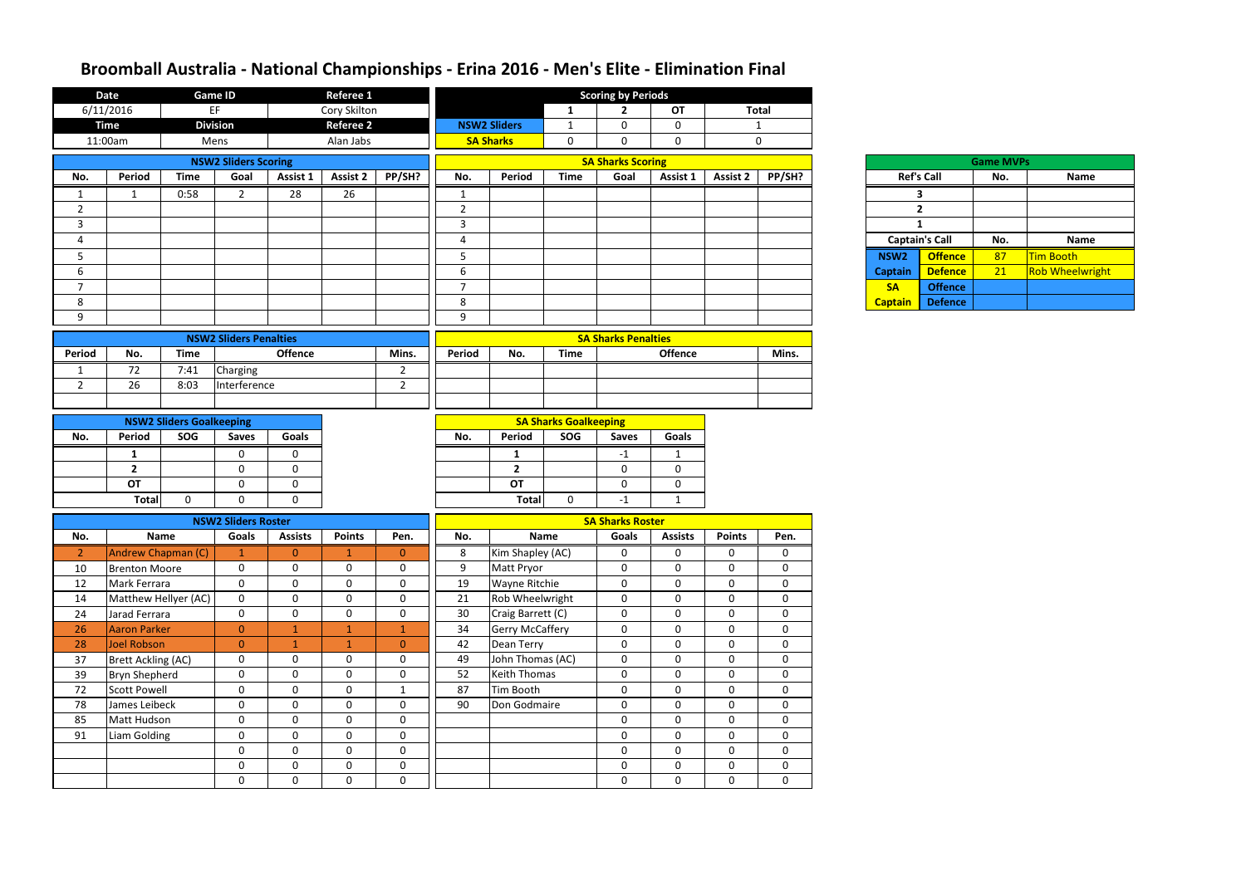|                | <b>Date</b>               | <b>Referee 1</b><br><b>Game ID</b><br><b>Scoring by Periods</b> |                               |                  |                  |                |                |                        |                              |                            |                |                 |              |                  |                       |                  |                        |
|----------------|---------------------------|-----------------------------------------------------------------|-------------------------------|------------------|------------------|----------------|----------------|------------------------|------------------------------|----------------------------|----------------|-----------------|--------------|------------------|-----------------------|------------------|------------------------|
|                | 6/11/2016                 |                                                                 | EF                            |                  | Cory Skilton     |                |                |                        | 1                            | $\mathbf{2}$               | <b>OT</b>      | <b>Total</b>    |              |                  |                       |                  |                        |
|                | <b>Time</b>               |                                                                 | <b>Division</b>               |                  | <b>Referee 2</b> |                |                | <b>NSW2 Sliders</b>    | $\mathbf{1}$                 | $\mathbf 0$                | $\mathbf 0$    |                 | $\mathbf{1}$ |                  |                       |                  |                        |
|                | 11:00am                   |                                                                 | Mens                          |                  | Alan Jabs        |                |                | <b>SA Sharks</b>       | $\mathbf 0$                  | $\mathbf 0$                | $\mathbf 0$    |                 | $\mathbf 0$  |                  |                       |                  |                        |
|                |                           |                                                                 | <b>NSW2 Sliders Scoring</b>   |                  |                  |                |                |                        |                              | <b>SA Sharks Scoring</b>   |                |                 |              |                  |                       | <b>Game MVPs</b> |                        |
| No.            | Period                    | <b>Time</b>                                                     | Goal                          | Assist 1         | Assist 2         | PP/SH?         | No.            | Period                 | <b>Time</b>                  | Goal                       | Assist 1       | <b>Assist 2</b> | PP/SH?       |                  | <b>Ref's Call</b>     | No.              | <b>Name</b>            |
|                | 1                         | 0:58                                                            | $2^{\circ}$                   | 28               | 26               |                | $\mathbf{1}$   |                        |                              |                            |                |                 |              |                  | $\mathbf{3}$          |                  |                        |
| $\overline{2}$ |                           |                                                                 |                               |                  |                  |                | $\overline{2}$ |                        |                              |                            |                |                 |              |                  | $\overline{2}$        |                  |                        |
| $\mathbf{3}$   |                           |                                                                 |                               |                  |                  |                | $\mathbf{3}$   |                        |                              |                            |                |                 |              |                  | $\mathbf{1}$          |                  |                        |
| 4              |                           |                                                                 |                               |                  |                  |                | 4              |                        |                              |                            |                |                 |              |                  | <b>Captain's Call</b> | No.              | Name                   |
| 5              |                           |                                                                 |                               |                  |                  |                | 5              |                        |                              |                            |                |                 |              | NSW <sub>2</sub> | <b>Offence</b>        | 87               | Tim Booth              |
| 6              |                           |                                                                 |                               |                  |                  |                | 6              |                        |                              |                            |                |                 |              | <b>Captain</b>   | <b>Defence</b>        | 21               | <b>Rob Wheelwright</b> |
| $\overline{7}$ |                           |                                                                 |                               |                  |                  |                | $\overline{7}$ |                        |                              |                            |                |                 |              | <b>SA</b>        | <b>Offence</b>        |                  |                        |
| 8              |                           |                                                                 |                               |                  |                  |                | 8              |                        |                              |                            |                |                 |              | <b>Captain</b>   | <b>Defence</b>        |                  |                        |
| 9              |                           |                                                                 |                               |                  |                  |                | 9              |                        |                              |                            |                |                 |              |                  |                       |                  |                        |
|                |                           |                                                                 | <b>NSW2 Sliders Penalties</b> |                  |                  |                |                |                        |                              | <b>SA Sharks Penalties</b> |                |                 |              |                  |                       |                  |                        |
| <b>Period</b>  | No.                       | <b>Time</b>                                                     |                               | <b>Offence</b>   |                  | Mins.          | Period         | No.                    | <b>Time</b>                  |                            | <b>Offence</b> |                 | Mins.        |                  |                       |                  |                        |
| 1              | 72                        | 7:41                                                            | Charging                      |                  |                  | $\overline{2}$ |                |                        |                              |                            |                |                 |              |                  |                       |                  |                        |
| $\overline{2}$ | 26                        | 8:03                                                            | Interference                  |                  |                  | $\overline{2}$ |                |                        |                              |                            |                |                 |              |                  |                       |                  |                        |
|                |                           |                                                                 |                               |                  |                  |                |                |                        |                              |                            |                |                 |              |                  |                       |                  |                        |
|                |                           | <b>NSW2 Sliders Goalkeeping</b>                                 |                               |                  |                  |                |                |                        | <b>SA Sharks Goalkeeping</b> |                            |                |                 |              |                  |                       |                  |                        |
| No.            | <b>Period</b>             | SOG                                                             | <b>Saves</b>                  | <b>Goals</b>     |                  |                | No.            | Period                 | SOG                          | <b>Saves</b>               | Goals          |                 |              |                  |                       |                  |                        |
|                | -1                        |                                                                 | 0                             | $\boldsymbol{0}$ |                  |                |                | $\mathbf{1}$           |                              | $-1$                       | 1              |                 |              |                  |                       |                  |                        |
|                | $\overline{2}$            |                                                                 | $\mathbf 0$                   | $\mathbf 0$      |                  |                |                | $\overline{2}$         |                              | $\mathbf 0$                | $\mathbf 0$    |                 |              |                  |                       |                  |                        |
|                | <b>OT</b>                 |                                                                 | $\mathbf 0$                   | $\mathbf 0$      |                  |                |                | <b>OT</b>              |                              | $\mathbf 0$                | $\mathbf 0$    |                 |              |                  |                       |                  |                        |
|                | <b>Total</b>              | 0                                                               | $\Omega$                      | $\mathbf 0$      |                  |                |                | Total                  | $\mathbf 0$                  | $-1$                       | $\mathbf{1}$   |                 |              |                  |                       |                  |                        |
|                |                           |                                                                 | <b>NSW2 Sliders Roster</b>    |                  |                  |                |                |                        |                              | <b>SA Sharks Roster</b>    |                |                 |              |                  |                       |                  |                        |
| No.            |                           | Name                                                            | <b>Goals</b>                  | <b>Assists</b>   | <b>Points</b>    | Pen.           | No.            |                        | Name                         | <b>Goals</b>               | <b>Assists</b> | <b>Points</b>   | Pen.         |                  |                       |                  |                        |
|                | Andrew Chapman (C)        |                                                                 |                               | $\mathbf{0}$     |                  | $\Omega$       | 8              | Kim Shapley (AC)       |                              | $\mathbf 0$                | 0              | $\mathbf 0$     | $\mathbf 0$  |                  |                       |                  |                        |
| 10             | <b>Brenton Moore</b>      |                                                                 | $\mathbf 0$                   | $\mathbf 0$      | $\mathbf 0$      | $\mathbf 0$    | 9              | Matt Pryor             |                              | $\mathbf 0$                | $\mathbf 0$    | $\mathbf{0}$    | $\mathbf{0}$ |                  |                       |                  |                        |
| 12             | Mark Ferrara              |                                                                 | $\mathbf 0$                   | $\mathbf 0$      | $\mathbf 0$      | $\mathbf 0$    | 19             | <b>Wayne Ritchie</b>   |                              | $\mathbf 0$                | $\mathbf 0$    | $\overline{0}$  | $\mathbf 0$  |                  |                       |                  |                        |
| 14             | Matthew Hellyer (AC)      |                                                                 | $\mathbf 0$                   | $\mathbf 0$      | $\mathbf 0$      | $\mathbf 0$    | 21             | Rob Wheelwright        |                              | $\mathbf 0$                | 0              | $\mathbf 0$     | $\Omega$     |                  |                       |                  |                        |
| 24             | Jarad Ferrara             |                                                                 | $\mathbf 0$                   | $\mathbf 0$      | $\mathbf 0$      | $\overline{0}$ | 30             | Craig Barrett (C)      |                              | $\mathbf 0$                | $\mathbf 0$    | $\mathbf 0$     | $\mathbf 0$  |                  |                       |                  |                        |
| 26             | Aaron Parker              |                                                                 | $\overline{0}$                | $\mathbf{1}$     | $\mathbf{1}$     | $\mathbf{1}$   | 34             | <b>Gerry McCaffery</b> |                              | $\mathbf 0$                | 0              | $\mathbf 0$     | $\mathbf 0$  |                  |                       |                  |                        |
| 28             | Joel Robson               |                                                                 | $\overline{0}$                | $\mathbf{1}$     | $\mathbf{1}$     | $\overline{0}$ | 42             | Dean Terry             |                              | $\mathbf 0$                | $\mathbf 0$    | $\mathbf 0$     | $\mathbf 0$  |                  |                       |                  |                        |
| 37             | <b>Brett Ackling (AC)</b> |                                                                 | $\mathbf 0$                   | $\mathbf 0$      | $\mathbf 0$      | $\mathbf{0}$   | 49             | John Thomas (AC)       |                              | $\mathbf 0$                | $\mathbf 0$    | $\mathbf 0$     | $\mathbf{0}$ |                  |                       |                  |                        |
| 39             | <b>Bryn Shepherd</b>      |                                                                 | $\mathbf 0$                   | $\mathbf 0$      | $\mathbf 0$      | $\mathbf{0}$   | 52             | <b>Keith Thomas</b>    |                              | $\mathbf 0$                | 0              | $\mathbf 0$     | $\mathbf{0}$ |                  |                       |                  |                        |
| 72             | <b>Scott Powell</b>       |                                                                 | $\mathbf 0$                   | $\mathbf 0$      | $\mathbf 0$      | $\mathbf{1}$   | 87             | Tim Booth              |                              | $\mathbf 0$                | $\mathbf 0$    | $\mathbf 0$     | $\mathbf 0$  |                  |                       |                  |                        |
| 78             | James Leibeck             |                                                                 | $\mathbf 0$                   | $\mathbf 0$      | $\mathbf 0$      | $\mathbf 0$    | 90             | Don Godmaire           |                              | $\mathbf 0$                | $\mathbf 0$    | $\mathbf 0$     | $\Omega$     |                  |                       |                  |                        |
| 85             | Matt Hudson               |                                                                 | $\mathbf 0$                   | $\mathbf 0$      | $\mathbf 0$      | $\overline{0}$ |                |                        |                              | $\mathbf 0$                | $\mathbf 0$    | $\overline{0}$  | $\mathbf 0$  |                  |                       |                  |                        |
| 91             | Liam Golding              |                                                                 | $\pmb{0}$                     | $\mathbf 0$      | $\mathbf 0$      | $\mathbf 0$    |                |                        |                              | $\mathbf 0$                | $\mathbf 0$    | $\mathbf 0$     | $\mathbf 0$  |                  |                       |                  |                        |
|                |                           |                                                                 | $\mathbf 0$                   | $\mathbf 0$      | $\mathbf 0$      | $\mathbf 0$    |                |                        |                              | $\mathbf 0$                | $\mathbf 0$    | $\mathbf 0$     | $\mathbf 0$  |                  |                       |                  |                        |
|                |                           |                                                                 | $\mathbf 0$                   | $\mathbf 0$      | $\mathbf 0$      | $\mathbf 0$    |                |                        |                              | $\mathbf 0$                | $\mathbf 0$    | $\mathbf 0$     | $\mathbf{0}$ |                  |                       |                  |                        |
|                |                           |                                                                 | $\mathbf 0$                   | $\mathbf 0$      | 0                | 0              |                |                        |                              | $\mathbf 0$                | 0              | $\mathbf 0$     | $\mathbf{0}$ |                  |                       |                  |                        |

## **Broomball Australia - National Championships - Erina 2016 - Men's Elite - Elimination Final**

| <b>Game MVPs</b> |                       |     |                        |  |  |  |  |  |  |  |  |  |
|------------------|-----------------------|-----|------------------------|--|--|--|--|--|--|--|--|--|
|                  | <b>Ref's Call</b>     | No. | <b>Name</b>            |  |  |  |  |  |  |  |  |  |
|                  | 3                     |     |                        |  |  |  |  |  |  |  |  |  |
|                  | 2                     |     |                        |  |  |  |  |  |  |  |  |  |
|                  | 1                     |     |                        |  |  |  |  |  |  |  |  |  |
|                  |                       |     |                        |  |  |  |  |  |  |  |  |  |
|                  | <b>Captain's Call</b> | No. | <b>Name</b>            |  |  |  |  |  |  |  |  |  |
| NSW <sub>2</sub> | <b>Offence</b>        | 87  | <b>Tim Booth</b>       |  |  |  |  |  |  |  |  |  |
| <b>Captain</b>   | <b>Defence</b>        | 21  | <b>Rob Wheelwright</b> |  |  |  |  |  |  |  |  |  |
| <b>SA</b>        | <b>Offence</b>        |     |                        |  |  |  |  |  |  |  |  |  |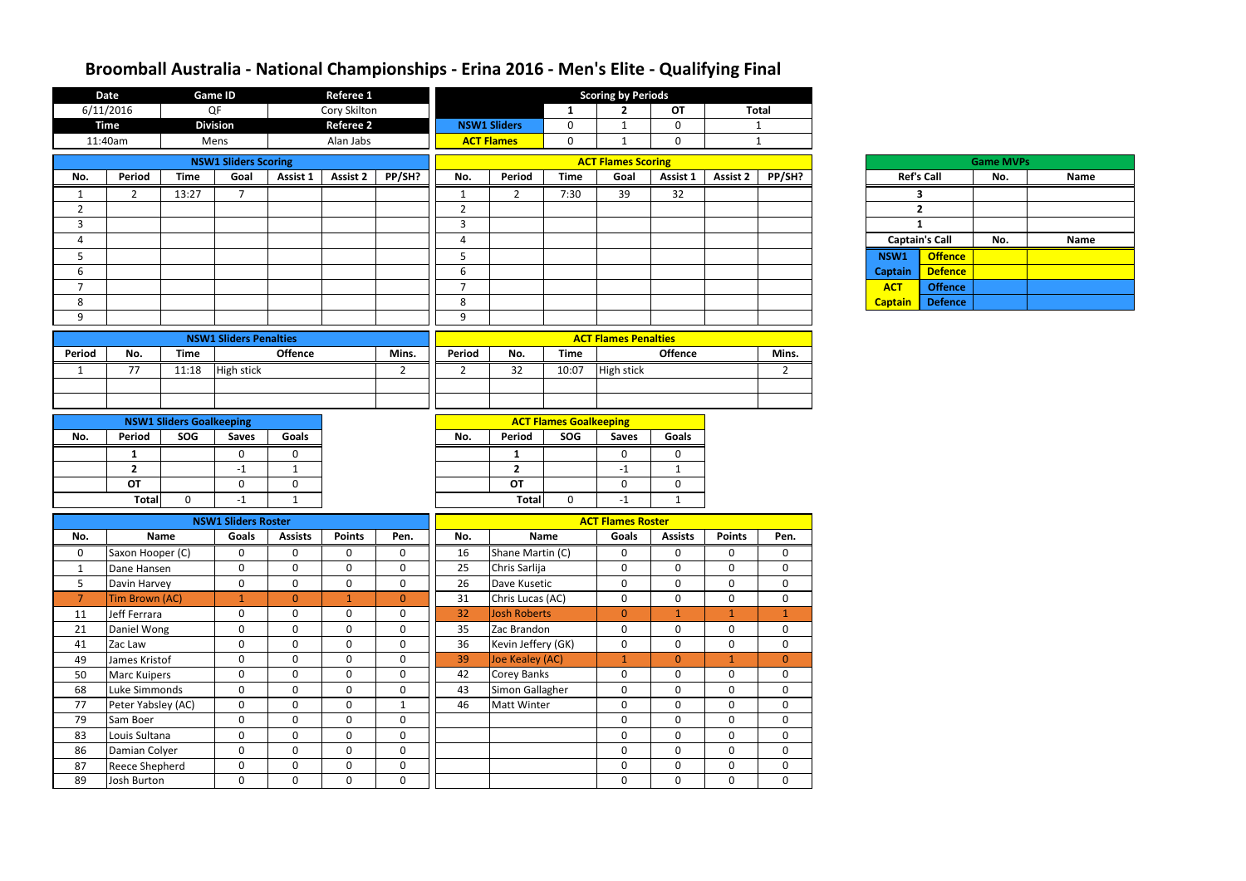|                | <b>Date</b>                    |                                        | Referee 1<br><b>Game ID</b>   |                               |                             |                                 |                |                                   | <b>Scoring by Periods</b>            |                                |                   |                                  |                            |
|----------------|--------------------------------|----------------------------------------|-------------------------------|-------------------------------|-----------------------------|---------------------------------|----------------|-----------------------------------|--------------------------------------|--------------------------------|-------------------|----------------------------------|----------------------------|
|                | 6/11/2016                      |                                        | QF                            |                               | Cory Skilton                |                                 |                |                                   | $\mathbf{1}$                         | $\mathbf{2}$                   | <b>OT</b>         |                                  | <b>Total</b>               |
|                | <b>Time</b>                    |                                        | <b>Division</b>               |                               | <b>Referee 2</b>            |                                 |                | <b>NSW1 Sliders</b>               | $\pmb{0}$                            | $\mathbf{1}$                   | $\mathbf 0$       |                                  | $\mathbf{1}$               |
|                | 11:40am                        |                                        | Mens                          |                               | Alan Jabs                   |                                 |                | <b>ACT Flames</b>                 | $\mathbf 0$                          | $\mathbf{1}$                   | 0                 |                                  | $\mathbf{1}$               |
|                |                                |                                        | <b>NSW1 Sliders Scoring</b>   |                               |                             |                                 |                |                                   |                                      | <b>ACT Flames Scoring</b>      |                   |                                  |                            |
| No.            | Period                         | <b>Time</b>                            | Goal                          | Assist 1                      | <b>Assist 2</b>             | PP/SH?                          | No.            | <b>Period</b>                     | <b>Time</b>                          | Goal                           | Assist 1          | <b>Assist 2</b>                  | PP/SH?                     |
| $\mathbf{1}$   | $\overline{2}$                 | 13:27                                  | $7^{\circ}$                   |                               |                             |                                 | $\mathbf{1}$   | $2^{\circ}$                       | 7:30                                 | 39                             | 32                |                                  |                            |
| $\overline{2}$ |                                |                                        |                               |                               |                             |                                 | $\overline{2}$ |                                   |                                      |                                |                   |                                  |                            |
| 3              |                                |                                        |                               |                               |                             |                                 | $\overline{3}$ |                                   |                                      |                                |                   |                                  |                            |
| $\overline{4}$ |                                |                                        |                               |                               |                             |                                 | $\overline{4}$ |                                   |                                      |                                |                   |                                  |                            |
| 5              |                                |                                        |                               |                               |                             |                                 | 5              |                                   |                                      |                                |                   |                                  |                            |
| 6              |                                |                                        |                               |                               |                             |                                 | $6\,$          |                                   |                                      |                                |                   |                                  |                            |
| $\overline{7}$ |                                |                                        |                               |                               |                             |                                 | $\overline{7}$ |                                   |                                      |                                |                   |                                  |                            |
| 8              |                                |                                        |                               |                               |                             |                                 | 8              |                                   |                                      |                                |                   |                                  |                            |
| 9              |                                |                                        |                               |                               |                             |                                 | 9              |                                   |                                      |                                |                   |                                  |                            |
|                |                                |                                        | <b>NSW1 Sliders Penalties</b> |                               |                             |                                 |                |                                   |                                      | <b>ACT Flames Penalties</b>    |                   |                                  |                            |
| <b>Period</b>  | No.                            | <b>Time</b>                            |                               | <b>Offence</b>                |                             | Mins.                           | Period         | No.                               | <b>Time</b>                          |                                | <b>Offence</b>    |                                  | Mins.                      |
| $\mathbf{1}$   | 77                             | 11:18                                  | <b>High stick</b>             |                               |                             | $\overline{2}$                  | $\overline{2}$ | 32                                | 10:07                                | High stick                     |                   |                                  | $2^{\circ}$                |
|                |                                |                                        |                               |                               |                             |                                 |                |                                   |                                      |                                |                   |                                  |                            |
|                |                                |                                        |                               |                               |                             |                                 |                |                                   |                                      |                                |                   |                                  |                            |
|                |                                |                                        |                               |                               |                             |                                 |                |                                   |                                      |                                |                   |                                  |                            |
| No.            | Period                         | <b>NSW1 Sliders Goalkeeping</b><br>SOG | <b>Saves</b>                  | Goals                         |                             |                                 | No.            | Period                            | <b>ACT Flames Goalkeeping</b><br>SOG | <b>Saves</b>                   | <b>Goals</b>      |                                  |                            |
|                |                                |                                        |                               |                               |                             |                                 |                |                                   |                                      |                                |                   |                                  |                            |
|                | $\mathbf{1}$<br>$\overline{2}$ |                                        | 0                             | 0                             |                             |                                 |                | $\mathbf{1}$<br>$\overline{2}$    |                                      | 0                              | 0                 |                                  |                            |
|                | <b>OT</b>                      |                                        | $-1$<br>$\mathbf 0$           | $\mathbf{1}$<br>$\mathbf 0$   |                             |                                 |                | <b>OT</b>                         |                                      | $-1$<br>$\mathbf{0}$           | $\mathbf{1}$<br>0 |                                  |                            |
|                | <b>Total</b>                   | $\mathbf 0$                            | $-1$                          | $\mathbf{1}$                  |                             |                                 |                | <b>Total</b>                      | $\mathbf 0$                          | $-1$                           | 1                 |                                  |                            |
|                |                                |                                        |                               |                               |                             |                                 |                |                                   |                                      |                                |                   |                                  |                            |
|                |                                |                                        | <b>NSW1 Sliders Roster</b>    |                               |                             |                                 |                |                                   |                                      | <b>ACT Flames Roster</b>       |                   |                                  |                            |
| No.            |                                | Name                                   | Goals                         | <b>Assists</b>                | <b>Points</b>               | Pen.                            | No.            |                                   | Name                                 | <b>Goals</b>                   | <b>Assists</b>    | <b>Points</b>                    | Pen.                       |
| 0              | Saxon Hooper (C)               |                                        | 0                             | 0                             | 0                           | $\mathbf 0$                     | 16             | Shane Martin (C)                  |                                      | $\mathbf{0}$                   | 0                 | 0                                | $\mathbf 0$                |
| $\mathbf{1}$   | Dane Hansen                    |                                        | $\mathbf 0$                   | $\mathbf{0}$                  | $\mathbf{0}$                | $\mathbf 0$                     | 25             | Chris Sarlija                     |                                      | $\mathbf{0}$                   | $\mathbf{0}$      | $\mathbf 0$                      | $\mathbf 0$                |
| 5              | Davin Harvey                   |                                        | $\mathbf 0$                   | $\mathbf 0$                   | $\mathbf 0$                 | $\mathbf 0$                     | 26             | Dave Kusetic                      |                                      | $\overline{0}$                 | $\mathbf 0$       | $\mathbf 0$                      | $\mathbf 0$                |
| $\overline{7}$ | Tim Brown (AC)                 |                                        | $\mathbf{1}$                  | $\overline{0}$<br>$\mathbf 0$ | $\mathbf{1}$<br>$\mathbf 0$ | $\mathbf{0}$                    | 31             | Chris Lucas (AC)                  |                                      | $\mathbf{0}$                   | $\mathbf 0$       | $\boldsymbol{0}$<br>$\mathbf{1}$ | $\mathbf 0$                |
| 11             | Jeff Ferrara                   |                                        | $\mathbf 0$<br>$\mathbf 0$    | $\mathbf 0$                   |                             | $\mathbf 0$<br>$\boldsymbol{0}$ | 32             | Josh Roberts                      |                                      | $\overline{0}$<br>$\mathbf{0}$ | $\mathbf{1}$      |                                  | $\mathbf 1$                |
| 21             | Daniel Wong<br>Zac Law         |                                        | $\mathbf 0$                   | $\mathbf 0$                   | $\mathbf 0$<br>$\mathbf{0}$ | $\mathbf 0$                     | 35<br>36       | Zac Brandon<br>Kevin Jeffery (GK) |                                      | $\overline{0}$                 | 0<br>$\mathbf{0}$ | $\mathbf 0$<br>$\overline{0}$    | $\mathbf 0$<br>$\mathbf 0$ |
| 41<br>49       | James Kristof                  |                                        | $\mathbf 0$                   | $\mathbf 0$                   | $\mathbf{0}$                | $\boldsymbol{0}$                | 39             | Joe Kealey (AC)                   |                                      | 1 <sub>1</sub>                 | $\overline{0}$    | $\mathbf{1}$                     | $\mathbf{0}$               |
| 50             | <b>Marc Kuipers</b>            |                                        | $\mathbf 0$                   | $\mathbf 0$                   | $\mathbf 0$                 | $\boldsymbol{0}$                | 42             | <b>Corey Banks</b>                |                                      | $\mathbf 0$                    | $\mathbf 0$       | $\mathbf 0$                      | $\mathbf 0$                |
| 68             | Luke Simmonds                  |                                        | $\overline{0}$                | $\mathbf 0$                   | $\mathbf{0}$                | $\mathbf 0$                     | 43             | Simon Gallagher                   |                                      | $\mathbf 0$                    | $\overline{0}$    | $\mathbf 0$                      | $\overline{0}$             |
| 77             | Peter Yabsley (AC)             |                                        | $\mathbf 0$                   | $\mathbf 0$                   | $\mathbf{0}$                | $\mathbf{1}$                    | 46             | <b>Matt Winter</b>                |                                      | $\mathbf{0}$                   | $\mathbf 0$       | $\mathbf 0$                      | $\mathbf 0$                |
| 79             | Sam Boer                       |                                        | $\mathbf 0$                   | $\mathbf 0$                   | $\mathbf 0$                 | $\mathbf 0$                     |                |                                   |                                      | $\overline{0}$                 | $\overline{0}$    | $\mathbf 0$                      | $\mathbf 0$                |
| 83             | Louis Sultana                  |                                        | $\mathbf 0$                   | $\mathbf{0}$                  | $\mathbf 0$                 | $\mathbf 0$                     |                |                                   |                                      | $\mathbf{0}$                   | $\mathbf{0}$      | $\mathbf 0$                      | $\mathbf 0$                |
| 86             | Damian Colyer                  |                                        | $\mathbf 0$                   | $\mathbf{0}$                  | $\mathbf 0$                 | $\mathbf 0$                     |                |                                   |                                      | $\mathbf{0}$                   | $\mathbf{0}$      | $\mathbf 0$                      | $\mathbf 0$                |
| 87             | <b>Reece Shepherd</b>          |                                        | $\mathbf 0$                   | $\mathbf 0$                   | $\mathbf{0}$                | $\mathbf 0$                     |                |                                   |                                      | $\overline{0}$                 | $\mathbf 0$       | $\mathbf 0$                      | $\overline{0}$             |
| 89             | Josh Burton                    |                                        | $\mathbf 0$                   | $\mathbf 0$                   | $\mathbf 0$                 | $\mathbf 0$                     |                |                                   |                                      | $\overline{0}$                 | $\mathbf{0}$      | $\mathbf 0$                      | $\mathbf 0$                |
|                |                                |                                        |                               |                               |                             |                                 |                |                                   |                                      |                                |                   |                                  |                            |

## **Broomball Australia - National Championships - Erina 2016 - Men's Elite - Qualifying Final**

|                       |                | <b>Game MVPs</b> |             |
|-----------------------|----------------|------------------|-------------|
| <b>Ref's Call</b>     |                | No.              | <b>Name</b> |
| 3                     |                |                  |             |
|                       | 2              |                  |             |
| 1                     |                |                  |             |
| <b>Captain's Call</b> |                | No.              | <b>Name</b> |
| <b>VSW1</b>           | <b>Offence</b> |                  |             |
| aptain                | <b>Defence</b> |                  |             |
| <b>ACT</b>            | <b>Offence</b> |                  |             |
| aptain                | <b>Defence</b> |                  |             |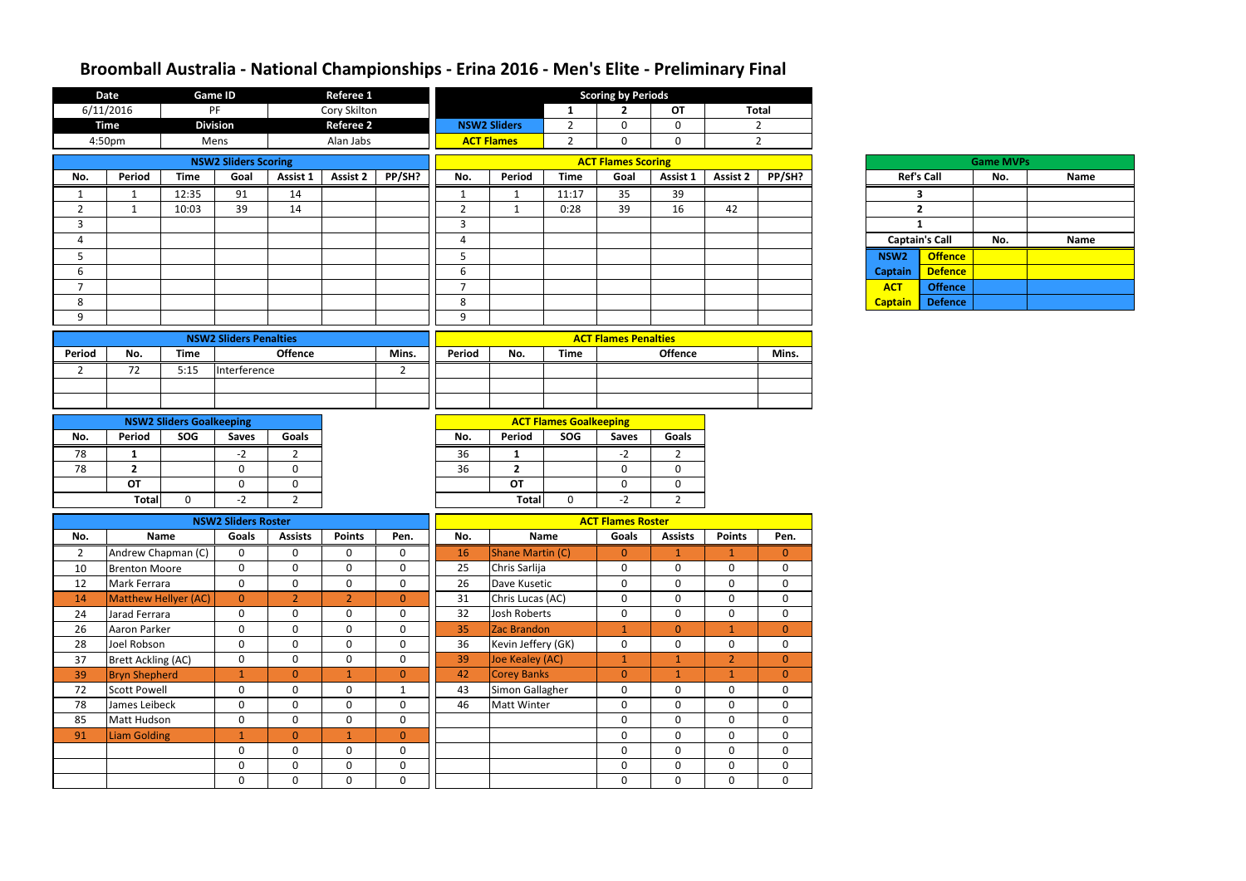|                | <b>Referee 1</b><br><b>Date</b><br><b>Game ID</b><br>6/11/2016<br>PF |                                                     |                                |                                |                            |                                 |                  |                                       | <b>Scoring by Periods</b>            |                             |                              |                               |                               |
|----------------|----------------------------------------------------------------------|-----------------------------------------------------|--------------------------------|--------------------------------|----------------------------|---------------------------------|------------------|---------------------------------------|--------------------------------------|-----------------------------|------------------------------|-------------------------------|-------------------------------|
|                |                                                                      | Cory Skilton<br><b>Division</b><br><b>Referee 2</b> |                                |                                |                            |                                 |                  | $\mathbf{1}$                          | $\mathbf{2}$                         | <b>OT</b>                   |                              | <b>Total</b>                  |                               |
|                | <b>Time</b>                                                          |                                                     |                                |                                |                            |                                 |                  | <b>NSW2 Sliders</b>                   | $\overline{2}$                       | $\Omega$                    | $\mathbf 0$                  |                               | $2^{\circ}$                   |
|                | 4:50pm                                                               |                                                     | Mens                           |                                | Alan Jabs                  |                                 |                  | <b>ACT Flames</b>                     | $\overline{2}$                       | 0                           | $\mathbf 0$                  |                               | $\overline{2}$                |
|                |                                                                      |                                                     | <b>NSW2 Sliders Scoring</b>    |                                |                            |                                 |                  |                                       |                                      | <b>ACT Flames Scoring</b>   |                              |                               |                               |
| No.            | Period                                                               | <b>Time</b>                                         | Goal                           | Assist 1                       | <b>Assist 2</b>            | PP/SH?                          | No.              | Period                                | <b>Time</b>                          | Goal                        | Assist 1                     | <b>Assist 2</b>               | PP/SH?                        |
| $\mathbf{1}$   | $\mathbf{1}$                                                         | 12:35                                               | 91                             | 14                             |                            |                                 | $\mathbf{1}$     | $\mathbf{1}$                          | 11:17                                | 35                          | 39                           |                               |                               |
| $\overline{2}$ | $\mathbf{1}$                                                         | 10:03                                               | 39                             | 14                             |                            |                                 | $\overline{2}$   | $\mathbf{1}$                          | 0:28                                 | 39                          | 16                           | 42                            |                               |
| $\overline{3}$ |                                                                      |                                                     |                                |                                |                            |                                 | $\overline{3}$   |                                       |                                      |                             |                              |                               |                               |
| $\overline{4}$ |                                                                      |                                                     |                                |                                |                            |                                 | $\overline{4}$   |                                       |                                      |                             |                              |                               |                               |
| 5              |                                                                      |                                                     |                                |                                |                            |                                 | $5\phantom{.}$   |                                       |                                      |                             |                              |                               |                               |
| $6\,$          |                                                                      |                                                     |                                |                                |                            |                                 | $\boldsymbol{6}$ |                                       |                                      |                             |                              |                               |                               |
| $\overline{7}$ |                                                                      |                                                     |                                |                                |                            |                                 | $\overline{7}$   |                                       |                                      |                             |                              |                               |                               |
| 8              |                                                                      |                                                     |                                |                                |                            |                                 | 8                |                                       |                                      |                             |                              |                               |                               |
| 9              |                                                                      |                                                     |                                |                                |                            |                                 | 9                |                                       |                                      |                             |                              |                               |                               |
|                |                                                                      |                                                     | <b>NSW2 Sliders Penalties</b>  |                                |                            |                                 |                  |                                       |                                      | <b>ACT Flames Penalties</b> |                              |                               |                               |
| Period         | No.                                                                  | <b>Time</b>                                         |                                | <b>Offence</b>                 |                            | Mins.                           | Period           | No.                                   | <b>Time</b>                          |                             | <b>Offence</b>               |                               | Mins.                         |
| $\overline{2}$ | 72                                                                   | 5:15                                                | Interference                   |                                |                            | $\overline{2}$                  |                  |                                       |                                      |                             |                              |                               |                               |
|                |                                                                      |                                                     |                                |                                |                            |                                 |                  |                                       |                                      |                             |                              |                               |                               |
|                |                                                                      |                                                     |                                |                                |                            |                                 |                  |                                       |                                      |                             |                              |                               |                               |
|                |                                                                      |                                                     |                                |                                |                            |                                 |                  |                                       |                                      |                             |                              |                               |                               |
|                | Period                                                               | <b>NSW2 Sliders Goalkeeping</b><br>SOG              |                                |                                |                            |                                 |                  |                                       | <b>ACT Flames Goalkeeping</b><br>SOG |                             | Goals                        |                               |                               |
| No.            |                                                                      |                                                     | <b>Saves</b>                   | Goals                          |                            |                                 | No.              | Period                                |                                      | <b>Saves</b>                |                              |                               |                               |
| 78             | $\mathbf{1}$                                                         |                                                     | $-2$                           | 2                              |                            |                                 | 36               | $\mathbf{1}$                          |                                      | $-2$                        | 2                            |                               |                               |
| 78             | $\overline{2}$<br><b>OT</b>                                          |                                                     | $\mathbf 0$<br>$\mathbf 0$     | 0<br>0                         |                            |                                 | 36               | $\mathbf{2}$<br><b>OT</b>             |                                      | $\mathbf 0$<br>$\mathbf{0}$ | 0<br>$\mathbf 0$             |                               |                               |
|                | <b>Total</b>                                                         | $\mathbf 0$                                         | $-2$                           | $\overline{2}$                 |                            |                                 |                  | <b>Total</b>                          | $\mathbf 0$                          | $-2$                        | $2^{\circ}$                  |                               |                               |
|                |                                                                      |                                                     |                                |                                |                            |                                 |                  |                                       |                                      |                             |                              |                               |                               |
|                |                                                                      |                                                     | <b>NSW2 Sliders Roster</b>     |                                |                            |                                 |                  |                                       |                                      | <b>ACT Flames Roster</b>    |                              |                               |                               |
| No.            |                                                                      | Name                                                | Goals                          | <b>Assists</b>                 | <b>Points</b>              | Pen.                            | No.              |                                       | Name                                 | Goals                       | <b>Assists</b>               | <b>Points</b>                 | Pen.                          |
| $\overline{2}$ | Andrew Chapman (C)                                                   |                                                     | 0                              | 0                              | $\mathbf 0$                | $\mathbf 0$                     | 16               | Shane Martin (C)                      |                                      | $\mathbf{0}$                |                              |                               | $\overline{0}$                |
| 10             | <b>Brenton Moore</b>                                                 |                                                     | $\mathbf 0$                    | $\mathbf 0$                    | $\mathbf 0$                | $\mathbf 0$                     | 25               | Chris Sarlija                         |                                      | $\mathbf 0$                 | $\mathbf{0}$                 | $\mathbf 0$                   | 0                             |
| 12             | Mark Ferrara                                                         |                                                     | $\overline{0}$                 | $\overline{0}$                 | $\mathbf 0$                | $\mathbf 0$                     | 26               | Dave Kusetic                          |                                      | $\overline{0}$              | $\mathbf 0$                  | $\mathbf 0$                   | $\mathbf 0$                   |
| 14             | Matthew Hellyer (AC)                                                 |                                                     | $\mathbf{0}$                   | 2 <sup>1</sup>                 | $\overline{2}$             | $\mathbf{0}$                    | 31               | Chris Lucas (AC)                      |                                      | $\overline{0}$              | $\mathbf 0$                  | $\mathbf 0$                   | $\mathbf 0$                   |
| 24             | Jarad Ferrara                                                        |                                                     | $\mathbf 0$                    | $\mathbf 0$                    | $\mathbf 0$                | $\mathbf 0$                     | 32               | Josh Roberts                          |                                      | $\overline{0}$              | $\mathbf 0$                  | $\mathbf 0$                   | $\mathbf 0$                   |
| 26             | Aaron Parker                                                         |                                                     | $\mathbf 0$                    | $\overline{0}$                 | $\mathbf 0$                | $\mathbf 0$                     | 35               | Zac Brandon                           |                                      | $\mathbf{1}$                | $\overline{0}$               | $\mathbf{1}$                  | $\overline{0}$                |
| 28<br>37       | Joel Robson                                                          |                                                     | $\overline{0}$<br>$\mathbf{0}$ | $\mathbf{0}$<br>$\overline{0}$ | $\mathbf 0$<br>$\mathbf 0$ | $\mathbf 0$<br>$\boldsymbol{0}$ | 36<br>39         | Kevin Jeffery (GK)                    |                                      | $\overline{0}$<br>1         | $\mathbf{0}$<br>$\mathbf{1}$ | $\mathbf 0$<br>2 <sup>1</sup> | $\mathbf 0$<br>$\overline{0}$ |
| 39             | <b>Brett Ackling (AC)</b><br><b>Bryn Shepherd</b>                    |                                                     | $\mathbf{1}$                   | $\overline{0}$                 | $\mathbf{1}$               | $\mathbf{0}$                    | 42               | Joe Kealey (AC)<br><b>Corey Banks</b> |                                      | $\overline{0}$              | 1                            | $\mathbf{1}$                  | $\overline{0}$                |
| 72             | <b>Scott Powell</b>                                                  |                                                     | $\mathbf 0$                    | $\overline{0}$                 | $\mathbf 0$                | $\mathbf{1}$                    | 43               | Simon Gallagher                       |                                      | $\overline{0}$              | $\mathbf 0$                  | $\mathbf 0$                   | $\mathbf 0$                   |
| 78             | James Leibeck                                                        |                                                     | $\mathbf 0$                    | 0                              | $\mathbf 0$                | $\mathbf 0$                     | 46               | Matt Winter                           |                                      | $\overline{0}$              | $\mathbf 0$                  | $\mathbf 0$                   | $\mathbf 0$                   |
| 85             | Matt Hudson                                                          |                                                     | $\mathbf 0$                    | $\overline{0}$                 | $\mathbf 0$                | $\mathbf 0$                     |                  |                                       |                                      | $\overline{0}$              | $\mathbf 0$                  | $\mathbf 0$                   | $\mathbf 0$                   |
| 91             | <b>Liam Golding</b>                                                  |                                                     | $\mathbf{1}$                   | $\overline{0}$                 | $\mathbf{1}$               | $\mathbf{0}$                    |                  |                                       |                                      | $\overline{0}$              | $\mathbf 0$                  | $\mathbf 0$                   | $\mathbf 0$                   |
|                |                                                                      |                                                     | $\mathbf{0}$                   | $\mathbf{0}$                   | $\mathbf 0$                | $\mathbf 0$                     |                  |                                       |                                      | $\overline{0}$              | $\mathbf{0}$                 | $\mathbf 0$                   | $\mathbf 0$                   |
|                |                                                                      |                                                     | $\mathbf 0$                    | $\overline{0}$                 | $\mathbf 0$                | $\mathbf 0$                     |                  |                                       |                                      | $\overline{0}$              | $\mathbf 0$                  | $\mathbf 0$                   | $\mathbf 0$                   |
|                |                                                                      |                                                     | $\mathbf 0$                    | $\mathbf 0$                    | $\mathbf 0$                | $\mathbf 0$                     |                  |                                       |                                      | $\overline{0}$              | $\mathbf 0$                  | $\mathbf 0$                   | $\mathbf 0$                   |
|                |                                                                      |                                                     |                                |                                |                            |                                 |                  |                                       |                                      |                             |                              |                               |                               |

## **Broomball Australia - National Championships - Erina 2016 - Men's Elite - Preliminary Final**

| <b>Game MVPs</b> |                       |     |             |  |  |  |  |  |  |  |  |  |  |
|------------------|-----------------------|-----|-------------|--|--|--|--|--|--|--|--|--|--|
|                  | <b>Ref's Call</b>     | No. | <b>Name</b> |  |  |  |  |  |  |  |  |  |  |
|                  | 3                     |     |             |  |  |  |  |  |  |  |  |  |  |
|                  | 2                     |     |             |  |  |  |  |  |  |  |  |  |  |
| 1                |                       |     |             |  |  |  |  |  |  |  |  |  |  |
|                  | <b>Captain's Call</b> | No. | <b>Name</b> |  |  |  |  |  |  |  |  |  |  |
| NSW <sub>2</sub> | <b>Offence</b>        |     |             |  |  |  |  |  |  |  |  |  |  |
| <b>Captain</b>   | <b>Defence</b>        |     |             |  |  |  |  |  |  |  |  |  |  |
| <b>ACT</b>       | <b>Offence</b>        |     |             |  |  |  |  |  |  |  |  |  |  |
| <b>Captain</b>   | <b>Defence</b>        |     |             |  |  |  |  |  |  |  |  |  |  |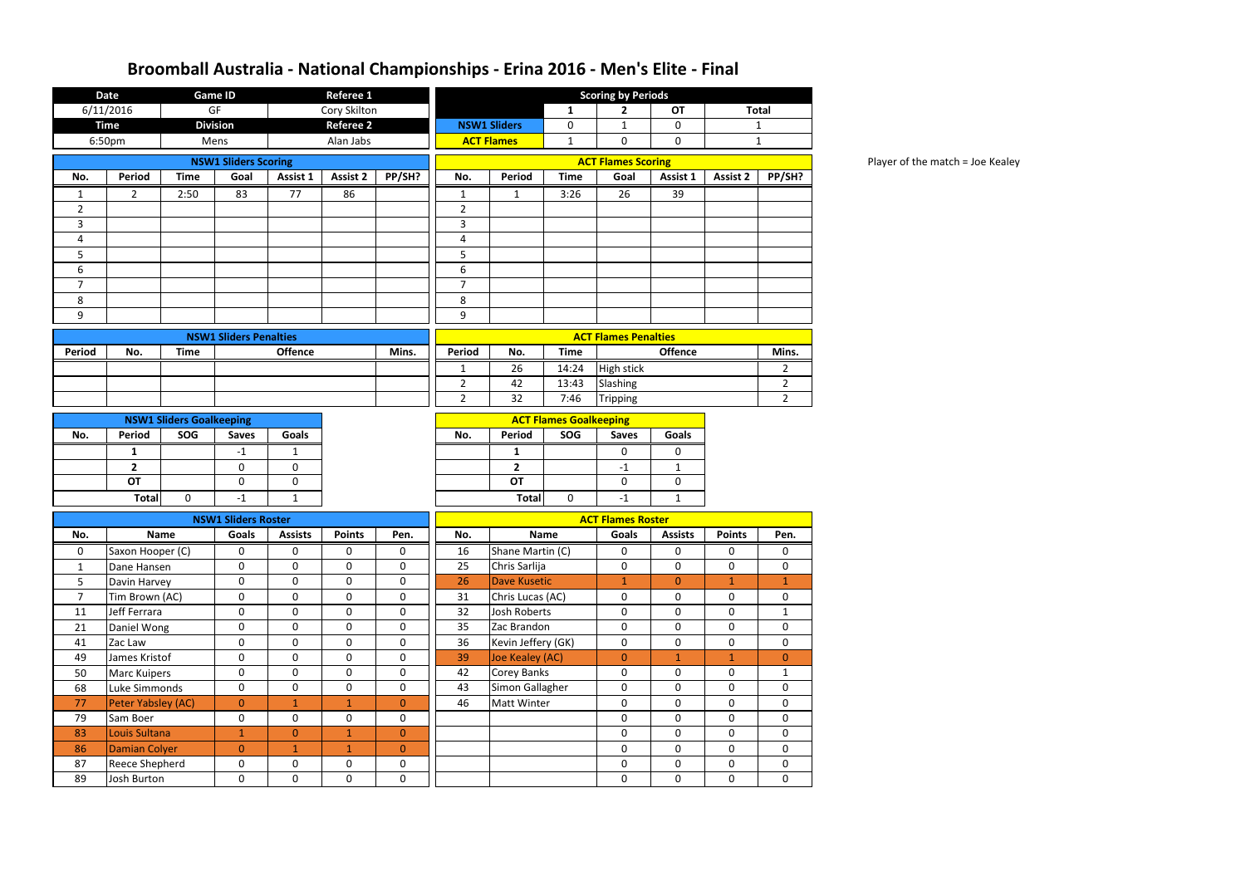Player of the match = Joe Kealey

|                | <b>Date</b>           |                                 | <b>Game ID</b>                |                | Referee 1        |                |                               | <b>Scoring by Periods</b> |                               |                             |                |                 |                |
|----------------|-----------------------|---------------------------------|-------------------------------|----------------|------------------|----------------|-------------------------------|---------------------------|-------------------------------|-----------------------------|----------------|-----------------|----------------|
|                | 6/11/2016             |                                 | GF                            |                | Cory Skilton     |                |                               |                           | $\mathbf{1}$                  | $\mathbf{2}$                | <b>OT</b>      |                 | <b>Total</b>   |
|                | <b>Time</b>           |                                 | <b>Division</b>               |                | <b>Referee 2</b> |                |                               | <b>NSW1 Sliders</b>       | 0                             | $\mathbf{1}$                | $\mathbf 0$    |                 | $\mathbf{1}$   |
|                | 6:50pm                |                                 | Mens                          |                | Alan Jabs        |                |                               | <b>ACT Flames</b>         | $\mathbf{1}$                  | $\mathbf 0$                 | $\mathbf 0$    |                 | $\mathbf{1}$   |
|                |                       |                                 | <b>NSW1 Sliders Scoring</b>   |                |                  |                |                               |                           |                               | <b>ACT Flames Scoring</b>   |                |                 |                |
| No.            | <b>Period</b>         | <b>Time</b>                     | Goal                          | Assist 1       | <b>Assist 2</b>  | PP/SH?         | No.                           | Period                    | <b>Time</b>                   | Goal                        | Assist 1       | <b>Assist 2</b> | PP/SH?         |
| 1              | 2                     | 2:50                            | 83                            | 77             | 86               |                | 1                             | $\mathbf{1}$              | 3:26                          | 26                          | 39             |                 |                |
| $\overline{2}$ |                       |                                 |                               |                |                  |                | $\overline{2}$                |                           |                               |                             |                |                 |                |
| 3              |                       |                                 |                               |                |                  |                | $\mathbf{3}$                  |                           |                               |                             |                |                 |                |
| 4              |                       |                                 |                               |                |                  |                | 4                             |                           |                               |                             |                |                 |                |
| 5              |                       |                                 |                               |                |                  |                | 5                             |                           |                               |                             |                |                 |                |
| 6              |                       |                                 |                               |                |                  |                | 6                             |                           |                               |                             |                |                 |                |
| $\overline{7}$ |                       |                                 |                               |                |                  |                | $\overline{7}$                |                           |                               |                             |                |                 |                |
| 8              |                       |                                 |                               |                |                  |                | 8                             |                           |                               |                             |                |                 |                |
| 9              |                       |                                 |                               |                |                  |                | 9                             |                           |                               |                             |                |                 |                |
|                |                       |                                 | <b>NSW1 Sliders Penalties</b> |                |                  |                |                               |                           |                               | <b>ACT Flames Penalties</b> |                |                 |                |
| <b>Period</b>  | No.                   | <b>Time</b>                     |                               | <b>Offence</b> |                  | Mins.          | Period                        | No.                       | <b>Time</b>                   |                             | <b>Offence</b> |                 | Mins.          |
|                |                       |                                 |                               |                |                  |                | 1                             | 26                        | 14:24                         | <b>High stick</b>           |                |                 | $\overline{2}$ |
|                |                       |                                 |                               |                |                  |                | $\overline{2}$<br>42<br>13:43 |                           |                               | Slashing                    |                |                 | $\overline{2}$ |
|                |                       |                                 |                               |                |                  |                | $\overline{2}$<br>32<br>7:46  |                           |                               | <b>Tripping</b>             |                |                 | $2^{\circ}$    |
|                |                       | <b>NSW1 Sliders Goalkeeping</b> |                               |                |                  |                |                               |                           | <b>ACT Flames Goalkeeping</b> |                             |                |                 |                |
| No.            | Period                | SOG                             | <b>Saves</b>                  | <b>Goals</b>   |                  |                | No.                           | Period                    | SOG                           | <b>Saves</b>                | <b>Goals</b>   |                 |                |
|                | 1                     |                                 | $-1$                          | 1              |                  |                |                               | $\mathbf{1}$              |                               | 0                           | 0              |                 |                |
|                | $\overline{2}$        |                                 | 0                             | $\mathbf 0$    |                  |                |                               | $\overline{2}$            |                               | $-1$                        | $\mathbf{1}$   |                 |                |
|                | <b>OT</b>             |                                 | $\pmb{0}$                     | $\mathbf 0$    |                  |                |                               | <b>OT</b>                 |                               | $\pmb{0}$                   | $\pmb{0}$      |                 |                |
|                | <b>Total</b>          | $\mathbf 0$                     | $-1$                          | $\mathbf{1}$   |                  |                |                               | <b>Total</b>              | 0                             | $-1$                        | $\mathbf{1}$   |                 |                |
|                |                       |                                 | <b>NSW1 Sliders Roster</b>    |                |                  |                |                               |                           |                               | <b>ACT Flames Roster</b>    |                |                 |                |
| No.            |                       | <b>Name</b>                     | <b>Goals</b>                  | <b>Assists</b> | <b>Points</b>    | Pen.           | No.                           |                           | <b>Name</b>                   | Goals                       | <b>Assists</b> | <b>Points</b>   | Pen.           |
| 0              | Saxon Hooper (C)      |                                 | 0                             | 0              | $\mathbf 0$      | 0              | 16                            | Shane Martin (C)          |                               | 0                           | 0              | 0               | 0              |
| $\mathbf{1}$   | Dane Hansen           |                                 | $\pmb{0}$                     | $\mathbf 0$    | $\mathbf 0$      | 0              | 25                            | Chris Sarlija             |                               | $\mathbf 0$                 | $\mathbf 0$    | $\mathbf 0$     | $\mathbf 0$    |
| 5              | Davin Harvey          |                                 | $\pmb{0}$                     | $\pmb{0}$      | $\mathbf 0$      | 0              | 26                            | <b>Dave Kusetic</b>       |                               | $\mathbf 1$                 | $\mathbf{0}$   | $\mathbf{1}$    | $\mathbf{1}$   |
| 7 <sup>7</sup> | Tim Brown (AC)        |                                 | 0                             | $\pmb{0}$      | $\mathbf 0$      | $\mathbf 0$    | 31                            | Chris Lucas (AC)          |                               | 0                           | 0              | $\mathbf 0$     | 0              |
| 11             | Jeff Ferrara          |                                 | $\pmb{0}$                     | $\mathbf 0$    | $\mathbf{0}$     | 0              | 32                            | Josh Roberts              |                               | $\mathbf 0$                 | $\mathbf 0$    | $\mathbf 0$     | $\mathbf{1}$   |
| 21             | Daniel Wong           |                                 | $\pmb{0}$                     | $\pmb{0}$      | $\mathbf 0$      | $\mathbf 0$    | 35                            | Zac Brandon               |                               | 0                           | 0              | 0               | 0              |
| 41             | Zac Law               |                                 | $\pmb{0}$                     | $\mathbf 0$    | $\mathbf 0$      | 0              | 36                            | Kevin Jeffery (GK)        |                               | $\mathbf 0$                 | $\mathbf 0$    | $\mathbf 0$     | $\mathbf 0$    |
| 49             | James Kristof         |                                 | $\pmb{0}$                     | $\pmb{0}$      | $\mathbf 0$      | $\pmb{0}$      | 39                            | Joe Kealey (AC)           |                               | $\pmb{0}$                   | $\mathbf{1}$   | $\mathbf{1}$    | $\mathbf{0}$   |
| 50             | Marc Kuipers          |                                 | $\pmb{0}$                     | $\pmb{0}$      | $\mathbf 0$      | $\mathbf 0$    | 42                            | <b>Corey Banks</b>        |                               | 0                           | 0              | 0               | $\mathbf{1}$   |
| 68             | Luke Simmonds         |                                 | $\boldsymbol{0}$              | $\pmb{0}$      | $\mathbf 0$      | $\mathbf 0$    | 43                            | Simon Gallagher           |                               | $\pmb{0}$                   | $\mathbf 0$    | $\mathbf 0$     | $\mathbf 0$    |
| 77             | Peter Yabsley (AC)    |                                 | $\pmb{0}$                     | $\mathbf{1}$   | $\mathbf{1}$     | $\overline{0}$ |                               | 46<br>Matt Winter         |                               | 0                           | 0              | 0               | 0              |
| 79             | Sam Boer              |                                 | $\mathbf 0$                   | $\mathbf 0$    | $\mathbf 0$      | 0              |                               |                           |                               | $\mathbf 0$                 | 0              | 0               | $\mathbf 0$    |
| 83             | Louis Sultana         |                                 | $\mathbf 1$                   | $\mathbf{0}$   | $1\,$            | $\mathbf{0}$   |                               |                           |                               | $\mathbf 0$                 | $\mathbf 0$    | $\mathbf 0$     | $\mathbf 0$    |
| 86             | Damian Colyer         |                                 | $\pmb{0}$                     | $\mathbf{1}$   | $\mathbf{1}$     | $\overline{0}$ |                               |                           |                               | $\mathbf 0$                 | $\mathbf 0$    | 0               | $\mathbf 0$    |
| 87             | <b>Reece Shepherd</b> |                                 | $\pmb{0}$                     | $\pmb{0}$      | $\mathbf 0$      | $\pmb{0}$      |                               |                           |                               | $\pmb{0}$                   | $\mathbf 0$    | $\mathbf 0$     | $\mathbf{0}$   |
| 89             | Josh Burton           |                                 | $\pmb{0}$                     | $\mathbf 0$    | $\mathbf 0$      | 0              |                               |                           |                               | 0                           | 0              | $\mathbf 0$     | 0              |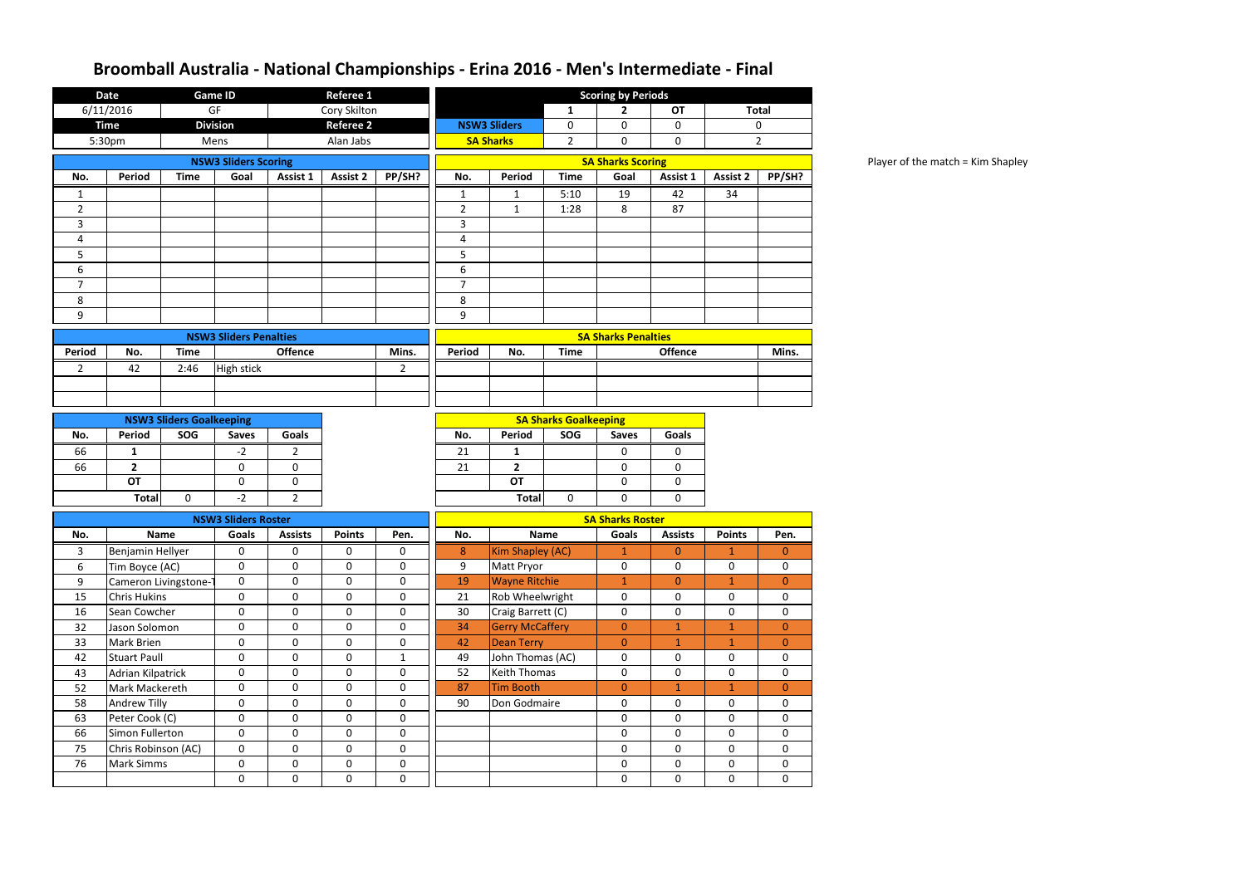Player of the match = Kim Shapley

|                | <b>Date</b>         |                                 | <b>Game ID</b>                |                | Referee 1        |              | <b>Scoring by Periods</b><br><b>Total</b> |                        |                              |                            |                |                 |                  |
|----------------|---------------------|---------------------------------|-------------------------------|----------------|------------------|--------------|-------------------------------------------|------------------------|------------------------------|----------------------------|----------------|-----------------|------------------|
|                | 6/11/2016           |                                 | GF                            |                | Cory Skilton     |              |                                           |                        | 1                            | $\mathbf{2}$               | <b>OT</b>      |                 |                  |
|                | <b>Time</b>         |                                 | <b>Division</b>               |                | <b>Referee 2</b> |              |                                           | <b>NSW3 Sliders</b>    | 0                            | 0                          | 0              |                 | 0                |
|                | 5:30pm              |                                 | Mens                          |                | Alan Jabs        |              |                                           | <b>SA Sharks</b>       | $\overline{2}$               | 0                          | 0              |                 | $\overline{2}$   |
|                |                     |                                 | <b>NSW3 Sliders Scoring</b>   |                |                  |              |                                           |                        |                              | <b>SA Sharks Scoring</b>   |                |                 |                  |
| No.            | <b>Period</b>       | <b>Time</b>                     | Goal                          | Assist 1       | Assist 2         | PP/SH?       | No.                                       | Period                 | <b>Time</b>                  | Goal                       | Assist 1       | <b>Assist 2</b> | PP/SH?           |
| 1              |                     |                                 |                               |                |                  |              | 1                                         | $\mathbf{1}$           | 5:10                         | 19                         | 42             | 34              |                  |
| $\overline{2}$ |                     |                                 |                               |                |                  |              | $\overline{2}$                            | $\mathbf{1}$           | 1:28                         | 8                          | 87             |                 |                  |
| 3              |                     |                                 |                               |                |                  |              | 3                                         |                        |                              |                            |                |                 |                  |
| 4              |                     |                                 |                               |                |                  |              | 4                                         |                        |                              |                            |                |                 |                  |
| 5              |                     |                                 |                               |                |                  |              | 5                                         |                        |                              |                            |                |                 |                  |
| 6              |                     |                                 |                               |                |                  |              | 6                                         |                        |                              |                            |                |                 |                  |
| $\overline{7}$ |                     |                                 |                               |                |                  |              | $\overline{7}$                            |                        |                              |                            |                |                 |                  |
| 8              |                     |                                 |                               |                |                  |              | 8                                         |                        |                              |                            |                |                 |                  |
| 9              |                     |                                 |                               |                |                  |              | 9                                         |                        |                              |                            |                |                 |                  |
|                |                     |                                 | <b>NSW3 Sliders Penalties</b> |                |                  |              |                                           |                        |                              | <b>SA Sharks Penalties</b> |                |                 |                  |
| <b>Period</b>  | No.                 | <b>Time</b>                     |                               | <b>Offence</b> |                  | Mins.        | <b>Period</b>                             | No.                    | <b>Time</b>                  |                            | <b>Offence</b> |                 | Mins.            |
| $\overline{2}$ | 42                  | 2:46                            | <b>High stick</b>             |                |                  | $2^{\circ}$  |                                           |                        |                              |                            |                |                 |                  |
|                |                     |                                 |                               |                |                  |              |                                           |                        |                              |                            |                |                 |                  |
|                |                     |                                 |                               |                |                  |              |                                           |                        |                              |                            |                |                 |                  |
|                |                     | <b>NSW3 Sliders Goalkeeping</b> |                               |                |                  |              |                                           |                        | <b>SA Sharks Goalkeeping</b> |                            |                |                 |                  |
| No.            | <b>Period</b>       | SOG                             | <b>Saves</b>                  | <b>Goals</b>   |                  |              | No.                                       | Period                 | SOG                          | <b>Saves</b>               | <b>Goals</b>   |                 |                  |
| 66             | $\mathbf{1}$        |                                 | $-2$                          | 2              |                  |              | 21                                        | $\mathbf{1}$           |                              | 0                          | 0              |                 |                  |
| 66             | $\overline{2}$      |                                 | $\mathbf 0$                   | $\mathbf 0$    |                  |              | 21                                        | $\overline{2}$         |                              | $\mathbf 0$                | 0              |                 |                  |
|                | <b>OT</b>           |                                 | $\pmb{0}$                     | $\mathbf 0$    |                  |              |                                           | <b>OT</b>              |                              | $\mathbf 0$                | $\mathbf 0$    |                 |                  |
|                | <b>Total</b>        | $\mathbf 0$                     | $-2$                          | $2^{\circ}$    |                  |              |                                           | <b>Total</b>           | 0                            | $\mathbf 0$                | $\mathbf 0$    |                 |                  |
|                |                     |                                 | <b>NSW3 Sliders Roster</b>    |                |                  |              |                                           |                        |                              | <b>SA Sharks Roster</b>    |                |                 |                  |
| No.            |                     | <b>Name</b>                     | Goals                         | <b>Assists</b> | <b>Points</b>    | Pen.         | No.                                       |                        | <b>Name</b>                  | Goals                      | <b>Assists</b> | <b>Points</b>   | Pen.             |
| 3              | Benjamin Hellyer    |                                 | 0                             | 0              | 0                | 0            | 8                                         | Kim Shapley (AC)       |                              | 1                          | $\mathbf{0}$   | 1               | $\boldsymbol{0}$ |
| 6              | Tim Boyce (AC)      |                                 | $\mathbf 0$                   | $\mathbf 0$    | $\mathbf 0$      | 0            | 9                                         | Matt Pryor             |                              | $\mathbf 0$                | $\mathbf 0$    | $\mathbf 0$     | 0                |
| 9              |                     | Cameron Livingstone-1           | $\mathbf 0$                   | $\mathbf 0$    | $\mathbf 0$      | 0            | 19                                        | <b>Wayne Ritchie</b>   |                              | $\mathbf{1}$               | $\overline{0}$ | $\mathbf{1}$    | $\overline{0}$   |
| 15             | <b>Chris Hukins</b> |                                 | $\mathbf 0$                   | $\mathbf 0$    | $\mathbf 0$      | $\mathbf 0$  | 21                                        | Rob Wheelwright        |                              | 0                          | $\mathbf 0$    | 0               | 0                |
| 16             | Sean Cowcher        |                                 | $\mathbf 0$                   | $\mathbf 0$    | $\mathbf 0$      | 0            | 30                                        | Craig Barrett (C)      |                              | $\mathbf 0$                | $\mathbf 0$    | 0               | $\mathbf 0$      |
| 32             | Jason Solomon       |                                 | $\boldsymbol{0}$              | $\mathbf 0$    | $\mathbf 0$      | 0            | 34                                        | <b>Gerry McCaffery</b> |                              | $\mathbf{0}$               | $\mathbf{1}$   | $\mathbf 1$     | $\overline{0}$   |
| 33             | <b>Mark Brien</b>   |                                 | $\mathbf 0$                   | $\mathbf 0$    | $\mathbf 0$      | 0            | 42                                        | <b>Dean Terry</b>      |                              | $\mathbf{0}$               | $\mathbf{1}$   | $\mathbf{1}$    | $\overline{0}$   |
| 42             | <b>Stuart Paull</b> |                                 | $\mathbf 0$                   | $\mathbf 0$    | $\mathbf 0$      | $\mathbf{1}$ | 49                                        | John Thomas (AC)       |                              | $\pmb{0}$                  | $\mathbf 0$    | $\mathbf 0$     | $\boldsymbol{0}$ |
| 43             | Adrian Kilpatrick   |                                 | $\mathbf 0$                   | $\mathbf 0$    | $\mathbf 0$      | $\mathbf 0$  | 52                                        | <b>Keith Thomas</b>    |                              | $\mathbf 0$                | 0              | 0               | 0                |
| 52             | Mark Mackereth      |                                 | $\boldsymbol{0}$              | $\mathbf 0$    | $\mathbf 0$      | 0            | 87                                        | <b>Tim Booth</b>       |                              | $\mathbf 0$                | $\mathbf{1}$   | $\mathbf{1}$    | $\overline{0}$   |
| 58             | <b>Andrew Tilly</b> |                                 | $\mathbf 0$                   | $\mathbf 0$    | $\mathbf 0$      | 0            | 90<br>Don Godmaire                        |                        |                              | $\mathbf 0$                | $\mathbf 0$    | 0               | $\mathbf 0$      |
| 63             | Peter Cook (C)      |                                 | $\mathbf 0$                   | $\mathbf 0$    | $\overline{0}$   | $\mathbf 0$  |                                           |                        |                              | $\mathbf 0$                | $\mathbf 0$    | 0               | $\mathbf 0$      |
| 66             | Simon Fullerton     |                                 | $\mathbf 0$                   | $\mathbf 0$    | $\mathbf 0$      | 0            |                                           |                        |                              | $\pmb{0}$                  | $\pmb{0}$      | 0               | $\pmb{0}$        |
| 75             | Chris Robinson (AC) |                                 | $\mathbf 0$                   | $\mathbf 0$    | $\mathbf 0$      | 0            |                                           |                        |                              | $\mathbf 0$                | $\mathbf 0$    | $\mathbf 0$     | $\mathbf 0$      |
| 76             | <b>Mark Simms</b>   |                                 | $\boldsymbol{0}$              | $\mathbf 0$    | $\mathbf 0$      | 0            |                                           |                        |                              | $\pmb{0}$                  | $\mathbf 0$    | 0               | 0                |
|                |                     | $\mathbf 0$                     |                               | $\mathbf 0$    | $\mathbf 0$      | $\pmb{0}$    |                                           |                        |                              | $\pmb{0}$                  | $\mathbf 0$    | $\mathbf 0$     | $\mathbf 0$      |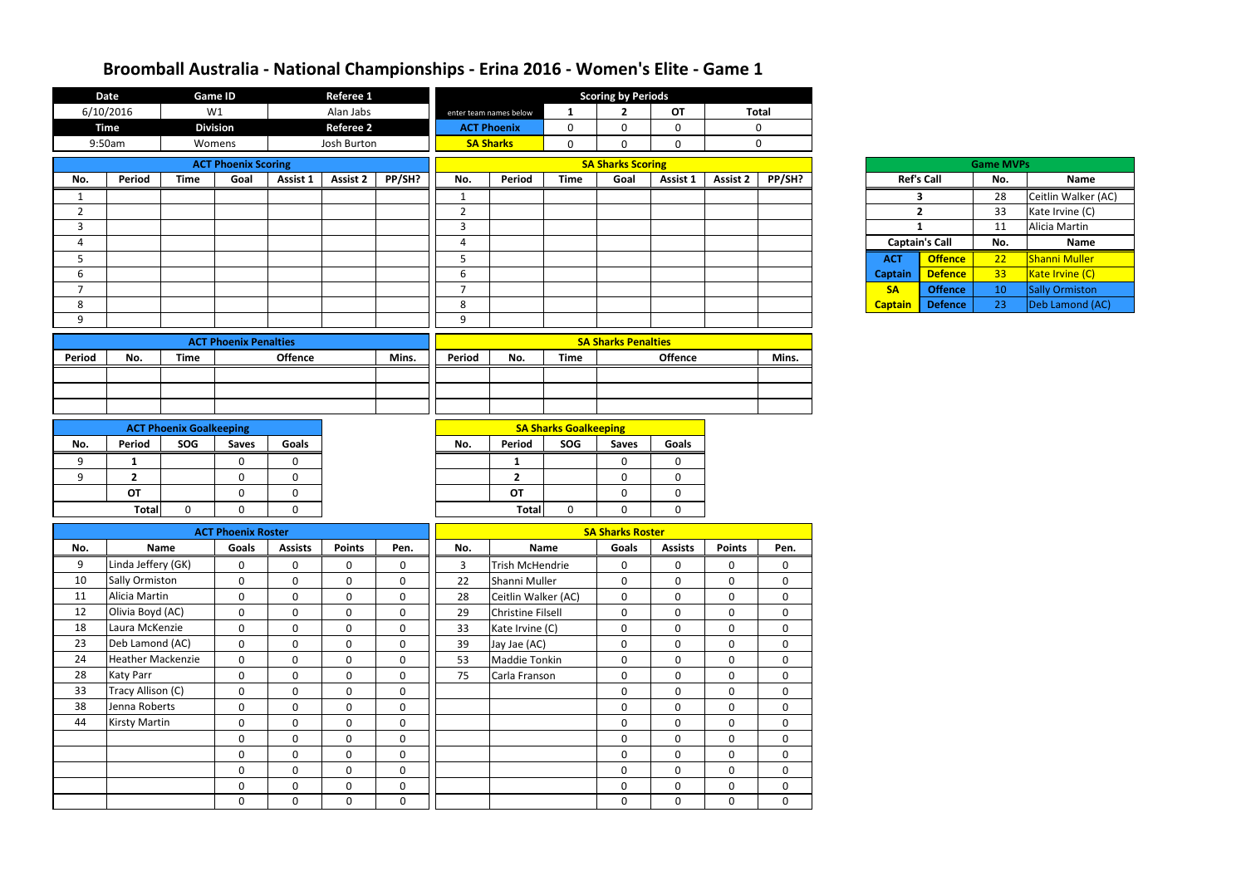|                | <b>Date</b>                       |                                | Game ID                       |                            | <b>Referee 1</b>           |                            |                |                                 |                              | <b>Scoring by Periods</b>  |                            |                            |                            |                |                       |                  |                       |
|----------------|-----------------------------------|--------------------------------|-------------------------------|----------------------------|----------------------------|----------------------------|----------------|---------------------------------|------------------------------|----------------------------|----------------------------|----------------------------|----------------------------|----------------|-----------------------|------------------|-----------------------|
|                | 6/10/2016                         |                                | W1                            |                            | Alan Jabs                  |                            |                | enter team names below          | $\mathbf{1}$                 | $\overline{2}$             | <b>OT</b>                  |                            | <b>Total</b>               |                |                       |                  |                       |
|                | <b>Time</b>                       |                                | <b>Division</b>               |                            | <b>Referee 2</b>           |                            |                | <b>ACT Phoenix</b>              | $\mathbf 0$                  | $\mathbf 0$                | 0                          |                            | $\mathbf 0$                |                |                       |                  |                       |
|                | 9:50am                            |                                | Womens                        |                            | Josh Burton                |                            |                | <b>SA Sharks</b>                | $\mathbf 0$                  | $\mathbf 0$                | $\mathbf 0$                |                            | $\mathbf 0$                |                |                       |                  |                       |
|                |                                   |                                | <b>ACT Phoenix Scoring</b>    |                            |                            |                            |                |                                 |                              | <b>SA Sharks Scoring</b>   |                            |                            |                            |                |                       | <b>Game MVPs</b> |                       |
| No.            | Period                            | <b>Time</b>                    | Goal                          | Assist 1                   | <b>Assist 2</b>            | PP/SH?                     | No.            | Period                          | <b>Time</b>                  | Goal                       | Assist 1                   | <b>Assist 2</b>            | PP/SH?                     |                | <b>Ref's Call</b>     | No.              | <b>Name</b>           |
|                |                                   |                                |                               |                            |                            |                            | 1              |                                 |                              |                            |                            |                            |                            |                | 3                     | 28               | Ceitlin Walker (AC)   |
| $\overline{2}$ |                                   |                                |                               |                            |                            |                            | $2^{\circ}$    |                                 |                              |                            |                            |                            |                            |                | $\overline{2}$        | 33               | Kate Irvine (C)       |
| $\overline{3}$ |                                   |                                |                               |                            |                            |                            | $\mathbf{3}$   |                                 |                              |                            |                            |                            |                            |                | $\mathbf{1}$          | 11               | Alicia Martin         |
| 4              |                                   |                                |                               |                            |                            |                            | 4              |                                 |                              |                            |                            |                            |                            |                | <b>Captain's Call</b> | No.              | <b>Name</b>           |
| 5              |                                   |                                |                               |                            |                            |                            | $5\phantom{.}$ |                                 |                              |                            |                            |                            |                            | <b>ACT</b>     | <b>Offence</b>        | 22               | <b>Shanni Muller</b>  |
| 6              |                                   |                                |                               |                            |                            |                            | 6              |                                 |                              |                            |                            |                            |                            | <b>Captain</b> | <b>Defence</b>        | 33               | Kate Irvine (C)       |
| $\overline{7}$ |                                   |                                |                               |                            |                            |                            | $\overline{7}$ |                                 |                              |                            |                            |                            |                            | <b>SA</b>      | <b>Offence</b>        | 10               | <b>Sally Ormiston</b> |
| 8              |                                   |                                |                               |                            |                            |                            | 8              |                                 |                              |                            |                            |                            |                            | <b>Captain</b> | <b>Defence</b>        | 23               | Deb Lamond (AC)       |
| 9              |                                   |                                |                               |                            |                            |                            | 9              |                                 |                              |                            |                            |                            |                            |                |                       |                  |                       |
|                |                                   |                                | <b>ACT Phoenix Penalties</b>  |                            |                            |                            |                | <b>SA Sharks Penalties</b>      |                              |                            |                            |                            |                            |                |                       |                  |                       |
| Period         | No.                               | <b>Time</b>                    |                               | <b>Offence</b>             | Mins.                      |                            |                | No.                             | <b>Time</b>                  |                            | Offence                    |                            | Mins.                      |                |                       |                  |                       |
|                |                                   |                                |                               |                            |                            |                            |                |                                 |                              |                            |                            |                            |                            |                |                       |                  |                       |
|                |                                   |                                |                               |                            |                            |                            |                |                                 |                              |                            |                            |                            |                            |                |                       |                  |                       |
|                |                                   |                                |                               |                            |                            |                            |                |                                 |                              |                            |                            |                            |                            |                |                       |                  |                       |
|                |                                   | <b>ACT Phoenix Goalkeeping</b> |                               |                            |                            |                            |                |                                 | <b>SA Sharks Goalkeeping</b> |                            |                            |                            |                            |                |                       |                  |                       |
| No.            | Period                            | SOG                            | <b>Saves</b>                  | <b>Goals</b>               |                            |                            | No.            | Period                          | SOG                          | <b>Saves</b>               | <b>Goals</b>               |                            |                            |                |                       |                  |                       |
|                | 1                                 |                                | $\mathbf 0$                   | $\mathbf{0}$               |                            |                            |                |                                 |                              | $\mathbf 0$                | 0                          |                            |                            |                |                       |                  |                       |
| 9<br>9         | $\overline{2}$                    |                                | $\mathbf 0$                   | $\mathbf 0$                |                            |                            |                | $\mathbf{1}$<br>$\overline{2}$  |                              | $\mathbf 0$                | 0                          |                            |                            |                |                       |                  |                       |
|                | <b>OT</b>                         |                                | $\mathbf 0$                   | $\mathbf 0$                |                            |                            |                | OT                              |                              | $\mathbf 0$                | 0                          |                            |                            |                |                       |                  |                       |
|                | <b>Total</b>                      | 0                              | $\mathbf 0$                   | 0                          |                            |                            |                | <b>Total</b>                    | $\mathbf 0$                  | $\mathbf 0$                | 0                          |                            |                            |                |                       |                  |                       |
|                |                                   |                                |                               |                            |                            |                            |                |                                 |                              |                            |                            |                            |                            |                |                       |                  |                       |
|                |                                   |                                | <b>ACT Phoenix Roster</b>     |                            |                            |                            |                |                                 |                              | <b>SA Sharks Roster</b>    |                            |                            |                            |                |                       |                  |                       |
| No.            |                                   | <b>Name</b>                    | Goals                         | <b>Assists</b>             | <b>Points</b>              | Pen.                       | No.            |                                 | Name                         | Goals                      | <b>Assists</b>             | <b>Points</b>              | Pen.                       |                |                       |                  |                       |
| 9              | Linda Jeffery (GK)                |                                | $\mathbf 0$                   | $\pmb{0}$                  | $\mathbf 0$                | $\boldsymbol{0}$           | 3              | Trish McHendrie                 |                              | $\mathbf 0$                | 0                          | $\mathbf 0$                | $\pmb{0}$                  |                |                       |                  |                       |
| 10<br>11       | <b>Sally Ormiston</b>             |                                | $\mathbf 0$                   | $\mathbf 0$                | $\mathbf 0$                | $\mathbf 0$                | 22             | Shanni Muller                   |                              | $\mathbf 0$                | $\mathbf 0$                | $\mathbf 0$                | $\mathbf 0$                |                |                       |                  |                       |
| 12             | Alicia Martin<br>Olivia Boyd (AC) |                                | $\mathbf 0$                   | $\mathbf 0$                | $\mathbf 0$                | $\mathbf 0$                | 28             | Ceitlin Walker (AC)             |                              | $\mathbf 0$                | $\mathbf 0$                | $\mathbf 0$                | $\mathbf 0$                |                |                       |                  |                       |
| 18             | Laura McKenzie                    |                                | $\mathbf 0$<br>$\overline{0}$ | $\mathbf 0$<br>$\mathbf 0$ | $\mathbf 0$<br>$\mathbf 0$ | $\mathbf 0$<br>$\mathbf 0$ | 29<br>33       | <b>Christine Filsell</b>        |                              | $\mathbf 0$<br>$\mathbf 0$ | $\mathbf 0$<br>$\mathbf 0$ | $\mathbf 0$<br>$\mathbf 0$ | $\mathbf 0$<br>$\mathbf 0$ |                |                       |                  |                       |
| 23             | Deb Lamond (AC)                   |                                | $\mathbf{0}$                  | $\mathbf 0$                | $\mathbf{0}$               | $\mathbf 0$                | 39             | Kate Irvine (C)<br>Jay Jae (AC) |                              | $\mathbf 0$                | 0                          | $\mathbf 0$                | $\mathbf 0$                |                |                       |                  |                       |
| 24             | <b>Heather Mackenzie</b>          |                                | $\mathbf{0}$                  | $\mathbf 0$                | $\mathbf 0$                | $\mathbf 0$                | 53             | Maddie Tonkin                   |                              | $\mathbf 0$                | $\mathbf 0$                | $\mathbf 0$                | $\mathbf 0$                |                |                       |                  |                       |
| 28             | <b>Katy Parr</b>                  |                                | $\mathbf 0$                   | $\mathbf{0}$               | $\mathbf 0$                | $\mathbf 0$                | 75             | Carla Franson                   |                              | $\mathbf 0$                | $\mathbf 0$                | $\mathbf{0}$               | $\mathbf 0$                |                |                       |                  |                       |
| 33             | Tracy Allison (C)                 |                                | $\mathbf 0$                   | $\mathbf 0$                | $\mathbf 0$                | $\mathbf 0$                |                |                                 |                              | $\mathbf 0$                | $\mathbf 0$                | $\mathbf 0$                | $\mathbf 0$                |                |                       |                  |                       |
| 38             | Jenna Roberts                     |                                | $\mathbf 0$                   | $\mathbf 0$                | $\mathbf 0$                | $\boldsymbol{0}$           |                |                                 |                              | $\mathbf 0$                | $\mathbf 0$                | $\mathbf{0}$               | $\mathbf 0$                |                |                       |                  |                       |
| 44             | <b>Kirsty Martin</b>              |                                | $\mathbf 0$                   | $\mathbf 0$                | $\mathbf 0$                | $\boldsymbol{0}$           |                |                                 |                              | $\mathbf 0$                | 0                          | $\mathbf 0$                | $\pmb{0}$                  |                |                       |                  |                       |
|                |                                   |                                | $\mathbf 0$                   | $\mathbf 0$                | $\mathbf 0$                | $\mathbf 0$                |                |                                 |                              | $\mathbf 0$                | $\mathbf 0$                | $\mathbf{0}$               | $\mathbf 0$                |                |                       |                  |                       |
|                |                                   |                                | $\mathbf 0$                   | $\mathbf 0$                | $\mathbf 0$                | $\boldsymbol{0}$           |                |                                 |                              | $\mathbf 0$                | $\mathbf 0$                | $\mathbf 0$                | $\mathbf 0$                |                |                       |                  |                       |
|                |                                   |                                | $\mathbf 0$                   | $\mathbf 0$                | $\overline{0}$             | $\pmb{0}$                  |                |                                 |                              | $\mathbf 0$                | $\mathbf 0$                | $\mathbf 0$                | $\mathbf 0$                |                |                       |                  |                       |
|                |                                   |                                | $\mathbf 0$                   | $\mathbf 0$                | $\mathbf 0$                | $\boldsymbol{0}$           |                |                                 |                              | $\mathbf 0$                | 0                          | $\mathbf 0$                | $\pmb{0}$                  |                |                       |                  |                       |
|                |                                   |                                | $\mathbf 0$                   | $\mathbf 0$                | $\mathbf 0$                | $\mathbf 0$                |                |                                 |                              | $\mathbf 0$                | $\mathbf 0$                | $\mathbf{0}$               | $\mathbf 0$                |                |                       |                  |                       |
|                |                                   |                                |                               |                            |                            |                            |                |                                 |                              |                            |                            |                            |                            |                |                       |                  |                       |

|                | <b>Ref's Call</b> |
|----------------|-------------------|
|                | 3                 |
|                | 2                 |
|                | 1                 |
| Captain's C    |                   |
| АСТ            | Of                |
| <b>Captain</b> | De                |
| SΑ             | Of                |
| Cantain        | ō                 |

|       |                       | <b>Game MVPs</b> |                       |
|-------|-----------------------|------------------|-----------------------|
|       | <b>Ref's Call</b>     | No.              | Name                  |
|       | 3                     | 28               | Ceitlin Walker (AC)   |
|       | 2                     | 33               | Kate Irvine (C)       |
|       | 1                     | 11               | Alicia Martin         |
|       |                       |                  |                       |
|       | <b>Captain's Call</b> | No.              | <b>Name</b>           |
| ١CТ   | <b>Offence</b>        | 22               | <b>Shanni Muller</b>  |
| ptain | <b>Defence</b>        | 33               | Kate Irvine (C)       |
| SА    | <b>Offence</b>        | 10               | <b>Sally Ormiston</b> |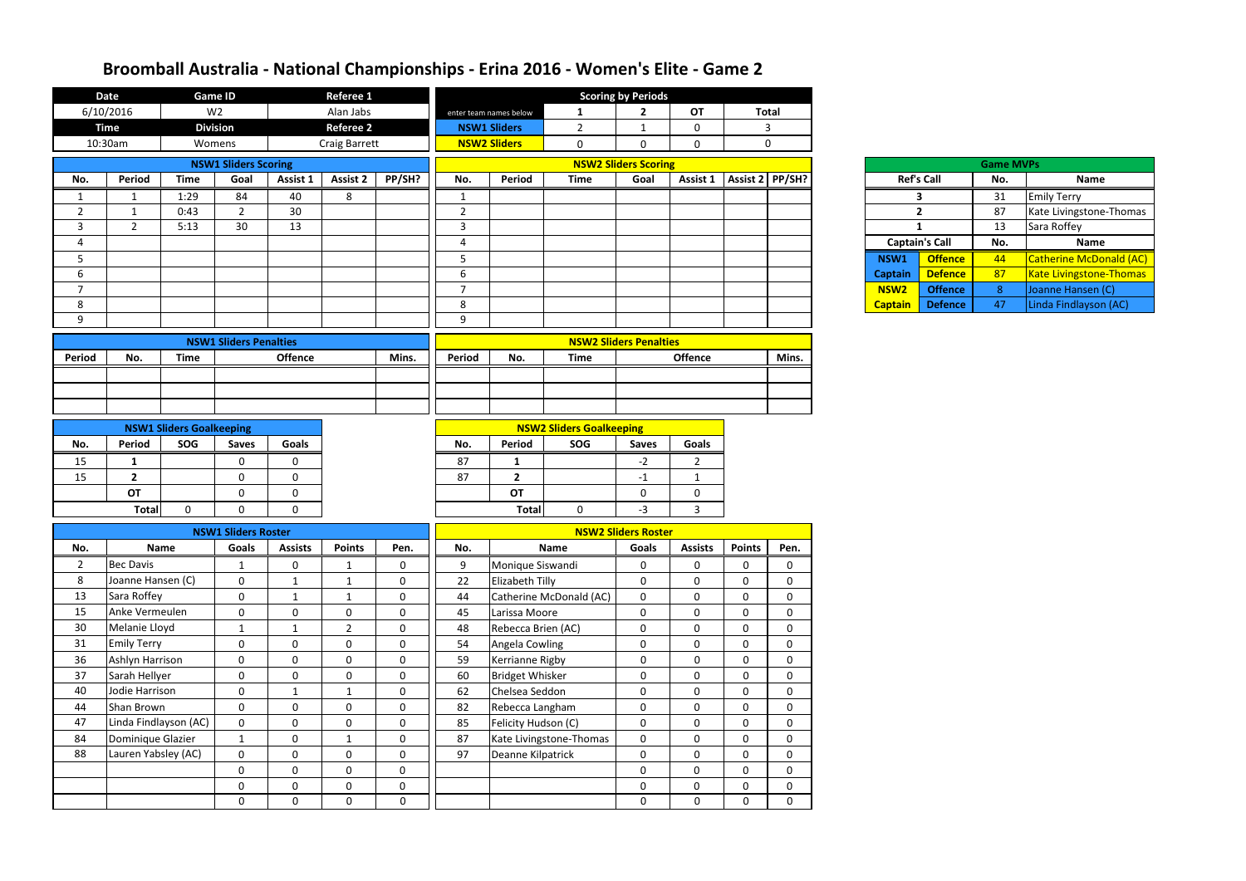|                | <b>Date</b>                           | Referee 1<br><b>Game ID</b><br>W <sub>2</sub> |                               |                           |                             | <b>Scoring by Periods</b>     |                                                          |                        |                                 |                                      |                             |                            |                            |                       |                   |                  |                                |
|----------------|---------------------------------------|-----------------------------------------------|-------------------------------|---------------------------|-----------------------------|-------------------------------|----------------------------------------------------------|------------------------|---------------------------------|--------------------------------------|-----------------------------|----------------------------|----------------------------|-----------------------|-------------------|------------------|--------------------------------|
|                | 6/10/2016                             |                                               |                               |                           | Alan Jabs                   |                               |                                                          | enter team names below | $\mathbf{1}$                    | $\overline{2}$                       | <b>OT</b>                   |                            | <b>Total</b>               |                       |                   |                  |                                |
|                | <b>Time</b>                           |                                               | <b>Division</b>               |                           | <b>Referee 2</b>            |                               |                                                          | <b>NSW1 Sliders</b>    | $\overline{2}$                  | $\mathbf{1}$                         | $\mathbf 0$                 |                            | $\overline{3}$             |                       |                   |                  |                                |
|                | 10:30am                               |                                               | Womens                        |                           | <b>Craig Barrett</b>        |                               |                                                          | <b>NSW2 Sliders</b>    | $\mathbf 0$                     | $\mathbf 0$                          | $\mathbf 0$                 |                            | $\mathbf 0$                |                       |                   |                  |                                |
|                |                                       |                                               | <b>NSW1 Sliders Scoring</b>   |                           |                             |                               |                                                          |                        |                                 | <b>NSW2 Sliders Scoring</b>          |                             |                            |                            |                       |                   | <b>Game MVPs</b> |                                |
| No.            | Period                                | <b>Time</b>                                   | Goal                          | Assist 1                  | Assist 2                    | PP/SH?                        | No.                                                      | Period                 | <b>Time</b>                     | Goal                                 | Assist 1                    | Assist 2 PP/SH?            |                            |                       | <b>Ref's Call</b> | No.              | Name                           |
|                | -1                                    | 1:29                                          | 84                            | 40                        | 8                           |                               | 1                                                        |                        |                                 |                                      |                             |                            |                            |                       | 3                 | 31               | <b>Emily Terry</b>             |
| $\overline{2}$ | -1                                    | 0:43                                          | $\overline{2}$                | 30                        |                             |                               | $\overline{2}$                                           |                        |                                 |                                      |                             |                            |                            | $\overline{2}$        |                   | 87               | Kate Livingstone-Thomas        |
| 3              | $\overline{2}$                        | 5:13                                          | 30                            | 13                        |                             |                               | 3                                                        |                        |                                 |                                      |                             |                            |                            | $\mathbf{1}$          |                   | 13               | Sara Roffey                    |
| 4              |                                       |                                               |                               |                           |                             |                               | $\overline{4}$                                           |                        |                                 |                                      |                             |                            |                            | <b>Captain's Call</b> | No.               | Name             |                                |
| 5              |                                       |                                               |                               |                           |                             |                               | 5                                                        |                        |                                 |                                      |                             |                            |                            | NSW1                  | <b>Offence</b>    | 44               | Catherine McDonald (AC)        |
| 6              |                                       |                                               |                               |                           |                             |                               | $6\,$                                                    |                        |                                 |                                      |                             |                            |                            | <b>Captain</b>        | <b>Defence</b>    | 87               | <b>Kate Livingstone-Thomas</b> |
| $\overline{7}$ |                                       |                                               |                               |                           |                             |                               | $\overline{7}$                                           |                        |                                 |                                      |                             |                            |                            | NSW <sub>2</sub>      | <b>Offence</b>    | 8 <sup>°</sup>   | Joanne Hansen (C)              |
| 8              |                                       |                                               |                               |                           |                             |                               | 8                                                        |                        |                                 |                                      |                             |                            |                            | <b>Captain</b>        | <b>Defence</b>    | 47               | Linda Findlayson (AC)          |
| 9              |                                       |                                               |                               |                           |                             |                               | 9                                                        |                        |                                 |                                      |                             |                            |                            |                       |                   |                  |                                |
|                |                                       |                                               | <b>NSW1 Sliders Penalties</b> |                           |                             |                               |                                                          |                        |                                 | <b>NSW2 Sliders Penalties</b>        |                             |                            |                            |                       |                   |                  |                                |
| Period         | No.                                   | <b>Time</b>                                   |                               | <b>Offence</b>            |                             | Mins.                         | Period                                                   | No.                    | <b>Time</b>                     |                                      | <b>Offence</b>              |                            | Mins.                      |                       |                   |                  |                                |
|                |                                       |                                               |                               |                           |                             |                               |                                                          |                        |                                 |                                      |                             |                            |                            |                       |                   |                  |                                |
|                |                                       |                                               |                               |                           |                             |                               |                                                          |                        |                                 |                                      |                             |                            |                            |                       |                   |                  |                                |
|                |                                       |                                               |                               |                           |                             |                               |                                                          |                        |                                 |                                      |                             |                            |                            |                       |                   |                  |                                |
|                |                                       | <b>NSW1 Sliders Goalkeeping</b>               |                               |                           |                             |                               |                                                          |                        | <b>NSW2 Sliders Goalkeeping</b> |                                      |                             |                            |                            |                       |                   |                  |                                |
| No.            | Period                                | SOG                                           | <b>Saves</b>                  | <b>Goals</b>              |                             |                               | No.                                                      | <b>Period</b>          | SOG                             | <b>Saves</b>                         | <b>Goals</b>                |                            |                            |                       |                   |                  |                                |
| 15             | 1                                     |                                               | 0                             | $\Omega$                  |                             |                               | 87                                                       | -1                     |                                 | $-2$                                 | $\overline{2}$              |                            |                            |                       |                   |                  |                                |
| 15             | $\overline{2}$                        |                                               | 0                             | $\mathbf 0$               |                             |                               | 87                                                       | $\overline{2}$         |                                 | $-1$                                 |                             |                            |                            |                       |                   |                  |                                |
|                | <b>OT</b>                             |                                               | $\mathbf 0$                   | $\mathbf 0$               |                             |                               |                                                          | <b>OT</b>              |                                 | $\mathbf 0$                          | $\mathbf 0$                 |                            |                            |                       |                   |                  |                                |
|                | <b>Total</b>                          | 0                                             | 0                             | $\mathbf 0$               |                             |                               |                                                          | <b>Total</b>           | $\mathbf 0$                     | $-3$                                 | $\mathbf{3}$                |                            |                            |                       |                   |                  |                                |
|                |                                       |                                               |                               |                           |                             |                               |                                                          |                        |                                 |                                      |                             |                            |                            |                       |                   |                  |                                |
|                |                                       |                                               | <b>NSW1 Sliders Roster</b>    |                           |                             |                               |                                                          |                        |                                 | <b>NSW2 Sliders Roster</b>           |                             |                            |                            |                       |                   |                  |                                |
| No.            | <b>Name</b>                           |                                               | <b>Goals</b>                  | <b>Assists</b>            | <b>Points</b>               | Pen.                          | No.                                                      |                        | <b>Name</b>                     | <b>Goals</b>                         | <b>Assists</b>              | <b>Points</b>              | Pen.                       |                       |                   |                  |                                |
| $\overline{2}$ | <b>Bec Davis</b><br>Joanne Hansen (C) |                                               |                               | $\pmb{0}$                 | $\mathbf{1}$                | 0                             | 9                                                        | Monique Siswandi       |                                 | $\bf{0}$                             | $\pmb{0}$                   | $\mathbf 0$                | $\mathbf 0$                |                       |                   |                  |                                |
| 8<br>13        | Sara Roffey                           |                                               | $\mathbf 0$<br>$\mathbf{0}$   | $\mathbf{1}$              | $\mathbf{1}$                | $\mathbf{0}$                  | 22                                                       | Elizabeth Tilly        | Catherine McDonald (AC)         | $\boldsymbol{0}$<br>$\boldsymbol{0}$ | $\mathbf{0}$<br>$\mathbf 0$ | $\mathbf 0$                | $\mathbf 0$                |                       |                   |                  |                                |
| 15             | Anke Vermeulen                        |                                               | $\overline{0}$                | $\mathbf{1}$<br>$\pmb{0}$ | $\mathbf{1}$<br>$\mathbf 0$ | $\mathbf 0$<br>$\overline{0}$ | 44<br>45                                                 | Larissa Moore          |                                 | $\boldsymbol{0}$                     | $\mathbf 0$                 | $\mathbf 0$<br>$\mathbf 0$ | $\mathbf 0$<br>$\mathbf 0$ |                       |                   |                  |                                |
| 30             | Melanie Lloyd                         |                                               |                               | $\mathbf{1}$              | $\overline{2}$              | $\overline{0}$                | 48                                                       | Rebecca Brien (AC)     |                                 | $\boldsymbol{0}$                     | $\mathbf 0$                 | $\mathbf 0$                | $\mathbf 0$                |                       |                   |                  |                                |
| 31             | <b>Emily Terry</b>                    |                                               | $\overline{0}$                | $\mathbf 0$               | $\mathbf 0$                 | $\mathbf 0$                   | 54                                                       | Angela Cowling         |                                 | $\mathbf 0$                          | $\mathbf 0$                 | $\mathbf 0$                | $\mathbf 0$                |                       |                   |                  |                                |
| 36             | Ashlyn Harrison                       |                                               | $\overline{0}$                | $\pmb{0}$                 | $\mathbf 0$                 | $\overline{0}$                | 59                                                       | Kerrianne Rigby        |                                 | $\boldsymbol{0}$                     | $\boldsymbol{0}$            | $\mathbf 0$                | $\mathbf 0$                |                       |                   |                  |                                |
| 37             | Sarah Hellyer                         |                                               | $\mathbf 0$                   | $\mathbf 0$               | $\mathbf 0$                 | $\mathbf{0}$                  | 60                                                       | <b>Bridget Whisker</b> |                                 | $\mathbf 0$                          | $\mathbf 0$                 | $\mathbf 0$                | $\mathbf 0$                |                       |                   |                  |                                |
| 40             | Jodie Harrison                        |                                               | $\overline{0}$                | $\mathbf{1}$              | $\mathbf{1}$                | $\mathbf{0}$                  | 62                                                       | Chelsea Seddon         |                                 | $\mathbf 0$                          | $\mathbf 0$                 | $\mathbf 0$                | $\mathbf 0$                |                       |                   |                  |                                |
| 44             | Shan Brown                            |                                               | $\mathbf{0}$                  | $\pmb{0}$                 | $\boldsymbol{0}$            | $\mathbf 0$                   | 82                                                       | Rebecca Langham        |                                 | $\mathbf 0$                          | $\boldsymbol{0}$            | $\mathbf 0$                | $\mathbf 0$                |                       |                   |                  |                                |
| 47             | Linda Findlayson (AC)                 |                                               | $\mathbf{0}$                  | $\mathbf 0$               | $\boldsymbol{0}$            | $\mathbf 0$                   | 85                                                       | Felicity Hudson (C)    |                                 | $\boldsymbol{0}$                     | $\boldsymbol{0}$            | $\mathbf 0$                | $\mathbf 0$                |                       |                   |                  |                                |
| 84             | Dominique Glazier                     |                                               | $\mathbf{1}$                  | $\pmb{0}$                 | $\mathbf{1}$                | $\mathbf 0$                   |                                                          |                        |                                 | $\mathbf 0$                          | $\mathbf 0$                 | $\mathbf 0$                | $\mathbf 0$                |                       |                   |                  |                                |
| 88             | Lauren Yabsley (AC)                   |                                               | $\mathbf{0}$                  | $\mathbf 0$               | $\mathbf 0$                 | $\mathbf 0$                   | 87<br>Kate Livingstone-Thomas<br>97<br>Deanne Kilpatrick |                        | $\boldsymbol{0}$                | $\pmb{0}$                            | $\mathbf 0$                 | $\mathbf 0$                |                            |                       |                   |                  |                                |
|                |                                       |                                               | $\mathbf{0}$                  | $\mathbf 0$               | $\mathbf 0$                 | $\mathbf 0$                   |                                                          |                        |                                 | $\mathbf 0$                          | $\pmb{0}$                   | $\mathbf 0$                | $\mathbf 0$                |                       |                   |                  |                                |
|                |                                       |                                               | $\mathbf 0$                   | $\mathbf 0$               | $\boldsymbol{0}$            | $\mathbf 0$                   |                                                          |                        | $\mathbf 0$                     | $\pmb{0}$                            | $\mathbf 0$                 | $\mathbf 0$                |                            |                       |                   |                  |                                |
|                |                                       |                                               | $\mathbf 0$                   | $\boldsymbol{0}$          | $\mathbf 0$                 | $\mathbf 0$                   |                                                          |                        | $\bf{0}$                        | $\mathbf 0$                          | $\mathbf 0$                 | $\mathbf 0$                |                            |                       |                   |                  |                                |
|                |                                       |                                               |                               |                           |                             |                               |                                                          |                        |                                 |                                      |                             |                            |                            |                       |                   |                  |                                |

| <b>Game MVPs</b> |                       |     |                         |  |  |  |  |  |  |  |  |
|------------------|-----------------------|-----|-------------------------|--|--|--|--|--|--|--|--|
|                  | <b>Ref's Call</b>     | No. | <b>Name</b>             |  |  |  |  |  |  |  |  |
| 3                |                       | 31  | <b>Emily Terry</b>      |  |  |  |  |  |  |  |  |
|                  | $\overline{2}$        | 87  | Kate Livingstone-Thomas |  |  |  |  |  |  |  |  |
| 1                |                       | 13  | Sara Roffey             |  |  |  |  |  |  |  |  |
|                  |                       |     |                         |  |  |  |  |  |  |  |  |
|                  | <b>Captain's Call</b> | No. | <b>Name</b>             |  |  |  |  |  |  |  |  |
| SW1              | <b>Offence</b>        | 44  | Catherine McDonald (AC) |  |  |  |  |  |  |  |  |
| ptain            | <b>Defence</b>        | 87  | Kate Livingstone-Thomas |  |  |  |  |  |  |  |  |
| <b>SW2</b>       | <b>Offence</b>        | 8   | Joanne Hansen (C)       |  |  |  |  |  |  |  |  |

| Ref's Cal      |    |
|----------------|----|
|                | 3  |
|                | 2  |
|                | 1  |
| Captain's O    |    |
| <b>NSW1</b>    |    |
| <b>Captain</b> | Dε |
| <b>NSW2</b>    | O  |
| Captain        |    |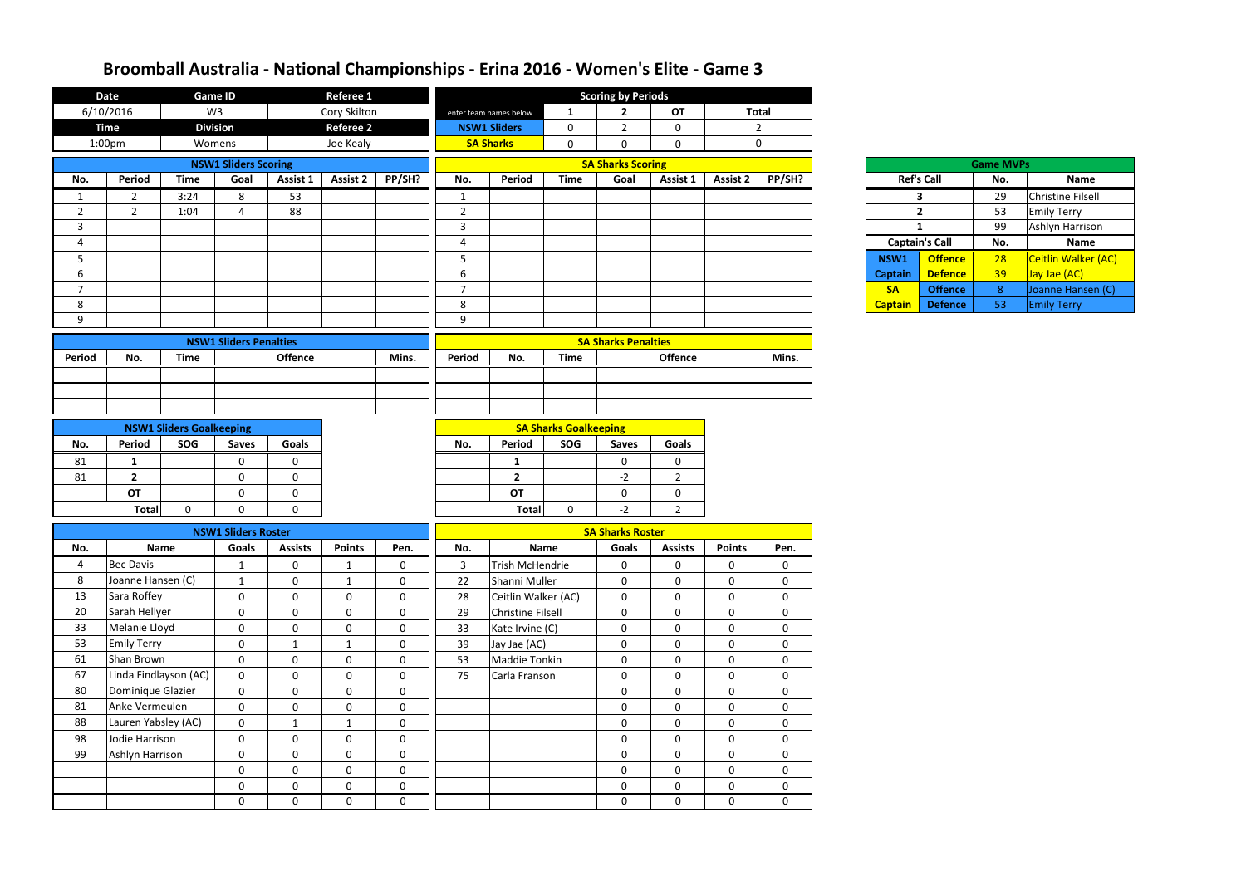|                | <b>Date</b>           |                                 | <b>Game ID</b>                |                | Referee 1        |                  |                |                          |                              | <b>Scoring by Periods</b>  |                |                 |                  |                |                       |                  |                          |
|----------------|-----------------------|---------------------------------|-------------------------------|----------------|------------------|------------------|----------------|--------------------------|------------------------------|----------------------------|----------------|-----------------|------------------|----------------|-----------------------|------------------|--------------------------|
|                | 6/10/2016             |                                 | W <sub>3</sub>                |                | Cory Skilton     |                  |                | enter team names below   | $\mathbf{1}$                 | $\overline{2}$             | <b>OT</b>      |                 | <b>Total</b>     |                |                       |                  |                          |
|                | <b>Time</b>           | <b>Division</b>                 |                               |                | <b>Referee 2</b> |                  |                | <b>NSW1 Sliders</b>      | $\mathbf 0$                  | $\overline{2}$             | $\mathbf 0$    |                 | $\overline{2}$   |                |                       |                  |                          |
|                | 1:00 <sub>pm</sub>    | Womens                          |                               |                | Joe Kealy        |                  |                | <b>SA Sharks</b>         | $\mathbf 0$                  | $\mathbf 0$                | $\mathbf 0$    |                 | $\mathbf 0$      |                |                       |                  |                          |
|                |                       |                                 | <b>NSW1 Sliders Scoring</b>   |                |                  |                  |                |                          |                              | <b>SA Sharks Scoring</b>   |                |                 |                  |                |                       | <b>Game MVPs</b> |                          |
| No.            | <b>Period</b>         | <b>Time</b>                     | Goal                          | Assist 1       | Assist 2         | PP/SH?           | No.            | Period                   | <b>Time</b>                  | Goal                       | Assist 1       | <b>Assist 2</b> | PP/SH?           |                | <b>Ref's Call</b>     | No.              | Name                     |
|                | 2                     | 3:24                            | 8                             | 53             |                  |                  | 1              |                          |                              |                            |                |                 |                  |                | 3                     | 29               | <b>Christine Filsell</b> |
| $\overline{2}$ | $\overline{2}$        | 1:04                            | 4                             | 88             |                  |                  | $\overline{2}$ |                          |                              |                            |                |                 |                  |                | $\overline{2}$        | 53               | <b>Emily Terry</b>       |
| 3              |                       |                                 |                               |                |                  |                  | $\mathbf{3}$   |                          |                              |                            |                |                 |                  |                | $\mathbf{1}$          | 99               | Ashlyn Harrison          |
| $\overline{4}$ |                       |                                 |                               |                |                  |                  | 4              |                          |                              |                            |                |                 |                  |                | <b>Captain's Call</b> | No.              | Name                     |
| 5              |                       |                                 |                               |                |                  |                  | 5              |                          |                              |                            |                |                 |                  | NSW1           | <b>Offence</b>        | 28               | Ceitlin Walker (AC)      |
| 6              |                       |                                 |                               |                |                  |                  | 6              |                          |                              |                            |                |                 |                  | <b>Captain</b> | <b>Defence</b>        | 39               | Jay Jae (AC)             |
| $\overline{7}$ |                       |                                 |                               |                |                  |                  | $\overline{7}$ |                          |                              |                            |                |                 |                  | <b>SA</b>      | <b>Offence</b>        | 8 <sup>°</sup>   | Joanne Hansen (C)        |
| 8              |                       |                                 |                               |                |                  |                  | 8              |                          |                              |                            |                |                 |                  | <b>Captain</b> | <b>Defence</b>        | 53               | <b>Emily Terry</b>       |
| 9              |                       |                                 |                               |                |                  |                  | 9              |                          |                              |                            |                |                 |                  |                |                       |                  |                          |
|                |                       |                                 | <b>NSW1 Sliders Penalties</b> |                |                  |                  |                |                          |                              | <b>SA Sharks Penalties</b> |                |                 |                  |                |                       |                  |                          |
| Period         | No.                   | <b>Time</b>                     |                               | <b>Offence</b> |                  | Mins.            | Period         | No.                      | <b>Time</b>                  |                            | <b>Offence</b> |                 | Mins.            |                |                       |                  |                          |
|                |                       |                                 |                               |                |                  |                  |                |                          |                              |                            |                |                 |                  |                |                       |                  |                          |
|                |                       |                                 |                               |                |                  |                  |                |                          |                              |                            |                |                 |                  |                |                       |                  |                          |
|                |                       |                                 |                               |                |                  |                  |                |                          |                              |                            |                |                 |                  |                |                       |                  |                          |
|                |                       |                                 |                               |                |                  |                  |                |                          |                              |                            |                |                 |                  |                |                       |                  |                          |
|                |                       | <b>NSW1 Sliders Goalkeeping</b> |                               |                |                  |                  |                |                          | <b>SA Sharks Goalkeeping</b> |                            |                |                 |                  |                |                       |                  |                          |
| No.            | Period                | SOG                             | <b>Saves</b>                  | <b>Goals</b>   |                  |                  | No.            | Period                   | SOG                          | <b>Saves</b>               | <b>Goals</b>   |                 |                  |                |                       |                  |                          |
| 81             | $\mathbf{1}$          |                                 | 0                             | $\Omega$       |                  |                  |                | $\mathbf{1}$             |                              | $\mathbf 0$                | 0              |                 |                  |                |                       |                  |                          |
| 81             | $\overline{2}$        |                                 | $\mathbf 0$                   | $\mathbf 0$    |                  |                  |                | $\overline{2}$           |                              | $-2$                       | $\overline{2}$ |                 |                  |                |                       |                  |                          |
|                | <b>OT</b>             |                                 | $\mathbf 0$                   | $\mathbf 0$    |                  |                  |                | OT                       |                              | $\mathbf 0$                | 0              |                 |                  |                |                       |                  |                          |
|                | <b>Total</b>          | 0                               | $\mathbf 0$                   | $\mathbf 0$    |                  |                  |                | <b>Total</b>             | $\mathbf 0$                  | $-2$                       | $\overline{2}$ |                 |                  |                |                       |                  |                          |
|                |                       |                                 | <b>NSW1 Sliders Roster</b>    |                |                  |                  |                |                          |                              | <b>SA Sharks Roster</b>    |                |                 |                  |                |                       |                  |                          |
| No.            |                       | <b>Name</b>                     | Goals                         | <b>Assists</b> | <b>Points</b>    | Pen.             | No.            |                          | Name                         | Goals                      | <b>Assists</b> | <b>Points</b>   | Pen.             |                |                       |                  |                          |
| 4              | <b>Bec Davis</b>      |                                 | $\mathbf{1}$                  | $\pmb{0}$      | $\mathbf{1}$     | $\mathbf 0$      | 3              | Trish McHendrie          |                              | $\mathbf 0$                | $\mathbf 0$    | $\mathbf 0$     | $\boldsymbol{0}$ |                |                       |                  |                          |
| 8              | Joanne Hansen (C)     |                                 | $\mathbf{1}$                  | $\mathbf 0$    | $\mathbf{1}$     | $\mathbf 0$      | 22             | Shanni Muller            |                              | $\mathbf 0$                | $\mathbf 0$    | $\mathbf 0$     | $\mathbf 0$      |                |                       |                  |                          |
| 13             | Sara Roffey           |                                 | $\mathbf 0$                   | $\mathbf 0$    | $\mathbf 0$      | $\mathbf 0$      | 28             | Ceitlin Walker (AC)      |                              | $\mathbf 0$                | $\mathbf 0$    | 0               | $\mathbf 0$      |                |                       |                  |                          |
| 20             | Sarah Hellyer         |                                 | $\mathbf 0$                   | $\mathbf 0$    | $\mathbf 0$      | $\mathbf 0$      | 29             | <b>Christine Filsell</b> |                              | $\mathbf 0$                | $\mathbf 0$    | 0               | $\mathbf 0$      |                |                       |                  |                          |
| 33             | Melanie Lloyd         |                                 | $\mathbf 0$                   | $\mathbf 0$    | $\mathbf{0}$     | $\mathbf 0$      | 33             | Kate Irvine (C)          |                              | $\mathbf 0$                | $\mathbf 0$    | $\mathbf 0$     | $\mathbf 0$      |                |                       |                  |                          |
| 53             | <b>Emily Terry</b>    |                                 | $\overline{0}$                | 1              | $\mathbf{1}$     | $\mathbf 0$      | 39             | Jay Jae (AC)             |                              | $\mathbf 0$                | $\mathbf 0$    | $\mathbf 0$     | $\mathbf 0$      |                |                       |                  |                          |
| 61             | Shan Brown            |                                 | $\overline{0}$                | $\mathbf 0$    | $\mathbf 0$      | $\mathbf 0$      | 53             | Maddie Tonkin            |                              | $\mathbf 0$                | $\mathbf 0$    | $\mathbf 0$     | $\mathbf 0$      |                |                       |                  |                          |
| 67             | Linda Findlayson (AC) |                                 | $\mathbf 0$                   | $\mathbf 0$    | $\mathbf 0$      | $\boldsymbol{0}$ | 75             | Carla Franson            |                              | $\mathbf 0$                | $\mathbf{0}$   | $\mathbf{0}$    | $\mathbf 0$      |                |                       |                  |                          |
| 80             | Dominique Glazier     |                                 | $\mathbf 0$                   | $\mathbf 0$    | $\mathbf 0$      | $\mathbf 0$      |                |                          |                              | $\mathbf 0$                | $\mathbf 0$    | $\mathbf 0$     | $\mathbf 0$      |                |                       |                  |                          |
| 81             | Anke Vermeulen        |                                 | $\mathbf 0$                   | $\mathbf 0$    | $\mathbf 0$      | $\boldsymbol{0}$ |                |                          |                              | $\mathbf 0$                | $\mathbf 0$    | $\mathbf{0}$    | $\mathbf 0$      |                |                       |                  |                          |
| 88             | Lauren Yabsley (AC)   |                                 | $\mathbf 0$                   | $\mathbf{1}$   | $\mathbf{1}$     | $\boldsymbol{0}$ |                |                          |                              | $\boldsymbol{0}$           | $\mathbf 0$    | $\mathbf 0$     | $\mathbf 0$      |                |                       |                  |                          |
| 98             | Jodie Harrison        |                                 | $\mathbf 0$                   | $\mathbf 0$    | $\mathbf 0$      | $\boldsymbol{0}$ |                |                          |                              | $\mathbf 0$                | $\mathbf 0$    | $\mathbf 0$     | $\mathbf 0$      |                |                       |                  |                          |
| 99             | Ashlyn Harrison       |                                 | $\mathbf 0$                   | $\mathbf 0$    | $\mathbf 0$      | $\mathbf 0$      |                |                          |                              | $\boldsymbol{0}$           | $\mathbf 0$    | $\mathbf 0$     | $\pmb{0}$        |                |                       |                  |                          |
|                |                       |                                 | $\mathbf 0$                   | $\mathbf 0$    | $\mathbf 0$      | $\boldsymbol{0}$ |                |                          |                              | $\mathbf 0$                | $\mathbf 0$    | $\mathbf 0$     | $\mathbf 0$      |                |                       |                  |                          |
|                |                       |                                 | $\mathbf 0$                   | $\mathbf 0$    | $\mathbf 0$      | $\pmb{0}$        |                |                          |                              | $\mathbf 0$                | 0              | 0               | $\mathbf 0$      |                |                       |                  |                          |
|                |                       |                                 | $\mathbf 0$                   | $\mathbf 0$    | $\mathbf 0$      | $\mathbf 0$      |                |                          |                              | $\mathbf 0$                | $\mathbf 0$    | $\mathbf{0}$    | $\mathbf 0$      |                |                       |                  |                          |

| <b>Game MVPs</b>  |                     |     |                            |  |  |  |  |  |  |  |  |  |
|-------------------|---------------------|-----|----------------------------|--|--|--|--|--|--|--|--|--|
|                   | <b>Ref's Call</b>   | No. | <b>Name</b>                |  |  |  |  |  |  |  |  |  |
|                   | 3                   | 29  | <b>Christine Filsell</b>   |  |  |  |  |  |  |  |  |  |
|                   | $\overline{2}$      | 53  | <b>Emily Terry</b>         |  |  |  |  |  |  |  |  |  |
|                   | 1                   | 99  | Ashlyn Harrison            |  |  |  |  |  |  |  |  |  |
|                   |                     |     |                            |  |  |  |  |  |  |  |  |  |
|                   | <b>ptain's Call</b> | No. | <b>Name</b>                |  |  |  |  |  |  |  |  |  |
|                   | <b>Offence</b>      | 28  | <b>Ceitlin Walker (AC)</b> |  |  |  |  |  |  |  |  |  |
|                   | <b>Defence</b>      | 39  | Jay Jae (AC)               |  |  |  |  |  |  |  |  |  |
| $\sqrt{1}$<br>ain | <b>Offence</b>      | 8   | Joanne Hansen (C)          |  |  |  |  |  |  |  |  |  |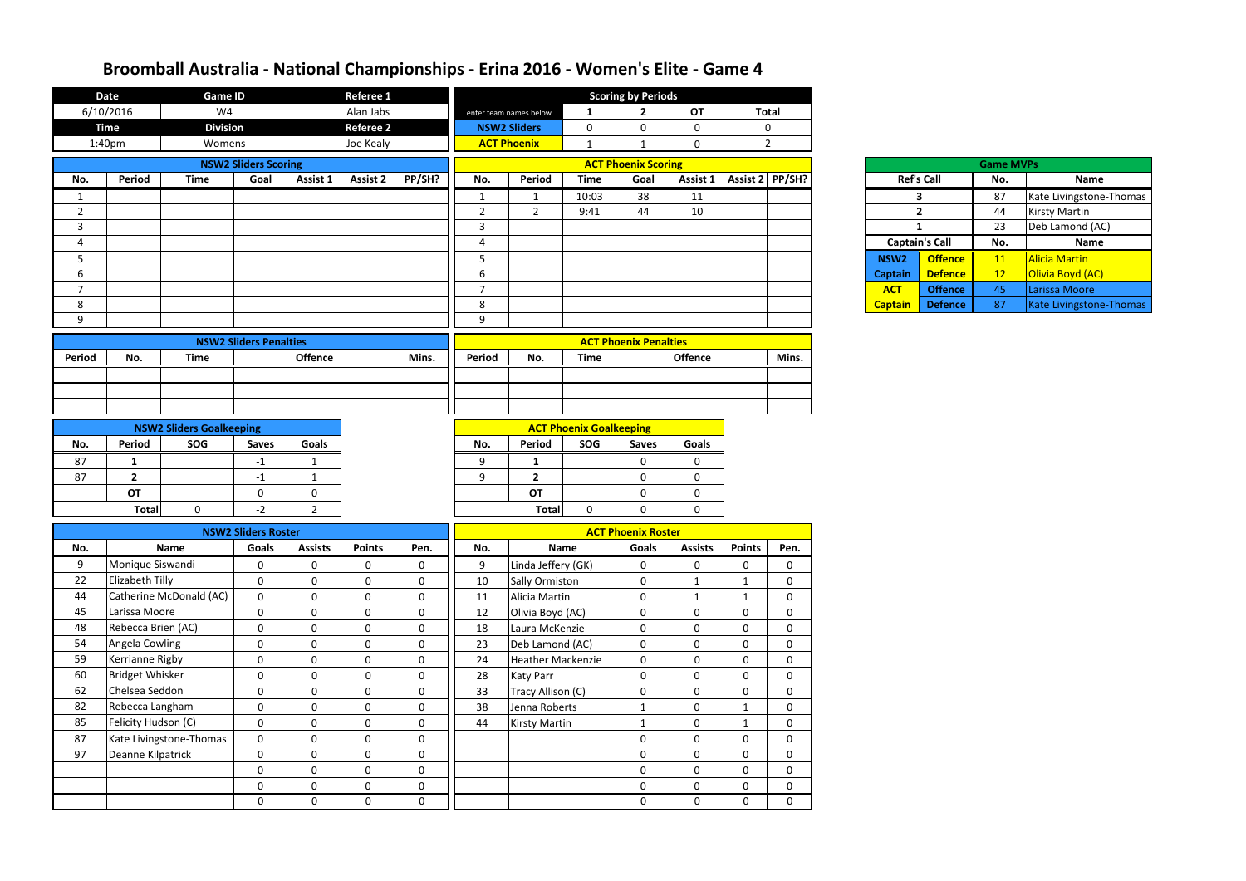|                | <b>Date</b>                         | <b>Game ID</b>                  |                               |                            | <b>Referee 1</b>           |                            |                |                                             |                                | <b>Scoring by Periods</b>                 |                                                                                   |                              |                            |                  |                       |                  |                         |
|----------------|-------------------------------------|---------------------------------|-------------------------------|----------------------------|----------------------------|----------------------------|----------------|---------------------------------------------|--------------------------------|-------------------------------------------|-----------------------------------------------------------------------------------|------------------------------|----------------------------|------------------|-----------------------|------------------|-------------------------|
|                | 6/10/2016                           | W4                              |                               |                            | Alan Jabs                  |                            |                | enter team names below                      | $\mathbf{1}$                   | $\overline{2}$                            | <b>OT</b>                                                                         |                              | <b>Total</b>               |                  |                       |                  |                         |
|                | <b>Time</b>                         | <b>Division</b>                 |                               |                            | <b>Referee 2</b>           |                            |                | <b>NSW2 Sliders</b>                         | $\mathbf 0$                    | $\mathbf 0$                               | $\mathbf 0$                                                                       |                              | 0                          |                  |                       |                  |                         |
|                | 1:40pm                              | Womens                          |                               |                            | Joe Kealy                  |                            |                | <b>ACT Phoenix</b>                          | $\mathbf{1}$                   |                                           | $\mathbf 0$                                                                       |                              | $2^{\circ}$                |                  |                       |                  |                         |
|                |                                     |                                 | <b>NSW2 Sliders Scoring</b>   |                            |                            |                            |                |                                             |                                | <b>ACT Phoenix Scoring</b>                |                                                                                   |                              |                            |                  |                       | <b>Game MVPs</b> |                         |
| No.            | Period                              | <b>Time</b>                     | Goal                          | Assist 1                   | <b>Assist 2</b>            | PP/SH?                     | No.            | Period                                      | <b>Time</b>                    | Goal                                      |                                                                                   | Assist 1   Assist 2   PP/SH? |                            |                  | <b>Ref's Call</b>     | No.              | <b>Name</b>             |
| 1              |                                     |                                 |                               |                            |                            |                            | $\mathbf{1}$   |                                             | 10:03                          | 38                                        | 11                                                                                |                              |                            |                  | $\mathbf{3}$          | 87               | Kate Livingstone-Thomas |
| $\overline{2}$ |                                     |                                 |                               |                            |                            |                            | $\overline{2}$ | $2^{\circ}$                                 | 9:41                           | 44                                        | 10                                                                                |                              |                            |                  | $2^{\circ}$           | 44               | <b>Kirsty Martin</b>    |
| $\mathbf{3}$   |                                     |                                 |                               |                            |                            |                            | 3              |                                             |                                |                                           |                                                                                   |                              |                            |                  | $\mathbf{1}$          | 23               | Deb Lamond (AC)         |
| 4              |                                     |                                 |                               |                            |                            |                            | 4              |                                             |                                |                                           |                                                                                   |                              |                            |                  | <b>Captain's Call</b> | No.              | Name                    |
| 5              |                                     |                                 |                               |                            |                            |                            | 5              |                                             |                                |                                           |                                                                                   |                              |                            | NSW <sub>2</sub> | <b>Offence</b>        | 11               | Alicia Martin           |
| 6              |                                     |                                 |                               |                            |                            |                            | 6              |                                             |                                |                                           |                                                                                   |                              |                            | <b>Captain</b>   | <b>Defence</b>        | 12               | Olivia Boyd (AC)        |
| $\overline{7}$ |                                     |                                 |                               |                            |                            |                            | $\overline{7}$ |                                             |                                |                                           |                                                                                   |                              |                            | <b>ACT</b>       | <b>Offence</b>        | 45               | Larissa Moore           |
| 8              |                                     |                                 |                               |                            |                            |                            | 8              |                                             |                                |                                           |                                                                                   |                              |                            | <b>Captain</b>   | <b>Defence</b>        | 87               | Kate Livingstone-Thomas |
| 9              |                                     |                                 |                               |                            |                            |                            | 9              |                                             |                                |                                           |                                                                                   |                              |                            |                  |                       |                  |                         |
|                |                                     |                                 | <b>NSW2 Sliders Penalties</b> |                            |                            |                            |                |                                             |                                | <b>ACT Phoenix Penalties</b>              |                                                                                   |                              |                            |                  |                       |                  |                         |
| Period         | No.                                 | <b>Time</b>                     |                               | <b>Offence</b>             |                            | Mins.                      | Period         | No.                                         | <b>Time</b>                    |                                           | <b>Offence</b>                                                                    |                              | Mins.                      |                  |                       |                  |                         |
|                |                                     |                                 |                               |                            |                            |                            |                |                                             |                                |                                           |                                                                                   |                              |                            |                  |                       |                  |                         |
|                |                                     |                                 |                               |                            |                            |                            |                |                                             |                                |                                           |                                                                                   |                              |                            |                  |                       |                  |                         |
|                |                                     |                                 |                               |                            |                            |                            |                |                                             |                                |                                           |                                                                                   |                              |                            |                  |                       |                  |                         |
|                |                                     | <b>NSW2 Sliders Goalkeeping</b> |                               |                            |                            |                            |                |                                             | <b>ACT Phoenix Goalkeeping</b> |                                           |                                                                                   |                              |                            |                  |                       |                  |                         |
| No.            | Period                              | SOG                             | <b>Saves</b>                  | Goals                      |                            |                            | No.            | Period                                      | SOG                            | <b>Saves</b>                              | Goals                                                                             |                              |                            |                  |                       |                  |                         |
| 87             | -1                                  |                                 | $-1$                          |                            |                            |                            | 9              | 1                                           |                                | $\mathbf 0$                               | 0                                                                                 |                              |                            |                  |                       |                  |                         |
| 87             | $\overline{2}$                      |                                 | $-1$                          |                            |                            |                            | $\mathbf{q}$   | $\overline{2}$                              |                                | $\mathbf 0$                               | $\mathbf 0$                                                                       |                              |                            |                  |                       |                  |                         |
|                | OT                                  |                                 | $\mathbf 0$                   | 0                          |                            |                            |                | OT                                          |                                | $\mathbf 0$                               | $\mathbf 0$                                                                       |                              |                            |                  |                       |                  |                         |
|                | <b>Total</b>                        | $\mathbf{0}$                    | $-2$                          | $\overline{2}$             |                            |                            |                | <b>Total</b>                                | $\mathbf{0}$                   | $\mathbf 0$                               | $\mathbf 0$                                                                       |                              |                            |                  |                       |                  |                         |
|                |                                     |                                 |                               |                            |                            |                            |                |                                             |                                |                                           |                                                                                   |                              |                            |                  |                       |                  |                         |
|                |                                     |                                 | <b>NSW2 Sliders Roster</b>    |                            |                            |                            |                |                                             |                                | <b>ACT Phoenix Roster</b>                 |                                                                                   |                              |                            |                  |                       |                  |                         |
| No.            |                                     | Name                            | <b>Goals</b>                  | <b>Assists</b>             | <b>Points</b>              | Pen.                       | No.            |                                             | <b>Name</b>                    | Goals                                     | <b>Assists</b>                                                                    | <b>Points</b>                | Pen.                       |                  |                       |                  |                         |
| 9              | Monique Siswandi                    |                                 | $\mathbf 0$                   | 0                          | $\mathbf 0$                | $\mathbf 0$                | 9              | Linda Jeffery (GK)                          |                                | $\mathbf 0$                               | $\bf{0}$                                                                          | $\mathbf 0$                  | 0                          |                  |                       |                  |                         |
| 22             | Elizabeth Tilly                     |                                 | $\boldsymbol{0}$              | 0                          | $\mathbf 0$                | $\mathbf 0$                | 10             | Sally Ormiston                              |                                | $\mathbf 0$                               | $\mathbf{1}$                                                                      | 1                            | 0                          |                  |                       |                  |                         |
| 44             |                                     | Catherine McDonald (AC)         | $\boldsymbol{0}$              | $\mathbf{0}$               | $\mathbf 0$                | $\mathbf 0$                | 11             | Alicia Martin                               |                                | $\mathbf 0$                               | $\mathbf 1$                                                                       | $\mathbf{1}$                 | $\mathbf 0$                |                  |                       |                  |                         |
| 45<br>48       | Larissa Moore<br>Rebecca Brien (AC) |                                 | $\mathbf 0$                   | $\mathbf 0$                | $\mathbf 0$                | $\mathbf 0$                | 12             | Olivia Boyd (AC)                            |                                | $\mathbf 0$                               | $\mathbf 0$                                                                       | $\mathbf 0$                  | 0                          |                  |                       |                  |                         |
| 54             | Angela Cowling                      |                                 | $\mathbf 0$                   | $\mathbf 0$                | $\mathbf 0$<br>$\mathbf 0$ | $\mathbf 0$<br>$\mathbf 0$ | 18             | Laura McKenzie                              |                                | $\mathbf 0$                               | $\mathbf 0$<br>$\mathbf 0$                                                        | 0                            | $\mathbf 0$                |                  |                       |                  |                         |
| 59             | Kerrianne Rigby                     |                                 | $\mathbf 0$<br>$\mathbf 0$    | $\mathbf 0$<br>$\mathbf 0$ | $\mathbf 0$                | $\mathbf 0$                | 23<br>24       | Deb Lamond (AC)<br><b>Heather Mackenzie</b> |                                | $\mathbf 0$<br>$\mathbf 0$                | $\boldsymbol{0}$                                                                  | $\mathbf 0$<br>$\mathbf 0$   | $\mathbf 0$<br>$\mathbf 0$ |                  |                       |                  |                         |
| 60             | <b>Bridget Whisker</b>              |                                 | 0                             | $\mathbf 0$                | $\mathbf 0$                | $\mathbf 0$                | 28             | <b>Katy Parr</b>                            |                                | $\bf{0}$                                  | $\mathbf 0$                                                                       | 0                            | 0                          |                  |                       |                  |                         |
| 62             | Chelsea Seddon                      |                                 | $\mathbf 0$                   | $\mathbf{0}$               | $\mathbf 0$                | $\mathbf 0$                | 33             | Tracy Allison (C)                           |                                | $\mathbf 0$                               | $\mathbf 0$                                                                       | $\mathbf 0$                  | 0                          |                  |                       |                  |                         |
| 82             | Rebecca Langham                     |                                 | $\mathbf 0$                   | $\mathbf 0$                | 0                          | $\mathbf 0$                | 38             | Jenna Roberts                               |                                | $\mathbf{1}$                              | $\mathbf 0$                                                                       | $\mathbf 1$                  | 0                          |                  |                       |                  |                         |
| 85             | Felicity Hudson (C)                 |                                 | $\mathbf 0$                   | $\mathbf 0$                | $\mathbf 0$                | $\mathbf 0$                | 44             | <b>Kirsty Martin</b>                        |                                | $\mathbf{1}$                              | $\mathbf 0$                                                                       | $\mathbf{1}$                 | $\mathbf 0$                |                  |                       |                  |                         |
| 87             |                                     | Kate Livingstone-Thomas         | $\bf{0}$                      | $\mathbf 0$                | $\mathbf 0$                | $\mathbf 0$                |                |                                             |                                | $\mathbf 0$                               | $\mathbf 0$                                                                       | $\mathbf 0$                  | $\mathbf 0$                |                  |                       |                  |                         |
| 97             | Deanne Kilpatrick                   |                                 | $\mathbf 0$                   | $\mathbf 0$                | $\mathbf 0$                | $\mathbf 0$                |                |                                             |                                |                                           |                                                                                   |                              | $\mathbf 0$                |                  |                       |                  |                         |
|                |                                     |                                 | $\mathbf 0$                   | $\mathbf 0$                | $\mathbf 0$                | $\mathbf 0$                |                |                                             |                                | $\mathbf 0$<br>$\mathbf 0$<br>$\mathbf 0$ |                                                                                   | 0                            |                            |                  |                       |                  |                         |
|                |                                     |                                 | $\mathbf 0$                   | $\mathbf 0$                | $\mathbf 0$                | $\mathbf 0$                |                |                                             |                                |                                           | $\mathbf 0$<br>$\mathbf 0$<br>0<br>$\mathbf 0$<br>$\boldsymbol{0}$<br>$\mathbf 0$ |                              | $\mathbf 0$                |                  |                       |                  |                         |
|                |                                     |                                 | $\mathbf 0$                   | $\mathbf 0$                | $\mathbf 0$                | $\mathbf 0$                |                |                                             |                                | $\bf{0}$                                  | $\mathbf 0$<br>$\mathbf 0$                                                        |                              |                            |                  |                       |                  |                         |
|                |                                     |                                 |                               |                            |                            |                            |                |                                             |                                |                                           |                                                                                   |                              | 0                          |                  |                       |                  |                         |

| <b>Game MVPs</b> |                   |     |                         |  |  |  |  |  |  |  |
|------------------|-------------------|-----|-------------------------|--|--|--|--|--|--|--|
|                  | <b>Ref's Call</b> | No. | <b>Name</b>             |  |  |  |  |  |  |  |
|                  | 3                 | 87  | Kate Livingstone-Thomas |  |  |  |  |  |  |  |
|                  | $\overline{2}$    | 44  | <b>Kirsty Martin</b>    |  |  |  |  |  |  |  |
| 1                |                   | 23  | Deb Lamond (AC)         |  |  |  |  |  |  |  |
|                  |                   |     |                         |  |  |  |  |  |  |  |
|                  | ptain's Call      | No. | <b>Name</b>             |  |  |  |  |  |  |  |
| $\sqrt{2}$       | <b>Offence</b>    | 11  | <b>Alicia Martin</b>    |  |  |  |  |  |  |  |
| ain              | <b>Defence</b>    | 12  | Olivia Boyd (AC)        |  |  |  |  |  |  |  |
| т                | <b>Offence</b>    | 45  | Larissa Moore           |  |  |  |  |  |  |  |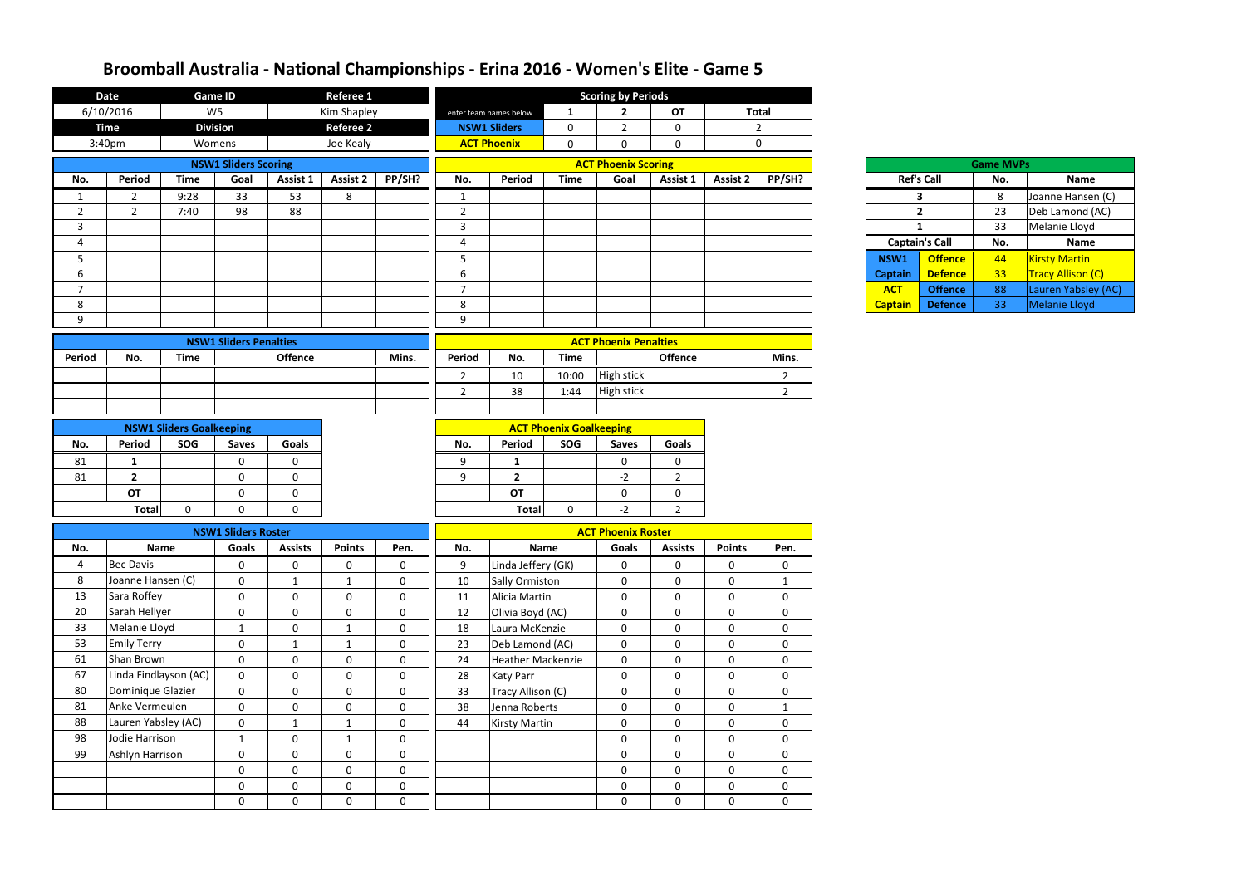|                | <b>Date</b>           | <b>Game ID</b>                  |                               |                | <b>Referee 1</b> |                  |                |                          |                                | <b>Scoring by Periods</b>    |                |               |                  |                |                       |                  |                          |
|----------------|-----------------------|---------------------------------|-------------------------------|----------------|------------------|------------------|----------------|--------------------------|--------------------------------|------------------------------|----------------|---------------|------------------|----------------|-----------------------|------------------|--------------------------|
|                | 6/10/2016             |                                 | W <sub>5</sub>                |                | Kim Shapley      |                  |                | enter team names below   | $\mathbf{1}$                   | $\overline{2}$               | OT             |               | <b>Total</b>     |                |                       |                  |                          |
|                | <b>Time</b>           |                                 | <b>Division</b>               |                | <b>Referee 2</b> |                  |                | <b>NSW1 Sliders</b>      | $\mathbf 0$                    | $\overline{2}$               | $\mathbf 0$    |               | $\overline{2}$   |                |                       |                  |                          |
|                | 3:40pm                | Womens                          |                               |                | Joe Kealy        |                  |                | <b>ACT Phoenix</b>       | $\mathbf 0$                    | $\mathbf 0$                  | $\mathbf{0}$   |               | $\mathbf 0$      |                |                       |                  |                          |
|                |                       |                                 | <b>NSW1 Sliders Scoring</b>   |                |                  |                  |                |                          |                                | <b>ACT Phoenix Scoring</b>   |                |               |                  |                |                       | <b>Game MVPs</b> |                          |
| No.            | Period                | <b>Time</b>                     | Goal                          | Assist 1       | <b>Assist 2</b>  | PP/SH?           | No.            | Period                   | <b>Time</b>                    | Goal                         | Assist 1       | Assist 2      | PP/SH?           |                | <b>Ref's Call</b>     | No.              | Name                     |
|                | 2                     | 9:28                            | 33                            | 53             | 8                |                  | $\mathbf{1}$   |                          |                                |                              |                |               |                  |                | 3                     | 8                | Joanne Hansen (C)        |
| $\overline{2}$ | $\overline{2}$        | 7:40                            | 98                            | 88             |                  |                  | $\overline{2}$ |                          |                                |                              |                |               |                  |                | $\overline{2}$        | 23               | Deb Lamond (AC)          |
| 3              |                       |                                 |                               |                |                  |                  | $\overline{3}$ |                          |                                |                              |                |               |                  | $\mathbf{1}$   |                       | 33               | Melanie Lloyd            |
| $\overline{4}$ |                       |                                 |                               |                |                  |                  | 4              |                          |                                |                              |                |               |                  |                | <b>Captain's Call</b> | No.              | <b>Name</b>              |
| 5              |                       |                                 |                               |                |                  |                  | 5              |                          |                                |                              |                |               |                  | NSW1           | <b>Offence</b>        | 44               | <b>Kirsty Martin</b>     |
| 6              |                       |                                 |                               |                |                  |                  | 6              |                          |                                |                              |                |               |                  | <b>Captain</b> | <b>Defence</b>        | 33               | <b>Tracy Allison (C)</b> |
| $\overline{7}$ |                       |                                 |                               |                |                  |                  | $\overline{7}$ |                          |                                |                              |                |               |                  | <b>ACT</b>     | <b>Offence</b>        | 88               | Lauren Yabsley (AC)      |
| 8              |                       |                                 |                               |                |                  |                  | 8              |                          |                                |                              |                |               |                  | <b>Captain</b> | <b>Defence</b>        | 33               | Melanie Lloyd            |
| 9              |                       |                                 |                               |                |                  |                  | 9              |                          |                                |                              |                |               |                  |                |                       |                  |                          |
|                |                       |                                 | <b>NSW1 Sliders Penalties</b> |                |                  |                  |                |                          |                                | <b>ACT Phoenix Penalties</b> |                |               |                  |                |                       |                  |                          |
| Period         | No.                   | <b>Time</b>                     |                               | <b>Offence</b> |                  | Mins.            | Period         | No.                      | <b>Time</b>                    |                              | <b>Offence</b> |               | Mins.            |                |                       |                  |                          |
|                |                       |                                 |                               |                |                  |                  |                |                          |                                |                              |                |               |                  |                |                       |                  |                          |
|                |                       |                                 |                               |                |                  |                  | $\overline{2}$ | 10                       | 10:00                          | High stick                   |                |               | $\overline{2}$   |                |                       |                  |                          |
|                |                       |                                 |                               |                |                  |                  | $\overline{2}$ | 38                       | 1:44                           | High stick                   |                |               | $\overline{2}$   |                |                       |                  |                          |
|                |                       |                                 |                               |                |                  |                  |                |                          |                                |                              |                |               |                  |                |                       |                  |                          |
|                |                       | <b>NSW1 Sliders Goalkeeping</b> |                               |                |                  |                  |                |                          | <b>ACT Phoenix Goalkeeping</b> |                              |                |               |                  |                |                       |                  |                          |
| No.            | Period                | SOG                             | <b>Saves</b>                  | <b>Goals</b>   |                  |                  | No.            | Period                   | SOG                            | <b>Saves</b>                 | <b>Goals</b>   |               |                  |                |                       |                  |                          |
| 81             | -1                    |                                 | 0                             | 0              |                  |                  | 9              | $\mathbf{1}$             |                                | $\mathbf 0$                  | $\mathbf 0$    |               |                  |                |                       |                  |                          |
| 81             | $\overline{2}$        |                                 | $\mathbf 0$                   | $\mathbf{0}$   |                  |                  | 9              | $\overline{2}$           |                                | $-2$                         | $\overline{2}$ |               |                  |                |                       |                  |                          |
|                | <b>OT</b>             |                                 | 0                             | 0              |                  |                  |                | <b>OT</b>                |                                | $\mathbf 0$                  | $\mathbf 0$    |               |                  |                |                       |                  |                          |
|                | <b>Total</b>          | 0                               | 0                             | 0              |                  |                  |                | <b>Total</b>             | $\mathbf 0$                    | $-2$                         | $2^{\circ}$    |               |                  |                |                       |                  |                          |
|                |                       |                                 | <b>NSW1 Sliders Roster</b>    |                |                  |                  |                |                          |                                | <b>ACT Phoenix Roster</b>    |                |               |                  |                |                       |                  |                          |
| No.            | <b>Name</b>           |                                 | Goals                         | <b>Assists</b> | <b>Points</b>    | Pen.             | No.            |                          | Name                           | Goals                        | <b>Assists</b> | <b>Points</b> | Pen.             |                |                       |                  |                          |
| 4              | <b>Bec Davis</b>      |                                 | $\mathbf 0$                   | $\mathbf 0$    | $\mathbf 0$      | $\boldsymbol{0}$ | 9              | Linda Jeffery (GK)       |                                | $\boldsymbol{0}$             | $\mathbf 0$    | $\mathbf 0$   | $\pmb{0}$        |                |                       |                  |                          |
| 8              | Joanne Hansen (C)     |                                 | $\mathbf 0$                   | 1              | 1                | $\mathbf 0$      | 10             | <b>Sally Ormiston</b>    |                                | $\mathbf 0$                  | $\mathbf{0}$   | $\mathbf 0$   | $\mathbf{1}$     |                |                       |                  |                          |
| 13             | Sara Roffey           |                                 | $\mathbf 0$                   | $\mathbf 0$    | $\mathbf 0$      | $\mathbf 0$      | 11             | Alicia Martin            |                                | $\mathbf 0$                  | $\mathbf 0$    | $\mathbf 0$   | $\mathbf 0$      |                |                       |                  |                          |
| 20             | Sarah Hellyer         |                                 | $\mathbf 0$                   | $\mathbf 0$    | $\mathbf 0$      | $\mathbf 0$      | 12             | Olivia Boyd (AC)         |                                | $\mathbf 0$                  | $\mathbf{0}$   | $\mathbf 0$   | $\mathbf 0$      |                |                       |                  |                          |
| 33             | Melanie Lloyd         |                                 | $\mathbf{1}$                  | $\mathbf 0$    | $\mathbf{1}$     | $\mathbf 0$      | 18             | Laura McKenzie           |                                | $\mathbf 0$                  | $\mathbf{0}$   | $\mathbf 0$   | $\mathbf 0$      |                |                       |                  |                          |
| 53             | <b>Emily Terry</b>    |                                 | $\mathbf 0$                   | $\mathbf{1}$   | $\mathbf{1}$     | $\mathbf 0$      | 23             | Deb Lamond (AC)          |                                | $\mathbf 0$                  | $\mathbf{0}$   | $\mathbf 0$   | $\mathbf 0$      |                |                       |                  |                          |
| 61             | Shan Brown            |                                 | $\mathbf 0$                   | $\mathbf 0$    | $\mathbf 0$      | $\mathbf 0$      | 24             | <b>Heather Mackenzie</b> |                                | $\mathbf 0$                  | $\mathbf 0$    | $\mathbf 0$   | $\mathbf 0$      |                |                       |                  |                          |
| 67             | Linda Findlayson (AC) |                                 | $\mathbf 0$                   | $\mathbf 0$    | $\mathbf 0$      | $\mathbf 0$      | 28             | <b>Katy Parr</b>         |                                | $\mathbf 0$                  | $\overline{0}$ | $\mathbf 0$   | $\mathbf 0$      |                |                       |                  |                          |
| 80             | Dominique Glazier     |                                 | $\mathbf 0$                   | $\mathbf 0$    | $\mathbf 0$      | $\mathbf 0$      | 33             | Tracy Allison (C)        |                                | $\mathbf 0$                  | $\mathbf{0}$   | $\mathbf 0$   | $\mathbf 0$      |                |                       |                  |                          |
| 81             | Anke Vermeulen        |                                 | $\mathbf 0$                   | $\mathbf 0$    | $\overline{0}$   | $\mathbf 0$      | 38             | Jenna Roberts            |                                | $\mathbf 0$                  | $\mathbf{0}$   | $\mathbf 0$   | $\mathbf{1}$     |                |                       |                  |                          |
| 88             | Lauren Yabsley (AC)   |                                 | $\mathbf 0$                   | $\mathbf{1}$   | $\mathbf{1}$     | $\mathbf 0$      | 44             | <b>Kirsty Martin</b>     |                                | $\mathbf 0$                  | $\mathbf 0$    | $\mathbf 0$   | $\mathbf 0$      |                |                       |                  |                          |
| 98             | Jodie Harrison        |                                 | $\mathbf{1}$                  | $\mathbf 0$    | $\mathbf{1}$     | $\mathbf 0$      |                |                          |                                | $\mathbf 0$                  | $\mathbf{0}$   | $\mathbf 0$   | $\mathbf 0$      |                |                       |                  |                          |
| 99             | Ashlyn Harrison       |                                 | $\mathbf 0$                   | $\mathbf 0$    | $\mathbf 0$      | $\pmb{0}$        |                |                          |                                | $\mathbf 0$                  | $\mathbf{0}$   | $\mathbf 0$   | $\boldsymbol{0}$ |                |                       |                  |                          |
|                |                       |                                 | $\mathbf 0$                   | $\mathbf 0$    | $\mathbf 0$      | $\pmb{0}$        |                |                          |                                | $\mathbf 0$                  | $\mathbf 0$    | $\mathbf 0$   | $\mathbf 0$      |                |                       |                  |                          |
|                |                       |                                 | $\mathbf 0$                   | $\mathbf 0$    | $\mathbf 0$      | $\pmb{0}$        |                |                          |                                | $\mathbf 0$                  | $\mathbf{0}$   | $\mathbf 0$   | $\mathbf 0$      |                |                       |                  |                          |
|                |                       |                                 | $\mathbf 0$                   | $\mathbf 0$    | $\mathbf{0}$     | $\mathbf 0$      |                |                          |                                | $\overline{0}$               | $\overline{0}$ | $\mathbf 0$   | $\mathbf 0$      |                |                       |                  |                          |
|                |                       |                                 |                               |                |                  |                  |                |                          |                                |                              |                |               |                  |                |                       |                  |                          |

|                       |                | <b>Game MVPs</b> |                          |
|-----------------------|----------------|------------------|--------------------------|
| <b>Ref's Call</b>     |                | No.              | <b>Name</b>              |
| 3                     |                | 8                | Joanne Hansen (C)        |
|                       | $\overline{2}$ | 23               | Deb Lamond (AC)          |
| 1                     |                | 33               | Melanie Lloyd            |
| <b>Captain's Call</b> |                | No.              | <b>Name</b>              |
| NSW1                  | <b>Offence</b> | 44               | <b>Kirsty Martin</b>     |
| <b>Captain</b>        | <b>Defence</b> | 33               | <b>Tracy Allison (C)</b> |
| <b>ACT</b>            | <b>Offence</b> | 88               | Lauren Yabsley (AC)      |
| <b>Captain</b>        | <b>Defence</b> | 33               | <b>Melanie Lloyd</b>     |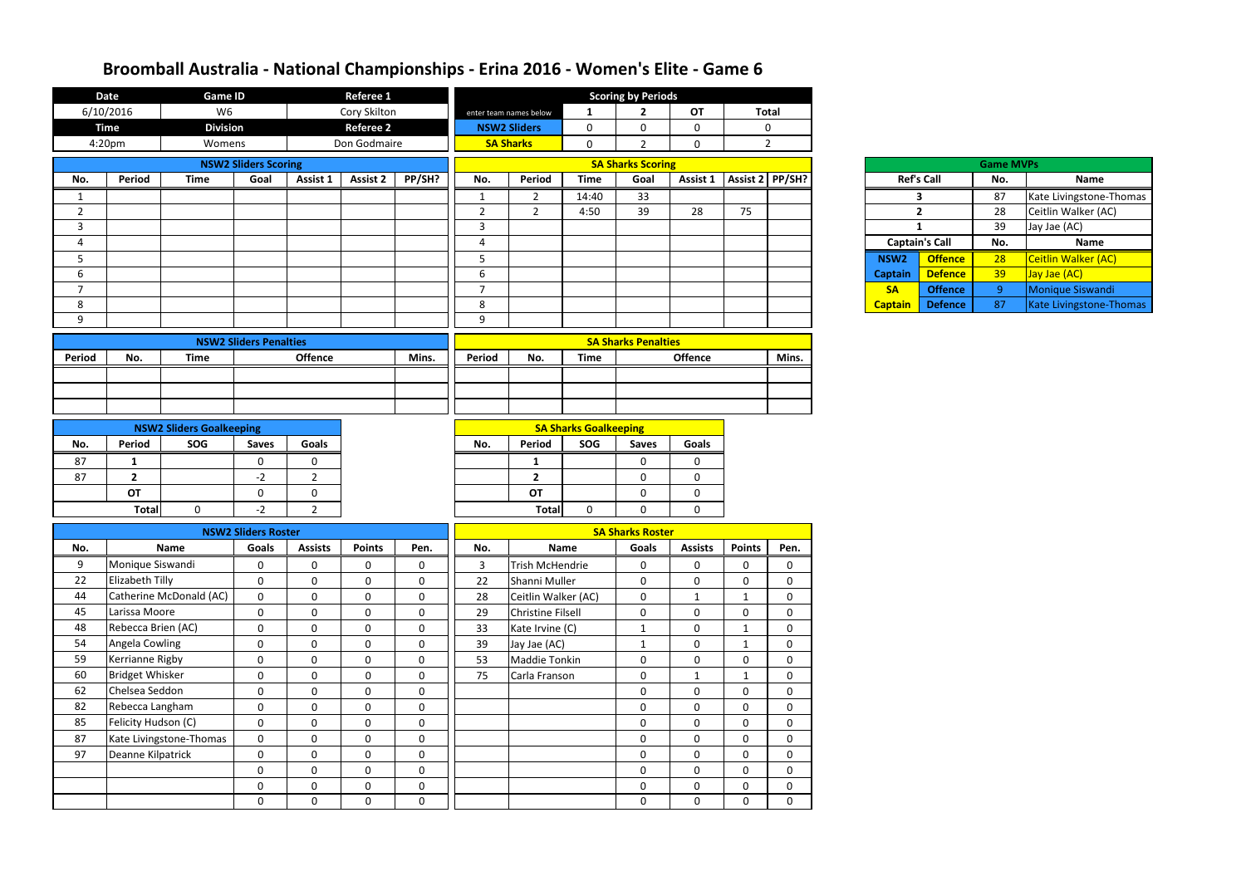|                | <b>Date</b>            | <b>Game ID</b>                  |                               |                | Referee 1        |             |                |                          |                              | <b>Scoring by Periods</b>  |                              |                            |                |                       |                   |                  |                         |
|----------------|------------------------|---------------------------------|-------------------------------|----------------|------------------|-------------|----------------|--------------------------|------------------------------|----------------------------|------------------------------|----------------------------|----------------|-----------------------|-------------------|------------------|-------------------------|
|                | 6/10/2016              | W <sub>6</sub>                  |                               |                | Cory Skilton     |             |                | enter team names below   | $\mathbf{1}$                 | $\overline{2}$             | <b>OT</b>                    |                            | <b>Total</b>   |                       |                   |                  |                         |
|                | <b>Time</b>            | <b>Division</b>                 |                               |                | <b>Referee 2</b> |             |                | <b>NSW2 Sliders</b>      | $\mathbf 0$                  | 0                          | $\mathbf 0$                  |                            | 0              |                       |                   |                  |                         |
|                | 4:20pm                 | Womens                          |                               |                | Don Godmaire     |             |                | <b>SA Sharks</b>         | $\mathbf{0}$                 | $\overline{2}$             | $\mathbf 0$                  |                            | $\overline{2}$ |                       |                   |                  |                         |
|                |                        |                                 | <b>NSW2 Sliders Scoring</b>   |                |                  |             |                |                          |                              | <b>SA Sharks Scoring</b>   |                              |                            |                |                       |                   | <b>Game MVPs</b> |                         |
| No.            | Period                 | <b>Time</b>                     | Goal                          | Assist 1       | <b>Assist 2</b>  | PP/SH?      | No.            | Period                   | <b>Time</b>                  | Goal                       | Assist 1   Assist 2   PP/SH? |                            |                |                       | <b>Ref's Call</b> | No.              | <b>Name</b>             |
| 1              |                        |                                 |                               |                |                  |             | $\mathbf 1$    | 2                        | 14:40                        | 33                         |                              |                            |                |                       | 3                 | 87               | Kate Livingstone-Thomas |
| $\overline{2}$ |                        |                                 |                               |                |                  |             | $\overline{2}$ | $2^{\circ}$              | 4:50                         | 39                         | 28                           | 75                         |                |                       | $\overline{2}$    | 28               | Ceitlin Walker (AC)     |
| 3              |                        |                                 |                               |                |                  |             | $\mathbf{3}$   |                          |                              |                            |                              |                            |                |                       | $\mathbf{1}$      | 39               | Jay Jae (AC)            |
| 4              |                        |                                 |                               |                |                  |             | 4              |                          |                              |                            |                              |                            |                | <b>Captain's Call</b> |                   | No.              | Name                    |
| 5              |                        |                                 |                               |                |                  |             | 5              |                          |                              |                            |                              |                            |                | NSW <sub>2</sub>      | <b>Offence</b>    | 28               | Ceitlin Walker (AC)     |
| 6              |                        |                                 |                               |                |                  |             | 6              |                          |                              |                            |                              |                            |                | <b>Captain</b>        | <b>Defence</b>    | 39               | Jay Jae (AC)            |
| $\overline{7}$ |                        |                                 |                               |                |                  |             | $\overline{7}$ |                          |                              |                            |                              |                            |                | <b>SA</b>             | <b>Offence</b>    | $\mathbf{q}$     | Monique Siswandi        |
| 8              |                        |                                 |                               |                |                  |             | 8              |                          |                              |                            |                              |                            |                | <b>Captain</b>        | <b>Defence</b>    | 87               | Kate Livingstone-Thomas |
| 9              |                        |                                 |                               |                |                  |             | 9              |                          |                              |                            |                              |                            |                |                       |                   |                  |                         |
|                |                        |                                 | <b>NSW2 Sliders Penalties</b> |                |                  |             |                |                          |                              | <b>SA Sharks Penalties</b> |                              |                            |                |                       |                   |                  |                         |
| Period         | No.                    | <b>Time</b>                     |                               | <b>Offence</b> |                  | Mins.       | Period         | No.                      | <b>Time</b>                  |                            | <b>Offence</b>               |                            | Mins.          |                       |                   |                  |                         |
|                |                        |                                 |                               |                |                  |             |                |                          |                              |                            |                              |                            |                |                       |                   |                  |                         |
|                |                        |                                 |                               |                |                  |             |                |                          |                              |                            |                              |                            |                |                       |                   |                  |                         |
|                |                        |                                 |                               |                |                  |             |                |                          |                              |                            |                              |                            |                |                       |                   |                  |                         |
|                |                        | <b>NSW2 Sliders Goalkeeping</b> |                               |                |                  |             |                |                          | <b>SA Sharks Goalkeeping</b> |                            |                              |                            |                |                       |                   |                  |                         |
| No.            | Period                 | SOG                             | <b>Saves</b>                  | <b>Goals</b>   |                  |             | No.            | Period                   | SOG                          | <b>Saves</b>               | <b>Goals</b>                 |                            |                |                       |                   |                  |                         |
| 87             | $\mathbf{1}$           |                                 | $\mathbf 0$                   | 0              |                  |             |                | $\mathbf{1}$             |                              | $\mathbf 0$                | $\mathbf 0$                  |                            |                |                       |                   |                  |                         |
| 87             | $\overline{2}$         |                                 | $-2$                          | $\overline{2}$ |                  |             |                | $\overline{2}$           |                              | $\mathbf 0$                | $\mathbf 0$                  |                            |                |                       |                   |                  |                         |
|                | OT                     |                                 | $\mathbf 0$                   | 0              |                  |             |                | <b>OT</b>                |                              | $\mathbf 0$                | $\mathbf 0$                  |                            |                |                       |                   |                  |                         |
|                | <b>Total</b>           | $\mathbf{0}$                    | $-2$                          | $\overline{2}$ |                  |             |                | <b>Total</b>             | $\mathbf{0}$                 | $\mathbf{0}$               | $\mathbf 0$                  |                            |                |                       |                   |                  |                         |
|                |                        |                                 |                               |                |                  |             |                |                          |                              |                            |                              |                            |                |                       |                   |                  |                         |
|                |                        |                                 | <b>NSW2 Sliders Roster</b>    |                |                  |             |                |                          |                              | <b>SA Sharks Roster</b>    |                              |                            |                |                       |                   |                  |                         |
| No.            |                        | Name                            | <b>Goals</b>                  | <b>Assists</b> | <b>Points</b>    | Pen.        | No.            |                          | <b>Name</b>                  | Goals                      | <b>Assists</b>               | <b>Points</b>              | Pen.           |                       |                   |                  |                         |
| 9              | Monique Siswandi       |                                 | $\mathbf 0$                   | 0              | $\mathbf 0$      | $\mathbf 0$ | $\overline{3}$ | <b>Trish McHendrie</b>   |                              | 0                          | $\boldsymbol{0}$             | $\mathbf 0$                | $\mathbf 0$    |                       |                   |                  |                         |
| 22             | Elizabeth Tilly        |                                 | $\mathbf 0$                   | $\mathbf{0}$   | $\mathbf 0$      | $\mathbf 0$ | 22             | Shanni Muller            |                              | $\mathbf 0$                | $\mathbf 0$                  | 0                          | 0              |                       |                   |                  |                         |
| 44             |                        | Catherine McDonald (AC)         | $\mathbf 0$                   | $\mathbf 0$    | $\mathbf 0$      | $\mathbf 0$ | 28             | Ceitlin Walker (AC)      |                              | $\mathbf 0$                | $\mathbf{1}$                 | -1                         | $\mathbf 0$    |                       |                   |                  |                         |
| 45             | Larissa Moore          |                                 | $\mathbf 0$                   | $\mathbf 0$    | $\mathbf 0$      | $\mathbf 0$ | 29             | <b>Christine Filsell</b> |                              | $\mathbf 0$                | $\mathbf 0$                  | $\mathbf 0$                | $\mathbf 0$    |                       |                   |                  |                         |
| 48             | Rebecca Brien (AC)     |                                 | $\mathbf 0$                   | $\mathbf{0}$   | $\mathbf 0$      | $\mathbf 0$ | 33             | Kate Irvine (C)          |                              | $\mathbf{1}$               | $\mathbf 0$                  | -1                         | $\mathbf 0$    |                       |                   |                  |                         |
| 54             | Angela Cowling         |                                 | $\mathbf 0$                   | $\mathbf{0}$   | $\mathbf 0$      | $\mathbf 0$ | 39             | Jay Jae (AC)             |                              | $\mathbf{1}$               | $\mathbf 0$                  | $\mathbf{1}$               | $\mathbf 0$    |                       |                   |                  |                         |
| 59             | Kerrianne Rigby        |                                 | $\mathbf 0$                   | $\mathbf{0}$   | $\boldsymbol{0}$ | $\mathbf 0$ | 53             | Maddie Tonkin            |                              | $\mathbf 0$                | $\boldsymbol{0}$             | $\mathbf 0$                | $\mathbf 0$    |                       |                   |                  |                         |
| 60             | <b>Bridget Whisker</b> |                                 | $\mathbf 0$                   | $\mathbf 0$    | $\boldsymbol{0}$ | $\mathbf 0$ | 75             | Carla Franson            |                              | $\mathbf 0$                | $\mathbf{1}$                 | 1                          | $\mathbf 0$    |                       |                   |                  |                         |
| 62             | Chelsea Seddon         |                                 | $\boldsymbol{0}$              | $\mathbf 0$    | $\mathbf 0$      | $\mathbf 0$ |                |                          |                              | $\mathbf 0$                | $\mathbf 0$                  | $\mathbf 0$                | $\mathbf{0}$   |                       |                   |                  |                         |
| 82             | Rebecca Langham        |                                 | $\mathbf 0$                   | $\overline{0}$ | $\mathbf 0$      | $\mathbf 0$ |                |                          |                              | $\mathbf 0$                | $\mathbf 0$                  | $\mathbf 0$                | $\mathbf 0$    |                       |                   |                  |                         |
| 85             | Felicity Hudson (C)    |                                 | $\boldsymbol{0}$              | $\mathbf 0$    | $\boldsymbol{0}$ | $\mathbf 0$ |                |                          |                              | $\boldsymbol{0}$           | $\boldsymbol{0}$             | $\mathbf 0$                | $\mathbf 0$    |                       |                   |                  |                         |
| 87             |                        | Kate Livingstone-Thomas         | $\boldsymbol{0}$              | $\mathbf 0$    | $\pmb{0}$        | $\mathbf 0$ |                |                          |                              | $\boldsymbol{0}$           | $\boldsymbol{0}$             | 0                          | $\mathbf{0}$   |                       |                   |                  |                         |
| 97             | Deanne Kilpatrick      |                                 | $\boldsymbol{0}$              | $\mathbf 0$    | $\mathbf 0$      | $\mathbf 0$ |                |                          |                              | $\boldsymbol{0}$           | $\boldsymbol{0}$             | $\mathbf 0$                | $\mathbf 0$    |                       |                   |                  |                         |
|                |                        |                                 | $\mathbf 0$                   | $\mathbf{0}$   | $\boldsymbol{0}$ | $\mathbf 0$ |                |                          |                              | $\boldsymbol{0}$           | $\mathbf 0$                  | $\mathbf 0$<br>$\mathbf 0$ |                |                       |                   |                  |                         |
|                |                        |                                 | $\mathbf 0$                   | $\mathbf 0$    | $\mathbf 0$      | $\mathbf 0$ |                |                          |                              | $\mathbf 0$                | $\mathbf 0$                  | 0<br>$\mathbf 0$           |                |                       |                   |                  |                         |
|                |                        |                                 | $\mathbf 0$                   | $\overline{0}$ | $\mathbf 0$      | $\mathbf 0$ |                |                          |                              | $\mathbf 0$                | $\mathbf 0$                  | $\mathbf 0$                | 0              |                       |                   |                  |                         |

| <b>Game MVPs</b> |                       |     |                            |  |  |  |  |  |  |  |
|------------------|-----------------------|-----|----------------------------|--|--|--|--|--|--|--|
|                  | <b>Ref's Call</b>     | No. | <b>Name</b>                |  |  |  |  |  |  |  |
| 3                |                       | 87  | Kate Livingstone-Thomas    |  |  |  |  |  |  |  |
|                  | $\overline{2}$        | 28  | Ceitlin Walker (AC)        |  |  |  |  |  |  |  |
| 1                |                       | 39  | Jay Jae (AC)               |  |  |  |  |  |  |  |
|                  |                       |     |                            |  |  |  |  |  |  |  |
|                  | <b>Captain's Call</b> | No. | <b>Name</b>                |  |  |  |  |  |  |  |
| NSW <sub>2</sub> | <b>Offence</b>        | 28  | <b>Ceitlin Walker (AC)</b> |  |  |  |  |  |  |  |
| <b>Captain</b>   | <b>Defence</b>        | 39  | Jay Jae (AC)               |  |  |  |  |  |  |  |
| <b>SA</b>        | <b>Offence</b>        | ٩   | <b>Monique Siswandi</b>    |  |  |  |  |  |  |  |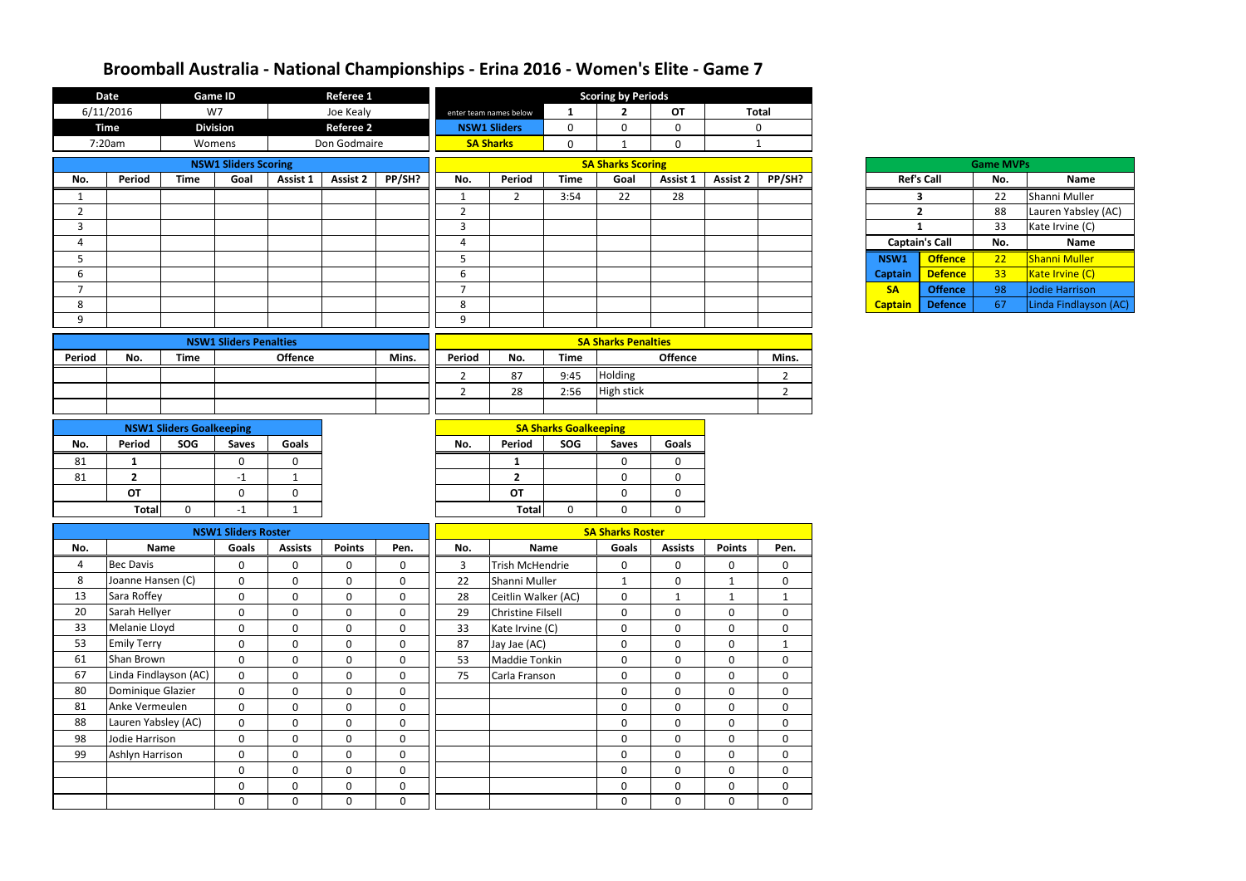|                | <b>Date</b>           |                                 | <b>Game ID</b>                |                | <b>Referee 1</b> |                  |                |                          |                              | <b>Scoring by Periods</b>  |                            |                 |                |                |                       |                  |                       |
|----------------|-----------------------|---------------------------------|-------------------------------|----------------|------------------|------------------|----------------|--------------------------|------------------------------|----------------------------|----------------------------|-----------------|----------------|----------------|-----------------------|------------------|-----------------------|
|                | 6/11/2016             | W7                              |                               |                | Joe Kealy        |                  |                | enter team names below   | $\mathbf{1}$                 | $\overline{2}$             | <b>OT</b>                  |                 | <b>Total</b>   |                |                       |                  |                       |
|                | <b>Time</b>           | <b>Division</b>                 |                               |                | <b>Referee 2</b> |                  |                | <b>NSW1 Sliders</b>      | $\mathbf 0$                  | 0                          | $\mathbf 0$                |                 | $\mathbf 0$    |                |                       |                  |                       |
|                | 7:20am                |                                 | Womens                        |                | Don Godmaire     |                  |                | <b>SA Sharks</b>         | $\mathbf 0$                  | 1                          | 0                          |                 | 1              |                |                       |                  |                       |
|                |                       |                                 | <b>NSW1 Sliders Scoring</b>   |                |                  |                  |                |                          |                              | <b>SA Sharks Scoring</b>   |                            |                 |                |                |                       | <b>Game MVPs</b> |                       |
| No.            | Period                | <b>Time</b>                     | Goal                          | Assist 1       | <b>Assist 2</b>  | PP/SH?           | No.            | Period                   | <b>Time</b>                  | Goal                       | Assist 1                   | <b>Assist 2</b> | PP/SH?         |                | <b>Ref's Call</b>     | No.              | Name                  |
|                |                       |                                 |                               |                |                  |                  | 1              | $\overline{2}$           | 3:54                         | 22                         | 28                         |                 |                |                | 3                     | 22               | Shanni Muller         |
| $\overline{2}$ |                       |                                 |                               |                |                  |                  | $\overline{2}$ |                          |                              |                            |                            |                 |                |                | $\overline{2}$        | 88               | Lauren Yabsley (AC)   |
| 3              |                       |                                 |                               |                |                  |                  | $\mathbf{3}$   |                          |                              |                            |                            |                 |                |                | $\mathbf{1}$          | 33               | Kate Irvine (C)       |
| 4              |                       |                                 |                               |                |                  |                  | 4              |                          |                              |                            |                            |                 |                |                | <b>Captain's Call</b> | No.              | <b>Name</b>           |
| 5              |                       |                                 |                               |                |                  |                  | 5              |                          |                              |                            |                            |                 |                | NSW1           | <b>Offence</b>        | 22               | Shanni Muller         |
| 6              |                       |                                 |                               |                |                  |                  | 6              |                          |                              |                            |                            |                 |                | <b>Captain</b> | <b>Defence</b>        | 33               | Kate Irvine (C)       |
| $\overline{7}$ |                       |                                 |                               |                |                  |                  | $\overline{7}$ |                          |                              |                            |                            |                 |                | <b>SA</b>      | <b>Offence</b>        | 98               | Jodie Harrison        |
| 8              |                       |                                 |                               |                |                  |                  | 8              |                          |                              |                            |                            |                 |                | <b>Captain</b> | <b>Defence</b>        | 67               | Linda Findlayson (AC) |
| 9              |                       |                                 |                               |                |                  |                  | 9              |                          |                              |                            |                            |                 |                |                |                       |                  |                       |
|                |                       |                                 | <b>NSW1 Sliders Penalties</b> |                |                  |                  |                |                          |                              | <b>SA Sharks Penalties</b> |                            |                 |                |                |                       |                  |                       |
| Period         | No.                   | <b>Time</b>                     |                               | <b>Offence</b> |                  | Mins.            | Period         | No.                      | <b>Time</b>                  |                            | <b>Offence</b>             |                 | Mins.          |                |                       |                  |                       |
|                |                       |                                 |                               |                |                  |                  | $\overline{2}$ | 87                       | 9:45                         | Holding                    |                            |                 | $\overline{2}$ |                |                       |                  |                       |
|                |                       |                                 |                               |                |                  |                  | $\overline{2}$ | 28                       | 2:56                         | High stick                 |                            |                 | $\overline{2}$ |                |                       |                  |                       |
|                |                       |                                 |                               |                |                  |                  |                |                          |                              |                            |                            |                 |                |                |                       |                  |                       |
|                |                       | <b>NSW1 Sliders Goalkeeping</b> |                               |                |                  |                  |                |                          | <b>SA Sharks Goalkeeping</b> |                            |                            |                 |                |                |                       |                  |                       |
| No.            | Period                | SOG                             | <b>Saves</b>                  | <b>Goals</b>   |                  |                  | No.            | Period                   | SOG                          | <b>Saves</b>               | <b>Goals</b>               |                 |                |                |                       |                  |                       |
| 81             | $\mathbf{1}$          |                                 | $\mathbf 0$                   | $\mathbf{0}$   |                  |                  |                | 1                        |                              | 0                          | 0                          |                 |                |                |                       |                  |                       |
| 81             | $\overline{2}$        |                                 | $-1$                          | -1             |                  |                  |                | $\overline{2}$           |                              | 0                          | $\mathbf 0$                |                 |                |                |                       |                  |                       |
|                | <b>OT</b>             |                                 | $\mathbf 0$                   | $\mathbf 0$    |                  |                  |                | <b>OT</b>                |                              | 0                          | 0                          |                 |                |                |                       |                  |                       |
|                | <b>Total</b>          | $\mathbf 0$                     | $-1$                          | $\mathbf{1}$   |                  |                  |                | <b>Total</b>             | 0                            | $\Omega$                   | 0                          |                 |                |                |                       |                  |                       |
|                |                       |                                 | <b>NSW1 Sliders Roster</b>    |                |                  |                  |                |                          |                              | <b>SA Sharks Roster</b>    |                            |                 |                |                |                       |                  |                       |
| No.            |                       | <b>Name</b>                     | Goals                         | <b>Assists</b> | <b>Points</b>    | Pen.             | No.            |                          | <b>Name</b>                  | Goals                      | <b>Assists</b>             | <b>Points</b>   | Pen.           |                |                       |                  |                       |
| 4              | <b>Bec Davis</b>      |                                 | $\boldsymbol{0}$              | $\mathbf 0$    | $\pmb{0}$        | $\boldsymbol{0}$ | $\overline{3}$ | <b>Trish McHendrie</b>   |                              | $\mathbf 0$                | $\mathbf 0$                | $\mathbf{0}$    | 0              |                |                       |                  |                       |
| 8              | Joanne Hansen (C)     |                                 | $\mathbf 0$                   | $\mathbf 0$    | $\mathbf 0$      | $\mathbf 0$      | 22             | Shanni Muller            |                              | $\mathbf{1}$               | $\mathbf 0$                | $\mathbf{1}$    | $\overline{0}$ |                |                       |                  |                       |
| 13             | Sara Roffey           |                                 | $\mathbf 0$                   | $\mathbf 0$    | $\mathbf 0$      | $\boldsymbol{0}$ | 28             | Ceitlin Walker (AC)      |                              | $\mathbf 0$                | $\mathbf{1}$               | $\mathbf{1}$    | $\mathbf{1}$   |                |                       |                  |                       |
| 20             | Sarah Hellyer         |                                 | $\mathbf 0$                   | $\mathbf 0$    | $\pmb{0}$        | $\mathbf 0$      | 29             | <b>Christine Filsell</b> |                              | $\mathbf 0$                | 0                          | $\mathbf 0$     | $\mathbf{0}$   |                |                       |                  |                       |
| 33             | Melanie Lloyd         |                                 | $\mathbf 0$                   | $\mathbf 0$    | $\pmb{0}$        | $\boldsymbol{0}$ | 33             | Kate Irvine (C)          |                              | $\mathbf 0$                | 0                          | $\mathbf 0$     | $\mathbf{0}$   |                |                       |                  |                       |
| 53             | <b>Emily Terry</b>    |                                 | $\mathbf 0$                   | $\mathbf 0$    | $\pmb{0}$        | $\mathbf 0$      | 87             | Jay Jae (AC)             |                              | $\mathbf 0$                | 0                          | $\mathbf 0$     | $\mathbf{1}$   |                |                       |                  |                       |
| 61             | Shan Brown            |                                 | $\mathbf 0$                   | $\mathbf 0$    | $\mathbf 0$      | $\mathbf 0$      | 53             | Maddie Tonkin            |                              | $\mathbf 0$                | 0                          | $\mathbf 0$     | 0              |                |                       |                  |                       |
| 67             | Linda Findlayson (AC) |                                 | $\mathbf 0$                   | $\mathbf 0$    | $\boldsymbol{0}$ | $\mathbf 0$      | 75             | Carla Franson            |                              | $\mathbf 0$                | $\mathbf 0$                | $\mathbf 0$     | $\mathbf{0}$   |                |                       |                  |                       |
| 80             | Dominique Glazier     |                                 | $\mathbf 0$                   | $\mathbf 0$    | $\pmb{0}$        | $\mathbf 0$      |                |                          |                              | $\mathbf 0$                | $\mathbf 0$                | $\mathbf 0$     | $\mathbf{0}$   |                |                       |                  |                       |
| 81             | Anke Vermeulen        |                                 | $\mathbf 0$                   | $\mathbf 0$    | $\pmb{0}$        | $\mathbf 0$      |                |                          |                              | $\mathbf 0$                | 0                          | $\mathbf 0$     | $\mathbf{0}$   |                |                       |                  |                       |
| 88             | Lauren Yabsley (AC)   |                                 | $\mathbf 0$                   | $\mathbf 0$    | $\mathbf 0$      | $\mathbf 0$      |                |                          |                              | $\mathbf 0$                | 0                          | $\mathbf 0$     | $\mathbf{0}$   |                |                       |                  |                       |
| 98             | Jodie Harrison        |                                 | $\mathbf 0$                   | $\mathbf 0$    | $\pmb{0}$        | $\mathbf 0$      |                |                          |                              | $\mathbf 0$                | $\mathbf 0$                | $\mathbf 0$     | $\mathbf{0}$   |                |                       |                  |                       |
| 99             | Ashlyn Harrison       |                                 | $\mathbf 0$                   | $\mathbf 0$    | $\pmb{0}$        | $\mathbf 0$      |                |                          |                              | $\mathbf 0$                | $\mathbf 0$                | $\mathbf 0$     | $\mathbf{0}$   |                |                       |                  |                       |
|                |                       |                                 | $\mathbf 0$                   | $\mathbf 0$    | $\pmb{0}$        | $\boldsymbol{0}$ |                |                          |                              | $\mathbf 0$                | $\mathbf 0$<br>$\mathbf 0$ |                 | $\mathbf 0$    |                |                       |                  |                       |
|                |                       |                                 | $\mathbf 0$                   | $\mathbf 0$    | $\mathbf 0$      | $\mathbf 0$      |                |                          |                              | 0                          | 0<br>$\mathbf 0$           |                 | $\mathbf 0$    |                |                       |                  |                       |
|                |                       |                                 | $\mathbf 0$                   | $\mathbf 0$    | $\mathbf 0$      | $\mathbf 0$      |                |                          |                              | $\mathbf 0$                | $\mathbf 0$                | $\mathbf{0}$    | $\mathbf 0$    |                |                       |                  |                       |
|                |                       |                                 |                               |                |                  |                  |                |                          |                              |                            |                            |                 |                |                |                       |                  |                       |

| Ref's Ca       |        |
|----------------|--------|
|                | 3      |
|                | 2      |
|                | 1      |
| Captain's      |        |
| <b>NSW1</b>    |        |
| <b>Captain</b> | D<br>r |
| SΑ             |        |
| <b>Captain</b> |        |

| <b>Game MVPs</b> |                       |     |                      |  |  |  |  |  |  |  |  |
|------------------|-----------------------|-----|----------------------|--|--|--|--|--|--|--|--|
|                  | <b>Ref's Call</b>     | No. | <b>Name</b>          |  |  |  |  |  |  |  |  |
|                  | 3                     | 22  | Shanni Muller        |  |  |  |  |  |  |  |  |
|                  | $\mathbf{2}$          | 88  | Lauren Yabsley (AC)  |  |  |  |  |  |  |  |  |
|                  | 1                     | 33  | Kate Irvine (C)      |  |  |  |  |  |  |  |  |
|                  |                       |     |                      |  |  |  |  |  |  |  |  |
|                  | <b>Captain's Call</b> | No. | <b>Name</b>          |  |  |  |  |  |  |  |  |
| SW1              | <b>Offence</b>        | 22  | <b>Shanni Muller</b> |  |  |  |  |  |  |  |  |
| ptain            | <b>Defence</b>        | 33  | Kate Irvine (C)      |  |  |  |  |  |  |  |  |
| SA               | <b>Offence</b>        | 98  | Jodie Harrison       |  |  |  |  |  |  |  |  |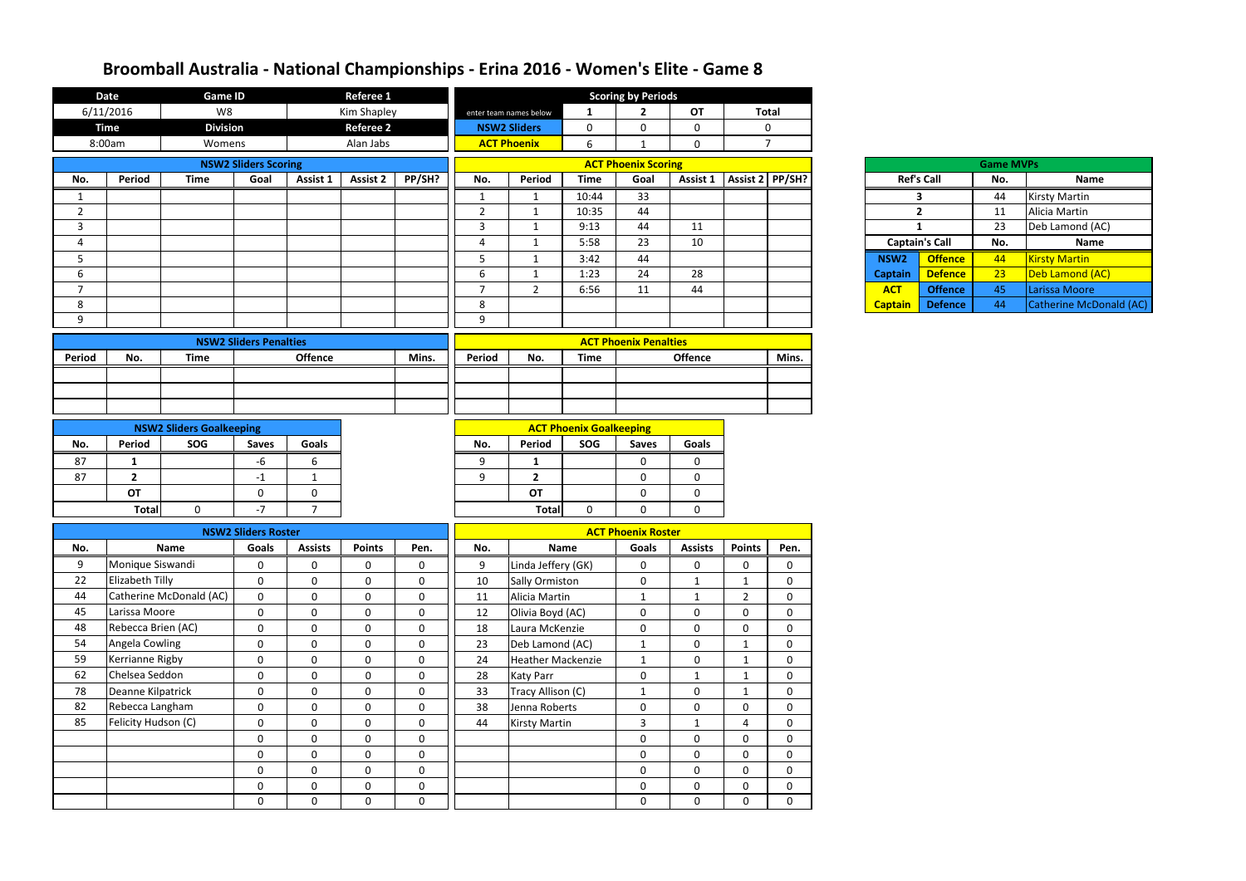|                | <b>Date</b>         | <b>Game ID</b>                  |                                 |                            | <b>Referee 1</b>           |                            |                | <b>Scoring by Periods</b>         |                                |                              |                            |                              |                            |                       |                |                  |                         |
|----------------|---------------------|---------------------------------|---------------------------------|----------------------------|----------------------------|----------------------------|----------------|-----------------------------------|--------------------------------|------------------------------|----------------------------|------------------------------|----------------------------|-----------------------|----------------|------------------|-------------------------|
|                | 6/11/2016           | W8                              |                                 |                            | Kim Shapley                |                            |                | enter team names below            | 1                              | $\overline{2}$               | <b>OT</b>                  |                              | <b>Total</b>               |                       |                |                  |                         |
|                | <b>Time</b>         | <b>Division</b>                 |                                 |                            | <b>Referee 2</b>           |                            |                | <b>NSW2 Sliders</b>               | $\mathbf 0$                    | $\mathbf 0$                  | $\mathbf 0$                |                              | $\mathbf 0$                |                       |                |                  |                         |
|                | 8:00am              | Womens                          |                                 |                            | Alan Jabs                  |                            |                | <b>ACT Phoenix</b>                | 6                              | $\mathbf{1}$                 | $\mathbf 0$                |                              | $\overline{7}$             |                       |                |                  |                         |
|                |                     |                                 | <b>NSW2 Sliders Scoring</b>     |                            |                            |                            |                |                                   |                                | <b>ACT Phoenix Scoring</b>   |                            |                              |                            |                       |                | <b>Game MVPs</b> |                         |
| No.            | Period              | <b>Time</b>                     | Goal                            | Assist 1                   | Assist 2                   | PP/SH?                     | No.            | Period                            | <b>Time</b>                    | Goal                         | Assist 1                   | Assist 2 PP/SH?              |                            | <b>Ref's Call</b>     |                | No.              | <b>Name</b>             |
|                |                     |                                 |                                 |                            |                            |                            | -1             |                                   | 10:44                          | 33                           |                            |                              |                            | 3                     |                | 44               | <b>Kirsty Martin</b>    |
| $\overline{2}$ |                     |                                 |                                 |                            |                            |                            | $\overline{2}$ | 1                                 | 10:35                          | 44                           |                            |                              |                            | $\overline{2}$        |                | 11               | Alicia Martin           |
| 3              |                     |                                 |                                 |                            |                            |                            | $\overline{3}$ | $\mathbf{1}$                      | 9:13                           | 44                           | 11                         |                              |                            | $\mathbf{1}$          |                | 23               | Deb Lamond (AC)         |
| $\overline{4}$ |                     |                                 |                                 |                            |                            |                            | 4              | $\mathbf{1}$                      | 5:58                           | 23                           | 10                         |                              |                            | <b>Captain's Call</b> |                | No.              | <b>Name</b>             |
| 5              |                     |                                 |                                 |                            |                            |                            | 5              | $\mathbf 1$                       | 3:42                           | 44                           |                            |                              |                            | NSW <sub>2</sub>      | <b>Offence</b> | 44               | <b>Kirsty Martin</b>    |
| 6              |                     |                                 |                                 |                            |                            |                            | 6              | 1                                 | 1:23                           | 24                           | 28                         |                              |                            | Captain               | <b>Defence</b> | 23               | Deb Lamond (AC)         |
| $\overline{7}$ |                     |                                 |                                 |                            |                            |                            | $\overline{7}$ | $\overline{2}$                    | 6:56                           | 11                           | 44                         |                              |                            | <b>ACT</b>            | <b>Offence</b> | 45               | Larissa Moore           |
| 8              |                     |                                 |                                 |                            |                            |                            | 8              |                                   |                                |                              |                            |                              |                            | <b>Captain</b>        | <b>Defence</b> | 44               | Catherine McDonald (AC) |
| 9              |                     |                                 |                                 |                            |                            |                            | 9              |                                   |                                |                              |                            |                              |                            |                       |                |                  |                         |
|                |                     |                                 | <b>NSW2 Sliders Penalties</b>   |                            |                            |                            |                |                                   |                                | <b>ACT Phoenix Penalties</b> |                            |                              |                            |                       |                |                  |                         |
| Period         | No.                 | <b>Time</b>                     |                                 | <b>Offence</b>             |                            | Mins.                      | <b>Period</b>  | No.                               | <b>Time</b>                    |                              | <b>Offence</b>             |                              | Mins.                      |                       |                |                  |                         |
|                |                     |                                 |                                 |                            |                            |                            |                |                                   |                                |                              |                            |                              |                            |                       |                |                  |                         |
|                |                     |                                 |                                 |                            |                            |                            |                |                                   |                                |                              |                            |                              |                            |                       |                |                  |                         |
|                |                     |                                 |                                 |                            |                            |                            |                |                                   |                                |                              |                            |                              |                            |                       |                |                  |                         |
|                |                     | <b>NSW2 Sliders Goalkeeping</b> |                                 |                            |                            |                            |                |                                   | <b>ACT Phoenix Goalkeeping</b> |                              |                            |                              |                            |                       |                |                  |                         |
| No.            | Period              | SOG                             | <b>Saves</b>                    | Goals                      |                            |                            | No.            | Period                            | SOG                            | <b>Saves</b>                 | <b>Goals</b>               |                              |                            |                       |                |                  |                         |
| 87             | 1                   |                                 | $-6$                            | 6                          |                            |                            | 9              | 1                                 |                                | $\mathbf 0$                  | $\mathbf{0}$               |                              |                            |                       |                |                  |                         |
| 87             | $\overline{2}$      |                                 | $-1$                            |                            |                            |                            | $\mathbf{q}$   | $\overline{2}$                    |                                | $\mathbf 0$                  | $\mathbf 0$                |                              |                            |                       |                |                  |                         |
|                | <b>OT</b>           |                                 | 0                               | $\mathbf 0$                |                            |                            |                | <b>OT</b>                         |                                | $\mathbf 0$                  | $\mathbf 0$                |                              |                            |                       |                |                  |                         |
|                | <b>Total</b>        | $\mathbf{0}$                    | $-7$                            | $\overline{ }$             |                            |                            |                | <b>Total</b>                      | 0                              | $\mathbf 0$                  | $\mathbf 0$                |                              |                            |                       |                |                  |                         |
|                |                     |                                 |                                 |                            |                            |                            |                |                                   |                                |                              |                            |                              |                            |                       |                |                  |                         |
|                |                     |                                 | <b>NSW2 Sliders Roster</b>      |                            |                            |                            |                |                                   |                                | <b>ACT Phoenix Roster</b>    |                            |                              |                            |                       |                |                  |                         |
| No.            |                     | <b>Name</b>                     | Goals                           | <b>Assists</b>             | <b>Points</b>              | Pen.                       | No.            | <b>Name</b>                       |                                | <b>Goals</b>                 | <b>Assists</b>             | <b>Points</b>                | Pen.                       |                       |                |                  |                         |
| 9              | Monique Siswandi    |                                 | $\mathbf 0$                     | $\mathbf 0$                | $\mathbf 0$                | $\mathbf 0$                | 9              | Linda Jeffery (GK)                |                                | $\bf{0}$                     | $\boldsymbol{0}$           | $\mathbf 0$                  | $\mathbf 0$                |                       |                |                  |                         |
| 22             | Elizabeth Tilly     |                                 | $\mathbf 0$                     | $\overline{0}$             | $\mathbf 0$                | $\mathbf 0$                | 10             | Sally Ormiston                    |                                | $\boldsymbol{0}$             |                            | $\mathbf{1}$                 | $\mathbf 0$                |                       |                |                  |                         |
| 44<br>45       | Larissa Moore       | Catherine McDonald (AC)         | $\boldsymbol{0}$                | $\mathbf 0$                | $\mathbf 0$                | $\mathbf 0$                | 11             | Alicia Martin                     |                                | $\mathbf{1}$                 | $\mathbf{1}$               | $\overline{2}$               | $\mathbf 0$                |                       |                |                  |                         |
| 48             | Rebecca Brien (AC)  |                                 | $\mathbf 0$<br>$\boldsymbol{0}$ | $\mathbf 0$<br>$\mathbf 0$ | $\mathbf 0$<br>$\mathbf 0$ | $\mathbf 0$                | 12             | Olivia Boyd (AC)                  |                                | $\mathbf 0$                  | $\mathbf 0$<br>$\mathbf 0$ | $\mathbf 0$<br>$\mathbf 0$   | $\mathbf 0$                |                       |                |                  |                         |
| 54             | Angela Cowling      |                                 | $\mathbf 0$                     | $\mathbf 0$                | $\mathbf 0$                | $\mathbf 0$<br>$\mathbf 0$ | 18<br>23       | Laura McKenzie<br>Deb Lamond (AC) |                                | $\boldsymbol{0}$             | $\mathbf 0$                |                              | $\mathbf 0$<br>$\mathbf 0$ |                       |                |                  |                         |
| 59             | Kerrianne Rigby     |                                 | $\mathbf 0$                     | $\mathbf 0$                | $\mathbf 0$                | $\mathbf 0$                | 24             | Heather Mackenzie                 |                                | $\mathbf{1}$<br>$\mathbf{1}$ | $\mathbf 0$                | $\mathbf{1}$<br>$\mathbf{1}$ | $\mathbf 0$                |                       |                |                  |                         |
| 62             | Chelsea Seddon      |                                 | $\mathbf 0$                     | $\mathbf{0}$               | $\mathbf 0$                | $\mathbf 0$                | 28             | Katy Parr                         |                                | $\boldsymbol{0}$             | 1                          | $\mathbf{1}$                 | $\mathbf 0$                |                       |                |                  |                         |
| 78             | Deanne Kilpatrick   |                                 | $\mathbf 0$                     | $\mathbf 0$                | $\mathbf 0$                | $\mathbf 0$                | 33             | Tracy Allison (C)                 |                                | $\mathbf 1$                  | $\mathbf 0$                | $\mathbf{1}$                 | $\mathbf 0$                |                       |                |                  |                         |
| 82             | Rebecca Langham     |                                 | $\mathbf 0$                     | $\mathbf 0$                | $\mathbf 0$                | $\mathbf 0$                | 38             | Jenna Roberts                     |                                | $\boldsymbol{0}$             | $\mathbf 0$                | $\mathbf 0$                  | $\mathbf 0$                |                       |                |                  |                         |
| 85             | Felicity Hudson (C) |                                 | $\boldsymbol{0}$                | $\mathbf 0$                | $\mathbf 0$                | $\mathbf 0$                | 44             | <b>Kirsty Martin</b>              |                                | $\mathbf{3}$                 | $\mathbf{1}$               | 4                            | $\mathbf 0$                |                       |                |                  |                         |
|                |                     |                                 | $\mathbf 0$                     | $\mathbf 0$                | $\mathbf 0$                | $\overline{0}$             |                |                                   |                                | $\boldsymbol{0}$             | $\mathbf 0$                | $\mathbf 0$                  | $\mathbf 0$                |                       |                |                  |                         |
|                |                     |                                 | $\mathbf 0$                     | $\mathbf 0$                | $\mathbf 0$                | $\mathbf 0$                |                |                                   |                                | $\boldsymbol{0}$             | $\boldsymbol{0}$           | $\mathbf 0$                  | $\mathbf 0$                |                       |                |                  |                         |
|                |                     |                                 | $\mathbf 0$                     | $\mathbf 0$                | $\mathbf 0$                | $\mathbf 0$                |                |                                   |                                | $\mathbf 0$                  | $\mathbf 0$                | $\mathbf 0$                  | $\mathbf 0$                |                       |                |                  |                         |
|                |                     |                                 | $\mathbf 0$                     | $\mathbf 0$                | $\mathbf 0$                | $\mathbf 0$                |                |                                   |                                | $\mathbf 0$                  | $\mathbf 0$                | $\mathbf 0$                  | $\mathbf 0$                |                       |                |                  |                         |
|                |                     |                                 | $\mathbf 0$                     | $\mathbf{0}$               | $\mathbf 0$                | $\mathbf 0$                |                |                                   |                                | $\bf{0}$                     | $\mathbf 0$                | $\mathbf 0$                  | $\mathbf 0$                |                       |                |                  |                         |
|                |                     |                                 |                                 |                            |                            |                            |                |                                   |                                |                              |                            |                              |                            |                       |                |                  |                         |

| <b>Game MVPs</b>      |                   |     |                      |  |  |  |  |  |  |  |
|-----------------------|-------------------|-----|----------------------|--|--|--|--|--|--|--|
|                       | <b>Ref's Call</b> | No. | <b>Name</b>          |  |  |  |  |  |  |  |
| 3                     |                   | 44  | <b>Kirsty Martin</b> |  |  |  |  |  |  |  |
| $\overline{2}$        |                   | 11  | Alicia Martin        |  |  |  |  |  |  |  |
| 1                     |                   | 23  | Deb Lamond (AC)      |  |  |  |  |  |  |  |
|                       |                   |     |                      |  |  |  |  |  |  |  |
| <b>Captain's Call</b> |                   | No. | <b>Name</b>          |  |  |  |  |  |  |  |
| NSW <sub>2</sub>      | <b>Offence</b>    | 44  | <b>Kirsty Martin</b> |  |  |  |  |  |  |  |
| <b>Captain</b>        | <b>Defence</b>    | 23  | Deb Lamond (AC)      |  |  |  |  |  |  |  |
| <b>ACT</b>            | <b>Offence</b>    | 45  | <b>Larissa Moore</b> |  |  |  |  |  |  |  |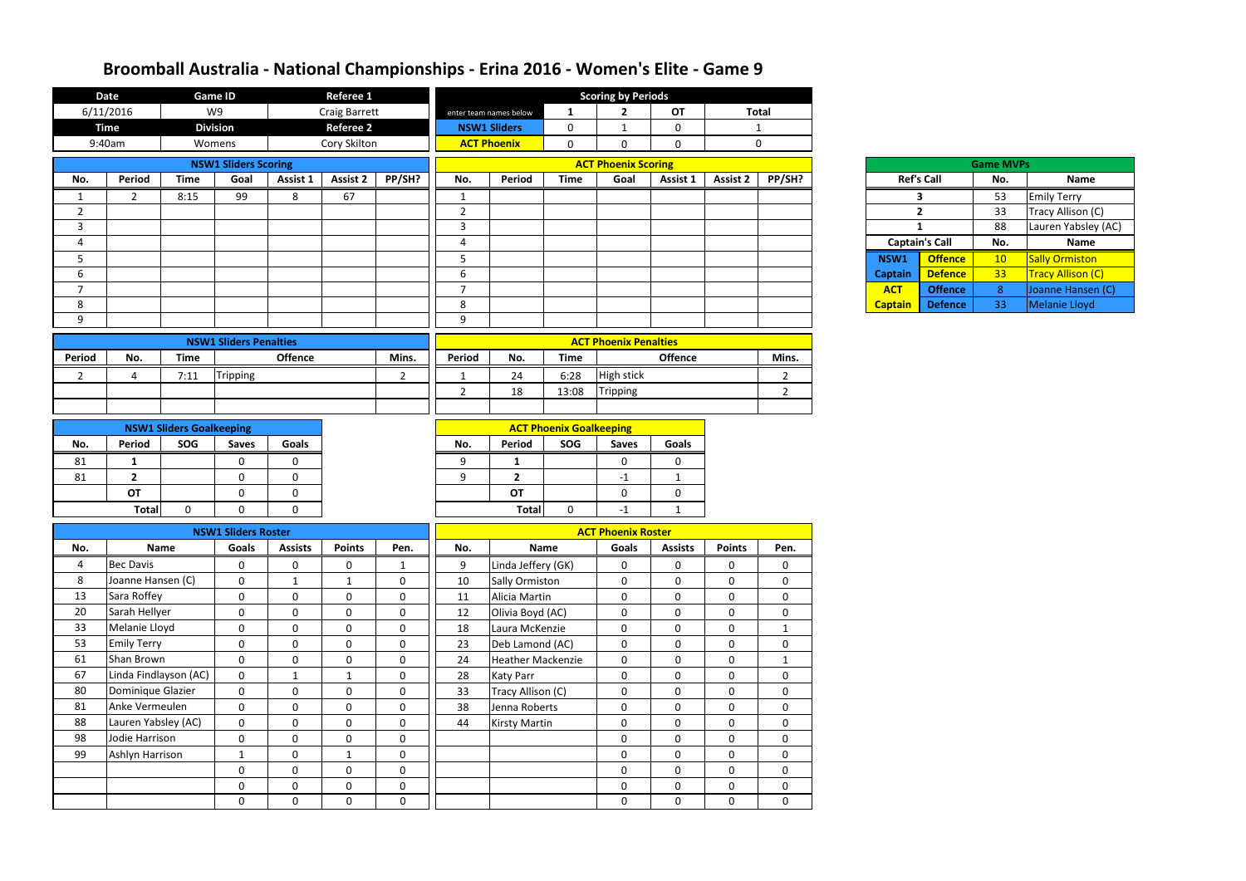|                | <b>Date</b>           |                                 | <b>Game ID</b>                |                | <b>Referee 1</b>     |                |                |                          |                                | <b>Scoring by Periods</b>    |                |               |                  |                |                       |                  |                          |
|----------------|-----------------------|---------------------------------|-------------------------------|----------------|----------------------|----------------|----------------|--------------------------|--------------------------------|------------------------------|----------------|---------------|------------------|----------------|-----------------------|------------------|--------------------------|
|                | 6/11/2016             |                                 | W9                            |                | <b>Craig Barrett</b> |                |                | enter team names below   | $\mathbf{1}$                   | $\overline{2}$               | OT             |               | <b>Total</b>     |                |                       |                  |                          |
|                | <b>Time</b>           |                                 | <b>Division</b>               |                | <b>Referee 2</b>     |                |                | <b>NSW1 Sliders</b>      | $\mathbf 0$                    | 1                            | $\mathbf 0$    |               | $\mathbf{1}$     |                |                       |                  |                          |
|                | 9:40am                | Womens                          |                               |                | Cory Skilton         |                |                | <b>ACT Phoenix</b>       | $\mathbf 0$                    | $\mathbf 0$                  | $\overline{0}$ |               | $\mathbf 0$      |                |                       |                  |                          |
|                |                       |                                 | <b>NSW1 Sliders Scoring</b>   |                |                      |                |                |                          |                                | <b>ACT Phoenix Scoring</b>   |                |               |                  |                |                       | <b>Game MVPs</b> |                          |
| No.            | Period                | <b>Time</b>                     | Goal                          | Assist 1       | <b>Assist 2</b>      | PP/SH?         | No.            | Period                   | <b>Time</b>                    | Goal                         | Assist 1       | Assist 2      | PP/SH?           |                | <b>Ref's Call</b>     | No.              | <b>Name</b>              |
|                | $\overline{2}$        | 8:15                            | 99                            | 8              | 67                   |                | $\mathbf{1}$   |                          |                                |                              |                |               |                  |                | 3                     | 53               | <b>Emily Terry</b>       |
| $\overline{2}$ |                       |                                 |                               |                |                      |                | $\overline{2}$ |                          |                                |                              |                |               |                  |                | $\overline{2}$        | 33               | Tracy Allison (C)        |
| 3              |                       |                                 |                               |                |                      |                | $\overline{3}$ |                          |                                |                              |                |               |                  | $\mathbf{1}$   |                       | 88               | Lauren Yabsley (AC)      |
| $\overline{4}$ |                       |                                 |                               |                |                      |                | 4              |                          |                                |                              |                |               |                  |                | <b>Captain's Call</b> | No.              | <b>Name</b>              |
| 5              |                       |                                 |                               |                |                      |                | 5              |                          |                                |                              |                |               |                  | NSW1           | <b>Offence</b>        | 10               | <b>Sally Ormiston</b>    |
| 6              |                       |                                 |                               |                |                      |                | 6              |                          |                                |                              |                |               |                  | <b>Captain</b> | <b>Defence</b>        | 33               | <b>Tracy Allison (C)</b> |
| $\overline{7}$ |                       |                                 |                               |                |                      |                | $\overline{7}$ |                          |                                |                              |                |               |                  | <b>ACT</b>     | <b>Offence</b>        | 8                | Joanne Hansen (C)        |
| 8              |                       |                                 |                               |                |                      |                | 8              |                          |                                |                              |                |               |                  | <b>Captain</b> | <b>Defence</b>        | 33               | Melanie Lloyd            |
| 9              |                       |                                 |                               |                |                      |                | 9              |                          |                                |                              |                |               |                  |                |                       |                  |                          |
|                |                       |                                 | <b>NSW1 Sliders Penalties</b> |                |                      |                |                |                          |                                | <b>ACT Phoenix Penalties</b> |                |               |                  |                |                       |                  |                          |
| Period         | No.                   | <b>Time</b>                     |                               | <b>Offence</b> |                      | Mins.          | Period         | No.                      | <b>Time</b>                    |                              | <b>Offence</b> |               | Mins.            |                |                       |                  |                          |
| $\overline{2}$ | 4                     | 7:11                            | <b>Tripping</b>               |                |                      | $\overline{2}$ | -1             | 24                       | 6:28                           | High stick                   |                |               | $\overline{2}$   |                |                       |                  |                          |
|                |                       |                                 |                               |                |                      |                | $\overline{2}$ | 18                       | 13:08                          | <b>Tripping</b>              |                |               | $\overline{2}$   |                |                       |                  |                          |
|                |                       |                                 |                               |                |                      |                |                |                          |                                |                              |                |               |                  |                |                       |                  |                          |
|                |                       |                                 |                               |                |                      |                |                |                          |                                |                              |                |               |                  |                |                       |                  |                          |
|                |                       | <b>NSW1 Sliders Goalkeeping</b> |                               |                |                      |                |                |                          | <b>ACT Phoenix Goalkeeping</b> |                              |                |               |                  |                |                       |                  |                          |
| No.            | Period                | SOG                             | <b>Saves</b>                  | <b>Goals</b>   |                      |                | No.            | Period                   | SOG                            | <b>Saves</b>                 | <b>Goals</b>   |               |                  |                |                       |                  |                          |
| 81             | -1                    |                                 | 0                             | 0              |                      |                | 9              | $\mathbf{1}$             |                                | $\mathbf 0$                  | $\mathbf 0$    |               |                  |                |                       |                  |                          |
| 81             | $\overline{2}$        |                                 | $\mathbf 0$                   | $\mathbf{0}$   |                      |                | 9              | $\overline{\mathbf{2}}$  |                                | $-1$                         | 1              |               |                  |                |                       |                  |                          |
|                | <b>OT</b>             |                                 | 0                             | 0              |                      |                |                | OT                       |                                | $\mathbf 0$                  | $\mathbf 0$    |               |                  |                |                       |                  |                          |
|                | <b>Total</b>          | 0                               | 0                             | 0              |                      |                |                | <b>Total</b>             | $\mathbf 0$                    | $-1$                         | $\mathbf{1}$   |               |                  |                |                       |                  |                          |
|                |                       |                                 | <b>NSW1 Sliders Roster</b>    |                |                      |                |                |                          |                                | <b>ACT Phoenix Roster</b>    |                |               |                  |                |                       |                  |                          |
| No.            | <b>Name</b>           |                                 | Goals                         | <b>Assists</b> | <b>Points</b>        | Pen.           | No.            | Name                     |                                | Goals                        | <b>Assists</b> | <b>Points</b> | Pen.             |                |                       |                  |                          |
| 4              | <b>Bec Davis</b>      |                                 | $\mathbf 0$                   | $\mathbf 0$    | $\mathbf 0$          | $\mathbf{1}$   | 9              | Linda Jeffery (GK)       |                                | $\boldsymbol{0}$             | $\mathbf 0$    | $\mathbf 0$   | $\mathbf 0$      |                |                       |                  |                          |
| 8              | Joanne Hansen (C)     |                                 | $\mathbf 0$                   | 1              | 1                    | $\mathbf 0$    | 10             | <b>Sally Ormiston</b>    |                                | $\mathbf 0$                  | $\mathbf{0}$   | $\mathbf 0$   | $\mathbf 0$      |                |                       |                  |                          |
| 13             | Sara Roffey           |                                 | $\mathbf 0$                   | $\mathbf 0$    | $\mathbf 0$          | $\mathbf 0$    | 11             | Alicia Martin            |                                | $\mathbf 0$                  | $\mathbf 0$    | $\mathbf 0$   | $\mathbf 0$      |                |                       |                  |                          |
| 20             | Sarah Hellyer         |                                 | $\mathbf 0$                   | $\mathbf 0$    | $\mathbf 0$          | $\mathbf 0$    | 12             | Olivia Boyd (AC)         |                                | $\mathbf 0$                  | $\mathbf{0}$   | $\mathbf 0$   | $\mathbf{0}$     |                |                       |                  |                          |
| 33             | Melanie Lloyd         |                                 | $\mathbf 0$                   | $\mathbf 0$    | $\mathbf 0$          | $\mathbf 0$    | 18             | Laura McKenzie           |                                | $\mathbf 0$                  | $\mathbf{0}$   | $\mathbf 0$   | $\mathbf{1}$     |                |                       |                  |                          |
| 53             | <b>Emily Terry</b>    |                                 | $\mathbf 0$                   | $\overline{0}$ | $\mathbf{0}$         | $\mathbf 0$    | 23             | Deb Lamond (AC)          |                                | $\overline{0}$               | $\overline{0}$ | $\mathbf 0$   | $\mathbf 0$      |                |                       |                  |                          |
| 61             | Shan Brown            |                                 | $\mathbf 0$                   | $\mathbf 0$    | $\mathbf 0$          | $\mathbf 0$    | 24             | <b>Heather Mackenzie</b> |                                | $\mathbf 0$                  | $\mathbf 0$    | $\mathbf 0$   | $\mathbf{1}$     |                |                       |                  |                          |
| 67             | Linda Findlayson (AC) |                                 | $\mathbf 0$                   | $\mathbf{1}$   | $\mathbf{1}$         | $\mathbf 0$    | 28             | <b>Katy Parr</b>         |                                | $\mathbf 0$                  | $\mathbf 0$    | $\mathbf 0$   | $\mathbf 0$      |                |                       |                  |                          |
| 80             | Dominique Glazier     |                                 | $\mathbf 0$                   | $\mathbf 0$    | $\mathbf 0$          | $\mathbf 0$    | 33             | Tracy Allison (C)        |                                | $\mathbf 0$                  | $\mathbf{0}$   | $\mathbf 0$   | $\mathbf 0$      |                |                       |                  |                          |
| 81             | Anke Vermeulen        |                                 | $\mathbf 0$                   | $\mathbf 0$    | $\mathbf 0$          | $\mathbf 0$    | 38             | Jenna Roberts            |                                | $\mathbf 0$                  | $\mathbf{0}$   | $\mathbf 0$   | $\mathbf 0$      |                |                       |                  |                          |
| 88             | Lauren Yabsley (AC)   |                                 | $\mathbf 0$                   | $\mathbf 0$    | $\mathbf 0$          | $\mathbf 0$    | 44             | <b>Kirsty Martin</b>     |                                | $\mathbf 0$                  | $\mathbf{0}$   | $\mathbf 0$   | $\mathbf 0$      |                |                       |                  |                          |
| 98             | Jodie Harrison        |                                 | $\mathbf 0$                   | $\mathbf{0}$   | $\mathbf 0$          | $\mathbf 0$    |                |                          |                                | $\mathbf 0$                  | $\mathbf{0}$   | $\mathbf 0$   | $\mathbf 0$      |                |                       |                  |                          |
| 99             | Ashlyn Harrison       |                                 | $\mathbf{1}$                  | $\mathbf 0$    | $\mathbf{1}$         | $\pmb{0}$      |                |                          |                                | $\mathbf 0$                  | $\mathbf{0}$   | $\mathbf 0$   | $\boldsymbol{0}$ |                |                       |                  |                          |
|                |                       |                                 | $\mathbf 0$                   | $\mathbf 0$    | $\mathbf 0$          | $\pmb{0}$      |                |                          |                                | $\mathbf 0$                  | $\mathbf 0$    | $\mathbf 0$   | $\mathbf 0$      |                |                       |                  |                          |
|                |                       |                                 | $\mathbf 0$                   | $\mathbf 0$    | $\mathbf 0$          | $\pmb{0}$      |                |                          |                                | $\mathbf 0$                  | $\mathbf{0}$   | $\mathbf 0$   | $\mathbf 0$      |                |                       |                  |                          |
|                |                       |                                 | $\mathbf 0$                   | $\mathbf 0$    | $\mathbf{0}$         | $\mathbf 0$    |                |                          |                                | $\overline{0}$               | $\overline{0}$ | $\mathbf 0$   | $\mathbf 0$      |                |                       |                  |                          |

| <b>Game MVPs</b>      |                   |     |                          |  |  |  |  |  |  |  |
|-----------------------|-------------------|-----|--------------------------|--|--|--|--|--|--|--|
|                       | <b>Ref's Call</b> | No. | <b>Name</b>              |  |  |  |  |  |  |  |
| 3                     |                   | 53  | <b>Emily Terry</b>       |  |  |  |  |  |  |  |
|                       | $\overline{2}$    | 33  | Tracy Allison (C)        |  |  |  |  |  |  |  |
| 1                     |                   | 88  | Lauren Yabsley (AC)      |  |  |  |  |  |  |  |
| <b>Captain's Call</b> |                   | No. | <b>Name</b>              |  |  |  |  |  |  |  |
| NSW1                  | <b>Offence</b>    | 10  | <b>Sally Ormiston</b>    |  |  |  |  |  |  |  |
| <b>Captain</b>        | <b>Defence</b>    | 33  | <b>Tracy Allison (C)</b> |  |  |  |  |  |  |  |
| <b>ACT</b>            | <b>Offence</b>    | 8   | Joanne Hansen (C)        |  |  |  |  |  |  |  |
| <b>Captain</b>        | <b>Defence</b>    | 33  | <b>Melanie Lloyd</b>     |  |  |  |  |  |  |  |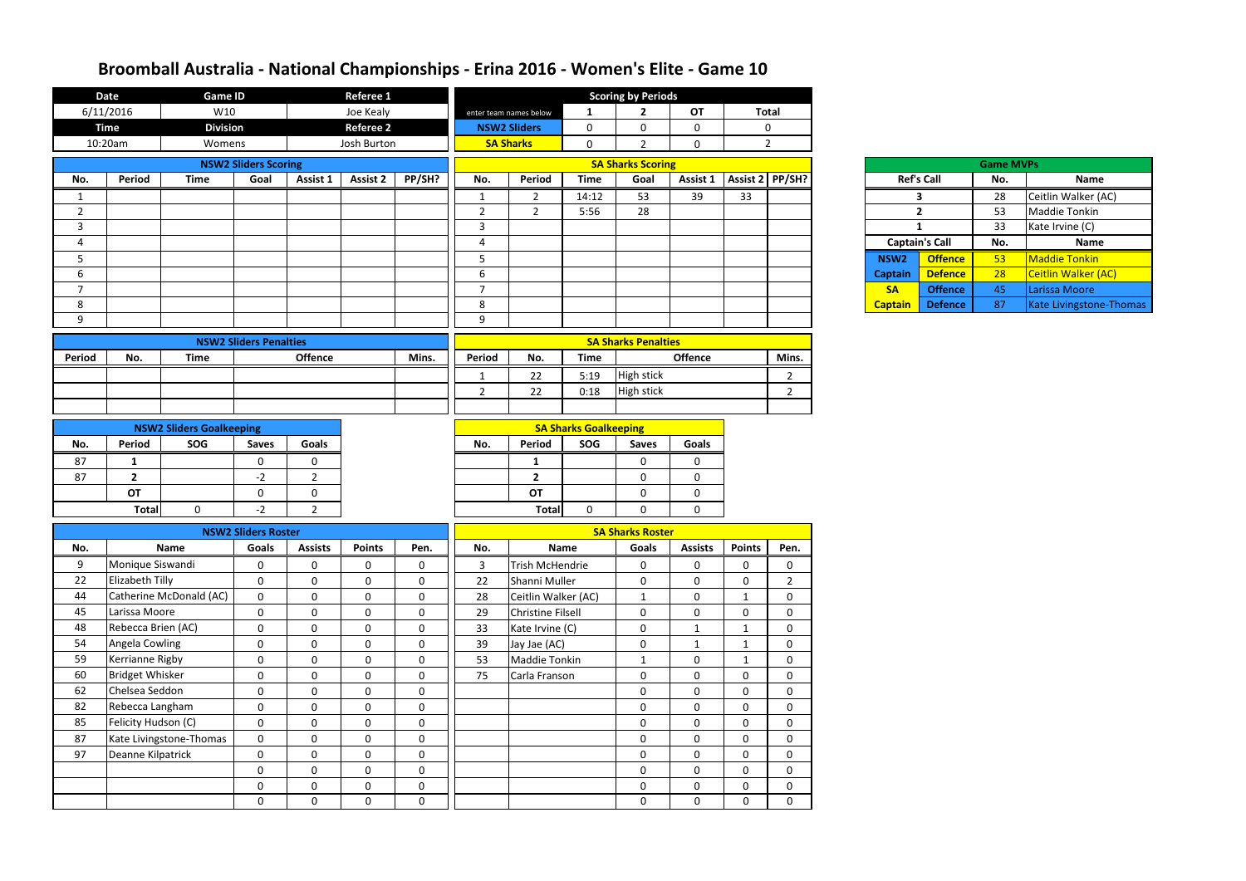|                | <b>Date</b>            | <b>Game ID</b>                  |                               |                | <b>Referee 1</b> |              |                |                          |                              | <b>Scoring by Periods</b>  |                  |                              |                |                  |                       |                  |                         |
|----------------|------------------------|---------------------------------|-------------------------------|----------------|------------------|--------------|----------------|--------------------------|------------------------------|----------------------------|------------------|------------------------------|----------------|------------------|-----------------------|------------------|-------------------------|
|                | 6/11/2016              | W10                             |                               |                | Joe Kealy        |              |                | enter team names below   | $\mathbf{1}$                 | $\overline{2}$             | <b>OT</b>        |                              | <b>Total</b>   |                  |                       |                  |                         |
|                | <b>Time</b>            | <b>Division</b>                 |                               |                | <b>Referee 2</b> |              |                | <b>NSW2 Sliders</b>      | $\mathbf 0$                  | 0                          | $\mathbf 0$      |                              | $\mathbf 0$    |                  |                       |                  |                         |
|                | 10:20am                | Womens                          |                               |                | Josh Burton      |              |                | <b>SA Sharks</b>         | $\overline{0}$               | $\overline{2}$             | $\mathbf 0$      |                              | $\overline{2}$ |                  |                       |                  |                         |
|                |                        |                                 | <b>NSW2 Sliders Scoring</b>   |                |                  |              |                |                          |                              | <b>SA Sharks Scoring</b>   |                  |                              |                |                  |                       | <b>Game MVPs</b> |                         |
| No.            | Period                 | <b>Time</b>                     | Goal                          | Assist 1       | <b>Assist 2</b>  | PP/SH?       | No.            | Period                   | <b>Time</b>                  | Goal                       |                  | Assist 1   Assist 2   PP/SH? |                |                  | <b>Ref's Call</b>     | No.              | Name                    |
|                |                        |                                 |                               |                |                  |              | $\mathbf{1}$   | $\overline{2}$           | 14:12                        | 53                         | 39               | 33                           |                |                  | $\mathbf{3}$          | 28               | Ceitlin Walker (AC)     |
| $\overline{2}$ |                        |                                 |                               |                |                  |              | $\overline{2}$ | $\overline{2}$           | 5:56                         | 28                         |                  |                              |                |                  | $\overline{2}$        | 53               | <b>Maddie Tonkin</b>    |
| 3              |                        |                                 |                               |                |                  |              | $\overline{3}$ |                          |                              |                            |                  |                              |                |                  | $\mathbf{1}$          | 33               | Kate Irvine (C)         |
| 4              |                        |                                 |                               |                |                  |              | $\overline{4}$ |                          |                              |                            |                  |                              |                |                  | <b>Captain's Call</b> | No.              | <b>Name</b>             |
| 5              |                        |                                 |                               |                |                  |              | 5              |                          |                              |                            |                  |                              |                | NSW <sub>2</sub> | <b>Offence</b>        | 53               | Maddie Tonkin           |
| 6              |                        |                                 |                               |                |                  |              | 6              |                          |                              |                            |                  |                              |                | <b>Captain</b>   | <b>Defence</b>        | 28               | Ceitlin Walker (AC)     |
| $\overline{7}$ |                        |                                 |                               |                |                  |              | $\overline{7}$ |                          |                              |                            |                  |                              |                | <b>SA</b>        | <b>Offence</b>        | 45               | Larissa Moore           |
| 8              |                        |                                 |                               |                |                  |              | 8              |                          |                              |                            |                  |                              |                | <b>Captain</b>   | <b>Defence</b>        | 87               | Kate Livingstone-Thomas |
| 9              |                        |                                 |                               |                |                  |              | 9              |                          |                              |                            |                  |                              |                |                  |                       |                  |                         |
|                |                        |                                 | <b>NSW2 Sliders Penalties</b> |                |                  |              |                |                          |                              | <b>SA Sharks Penalties</b> |                  |                              |                |                  |                       |                  |                         |
| Period         | No.                    | <b>Time</b>                     |                               | <b>Offence</b> |                  | Mins.        | Period         | No.                      | <b>Time</b>                  |                            | <b>Offence</b>   |                              | Mins.          |                  |                       |                  |                         |
|                |                        |                                 |                               |                |                  |              |                |                          |                              |                            |                  |                              |                |                  |                       |                  |                         |
|                |                        |                                 |                               |                |                  |              |                | 22                       | 5:19                         | High stick                 |                  |                              | $\overline{2}$ |                  |                       |                  |                         |
|                |                        |                                 |                               |                |                  |              | $\overline{2}$ | 22                       | 0:18                         | <b>High stick</b>          |                  |                              | $\overline{2}$ |                  |                       |                  |                         |
|                |                        |                                 |                               |                |                  |              |                |                          |                              |                            |                  |                              |                |                  |                       |                  |                         |
|                |                        | <b>NSW2 Sliders Goalkeeping</b> |                               |                |                  |              |                |                          | <b>SA Sharks Goalkeeping</b> |                            |                  |                              |                |                  |                       |                  |                         |
| No.            | Period                 | SOG                             | <b>Saves</b>                  | Goals          |                  |              | No.            | Period                   | SOG                          | <b>Saves</b>               | Goals            |                              |                |                  |                       |                  |                         |
| 87             | 1                      |                                 | $\mathbf 0$                   | 0              |                  |              |                | 1                        |                              | $\mathbf 0$                | $\mathbf 0$      |                              |                |                  |                       |                  |                         |
| 87             | $\overline{2}$         |                                 | $-2$                          | $2^{\circ}$    |                  |              |                | $\overline{2}$           |                              | $\mathbf 0$                | $\mathbf 0$      |                              |                |                  |                       |                  |                         |
|                | OT                     |                                 | $\mathbf 0$                   | $\mathbf{0}$   |                  |              |                | <b>OT</b>                |                              | $\mathbf 0$                | $\mathbf 0$      |                              |                |                  |                       |                  |                         |
|                | <b>Total</b>           | $\mathbf 0$                     | $-2$                          | $\overline{2}$ |                  |              |                | <b>Total</b>             | $\overline{0}$               | $\mathbf{0}$               | $\mathbf 0$      |                              |                |                  |                       |                  |                         |
|                |                        |                                 | <b>NSW2 Sliders Roster</b>    |                |                  |              |                |                          |                              | <b>SA Sharks Roster</b>    |                  |                              |                |                  |                       |                  |                         |
| No.            |                        | <b>Name</b>                     | Goals                         | <b>Assists</b> | <b>Points</b>    | Pen.         | No.            |                          | <b>Name</b>                  | Goals                      | <b>Assists</b>   | <b>Points</b>                | Pen.           |                  |                       |                  |                         |
| 9              | Monique Siswandi       |                                 | $\mathbf 0$                   | 0              | $\mathbf 0$      | $\mathbf 0$  | $\overline{3}$ | <b>Trish McHendrie</b>   |                              | 0                          | $\mathbf 0$      | $\mathbf 0$                  | $\mathbf 0$    |                  |                       |                  |                         |
| 22             | Elizabeth Tilly        |                                 | $\boldsymbol{0}$              | $\mathbf 0$    | $\mathbf 0$      | $\mathbf{0}$ | 22             | Shanni Muller            |                              | $\mathbf 0$                | $\boldsymbol{0}$ | $\mathbf 0$                  | $\overline{2}$ |                  |                       |                  |                         |
| 44             |                        | Catherine McDonald (AC)         | $\boldsymbol{0}$              | $\mathbf 0$    | $\mathbf 0$      | $\mathbf 0$  | 28             | Ceitlin Walker (AC)      |                              | $\mathbf{1}$               | $\boldsymbol{0}$ | 1                            | $\mathbf 0$    |                  |                       |                  |                         |
| 45             | Larissa Moore          |                                 | $\mathbf 0$                   | $\mathbf 0$    | $\pmb{0}$        | $\mathbf 0$  | 29             | <b>Christine Filsell</b> |                              | $\mathbf 0$                | $\mathbf 0$      | 0                            | 0              |                  |                       |                  |                         |
| 48             | Rebecca Brien (AC)     |                                 | $\pmb{0}$                     | $\mathbf 0$    | $\boldsymbol{0}$ | $\mathbf 0$  | 33             | Kate Irvine (C)          |                              | $\boldsymbol{0}$           | $\mathbf 1$      |                              | $\mathbf 0$    |                  |                       |                  |                         |
| 54             | Angela Cowling         |                                 | $\mathbf 0$                   | $\mathbf 0$    | $\mathbf 0$      | $\mathbf 0$  | 39             | Jay Jae (AC)             |                              | $\mathbf 0$                | $\mathbf{1}$     | -1                           | 0              |                  |                       |                  |                         |
| 59             | Kerrianne Rigby        |                                 | $\boldsymbol{0}$              | $\mathbf 0$    | $\mathbf 0$      | $\mathbf 0$  | 53             | Maddie Tonkin            |                              | $\mathbf{1}$               | $\boldsymbol{0}$ | $\mathbf 1$                  | $\mathbf 0$    |                  |                       |                  |                         |
| 60             | <b>Bridget Whisker</b> |                                 | $\boldsymbol{0}$              | $\mathbf 0$    | $\mathbf 0$      | $\mathbf 0$  | 75             | Carla Franson            |                              | $\bf{0}$                   | $\mathbf 0$      | $\mathbf 0$                  | 0              |                  |                       |                  |                         |
| 62             | Chelsea Seddon         |                                 | $\boldsymbol{0}$              | $\mathbf 0$    | $\boldsymbol{0}$ | $\mathbf 0$  |                |                          |                              | $\boldsymbol{0}$           | $\mathbf 0$      | $\mathbf 0$                  | $\mathbf 0$    |                  |                       |                  |                         |
| 82             | Rebecca Langham        |                                 | $\boldsymbol{0}$              | $\mathbf 0$    | $\mathbf 0$      | $\mathbf 0$  |                |                          |                              | $\mathbf 0$                | $\boldsymbol{0}$ | 0                            | 0              |                  |                       |                  |                         |
| 85             | Felicity Hudson (C)    |                                 | $\mathbf 0$                   | $\mathbf 0$    | $\mathbf 0$      | $\mathbf 0$  |                |                          |                              | $\mathbf 0$                | $\mathbf 0$      | 0                            | $\mathbf 0$    |                  |                       |                  |                         |
| 87             |                        | Kate Livingstone-Thomas         | $\bf{0}$                      | $\mathbf 0$    | $\mathbf 0$      | $\mathbf 0$  |                |                          |                              | $\bf{0}$                   | $\mathbf 0$      | $\mathbf 0$                  | 0              |                  |                       |                  |                         |
| 97             | Deanne Kilpatrick      |                                 | $\mathbf 0$                   | $\mathbf{0}$   | $\mathbf 0$      | $\mathbf 0$  |                |                          |                              | $\mathbf 0$                | $\boldsymbol{0}$ | 0                            | $\mathbf 0$    |                  |                       |                  |                         |
|                |                        |                                 | $\mathbf 0$                   | $\mathbf{0}$   | $\mathbf 0$      | $\mathbf 0$  |                |                          |                              | $\mathbf 0$                | $\mathbf 0$      | $\mathbf 0$                  | $\mathbf 0$    |                  |                       |                  |                         |
|                |                        |                                 | $\mathbf 0$                   | $\mathbf 0$    | $\mathbf 0$      | $\mathbf 0$  |                |                          |                              | $\mathbf 0$                | $\mathbf 0$      | $\mathbf 0$                  | 0              |                  |                       |                  |                         |
|                |                        |                                 | $\mathbf 0$                   | $\mathbf 0$    | $\mathbf 0$      | $\mathbf 0$  |                |                          |                              | $\bf{0}$                   | $\mathbf 0$      | 0                            | 0              |                  |                       |                  |                         |
|                |                        |                                 |                               |                |                  |              |                |                          |                              |                            |                  |                              |                |                  |                       |                  |                         |

| <b>Game MVPs</b> |                       |     |                            |  |  |  |  |  |  |  |
|------------------|-----------------------|-----|----------------------------|--|--|--|--|--|--|--|
|                  | <b>Ref's Call</b>     | No. | <b>Name</b>                |  |  |  |  |  |  |  |
|                  | 3                     | 28  | Ceitlin Walker (AC)        |  |  |  |  |  |  |  |
|                  | $\overline{2}$        | 53  | <b>Maddie Tonkin</b>       |  |  |  |  |  |  |  |
| 1                |                       | 33  | Kate Irvine (C)            |  |  |  |  |  |  |  |
|                  |                       |     |                            |  |  |  |  |  |  |  |
|                  | <b>Captain's Call</b> | No. | <b>Name</b>                |  |  |  |  |  |  |  |
| NSW <sub>2</sub> | <b>Offence</b>        | 53  | <b>Maddie Tonkin</b>       |  |  |  |  |  |  |  |
| <b>Captain</b>   | <b>Defence</b>        | 28  | <b>Ceitlin Walker (AC)</b> |  |  |  |  |  |  |  |
| <b>SA</b>        | <b>Offence</b>        | 45  | Larissa Moore              |  |  |  |  |  |  |  |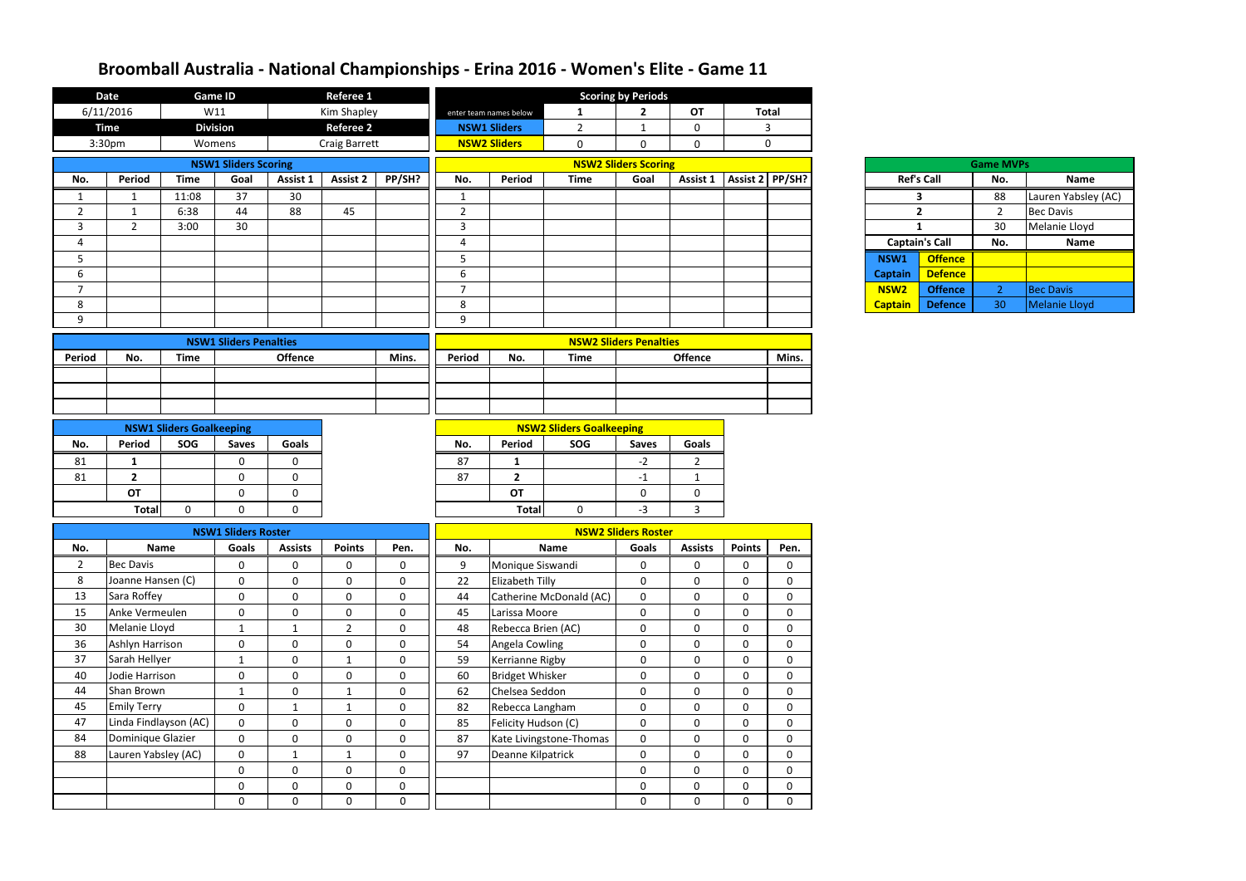|                 | <b>Date</b>           | <b>Game ID</b>                  |                               |                             | <b>Referee 1</b>             |                          |                |                        |                                                             | <b>Scoring by Periods</b>     |                              |                                 |                            |                  |                       |                  |                     |
|-----------------|-----------------------|---------------------------------|-------------------------------|-----------------------------|------------------------------|--------------------------|----------------|------------------------|-------------------------------------------------------------|-------------------------------|------------------------------|---------------------------------|----------------------------|------------------|-----------------------|------------------|---------------------|
|                 | 6/11/2016             | W11                             |                               |                             | Kim Shapley                  |                          |                | enter team names below | <b>Total</b><br>$\overline{2}$<br><b>OT</b><br>$\mathbf{1}$ |                               |                              |                                 |                            |                  |                       |                  |                     |
|                 | <b>Time</b>           |                                 | <b>Division</b>               |                             | <b>Referee 2</b>             |                          |                | <b>NSW1 Sliders</b>    | $\overline{2}$                                              | $\mathbf 1$                   | $\mathbf 0$                  |                                 | $\overline{3}$             |                  |                       |                  |                     |
|                 | 3:30pm                | Womens                          |                               |                             | Craig Barrett                |                          |                | <b>NSW2 Sliders</b>    | $\overline{0}$                                              | $\mathbf{0}$                  | $\mathbf 0$                  |                                 | $\mathbf 0$                |                  |                       |                  |                     |
|                 |                       |                                 | <b>NSW1 Sliders Scoring</b>   |                             |                              |                          |                |                        |                                                             | <b>NSW2 Sliders Scoring</b>   |                              |                                 |                            |                  |                       | <b>Game MVPs</b> |                     |
| No.             | Period                | <b>Time</b>                     | Goal                          | Assist 1                    | Assist 2                     | PP/SH?                   | No.            | Period                 | <b>Time</b>                                                 | Goal                          | Assist 1   Assist 2   PP/SH? |                                 |                            |                  | <b>Ref's Call</b>     | No.              | <b>Name</b>         |
|                 | -1                    | 11:08                           | 37                            | 30                          |                              |                          | 1              |                        |                                                             |                               |                              |                                 |                            |                  | 3                     | 88               | Lauren Yabsley (AC) |
| $\overline{2}$  | -1                    | 6:38                            | 44                            | 88                          | 45                           |                          | $\overline{2}$ |                        |                                                             |                               |                              |                                 |                            |                  | $\overline{2}$        | $\overline{2}$   | <b>Bec Davis</b>    |
| $\overline{3}$  | $\overline{2}$        | 3:00                            | 30                            |                             |                              |                          | 3              |                        |                                                             |                               |                              |                                 |                            |                  | $\mathbf{1}$          | 30               | Melanie Lloyd       |
| 4               |                       |                                 |                               |                             |                              |                          | $\overline{a}$ |                        |                                                             |                               |                              |                                 |                            |                  | <b>Captain's Call</b> | No.              | Name                |
| 5               |                       |                                 |                               |                             |                              |                          | 5              |                        |                                                             |                               |                              |                                 |                            | NSW1             | <b>Offence</b>        |                  |                     |
| 6               |                       |                                 |                               |                             |                              |                          | 6              |                        |                                                             |                               |                              |                                 |                            | <b>Captain</b>   | <b>Defence</b>        |                  |                     |
| $\overline{7}$  |                       |                                 |                               |                             |                              |                          | $\overline{7}$ |                        |                                                             |                               |                              |                                 |                            | NSW <sub>2</sub> | <b>Offence</b>        | $\overline{2}$   | <b>Bec Davis</b>    |
| 8               |                       |                                 |                               |                             |                              |                          | 8              |                        |                                                             |                               |                              |                                 |                            | <b>Captain</b>   | <b>Defence</b>        | 30               | Melanie Lloyd       |
| 9               |                       |                                 |                               |                             |                              |                          | 9              |                        |                                                             |                               |                              |                                 |                            |                  |                       |                  |                     |
|                 |                       |                                 | <b>NSW1 Sliders Penalties</b> |                             |                              |                          |                |                        |                                                             | <b>NSW2 Sliders Penalties</b> |                              |                                 |                            |                  |                       |                  |                     |
| Period          | No.                   | <b>Time</b>                     |                               | <b>Offence</b>              |                              | Mins.                    | <b>Period</b>  | No.                    | <b>Time</b>                                                 |                               | <b>Offence</b>               |                                 | Mins.                      |                  |                       |                  |                     |
|                 |                       |                                 |                               |                             |                              |                          |                |                        |                                                             |                               |                              |                                 |                            |                  |                       |                  |                     |
|                 |                       |                                 |                               |                             |                              |                          |                |                        |                                                             |                               |                              |                                 |                            |                  |                       |                  |                     |
|                 |                       |                                 |                               |                             |                              |                          |                |                        |                                                             |                               |                              |                                 |                            |                  |                       |                  |                     |
|                 |                       | <b>NSW1 Sliders Goalkeeping</b> |                               |                             |                              |                          |                |                        | <b>NSW2 Sliders Goalkeeping</b>                             |                               |                              |                                 |                            |                  |                       |                  |                     |
| No.             | Period                | SOG                             | <b>Saves</b>                  | Goals                       |                              |                          | No.            | Period                 | SOG                                                         | <b>Saves</b>                  | Goals                        |                                 |                            |                  |                       |                  |                     |
| 81              | 1                     |                                 | $\mathbf{0}$                  | $\Omega$                    |                              |                          | 87             | -1                     |                                                             | $-2$                          | 2                            |                                 |                            |                  |                       |                  |                     |
| 81              | $\overline{2}$        |                                 | $\mathbf 0$                   | $\mathbf 0$                 |                              |                          | 87             | $\overline{2}$         |                                                             | $-1$                          | $\mathbf{1}$                 |                                 |                            |                  |                       |                  |                     |
|                 | <b>OT</b>             |                                 | 0                             | 0                           |                              |                          |                | <b>OT</b>              |                                                             | $\mathbf 0$                   | $\mathbf 0$                  |                                 |                            |                  |                       |                  |                     |
|                 | <b>Total</b>          | 0                               | $\mathbf 0$                   | $\mathbf 0$                 |                              |                          |                | <b>Total</b>           | 0                                                           | $-3$                          | $\overline{3}$               |                                 |                            |                  |                       |                  |                     |
|                 |                       |                                 |                               |                             |                              |                          |                |                        |                                                             |                               |                              |                                 |                            |                  |                       |                  |                     |
|                 |                       |                                 | <b>NSW1 Sliders Roster</b>    |                             |                              |                          |                |                        |                                                             | <b>NSW2 Sliders Roster</b>    |                              |                                 |                            |                  |                       |                  |                     |
| No.             | <b>Name</b>           |                                 | Goals                         | <b>Assists</b>              | <b>Points</b>                | Pen.                     | No.            |                        | Name                                                        | <b>Goals</b>                  | <b>Assists</b>               | <b>Points</b>                   | Pen.                       |                  |                       |                  |                     |
| $\overline{2}$  | <b>Bec Davis</b>      |                                 | $\mathbf 0$                   | $\mathbf 0$                 | $\mathbf 0$                  | $\mathbf 0$              | 9              | Monique Siswandi       |                                                             | $\mathbf 0$                   | $\mathbf 0$                  | $\mathbf 0$                     | $\mathbf 0$                |                  |                       |                  |                     |
| 8               | Joanne Hansen (C)     |                                 | $\mathbf 0$                   | $\mathbf 0$                 | $\overline{0}$               | $\mathbf 0$              | 22             | Elizabeth Tilly        |                                                             | $\mathbf 0$                   | $\mathbf 0$                  | $\mathbf 0$                     | $\mathbf 0$                |                  |                       |                  |                     |
| 13              | Sara Roffey           |                                 | $\mathbf 0$                   | $\mathbf 0$                 | $\overline{0}$               | $\mathbf 0$              | 44             |                        | Catherine McDonald (AC)                                     | $\mathbf 0$                   | $\mathbf 0$                  | $\mathbf 0$                     | $\mathbf 0$                |                  |                       |                  |                     |
| 15              | Anke Vermeulen        |                                 | $\mathbf 0$                   | $\mathbf 0$                 | $\mathbf 0$                  | $\mathbf 0$              | 45             | Larissa Moore          |                                                             | $\mathbf 0$                   | $\mathbf 0$                  | 0                               | $\mathbf 0$                |                  |                       |                  |                     |
| 30 <sub>o</sub> | Melanie Lloyd         |                                 | $\mathbf{1}$                  | $\mathbf{1}$                | $2^{\circ}$                  | $\mathbf 0$              | 48             | Rebecca Brien (AC)     |                                                             | $\mathbf 0$                   | $\mathbf 0$                  | $\mathbf 0$                     | $\mathbf 0$                |                  |                       |                  |                     |
| 36              | Ashlyn Harrison       |                                 | $\mathbf 0$                   | $\mathbf 0$                 | $\mathbf 0$                  | $\mathbf 0$              | 54             | Angela Cowling         |                                                             | $\mathbf 0$                   | $\mathbf 0$                  | $\mathbf 0$                     | $\mathbf 0$                |                  |                       |                  |                     |
| 37              | Sarah Hellyer         |                                 | $\mathbf{1}$                  | $\mathbf 0$                 | $\mathbf{1}$                 | $\mathbf 0$              | 59             | Kerrianne Rigby        |                                                             | $\boldsymbol{0}$              | $\mathbf 0$                  | $\mathbf 0$                     | $\mathbf 0$                |                  |                       |                  |                     |
| 40              | Jodie Harrison        |                                 | $\mathbf 0$                   | $\mathbf 0$                 | $\mathbf 0$                  | $\mathbf 0$              | 60             | <b>Bridget Whisker</b> |                                                             | $\mathbf 0$                   | $\mathbf 0$                  | $\mathbf 0$                     | $\mathbf 0$                |                  |                       |                  |                     |
| 44              | Shan Brown            |                                 | $\mathbf{1}$                  | $\mathbf 0$                 | $\mathbf{1}$                 | $\mathbf 0$              | 62             | Chelsea Seddon         |                                                             | $\mathbf 0$                   | $\mathbf 0$                  | $\mathbf 0$                     | $\mathbf 0$                |                  |                       |                  |                     |
| 45              | <b>Emily Terry</b>    |                                 | $\mathbf 0$                   | $\mathbf{1}$                | 1                            | $\mathbf 0$              | 82             | Rebecca Langham        |                                                             | $\mathbf 0$                   | $\mathbf 0$                  | $\mathbf 0$                     | $\mathbf 0$                |                  |                       |                  |                     |
| 47<br>84        | Linda Findlayson (AC) |                                 | $\mathbf 0$                   | $\mathbf 0$                 | $\mathbf{0}$                 | $\mathbf 0$              | 85             | Felicity Hudson (C)    |                                                             | $\mathbf 0$                   | $\mathbf 0$                  | $\mathbf 0$                     | $\mathbf 0$                |                  |                       |                  |                     |
|                 | Dominique Glazier     |                                 | $\mathbf 0$                   | $\mathbf{0}$                | $\mathbf 0$                  | $\mathbf 0$              | 87<br>97       |                        | Kate Livingstone-Thomas                                     | $\mathbf 0$                   | $\mathbf 0$                  | $\mathbf 0$                     | $\mathbf 0$                |                  |                       |                  |                     |
| 88              | Lauren Yabsley (AC)   |                                 | $\mathbf 0$                   | $\mathbf{1}$                | $\mathbf{1}$                 | $\mathbf 0$              |                | Deanne Kilpatrick      |                                                             | $\boldsymbol{0}$              | $\mathbf 0$                  | $\mathbf 0$                     | $\mathbf 0$                |                  |                       |                  |                     |
|                 |                       |                                 | $\mathbf 0$                   | $\mathbf 0$                 | $\mathbf{0}$                 | $\mathbf 0$              |                |                        |                                                             | $\mathbf 0$                   | $\mathbf 0$                  | $\mathbf 0$                     | $\mathbf 0$                |                  |                       |                  |                     |
|                 |                       |                                 | $\mathbf 0$<br>$\mathbf 0$    | $\mathbf 0$<br>$\mathbf{0}$ | $\mathbf{0}$<br>$\mathbf{0}$ | $\pmb{0}$<br>$\mathbf 0$ |                |                        |                                                             | $\mathbf 0$<br>$\mathbf 0$    | $\mathbf 0$<br>$\mathbf 0$   | $\mathbf 0$<br>$\boldsymbol{0}$ | $\mathbf 0$<br>$\mathbf 0$ |                  |                       |                  |                     |
|                 |                       |                                 |                               |                             |                              |                          |                |                        |                                                             |                               |                              |                                 |                            |                  |                       |                  |                     |

| <b>Game MVPs</b>      |                |     |                      |  |  |  |  |  |  |  |  |
|-----------------------|----------------|-----|----------------------|--|--|--|--|--|--|--|--|
| <b>Ref's Call</b>     |                | No. | <b>Name</b>          |  |  |  |  |  |  |  |  |
| 3                     |                | 88  | Lauren Yabsley (AC)  |  |  |  |  |  |  |  |  |
|                       | $\mathbf{2}$   | 2   | <b>Bec Davis</b>     |  |  |  |  |  |  |  |  |
| 1                     |                | 30  | Melanie Lloyd        |  |  |  |  |  |  |  |  |
| <b>Captain's Call</b> |                | No. | <b>Name</b>          |  |  |  |  |  |  |  |  |
| NSW1                  | <b>Offence</b> |     |                      |  |  |  |  |  |  |  |  |
| <b>Captain</b>        | <b>Defence</b> |     |                      |  |  |  |  |  |  |  |  |
| NSW <sub>2</sub>      | <b>Offence</b> | 2   | <b>Bec Davis</b>     |  |  |  |  |  |  |  |  |
| <b>Captain</b>        | <b>Defence</b> | 30  | <b>Melanie Lloyd</b> |  |  |  |  |  |  |  |  |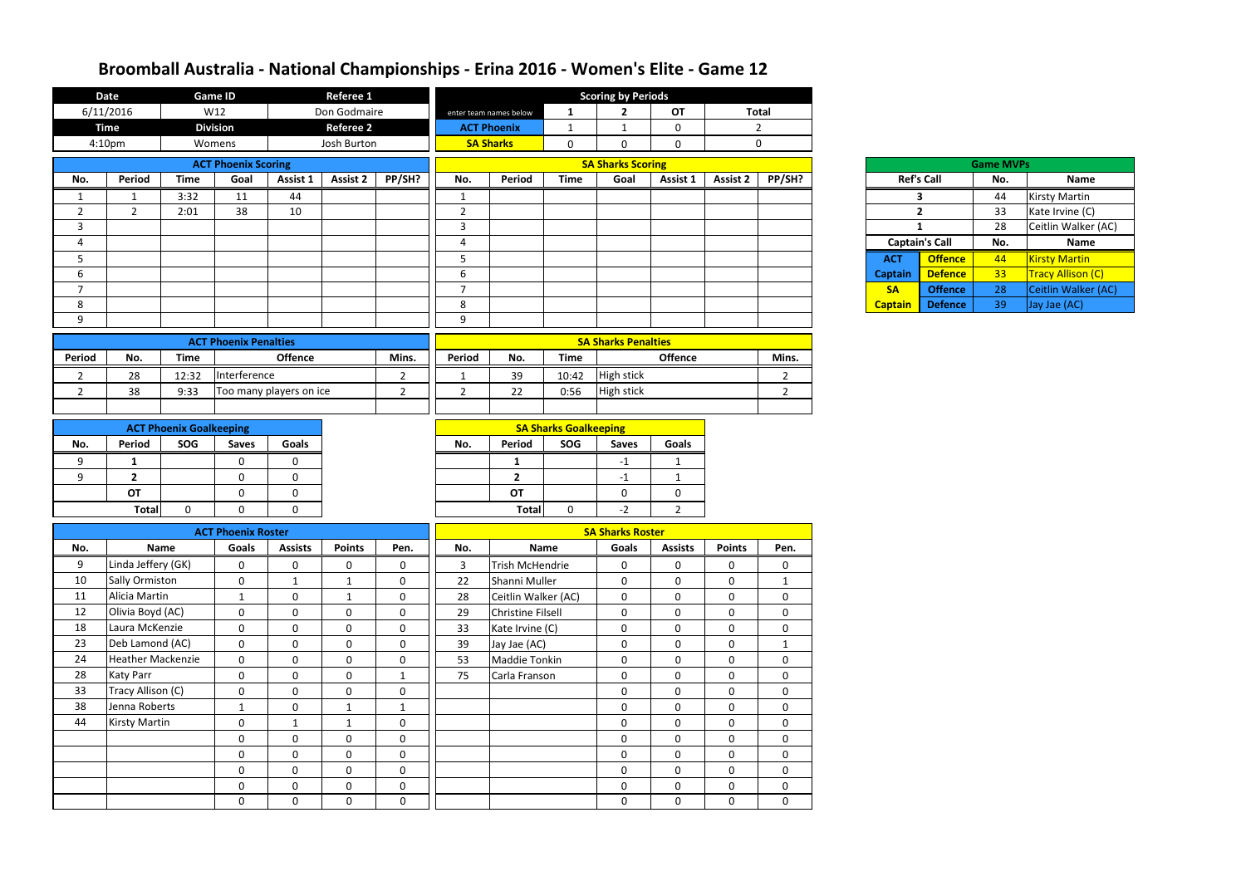| 6/11/2016<br>Don Godmaire<br>W12<br><b>Total</b><br><b>OT</b><br>$\overline{2}$<br>$\mathbf{1}$<br>enter team names below<br><b>Division</b><br><b>Time</b><br><b>Referee 2</b><br><b>ACT Phoenix</b><br>$\overline{2}$<br>$\mathbf{1}$<br>0<br>$\mathbf{1}$<br><b>SA Sharks</b><br>$\mathbf 0$<br>4:10pm<br>Josh Burton<br>$\mathbf 0$<br>Womens<br>$\mathbf 0$<br>$\mathbf 0$<br><b>SA Sharks Scoring</b><br><b>ACT Phoenix Scoring</b><br><b>Game MVPs</b><br>PP/SH?<br>Period<br><b>Time</b><br>Goal<br><b>Assist 2</b><br><b>Time</b><br>Assist 1<br>PP/SH?<br>No.<br>Assist 1<br>No.<br>Period<br>Goal<br><b>Assist 2</b><br><b>Ref's Call</b><br><b>Name</b><br>No.<br>44<br><b>Kirsty Martin</b><br>3:32<br>11<br>44<br>3<br>- 1<br>1<br>38<br>10<br>$\overline{2}$<br>$2^{\circ}$<br>$\overline{2}$<br>2:01<br>$\overline{2}$<br>33<br>Kate Irvine (C)<br>28<br>$\mathbf{3}$<br>Ceitlin Walker (AC)<br>3<br>$\mathbf{1}$<br><b>Captain's Call</b><br>Name<br>No.<br>4<br>4<br><b>Offence</b><br>$5\phantom{.}$<br><b>Kirsty Martin</b><br>5<br>44<br><b>ACT</b><br>33<br>Tracy Allison (C)<br>6<br><b>Defence</b><br>6<br><b>Captain</b><br>$\overline{7}$<br>28<br>Ceitlin Walker (AC)<br>$\overline{7}$<br><b>SA</b><br><b>Offence</b><br>8<br>39<br>8<br><b>Defence</b><br>Jay Jae (AC)<br><b>Captain</b><br>9<br>9<br><b>SA Sharks Penalties</b><br><b>ACT Phoenix Penalties</b><br>Period<br>Period<br><b>Time</b><br><b>Offence</b><br>Mins.<br>No.<br><b>Time</b><br>Offence<br>Mins.<br>No.<br>Interference<br>39<br>High stick<br>10:42<br>28<br>12:32<br>$\overline{2}$<br>$\overline{2}$<br>$\overline{2}$<br>$\mathbf{1}$<br>Too many players on ice<br>22<br><b>High stick</b><br>38<br>9:33<br>$\overline{2}$<br>$\overline{2}$<br>0:56<br>$\overline{2}$<br>$\overline{2}$<br><b>SA Sharks Goalkeeping</b><br><b>ACT Phoenix Goalkeeping</b><br>Period<br>SOG<br>Period<br>SOG<br>Goals<br><b>Goals</b><br>No.<br>No.<br><b>Saves</b><br><b>Saves</b><br>$\mathbf 0$<br>$\Omega$<br>$-1$<br>9<br>1<br>$\mathbf{1}$<br>1<br>$\mathbf 0$<br>$\mathbf 0$<br>$\overline{2}$<br>9<br>$\overline{2}$<br>$-1$<br>1<br><b>OT</b><br>$\mathbf 0$<br>OT<br>$\mathbf 0$<br>$\mathbf 0$<br>0<br><b>Total</b><br><b>Total</b><br>$\mathbf 0$<br>$-2$<br>0<br>$\mathbf 0$<br>$\Omega$<br>$2^{\circ}$<br><b>SA Sharks Roster</b><br><b>ACT Phoenix Roster</b><br><b>Points</b><br>No.<br><b>Assists</b><br><b>Points</b><br>Goals<br><b>Assists</b><br>Pen.<br>Name<br>Goals<br>Pen.<br>No.<br><b>Name</b><br>Linda Jeffery (GK)<br>9<br>$\mathbf 0$<br>$\pmb{0}$<br>$\boldsymbol{0}$<br>Trish McHendrie<br>$\pmb{0}$<br>$\mathbf 0$<br>$\mathbf 0$<br>0<br>$\mathbf 0$<br>3<br>10<br><b>Sally Ormiston</b><br>$\mathbf 0$<br>22<br>Shanni Muller<br>$\mathbf 0$<br>$\mathbf 0$<br>$\mathbf 0$<br>$\mathbf 0$<br>$\mathbf{1}$<br>$\mathbf{1}$<br>$\mathbf{1}$<br>Alicia Martin<br>11<br>$\mathbf 0$<br>28<br>Ceitlin Walker (AC)<br>$\mathbf 0$<br>$\mathbf 0$<br>$\mathbf 0$<br>$\mathbf 0$<br>$\mathbf{1}$<br>$\mathbf 0$<br>$\mathbf{1}$<br>Olivia Boyd (AC)<br>12<br><b>Christine Filsell</b><br>$\mathbf 0$<br>$\mathbf 0$<br>$\mathbf 0$<br>$\mathbf 0$<br>$\mathbf 0$<br>29<br>$\mathbf 0$<br>$\mathbf 0$<br>$\mathbf 0$<br>18<br>Laura McKenzie<br>$\mathbf 0$<br>$\mathbf 0$<br>$\mathbf 0$<br>Kate Irvine (C)<br>$\mathbf 0$<br>$\mathbf 0$<br>$\mathbf 0$<br>33<br>$\mathbf 0$<br>$\mathbf 0$<br>23<br>Deb Lamond (AC)<br>$\overline{0}$<br>$\mathbf{0}$<br>$\mathbf 0$<br>$\mathbf 0$<br>39<br>Jay Jae (AC)<br>$\mathbf 0$<br>0<br>$\mathbf{0}$<br>$\mathbf{1}$<br><b>Heather Mackenzie</b><br>24<br>$\mathbf 0$<br>$\mathbf 0$<br>$\mathbf 0$<br>$\mathbf 0$<br>53<br>Maddie Tonkin<br>$\mathbf 0$<br>$\mathbf 0$<br>$\mathbf 0$<br>$\mathbf 0$<br>28<br><b>Katy Parr</b><br>Carla Franson<br>$\mathbf 0$<br>$\mathbf{0}$<br>$\mathbf 0$<br>75<br>$\mathbf 0$<br>$\mathbf 0$<br>$\mathbf 0$<br>$\mathbf 0$<br>$\mathbf{1}$<br>Tracy Allison (C)<br>33<br>$\mathbf 0$<br>$\overline{0}$<br>$\mathbf 0$<br>$\mathbf 0$<br>$\mathbf 0$<br>$\mathbf 0$<br>$\mathbf 0$<br>$\mathbf 0$<br>38<br>Jenna Roberts<br>$\overline{0}$<br>$\mathbf 0$<br>$\mathbf 0$<br>$\mathbf 0$<br>$\mathbf{1}$<br>$\mathbf{1}$<br>$\mathbf 0$<br>$\mathbf{1}$<br>44<br><b>Kirsty Martin</b><br>$\mathbf 0$<br>$\boldsymbol{0}$<br>$\boldsymbol{0}$<br>$\pmb{0}$<br>$\mathbf 0$<br>$\mathbf 0$<br>$\mathbf{1}$<br>$\mathbf{1}$<br>$\mathbf 0$<br>$\mathbf 0$<br>$\mathbf 0$<br>$\mathbf 0$<br>$\mathbf 0$<br>$\mathbf 0$<br>$\mathbf 0$<br>$\mathbf 0$<br>$\mathbf 0$<br>$\mathbf 0$<br>$\mathbf 0$<br>$\mathbf 0$<br>$\mathbf 0$<br>$\mathbf 0$<br>$\mathbf 0$<br>$\mathbf 0$<br>$\mathbf 0$<br>$\pmb{0}$<br>$\mathbf 0$<br>$\mathbf 0$<br>$\mathbf 0$<br>$\mathbf 0$<br>$\mathbf 0$<br>$\mathbf 0$<br>$\mathbf 0$<br>$\mathbf 0$<br>$\pmb{0}$<br>$\boldsymbol{0}$<br>$\pmb{0}$<br>$\mathbf 0$<br>0<br>$\mathbf 0$<br>$\mathbf 0$<br>$\mathbf 0$<br>$\mathbf 0$<br>$\mathbf 0$<br>$\mathbf 0$<br>$\mathbf 0$<br>$\mathbf{0}$<br>$\mathbf 0$ | <b>Date</b> | <b>Game ID</b> | <b>Referee 1</b> | <b>Scoring by Periods</b> |  |  |  |  |  |  |  |
|-------------------------------------------------------------------------------------------------------------------------------------------------------------------------------------------------------------------------------------------------------------------------------------------------------------------------------------------------------------------------------------------------------------------------------------------------------------------------------------------------------------------------------------------------------------------------------------------------------------------------------------------------------------------------------------------------------------------------------------------------------------------------------------------------------------------------------------------------------------------------------------------------------------------------------------------------------------------------------------------------------------------------------------------------------------------------------------------------------------------------------------------------------------------------------------------------------------------------------------------------------------------------------------------------------------------------------------------------------------------------------------------------------------------------------------------------------------------------------------------------------------------------------------------------------------------------------------------------------------------------------------------------------------------------------------------------------------------------------------------------------------------------------------------------------------------------------------------------------------------------------------------------------------------------------------------------------------------------------------------------------------------------------------------------------------------------------------------------------------------------------------------------------------------------------------------------------------------------------------------------------------------------------------------------------------------------------------------------------------------------------------------------------------------------------------------------------------------------------------------------------------------------------------------------------------------------------------------------------------------------------------------------------------------------------------------------------------------------------------------------------------------------------------------------------------------------------------------------------------------------------------------------------------------------------------------------------------------------------------------------------------------------------------------------------------------------------------------------------------------------------------------------------------------------------------------------------------------------------------------------------------------------------------------------------------------------------------------------------------------------------------------------------------------------------------------------------------------------------------------------------------------------------------------------------------------------------------------------------------------------------------------------------------------------------------------------------------------------------------------------------------------------------------------------------------------------------------------------------------------------------------------------------------------------------------------------------------------------------------------------------------------------------------------------------------------------------------------------------------------------------------------------------------------------------------------------------------------------------------------------------------------------------------------------------------------------------------------------------------------------------------------------------------------------------------------------------------------------------------------------------------------------------------------------------------------------------------------------------------------------------------------------------------------------------------------------------------------------------------------------------------------------------------------------------------------------------------------------------------------------------------------------------------------------------------------------------------------------------------------------------------------------------------------|-------------|----------------|------------------|---------------------------|--|--|--|--|--|--|--|
|                                                                                                                                                                                                                                                                                                                                                                                                                                                                                                                                                                                                                                                                                                                                                                                                                                                                                                                                                                                                                                                                                                                                                                                                                                                                                                                                                                                                                                                                                                                                                                                                                                                                                                                                                                                                                                                                                                                                                                                                                                                                                                                                                                                                                                                                                                                                                                                                                                                                                                                                                                                                                                                                                                                                                                                                                                                                                                                                                                                                                                                                                                                                                                                                                                                                                                                                                                                                                                                                                                                                                                                                                                                                                                                                                                                                                                                                                                                                                                                                                                                                                                                                                                                                                                                                                                                                                                                                                                                                                                                                                                                                                                                                                                                                                                                                                                                                                                                                                                                                                                           |             |                |                  |                           |  |  |  |  |  |  |  |
|                                                                                                                                                                                                                                                                                                                                                                                                                                                                                                                                                                                                                                                                                                                                                                                                                                                                                                                                                                                                                                                                                                                                                                                                                                                                                                                                                                                                                                                                                                                                                                                                                                                                                                                                                                                                                                                                                                                                                                                                                                                                                                                                                                                                                                                                                                                                                                                                                                                                                                                                                                                                                                                                                                                                                                                                                                                                                                                                                                                                                                                                                                                                                                                                                                                                                                                                                                                                                                                                                                                                                                                                                                                                                                                                                                                                                                                                                                                                                                                                                                                                                                                                                                                                                                                                                                                                                                                                                                                                                                                                                                                                                                                                                                                                                                                                                                                                                                                                                                                                                                           |             |                |                  |                           |  |  |  |  |  |  |  |
|                                                                                                                                                                                                                                                                                                                                                                                                                                                                                                                                                                                                                                                                                                                                                                                                                                                                                                                                                                                                                                                                                                                                                                                                                                                                                                                                                                                                                                                                                                                                                                                                                                                                                                                                                                                                                                                                                                                                                                                                                                                                                                                                                                                                                                                                                                                                                                                                                                                                                                                                                                                                                                                                                                                                                                                                                                                                                                                                                                                                                                                                                                                                                                                                                                                                                                                                                                                                                                                                                                                                                                                                                                                                                                                                                                                                                                                                                                                                                                                                                                                                                                                                                                                                                                                                                                                                                                                                                                                                                                                                                                                                                                                                                                                                                                                                                                                                                                                                                                                                                                           |             |                |                  |                           |  |  |  |  |  |  |  |
|                                                                                                                                                                                                                                                                                                                                                                                                                                                                                                                                                                                                                                                                                                                                                                                                                                                                                                                                                                                                                                                                                                                                                                                                                                                                                                                                                                                                                                                                                                                                                                                                                                                                                                                                                                                                                                                                                                                                                                                                                                                                                                                                                                                                                                                                                                                                                                                                                                                                                                                                                                                                                                                                                                                                                                                                                                                                                                                                                                                                                                                                                                                                                                                                                                                                                                                                                                                                                                                                                                                                                                                                                                                                                                                                                                                                                                                                                                                                                                                                                                                                                                                                                                                                                                                                                                                                                                                                                                                                                                                                                                                                                                                                                                                                                                                                                                                                                                                                                                                                                                           |             |                |                  |                           |  |  |  |  |  |  |  |
|                                                                                                                                                                                                                                                                                                                                                                                                                                                                                                                                                                                                                                                                                                                                                                                                                                                                                                                                                                                                                                                                                                                                                                                                                                                                                                                                                                                                                                                                                                                                                                                                                                                                                                                                                                                                                                                                                                                                                                                                                                                                                                                                                                                                                                                                                                                                                                                                                                                                                                                                                                                                                                                                                                                                                                                                                                                                                                                                                                                                                                                                                                                                                                                                                                                                                                                                                                                                                                                                                                                                                                                                                                                                                                                                                                                                                                                                                                                                                                                                                                                                                                                                                                                                                                                                                                                                                                                                                                                                                                                                                                                                                                                                                                                                                                                                                                                                                                                                                                                                                                           |             |                |                  |                           |  |  |  |  |  |  |  |
|                                                                                                                                                                                                                                                                                                                                                                                                                                                                                                                                                                                                                                                                                                                                                                                                                                                                                                                                                                                                                                                                                                                                                                                                                                                                                                                                                                                                                                                                                                                                                                                                                                                                                                                                                                                                                                                                                                                                                                                                                                                                                                                                                                                                                                                                                                                                                                                                                                                                                                                                                                                                                                                                                                                                                                                                                                                                                                                                                                                                                                                                                                                                                                                                                                                                                                                                                                                                                                                                                                                                                                                                                                                                                                                                                                                                                                                                                                                                                                                                                                                                                                                                                                                                                                                                                                                                                                                                                                                                                                                                                                                                                                                                                                                                                                                                                                                                                                                                                                                                                                           |             |                |                  |                           |  |  |  |  |  |  |  |
|                                                                                                                                                                                                                                                                                                                                                                                                                                                                                                                                                                                                                                                                                                                                                                                                                                                                                                                                                                                                                                                                                                                                                                                                                                                                                                                                                                                                                                                                                                                                                                                                                                                                                                                                                                                                                                                                                                                                                                                                                                                                                                                                                                                                                                                                                                                                                                                                                                                                                                                                                                                                                                                                                                                                                                                                                                                                                                                                                                                                                                                                                                                                                                                                                                                                                                                                                                                                                                                                                                                                                                                                                                                                                                                                                                                                                                                                                                                                                                                                                                                                                                                                                                                                                                                                                                                                                                                                                                                                                                                                                                                                                                                                                                                                                                                                                                                                                                                                                                                                                                           |             |                |                  |                           |  |  |  |  |  |  |  |
|                                                                                                                                                                                                                                                                                                                                                                                                                                                                                                                                                                                                                                                                                                                                                                                                                                                                                                                                                                                                                                                                                                                                                                                                                                                                                                                                                                                                                                                                                                                                                                                                                                                                                                                                                                                                                                                                                                                                                                                                                                                                                                                                                                                                                                                                                                                                                                                                                                                                                                                                                                                                                                                                                                                                                                                                                                                                                                                                                                                                                                                                                                                                                                                                                                                                                                                                                                                                                                                                                                                                                                                                                                                                                                                                                                                                                                                                                                                                                                                                                                                                                                                                                                                                                                                                                                                                                                                                                                                                                                                                                                                                                                                                                                                                                                                                                                                                                                                                                                                                                                           |             |                |                  |                           |  |  |  |  |  |  |  |
|                                                                                                                                                                                                                                                                                                                                                                                                                                                                                                                                                                                                                                                                                                                                                                                                                                                                                                                                                                                                                                                                                                                                                                                                                                                                                                                                                                                                                                                                                                                                                                                                                                                                                                                                                                                                                                                                                                                                                                                                                                                                                                                                                                                                                                                                                                                                                                                                                                                                                                                                                                                                                                                                                                                                                                                                                                                                                                                                                                                                                                                                                                                                                                                                                                                                                                                                                                                                                                                                                                                                                                                                                                                                                                                                                                                                                                                                                                                                                                                                                                                                                                                                                                                                                                                                                                                                                                                                                                                                                                                                                                                                                                                                                                                                                                                                                                                                                                                                                                                                                                           |             |                |                  |                           |  |  |  |  |  |  |  |
|                                                                                                                                                                                                                                                                                                                                                                                                                                                                                                                                                                                                                                                                                                                                                                                                                                                                                                                                                                                                                                                                                                                                                                                                                                                                                                                                                                                                                                                                                                                                                                                                                                                                                                                                                                                                                                                                                                                                                                                                                                                                                                                                                                                                                                                                                                                                                                                                                                                                                                                                                                                                                                                                                                                                                                                                                                                                                                                                                                                                                                                                                                                                                                                                                                                                                                                                                                                                                                                                                                                                                                                                                                                                                                                                                                                                                                                                                                                                                                                                                                                                                                                                                                                                                                                                                                                                                                                                                                                                                                                                                                                                                                                                                                                                                                                                                                                                                                                                                                                                                                           |             |                |                  |                           |  |  |  |  |  |  |  |
|                                                                                                                                                                                                                                                                                                                                                                                                                                                                                                                                                                                                                                                                                                                                                                                                                                                                                                                                                                                                                                                                                                                                                                                                                                                                                                                                                                                                                                                                                                                                                                                                                                                                                                                                                                                                                                                                                                                                                                                                                                                                                                                                                                                                                                                                                                                                                                                                                                                                                                                                                                                                                                                                                                                                                                                                                                                                                                                                                                                                                                                                                                                                                                                                                                                                                                                                                                                                                                                                                                                                                                                                                                                                                                                                                                                                                                                                                                                                                                                                                                                                                                                                                                                                                                                                                                                                                                                                                                                                                                                                                                                                                                                                                                                                                                                                                                                                                                                                                                                                                                           |             |                |                  |                           |  |  |  |  |  |  |  |
|                                                                                                                                                                                                                                                                                                                                                                                                                                                                                                                                                                                                                                                                                                                                                                                                                                                                                                                                                                                                                                                                                                                                                                                                                                                                                                                                                                                                                                                                                                                                                                                                                                                                                                                                                                                                                                                                                                                                                                                                                                                                                                                                                                                                                                                                                                                                                                                                                                                                                                                                                                                                                                                                                                                                                                                                                                                                                                                                                                                                                                                                                                                                                                                                                                                                                                                                                                                                                                                                                                                                                                                                                                                                                                                                                                                                                                                                                                                                                                                                                                                                                                                                                                                                                                                                                                                                                                                                                                                                                                                                                                                                                                                                                                                                                                                                                                                                                                                                                                                                                                           |             |                |                  |                           |  |  |  |  |  |  |  |
|                                                                                                                                                                                                                                                                                                                                                                                                                                                                                                                                                                                                                                                                                                                                                                                                                                                                                                                                                                                                                                                                                                                                                                                                                                                                                                                                                                                                                                                                                                                                                                                                                                                                                                                                                                                                                                                                                                                                                                                                                                                                                                                                                                                                                                                                                                                                                                                                                                                                                                                                                                                                                                                                                                                                                                                                                                                                                                                                                                                                                                                                                                                                                                                                                                                                                                                                                                                                                                                                                                                                                                                                                                                                                                                                                                                                                                                                                                                                                                                                                                                                                                                                                                                                                                                                                                                                                                                                                                                                                                                                                                                                                                                                                                                                                                                                                                                                                                                                                                                                                                           |             |                |                  |                           |  |  |  |  |  |  |  |
|                                                                                                                                                                                                                                                                                                                                                                                                                                                                                                                                                                                                                                                                                                                                                                                                                                                                                                                                                                                                                                                                                                                                                                                                                                                                                                                                                                                                                                                                                                                                                                                                                                                                                                                                                                                                                                                                                                                                                                                                                                                                                                                                                                                                                                                                                                                                                                                                                                                                                                                                                                                                                                                                                                                                                                                                                                                                                                                                                                                                                                                                                                                                                                                                                                                                                                                                                                                                                                                                                                                                                                                                                                                                                                                                                                                                                                                                                                                                                                                                                                                                                                                                                                                                                                                                                                                                                                                                                                                                                                                                                                                                                                                                                                                                                                                                                                                                                                                                                                                                                                           |             |                |                  |                           |  |  |  |  |  |  |  |
|                                                                                                                                                                                                                                                                                                                                                                                                                                                                                                                                                                                                                                                                                                                                                                                                                                                                                                                                                                                                                                                                                                                                                                                                                                                                                                                                                                                                                                                                                                                                                                                                                                                                                                                                                                                                                                                                                                                                                                                                                                                                                                                                                                                                                                                                                                                                                                                                                                                                                                                                                                                                                                                                                                                                                                                                                                                                                                                                                                                                                                                                                                                                                                                                                                                                                                                                                                                                                                                                                                                                                                                                                                                                                                                                                                                                                                                                                                                                                                                                                                                                                                                                                                                                                                                                                                                                                                                                                                                                                                                                                                                                                                                                                                                                                                                                                                                                                                                                                                                                                                           |             |                |                  |                           |  |  |  |  |  |  |  |
|                                                                                                                                                                                                                                                                                                                                                                                                                                                                                                                                                                                                                                                                                                                                                                                                                                                                                                                                                                                                                                                                                                                                                                                                                                                                                                                                                                                                                                                                                                                                                                                                                                                                                                                                                                                                                                                                                                                                                                                                                                                                                                                                                                                                                                                                                                                                                                                                                                                                                                                                                                                                                                                                                                                                                                                                                                                                                                                                                                                                                                                                                                                                                                                                                                                                                                                                                                                                                                                                                                                                                                                                                                                                                                                                                                                                                                                                                                                                                                                                                                                                                                                                                                                                                                                                                                                                                                                                                                                                                                                                                                                                                                                                                                                                                                                                                                                                                                                                                                                                                                           |             |                |                  |                           |  |  |  |  |  |  |  |
|                                                                                                                                                                                                                                                                                                                                                                                                                                                                                                                                                                                                                                                                                                                                                                                                                                                                                                                                                                                                                                                                                                                                                                                                                                                                                                                                                                                                                                                                                                                                                                                                                                                                                                                                                                                                                                                                                                                                                                                                                                                                                                                                                                                                                                                                                                                                                                                                                                                                                                                                                                                                                                                                                                                                                                                                                                                                                                                                                                                                                                                                                                                                                                                                                                                                                                                                                                                                                                                                                                                                                                                                                                                                                                                                                                                                                                                                                                                                                                                                                                                                                                                                                                                                                                                                                                                                                                                                                                                                                                                                                                                                                                                                                                                                                                                                                                                                                                                                                                                                                                           |             |                |                  |                           |  |  |  |  |  |  |  |
|                                                                                                                                                                                                                                                                                                                                                                                                                                                                                                                                                                                                                                                                                                                                                                                                                                                                                                                                                                                                                                                                                                                                                                                                                                                                                                                                                                                                                                                                                                                                                                                                                                                                                                                                                                                                                                                                                                                                                                                                                                                                                                                                                                                                                                                                                                                                                                                                                                                                                                                                                                                                                                                                                                                                                                                                                                                                                                                                                                                                                                                                                                                                                                                                                                                                                                                                                                                                                                                                                                                                                                                                                                                                                                                                                                                                                                                                                                                                                                                                                                                                                                                                                                                                                                                                                                                                                                                                                                                                                                                                                                                                                                                                                                                                                                                                                                                                                                                                                                                                                                           |             |                |                  |                           |  |  |  |  |  |  |  |
|                                                                                                                                                                                                                                                                                                                                                                                                                                                                                                                                                                                                                                                                                                                                                                                                                                                                                                                                                                                                                                                                                                                                                                                                                                                                                                                                                                                                                                                                                                                                                                                                                                                                                                                                                                                                                                                                                                                                                                                                                                                                                                                                                                                                                                                                                                                                                                                                                                                                                                                                                                                                                                                                                                                                                                                                                                                                                                                                                                                                                                                                                                                                                                                                                                                                                                                                                                                                                                                                                                                                                                                                                                                                                                                                                                                                                                                                                                                                                                                                                                                                                                                                                                                                                                                                                                                                                                                                                                                                                                                                                                                                                                                                                                                                                                                                                                                                                                                                                                                                                                           |             |                |                  |                           |  |  |  |  |  |  |  |
|                                                                                                                                                                                                                                                                                                                                                                                                                                                                                                                                                                                                                                                                                                                                                                                                                                                                                                                                                                                                                                                                                                                                                                                                                                                                                                                                                                                                                                                                                                                                                                                                                                                                                                                                                                                                                                                                                                                                                                                                                                                                                                                                                                                                                                                                                                                                                                                                                                                                                                                                                                                                                                                                                                                                                                                                                                                                                                                                                                                                                                                                                                                                                                                                                                                                                                                                                                                                                                                                                                                                                                                                                                                                                                                                                                                                                                                                                                                                                                                                                                                                                                                                                                                                                                                                                                                                                                                                                                                                                                                                                                                                                                                                                                                                                                                                                                                                                                                                                                                                                                           |             |                |                  |                           |  |  |  |  |  |  |  |
|                                                                                                                                                                                                                                                                                                                                                                                                                                                                                                                                                                                                                                                                                                                                                                                                                                                                                                                                                                                                                                                                                                                                                                                                                                                                                                                                                                                                                                                                                                                                                                                                                                                                                                                                                                                                                                                                                                                                                                                                                                                                                                                                                                                                                                                                                                                                                                                                                                                                                                                                                                                                                                                                                                                                                                                                                                                                                                                                                                                                                                                                                                                                                                                                                                                                                                                                                                                                                                                                                                                                                                                                                                                                                                                                                                                                                                                                                                                                                                                                                                                                                                                                                                                                                                                                                                                                                                                                                                                                                                                                                                                                                                                                                                                                                                                                                                                                                                                                                                                                                                           |             |                |                  |                           |  |  |  |  |  |  |  |
|                                                                                                                                                                                                                                                                                                                                                                                                                                                                                                                                                                                                                                                                                                                                                                                                                                                                                                                                                                                                                                                                                                                                                                                                                                                                                                                                                                                                                                                                                                                                                                                                                                                                                                                                                                                                                                                                                                                                                                                                                                                                                                                                                                                                                                                                                                                                                                                                                                                                                                                                                                                                                                                                                                                                                                                                                                                                                                                                                                                                                                                                                                                                                                                                                                                                                                                                                                                                                                                                                                                                                                                                                                                                                                                                                                                                                                                                                                                                                                                                                                                                                                                                                                                                                                                                                                                                                                                                                                                                                                                                                                                                                                                                                                                                                                                                                                                                                                                                                                                                                                           |             |                |                  |                           |  |  |  |  |  |  |  |
|                                                                                                                                                                                                                                                                                                                                                                                                                                                                                                                                                                                                                                                                                                                                                                                                                                                                                                                                                                                                                                                                                                                                                                                                                                                                                                                                                                                                                                                                                                                                                                                                                                                                                                                                                                                                                                                                                                                                                                                                                                                                                                                                                                                                                                                                                                                                                                                                                                                                                                                                                                                                                                                                                                                                                                                                                                                                                                                                                                                                                                                                                                                                                                                                                                                                                                                                                                                                                                                                                                                                                                                                                                                                                                                                                                                                                                                                                                                                                                                                                                                                                                                                                                                                                                                                                                                                                                                                                                                                                                                                                                                                                                                                                                                                                                                                                                                                                                                                                                                                                                           |             |                |                  |                           |  |  |  |  |  |  |  |
|                                                                                                                                                                                                                                                                                                                                                                                                                                                                                                                                                                                                                                                                                                                                                                                                                                                                                                                                                                                                                                                                                                                                                                                                                                                                                                                                                                                                                                                                                                                                                                                                                                                                                                                                                                                                                                                                                                                                                                                                                                                                                                                                                                                                                                                                                                                                                                                                                                                                                                                                                                                                                                                                                                                                                                                                                                                                                                                                                                                                                                                                                                                                                                                                                                                                                                                                                                                                                                                                                                                                                                                                                                                                                                                                                                                                                                                                                                                                                                                                                                                                                                                                                                                                                                                                                                                                                                                                                                                                                                                                                                                                                                                                                                                                                                                                                                                                                                                                                                                                                                           |             |                |                  |                           |  |  |  |  |  |  |  |
|                                                                                                                                                                                                                                                                                                                                                                                                                                                                                                                                                                                                                                                                                                                                                                                                                                                                                                                                                                                                                                                                                                                                                                                                                                                                                                                                                                                                                                                                                                                                                                                                                                                                                                                                                                                                                                                                                                                                                                                                                                                                                                                                                                                                                                                                                                                                                                                                                                                                                                                                                                                                                                                                                                                                                                                                                                                                                                                                                                                                                                                                                                                                                                                                                                                                                                                                                                                                                                                                                                                                                                                                                                                                                                                                                                                                                                                                                                                                                                                                                                                                                                                                                                                                                                                                                                                                                                                                                                                                                                                                                                                                                                                                                                                                                                                                                                                                                                                                                                                                                                           |             |                |                  |                           |  |  |  |  |  |  |  |
|                                                                                                                                                                                                                                                                                                                                                                                                                                                                                                                                                                                                                                                                                                                                                                                                                                                                                                                                                                                                                                                                                                                                                                                                                                                                                                                                                                                                                                                                                                                                                                                                                                                                                                                                                                                                                                                                                                                                                                                                                                                                                                                                                                                                                                                                                                                                                                                                                                                                                                                                                                                                                                                                                                                                                                                                                                                                                                                                                                                                                                                                                                                                                                                                                                                                                                                                                                                                                                                                                                                                                                                                                                                                                                                                                                                                                                                                                                                                                                                                                                                                                                                                                                                                                                                                                                                                                                                                                                                                                                                                                                                                                                                                                                                                                                                                                                                                                                                                                                                                                                           |             |                |                  |                           |  |  |  |  |  |  |  |
|                                                                                                                                                                                                                                                                                                                                                                                                                                                                                                                                                                                                                                                                                                                                                                                                                                                                                                                                                                                                                                                                                                                                                                                                                                                                                                                                                                                                                                                                                                                                                                                                                                                                                                                                                                                                                                                                                                                                                                                                                                                                                                                                                                                                                                                                                                                                                                                                                                                                                                                                                                                                                                                                                                                                                                                                                                                                                                                                                                                                                                                                                                                                                                                                                                                                                                                                                                                                                                                                                                                                                                                                                                                                                                                                                                                                                                                                                                                                                                                                                                                                                                                                                                                                                                                                                                                                                                                                                                                                                                                                                                                                                                                                                                                                                                                                                                                                                                                                                                                                                                           |             |                |                  |                           |  |  |  |  |  |  |  |
|                                                                                                                                                                                                                                                                                                                                                                                                                                                                                                                                                                                                                                                                                                                                                                                                                                                                                                                                                                                                                                                                                                                                                                                                                                                                                                                                                                                                                                                                                                                                                                                                                                                                                                                                                                                                                                                                                                                                                                                                                                                                                                                                                                                                                                                                                                                                                                                                                                                                                                                                                                                                                                                                                                                                                                                                                                                                                                                                                                                                                                                                                                                                                                                                                                                                                                                                                                                                                                                                                                                                                                                                                                                                                                                                                                                                                                                                                                                                                                                                                                                                                                                                                                                                                                                                                                                                                                                                                                                                                                                                                                                                                                                                                                                                                                                                                                                                                                                                                                                                                                           |             |                |                  |                           |  |  |  |  |  |  |  |
|                                                                                                                                                                                                                                                                                                                                                                                                                                                                                                                                                                                                                                                                                                                                                                                                                                                                                                                                                                                                                                                                                                                                                                                                                                                                                                                                                                                                                                                                                                                                                                                                                                                                                                                                                                                                                                                                                                                                                                                                                                                                                                                                                                                                                                                                                                                                                                                                                                                                                                                                                                                                                                                                                                                                                                                                                                                                                                                                                                                                                                                                                                                                                                                                                                                                                                                                                                                                                                                                                                                                                                                                                                                                                                                                                                                                                                                                                                                                                                                                                                                                                                                                                                                                                                                                                                                                                                                                                                                                                                                                                                                                                                                                                                                                                                                                                                                                                                                                                                                                                                           |             |                |                  |                           |  |  |  |  |  |  |  |
|                                                                                                                                                                                                                                                                                                                                                                                                                                                                                                                                                                                                                                                                                                                                                                                                                                                                                                                                                                                                                                                                                                                                                                                                                                                                                                                                                                                                                                                                                                                                                                                                                                                                                                                                                                                                                                                                                                                                                                                                                                                                                                                                                                                                                                                                                                                                                                                                                                                                                                                                                                                                                                                                                                                                                                                                                                                                                                                                                                                                                                                                                                                                                                                                                                                                                                                                                                                                                                                                                                                                                                                                                                                                                                                                                                                                                                                                                                                                                                                                                                                                                                                                                                                                                                                                                                                                                                                                                                                                                                                                                                                                                                                                                                                                                                                                                                                                                                                                                                                                                                           |             |                |                  |                           |  |  |  |  |  |  |  |
|                                                                                                                                                                                                                                                                                                                                                                                                                                                                                                                                                                                                                                                                                                                                                                                                                                                                                                                                                                                                                                                                                                                                                                                                                                                                                                                                                                                                                                                                                                                                                                                                                                                                                                                                                                                                                                                                                                                                                                                                                                                                                                                                                                                                                                                                                                                                                                                                                                                                                                                                                                                                                                                                                                                                                                                                                                                                                                                                                                                                                                                                                                                                                                                                                                                                                                                                                                                                                                                                                                                                                                                                                                                                                                                                                                                                                                                                                                                                                                                                                                                                                                                                                                                                                                                                                                                                                                                                                                                                                                                                                                                                                                                                                                                                                                                                                                                                                                                                                                                                                                           |             |                |                  |                           |  |  |  |  |  |  |  |
|                                                                                                                                                                                                                                                                                                                                                                                                                                                                                                                                                                                                                                                                                                                                                                                                                                                                                                                                                                                                                                                                                                                                                                                                                                                                                                                                                                                                                                                                                                                                                                                                                                                                                                                                                                                                                                                                                                                                                                                                                                                                                                                                                                                                                                                                                                                                                                                                                                                                                                                                                                                                                                                                                                                                                                                                                                                                                                                                                                                                                                                                                                                                                                                                                                                                                                                                                                                                                                                                                                                                                                                                                                                                                                                                                                                                                                                                                                                                                                                                                                                                                                                                                                                                                                                                                                                                                                                                                                                                                                                                                                                                                                                                                                                                                                                                                                                                                                                                                                                                                                           |             |                |                  |                           |  |  |  |  |  |  |  |
|                                                                                                                                                                                                                                                                                                                                                                                                                                                                                                                                                                                                                                                                                                                                                                                                                                                                                                                                                                                                                                                                                                                                                                                                                                                                                                                                                                                                                                                                                                                                                                                                                                                                                                                                                                                                                                                                                                                                                                                                                                                                                                                                                                                                                                                                                                                                                                                                                                                                                                                                                                                                                                                                                                                                                                                                                                                                                                                                                                                                                                                                                                                                                                                                                                                                                                                                                                                                                                                                                                                                                                                                                                                                                                                                                                                                                                                                                                                                                                                                                                                                                                                                                                                                                                                                                                                                                                                                                                                                                                                                                                                                                                                                                                                                                                                                                                                                                                                                                                                                                                           |             |                |                  |                           |  |  |  |  |  |  |  |
|                                                                                                                                                                                                                                                                                                                                                                                                                                                                                                                                                                                                                                                                                                                                                                                                                                                                                                                                                                                                                                                                                                                                                                                                                                                                                                                                                                                                                                                                                                                                                                                                                                                                                                                                                                                                                                                                                                                                                                                                                                                                                                                                                                                                                                                                                                                                                                                                                                                                                                                                                                                                                                                                                                                                                                                                                                                                                                                                                                                                                                                                                                                                                                                                                                                                                                                                                                                                                                                                                                                                                                                                                                                                                                                                                                                                                                                                                                                                                                                                                                                                                                                                                                                                                                                                                                                                                                                                                                                                                                                                                                                                                                                                                                                                                                                                                                                                                                                                                                                                                                           |             |                |                  |                           |  |  |  |  |  |  |  |
|                                                                                                                                                                                                                                                                                                                                                                                                                                                                                                                                                                                                                                                                                                                                                                                                                                                                                                                                                                                                                                                                                                                                                                                                                                                                                                                                                                                                                                                                                                                                                                                                                                                                                                                                                                                                                                                                                                                                                                                                                                                                                                                                                                                                                                                                                                                                                                                                                                                                                                                                                                                                                                                                                                                                                                                                                                                                                                                                                                                                                                                                                                                                                                                                                                                                                                                                                                                                                                                                                                                                                                                                                                                                                                                                                                                                                                                                                                                                                                                                                                                                                                                                                                                                                                                                                                                                                                                                                                                                                                                                                                                                                                                                                                                                                                                                                                                                                                                                                                                                                                           |             |                |                  |                           |  |  |  |  |  |  |  |
|                                                                                                                                                                                                                                                                                                                                                                                                                                                                                                                                                                                                                                                                                                                                                                                                                                                                                                                                                                                                                                                                                                                                                                                                                                                                                                                                                                                                                                                                                                                                                                                                                                                                                                                                                                                                                                                                                                                                                                                                                                                                                                                                                                                                                                                                                                                                                                                                                                                                                                                                                                                                                                                                                                                                                                                                                                                                                                                                                                                                                                                                                                                                                                                                                                                                                                                                                                                                                                                                                                                                                                                                                                                                                                                                                                                                                                                                                                                                                                                                                                                                                                                                                                                                                                                                                                                                                                                                                                                                                                                                                                                                                                                                                                                                                                                                                                                                                                                                                                                                                                           |             |                |                  |                           |  |  |  |  |  |  |  |
|                                                                                                                                                                                                                                                                                                                                                                                                                                                                                                                                                                                                                                                                                                                                                                                                                                                                                                                                                                                                                                                                                                                                                                                                                                                                                                                                                                                                                                                                                                                                                                                                                                                                                                                                                                                                                                                                                                                                                                                                                                                                                                                                                                                                                                                                                                                                                                                                                                                                                                                                                                                                                                                                                                                                                                                                                                                                                                                                                                                                                                                                                                                                                                                                                                                                                                                                                                                                                                                                                                                                                                                                                                                                                                                                                                                                                                                                                                                                                                                                                                                                                                                                                                                                                                                                                                                                                                                                                                                                                                                                                                                                                                                                                                                                                                                                                                                                                                                                                                                                                                           |             |                |                  |                           |  |  |  |  |  |  |  |
|                                                                                                                                                                                                                                                                                                                                                                                                                                                                                                                                                                                                                                                                                                                                                                                                                                                                                                                                                                                                                                                                                                                                                                                                                                                                                                                                                                                                                                                                                                                                                                                                                                                                                                                                                                                                                                                                                                                                                                                                                                                                                                                                                                                                                                                                                                                                                                                                                                                                                                                                                                                                                                                                                                                                                                                                                                                                                                                                                                                                                                                                                                                                                                                                                                                                                                                                                                                                                                                                                                                                                                                                                                                                                                                                                                                                                                                                                                                                                                                                                                                                                                                                                                                                                                                                                                                                                                                                                                                                                                                                                                                                                                                                                                                                                                                                                                                                                                                                                                                                                                           |             |                |                  |                           |  |  |  |  |  |  |  |
|                                                                                                                                                                                                                                                                                                                                                                                                                                                                                                                                                                                                                                                                                                                                                                                                                                                                                                                                                                                                                                                                                                                                                                                                                                                                                                                                                                                                                                                                                                                                                                                                                                                                                                                                                                                                                                                                                                                                                                                                                                                                                                                                                                                                                                                                                                                                                                                                                                                                                                                                                                                                                                                                                                                                                                                                                                                                                                                                                                                                                                                                                                                                                                                                                                                                                                                                                                                                                                                                                                                                                                                                                                                                                                                                                                                                                                                                                                                                                                                                                                                                                                                                                                                                                                                                                                                                                                                                                                                                                                                                                                                                                                                                                                                                                                                                                                                                                                                                                                                                                                           |             |                |                  |                           |  |  |  |  |  |  |  |
|                                                                                                                                                                                                                                                                                                                                                                                                                                                                                                                                                                                                                                                                                                                                                                                                                                                                                                                                                                                                                                                                                                                                                                                                                                                                                                                                                                                                                                                                                                                                                                                                                                                                                                                                                                                                                                                                                                                                                                                                                                                                                                                                                                                                                                                                                                                                                                                                                                                                                                                                                                                                                                                                                                                                                                                                                                                                                                                                                                                                                                                                                                                                                                                                                                                                                                                                                                                                                                                                                                                                                                                                                                                                                                                                                                                                                                                                                                                                                                                                                                                                                                                                                                                                                                                                                                                                                                                                                                                                                                                                                                                                                                                                                                                                                                                                                                                                                                                                                                                                                                           |             |                |                  |                           |  |  |  |  |  |  |  |
|                                                                                                                                                                                                                                                                                                                                                                                                                                                                                                                                                                                                                                                                                                                                                                                                                                                                                                                                                                                                                                                                                                                                                                                                                                                                                                                                                                                                                                                                                                                                                                                                                                                                                                                                                                                                                                                                                                                                                                                                                                                                                                                                                                                                                                                                                                                                                                                                                                                                                                                                                                                                                                                                                                                                                                                                                                                                                                                                                                                                                                                                                                                                                                                                                                                                                                                                                                                                                                                                                                                                                                                                                                                                                                                                                                                                                                                                                                                                                                                                                                                                                                                                                                                                                                                                                                                                                                                                                                                                                                                                                                                                                                                                                                                                                                                                                                                                                                                                                                                                                                           |             |                |                  |                           |  |  |  |  |  |  |  |
|                                                                                                                                                                                                                                                                                                                                                                                                                                                                                                                                                                                                                                                                                                                                                                                                                                                                                                                                                                                                                                                                                                                                                                                                                                                                                                                                                                                                                                                                                                                                                                                                                                                                                                                                                                                                                                                                                                                                                                                                                                                                                                                                                                                                                                                                                                                                                                                                                                                                                                                                                                                                                                                                                                                                                                                                                                                                                                                                                                                                                                                                                                                                                                                                                                                                                                                                                                                                                                                                                                                                                                                                                                                                                                                                                                                                                                                                                                                                                                                                                                                                                                                                                                                                                                                                                                                                                                                                                                                                                                                                                                                                                                                                                                                                                                                                                                                                                                                                                                                                                                           |             |                |                  |                           |  |  |  |  |  |  |  |
|                                                                                                                                                                                                                                                                                                                                                                                                                                                                                                                                                                                                                                                                                                                                                                                                                                                                                                                                                                                                                                                                                                                                                                                                                                                                                                                                                                                                                                                                                                                                                                                                                                                                                                                                                                                                                                                                                                                                                                                                                                                                                                                                                                                                                                                                                                                                                                                                                                                                                                                                                                                                                                                                                                                                                                                                                                                                                                                                                                                                                                                                                                                                                                                                                                                                                                                                                                                                                                                                                                                                                                                                                                                                                                                                                                                                                                                                                                                                                                                                                                                                                                                                                                                                                                                                                                                                                                                                                                                                                                                                                                                                                                                                                                                                                                                                                                                                                                                                                                                                                                           |             |                |                  |                           |  |  |  |  |  |  |  |

| <b>Game MVPs</b> |                       |     |                            |  |  |  |  |  |  |  |  |
|------------------|-----------------------|-----|----------------------------|--|--|--|--|--|--|--|--|
|                  | <b>Ref's Call</b>     | No. | <b>Name</b>                |  |  |  |  |  |  |  |  |
|                  | 3                     | 44  | <b>Kirsty Martin</b>       |  |  |  |  |  |  |  |  |
|                  | $\mathbf{2}$          | 33  | Kate Irvine (C)            |  |  |  |  |  |  |  |  |
|                  | 1                     | 28  | Ceitlin Walker (AC)        |  |  |  |  |  |  |  |  |
|                  |                       |     |                            |  |  |  |  |  |  |  |  |
|                  | <b>Captain's Call</b> | No. | <b>Name</b>                |  |  |  |  |  |  |  |  |
|                  | <b>Offence</b>        | 44  | <b>Kirsty Martin</b>       |  |  |  |  |  |  |  |  |
| ۱CT<br>ptain     | <b>Defence</b>        | 33  | <b>Tracy Allison (C)</b>   |  |  |  |  |  |  |  |  |
| SΑ               | <b>Offence</b>        | 28  | <b>Ceitlin Walker (AC)</b> |  |  |  |  |  |  |  |  |

| Ref's Cal      |    |
|----------------|----|
|                | 3  |
|                | 2  |
|                | 1  |
| Captain's 0    |    |
| <b>ACT</b>     | Ωſ |
| <b>Captain</b> | Dε |
| SΑ             | Ωſ |
| Cantain        | ŕ  |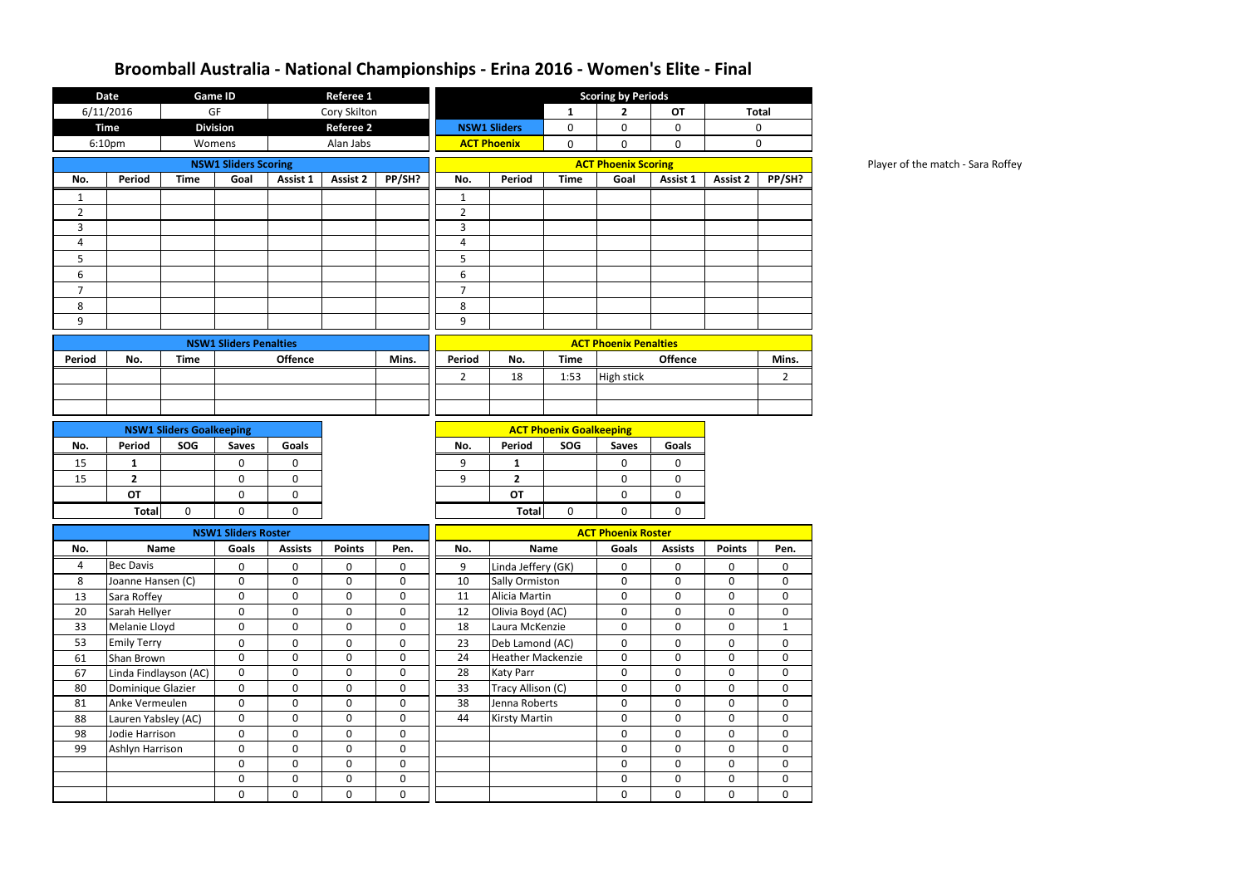Player of the match - Sara Roffey

|                | <b>Date</b>           | <b>Game ID</b>                  |                               |                  | Referee 1        |             |                |                          |                                |                              |                |                 |                |  |  |  |  |
|----------------|-----------------------|---------------------------------|-------------------------------|------------------|------------------|-------------|----------------|--------------------------|--------------------------------|------------------------------|----------------|-----------------|----------------|--|--|--|--|
|                | 6/11/2016             | GF                              |                               |                  | Cory Skilton     |             |                |                          | 1                              | $\mathbf{2}$                 | <b>OT</b>      |                 | <b>Total</b>   |  |  |  |  |
|                | <b>Time</b>           | <b>Division</b>                 |                               |                  | <b>Referee 2</b> |             |                | <b>NSW1 Sliders</b>      | 0                              | $\mathbf 0$                  | $\mathbf 0$    |                 | $\mathbf 0$    |  |  |  |  |
|                | 6:10pm                | Womens                          |                               |                  | Alan Jabs        |             |                | <b>ACT Phoenix</b>       | $\mathbf 0$                    | 0                            | $\pmb{0}$      |                 | $\mathbf 0$    |  |  |  |  |
|                |                       |                                 | <b>NSW1 Sliders Scoring</b>   |                  |                  |             |                |                          | <b>ACT Phoenix Scoring</b>     |                              |                |                 |                |  |  |  |  |
| No.            | <b>Period</b>         | <b>Time</b>                     | Goal                          | Assist 1         | <b>Assist 2</b>  | PP/SH?      | No.            | Period                   | <b>Time</b>                    | Goal                         | Assist 1       | <b>Assist 2</b> | PP/SH?         |  |  |  |  |
| 1              |                       |                                 |                               |                  |                  |             | 1              |                          |                                |                              |                |                 |                |  |  |  |  |
| $\overline{2}$ |                       |                                 |                               |                  |                  |             | $\overline{2}$ |                          |                                |                              |                |                 |                |  |  |  |  |
| 3              |                       |                                 |                               |                  |                  |             | 3              |                          |                                |                              |                |                 |                |  |  |  |  |
| 4              |                       |                                 |                               |                  |                  |             | 4              |                          |                                |                              |                |                 |                |  |  |  |  |
| 5              |                       |                                 |                               |                  |                  |             | 5              |                          |                                |                              |                |                 |                |  |  |  |  |
| 6              |                       |                                 |                               |                  |                  |             | 6              |                          |                                |                              |                |                 |                |  |  |  |  |
| $\overline{7}$ |                       |                                 |                               |                  |                  |             | $\overline{7}$ |                          |                                |                              |                |                 |                |  |  |  |  |
| 8              |                       |                                 |                               |                  |                  |             | 8              |                          |                                |                              |                |                 |                |  |  |  |  |
| 9              |                       |                                 |                               |                  |                  |             | 9              |                          |                                |                              |                |                 |                |  |  |  |  |
|                |                       |                                 | <b>NSW1 Sliders Penalties</b> |                  |                  |             |                |                          |                                | <b>ACT Phoenix Penalties</b> |                |                 |                |  |  |  |  |
| <b>Period</b>  | No.                   | <b>Time</b>                     |                               | <b>Offence</b>   |                  | Mins.       | Period         | No.                      | <b>Time</b>                    |                              | <b>Offence</b> |                 | Mins.          |  |  |  |  |
|                |                       |                                 |                               |                  |                  |             | $\overline{2}$ | 18                       | 1:53                           | High stick                   |                |                 | $\overline{2}$ |  |  |  |  |
|                |                       |                                 |                               |                  |                  |             |                |                          |                                |                              |                |                 |                |  |  |  |  |
|                |                       |                                 |                               |                  |                  |             |                |                          |                                |                              |                |                 |                |  |  |  |  |
|                |                       | <b>NSW1 Sliders Goalkeeping</b> |                               |                  |                  |             |                |                          | <b>ACT Phoenix Goalkeeping</b> |                              |                |                 |                |  |  |  |  |
| No.            | <b>Period</b>         | SOG                             | <b>Saves</b>                  | <b>Goals</b>     |                  |             | No.            | <b>Period</b>            | SOG                            | <b>Saves</b>                 | Goals          |                 |                |  |  |  |  |
| 15             | 1                     |                                 | 0                             | 0                |                  |             | 9              | $\mathbf{1}$             |                                | 0                            | 0              |                 |                |  |  |  |  |
| 15             | $\mathbf{2}$          |                                 | 0                             | 0                |                  |             | 9              | $\overline{2}$           |                                | 0                            | $\pmb{0}$      |                 |                |  |  |  |  |
|                | OT                    |                                 | 0                             | 0                |                  |             |                | <b>OT</b>                |                                | 0                            | 0              |                 |                |  |  |  |  |
|                | <b>Total</b>          | 0                               | 0                             | 0                |                  |             |                | <b>Total</b>             | 0                              | 0                            | 0              |                 |                |  |  |  |  |
|                |                       |                                 | <b>NSW1 Sliders Roster</b>    |                  |                  |             |                |                          |                                | <b>ACT Phoenix Roster</b>    |                |                 |                |  |  |  |  |
| No.            |                       | <b>Name</b>                     | Goals                         | <b>Assists</b>   | <b>Points</b>    | Pen.        | No.            |                          | <b>Name</b>                    | <b>Goals</b>                 | <b>Assists</b> | <b>Points</b>   | Pen.           |  |  |  |  |
| 4              | <b>Bec Davis</b>      |                                 | $\mathbf 0$                   | $\pmb{0}$        | $\mathbf 0$      | $\pmb{0}$   | 9              | Linda Jeffery (GK)       |                                | $\mathbf 0$                  | $\mathbf 0$    | $\pmb{0}$       | 0              |  |  |  |  |
| 8              | Joanne Hansen (C)     |                                 | 0                             | 0                | $\mathbf 0$      | $\pmb{0}$   | 10             | Sally Ormiston           |                                | $\mathbf 0$                  | $\mathbf 0$    | $\mathbf 0$     | $\mathbf 0$    |  |  |  |  |
| 13             | Sara Roffey           |                                 | $\mathbf 0$                   | 0                | $\mathbf 0$      | $\mathbf 0$ | 11             | Alicia Martin            |                                | 0                            | $\mathbf 0$    | $\mathbf 0$     | $\mathbf 0$    |  |  |  |  |
| 20             | Sarah Hellyer         |                                 | $\pmb{0}$                     | $\boldsymbol{0}$ | $\boldsymbol{0}$ | $\pmb{0}$   | 12             | Olivia Boyd (AC)         |                                | $\mathbf 0$                  | $\pmb{0}$      | $\pmb{0}$       | $\mathbf 0$    |  |  |  |  |
| 33             | Melanie Lloyd         |                                 | $\mathbf 0$                   | $\mathbf 0$      | $\mathbf 0$      | 0           | 18             | Laura McKenzie           |                                | 0                            | $\pmb{0}$      | $\mathbf 0$     | $\mathbf{1}$   |  |  |  |  |
| 53             | <b>Emily Terry</b>    |                                 | $\pmb{0}$                     | 0                | $\mathbf 0$      | $\mathbf 0$ | 23             | Deb Lamond (AC)          |                                | $\mathbf 0$                  | $\pmb{0}$      | $\pmb{0}$       | $\mathbf 0$    |  |  |  |  |
| 61             | Shan Brown            |                                 | $\pmb{0}$                     | $\mathbf 0$      | $\mathbf 0$      | $\mathbf 0$ | 24             | <b>Heather Mackenzie</b> |                                | $\mathbf 0$                  | 0              | 0               | $\mathbf 0$    |  |  |  |  |
| 67             | Linda Findlayson (AC) |                                 | $\mathbf 0$                   | $\pmb{0}$        | $\mathbf 0$      | $\mathbf 0$ | 28             | <b>Katy Parr</b>         |                                | $\mathbf 0$                  | $\mathbf 0$    | $\mathbf 0$     | $\mathbf 0$    |  |  |  |  |
| 80             | Dominique Glazier     |                                 | 0                             | $\mathbf 0$      | $\mathbf 0$      | $\mathbf 0$ | 33             | Tracy Allison (C)        |                                | $\mathbf 0$                  | 0              | 0               | $\mathbf 0$    |  |  |  |  |
| 81             | Anke Vermeulen        |                                 | $\pmb{0}$                     | $\mathbf 0$      | $\mathbf 0$      | $\mathbf 0$ | 38             | Jenna Roberts            |                                | 0                            | $\mathbf 0$    | $\mathbf 0$     | $\mathbf 0$    |  |  |  |  |
| 88             | Lauren Yabsley (AC)   |                                 | $\pmb{0}$                     | $\mathbf 0$      | $\mathbf 0$      | $\mathbf 0$ | 44             | <b>Kirsty Martin</b>     |                                | $\mathbf 0$                  | $\pmb{0}$      | $\mathbf 0$     | $\mathbf 0$    |  |  |  |  |
| 98             | Jodie Harrison        |                                 | $\mathbf 0$                   | $\mathbf 0$      | $\mathbf 0$      | $\mathbf 0$ |                |                          |                                | $\mathbf 0$                  | $\mathbf 0$    | $\mathbf 0$     | $\mathbf 0$    |  |  |  |  |
| 99             | Ashlyn Harrison       |                                 | $\pmb{0}$                     | $\mathbf 0$      | $\mathbf 0$      | $\mathbf 0$ |                |                          |                                | $\mathbf 0$                  | $\mathbf 0$    | $\mathbf 0$     | $\mathbf{0}$   |  |  |  |  |
|                |                       |                                 | $\pmb{0}$                     | 0                | $\mathbf 0$      | $\mathbf 0$ |                |                          |                                | 0                            | 0              | 0               | 0              |  |  |  |  |
|                |                       |                                 | $\mathbf 0$                   | $\pmb{0}$        | $\mathbf 0$      | $\pmb{0}$   |                |                          |                                | $\mathbf 0$                  | $\mathbf 0$    | $\mathbf 0$     | $\overline{0}$ |  |  |  |  |
|                |                       |                                 | 0                             | 0                | $\mathbf 0$      | $\mathbf 0$ |                |                          |                                | 0                            | $\pmb{0}$      | $\pmb{0}$       | $\mathbf 0$    |  |  |  |  |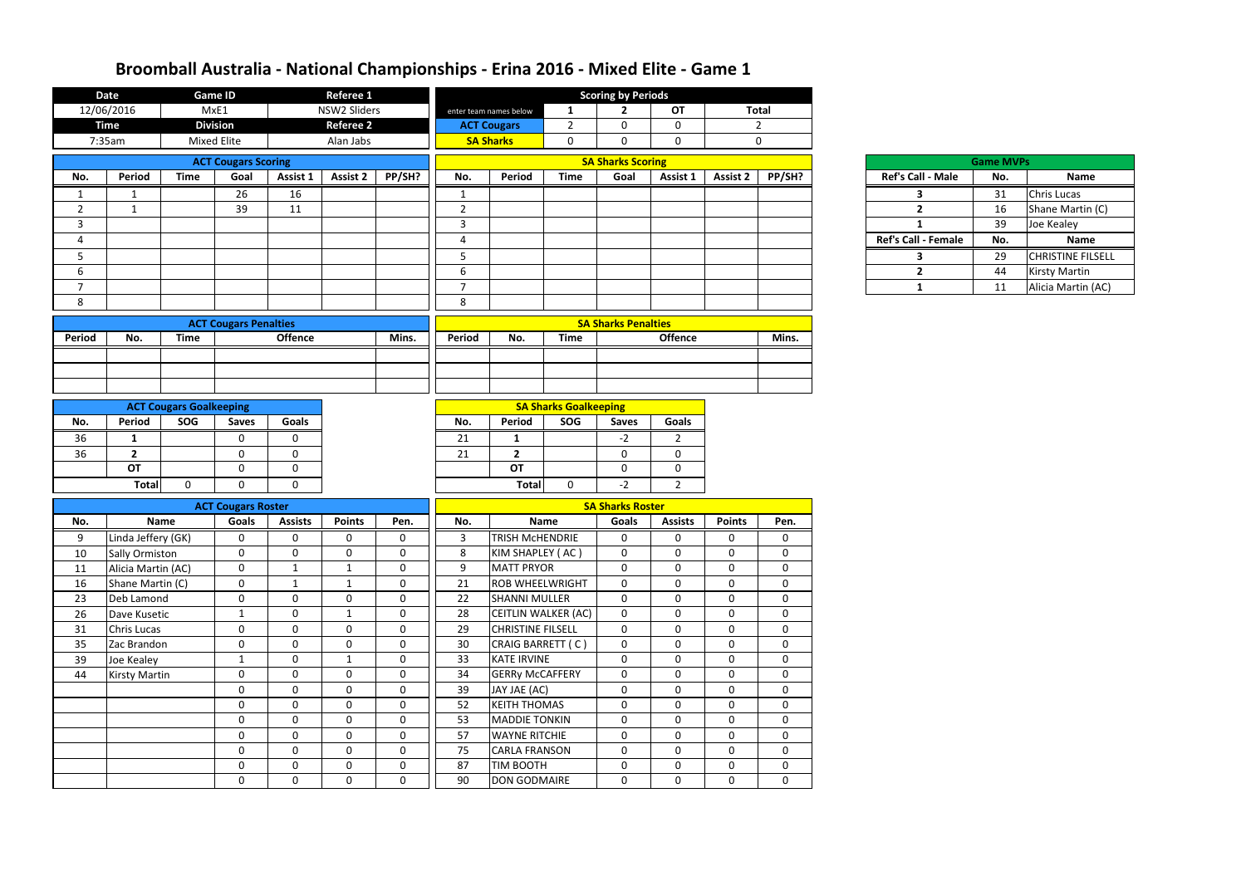|                | <b>Date</b>           |                                | <b>Game ID</b>               |                | <b>Referee 1</b> |             |                          |                              |                | <b>Scoring by Periods</b>  |                  |                 |              |                            |                  |                          |
|----------------|-----------------------|--------------------------------|------------------------------|----------------|------------------|-------------|--------------------------|------------------------------|----------------|----------------------------|------------------|-----------------|--------------|----------------------------|------------------|--------------------------|
|                | 12/06/2016            |                                | MxE1                         |                | NSW2 Sliders     |             |                          | enter team names below       | 1              | $\mathbf{2}$               | <b>OT</b>        |                 | <b>Total</b> |                            |                  |                          |
|                | <b>Time</b>           |                                | <b>Division</b>              |                | <b>Referee 2</b> |             |                          | <b>ACT Cougars</b>           | $\overline{2}$ | $\mathbf 0$                | $\mathbf 0$      |                 | $2^{\circ}$  |                            |                  |                          |
|                | 7:35am                |                                | <b>Mixed Elite</b>           |                | Alan Jabs        |             |                          | <b>SA Sharks</b>             | $\mathbf 0$    | $\mathbf 0$                | $\mathbf 0$      |                 | $\mathbf 0$  |                            |                  |                          |
|                |                       |                                | <b>ACT Cougars Scoring</b>   |                |                  |             | <b>SA Sharks Scoring</b> |                              |                |                            |                  |                 |              |                            | <b>Game MVPs</b> |                          |
| No.            | Period                | <b>Time</b>                    | Goal                         | Assist 1       | Assist 2         | PP/SH?      | No.                      | Period                       | <b>Time</b>    | Goal                       | Assist 1         | <b>Assist 2</b> | PP/SH?       | <b>Ref's Call - Male</b>   | No.              | <b>Name</b>              |
| 1              | 1                     |                                | 26                           | 16             |                  |             | 1                        |                              |                |                            |                  |                 |              | 3                          | 31               | <b>Chris Lucas</b>       |
| $\overline{2}$ | $\mathbf{1}$          |                                | 39                           | 11             |                  |             | $\overline{2}$           |                              |                |                            |                  |                 |              | $\overline{2}$             | 16               | Shane Martin (C)         |
| $\overline{3}$ |                       |                                |                              |                |                  |             | 3                        |                              |                |                            |                  |                 |              | 1                          | 39               | Joe Kealey               |
| 4              |                       |                                |                              |                |                  |             | $\overline{4}$           |                              |                |                            |                  |                 |              | <b>Ref's Call - Female</b> | No.              | <b>Name</b>              |
| 5              |                       |                                |                              |                |                  |             | 5                        |                              |                |                            |                  |                 |              | 3                          | 29               | <b>CHRISTINE FILSELL</b> |
| 6              |                       |                                |                              |                |                  |             | 6                        |                              |                |                            |                  |                 |              | $\overline{2}$             | 44               | <b>Kirsty Martin</b>     |
| $\overline{7}$ |                       |                                |                              |                |                  |             | $\overline{7}$           |                              |                |                            |                  |                 |              | $\mathbf{1}$               | 11               | Alicia Martin (AC)       |
| 8              |                       |                                |                              |                |                  |             | 8                        |                              |                |                            |                  |                 |              |                            |                  |                          |
|                |                       |                                |                              |                |                  |             |                          |                              |                |                            |                  |                 |              |                            |                  |                          |
|                |                       |                                | <b>ACT Cougars Penalties</b> |                |                  |             |                          |                              |                | <b>SA Sharks Penalties</b> |                  |                 |              |                            |                  |                          |
| Period         | No.                   | <b>Time</b>                    |                              | <b>Offence</b> |                  | Mins.       | Period                   | No.                          | <b>Time</b>    |                            | <b>Offence</b>   |                 | Mins.        |                            |                  |                          |
|                |                       |                                |                              |                |                  |             |                          |                              |                |                            |                  |                 |              |                            |                  |                          |
|                |                       |                                |                              |                |                  |             |                          |                              |                |                            |                  |                 |              |                            |                  |                          |
|                |                       |                                |                              |                |                  |             |                          |                              |                |                            |                  |                 |              |                            |                  |                          |
|                |                       | <b>ACT Cougars Goalkeeping</b> |                              |                |                  |             |                          | <b>SA Sharks Goalkeeping</b> |                |                            |                  |                 |              |                            |                  |                          |
| No.            | Period                | SOG                            | <b>Saves</b>                 | <b>Goals</b>   |                  |             | No.                      | Period                       | SOG            | <b>Saves</b>               | <b>Goals</b>     |                 |              |                            |                  |                          |
| 36             | 1                     |                                | $\mathbf 0$                  | $\mathbf{0}$   |                  |             | 21                       | 1                            |                | $-2$                       | $\overline{2}$   |                 |              |                            |                  |                          |
| 36             | $\overline{2}$        |                                | $\mathbf 0$                  | $\mathbf{0}$   |                  |             | 21                       | $\overline{2}$               |                | $\mathbf 0$                | $\mathbf 0$      |                 |              |                            |                  |                          |
|                | <b>OT</b>             |                                | $\mathbf 0$                  | $\mathbf 0$    |                  |             |                          | <b>OT</b>                    |                | $\mathbf 0$                | $\mathbf 0$      |                 |              |                            |                  |                          |
|                | <b>Total</b>          | 0                              | $\mathbf 0$                  | $\mathbf 0$    |                  |             |                          | <b>Total</b>                 | $\mathbf 0$    | $-2$                       | $2^{\circ}$      |                 |              |                            |                  |                          |
|                |                       |                                |                              |                |                  |             |                          |                              |                |                            |                  |                 |              |                            |                  |                          |
|                |                       |                                | <b>ACT Cougars Roster</b>    |                |                  |             |                          |                              |                | <b>SA Sharks Roster</b>    |                  |                 |              |                            |                  |                          |
| No.            | <b>Name</b>           |                                | Goals                        | <b>Assists</b> | <b>Points</b>    | Pen.        | No.                      |                              | Name           | <b>Goals</b>               | <b>Assists</b>   | <b>Points</b>   | Pen.         |                            |                  |                          |
| 9              | Linda Jeffery (GK)    |                                | $\mathbf 0$                  | 0              | $\mathbf 0$      | 0           | 3                        | <b>TRISH MCHENDRIE</b>       |                | $\mathbf 0$                | 0                | 0               | $\mathbf 0$  |                            |                  |                          |
| 10             | <b>Sally Ormiston</b> |                                | $\mathbf 0$                  | 0              | $\mathbf 0$      | 0           | 8                        | KIM SHAPLEY (AC)             |                | $\mathbf{0}$               | $\mathbf 0$      | $\Omega$        | $\mathbf 0$  |                            |                  |                          |
| 11             | Alicia Martin (AC)    |                                | $\mathbf 0$                  | $\mathbf{1}$   | $\mathbf{1}$     | $\mathbf 0$ | 9                        | <b>MATT PRYOR</b>            |                | $\mathbf 0$                | $\mathbf 0$      | $\mathbf 0$     | $\mathbf 0$  |                            |                  |                          |
| 16             | Shane Martin (C)      |                                | $\mathbf 0$                  | $\mathbf{1}$   | $\mathbf{1}$     | $\mathbf 0$ | 21                       | <b>ROB WHEELWRIGHT</b>       |                | $\mathbf 0$                | $\mathbf 0$      | $\mathbf 0$     | $\mathbf 0$  |                            |                  |                          |
| 23             | Deb Lamond            |                                | $\mathbf 0$                  | $\mathbf 0$    | $\mathbf 0$      | $\mathbf 0$ | 22                       | <b>SHANNI MULLER</b>         |                | $\mathbf 0$                | $\mathbf 0$      | $\mathbf 0$     | $\mathbf 0$  |                            |                  |                          |
| 26             | Dave Kusetic          |                                | $\mathbf{1}$                 | $\mathbf 0$    | $\mathbf{1}$     | $\mathbf 0$ | 28                       | CEITLIN WALKER (AC)          |                | $\overline{0}$             | $\mathbf 0$      | $\mathbf 0$     | $\mathbf 0$  |                            |                  |                          |
| 31             | <b>Chris Lucas</b>    |                                | $\boldsymbol{0}$             | $\mathbf 0$    | $\mathbf 0$      | $\mathbf 0$ | 29                       | <b>CHRISTINE FILSELL</b>     |                | $\overline{0}$             | $\mathbf 0$      | $\mathbf 0$     | $\mathbf 0$  |                            |                  |                          |
| 35             | Zac Brandon           |                                | $\mathbf 0$                  | $\mathbf 0$    | $\mathbf{0}$     | $\mathbf 0$ | 30                       | CRAIG BARRETT (C)            |                | $\mathbf 0$                | $\mathbf 0$      | $\overline{0}$  | $\mathbf 0$  |                            |                  |                          |
| 39             | Joe Kealey            |                                | $\mathbf{1}$                 | $\mathbf 0$    | $\mathbf{1}$     | $\mathbf 0$ | 33                       | KATE IRVINE                  |                | $\overline{0}$             | $\mathbf 0$      | $\mathbf 0$     | $\mathbf 0$  |                            |                  |                          |
| 44             | Kirsty Martin         |                                | $\mathbf 0$                  | $\mathbf 0$    | $\mathbf{0}$     | $\bf{0}$    | 34                       | <b>GERRy McCAFFERY</b>       |                | $\mathbf 0$                | $\mathbf 0$      | $\mathbf 0$     | $\mathbf 0$  |                            |                  |                          |
|                |                       |                                | $\mathbf 0$                  | $\mathbf 0$    | $\mathbf 0$      | $\mathbf 0$ | 39                       | JAY JAE (AC)                 |                | $\mathbf 0$                | $\mathbf 0$      | $\mathbf 0$     | $\mathbf 0$  |                            |                  |                          |
|                |                       |                                | $\mathbf 0$                  | $\mathbf 0$    | $\mathbf 0$      | $\mathbf 0$ | 52                       | <b>KEITH THOMAS</b>          |                | $\mathbf 0$                | $\mathbf 0$      | $\mathbf 0$     | $\mathbf 0$  |                            |                  |                          |
|                |                       |                                | $\mathbf 0$                  | $\mathbf 0$    | $\mathbf 0$      | $\mathbf 0$ | 53                       | <b>MADDIE TONKIN</b>         |                | $\mathbf 0$                | $\mathbf 0$      | $\overline{0}$  | $\mathbf 0$  |                            |                  |                          |
|                |                       |                                | $\boldsymbol{0}$             | $\mathbf 0$    | $\mathbf 0$      | $\mathbf 0$ | 57                       | <b>WAYNE RITCHIE</b>         |                | $\mathbf 0$                | $\mathbf 0$      | $\mathbf 0$     | $\mathbf 0$  |                            |                  |                          |
|                |                       |                                | $\mathbf 0$                  | $\mathbf 0$    | $\mathbf 0$      | $\mathbf 0$ | 75                       | <b>CARLA FRANSON</b>         |                | $\mathbf 0$                | $\mathbf 0$      | $\mathbf 0$     | $\mathbf 0$  |                            |                  |                          |
|                |                       |                                | $\mathbf 0$                  | $\mathbf 0$    | $\mathbf 0$      | $\mathbf 0$ | 87                       | <b>TIM BOOTH</b>             |                | $\overline{0}$             | $\boldsymbol{0}$ | $\overline{0}$  | $\mathbf 0$  |                            |                  |                          |
|                |                       |                                | $\mathbf 0$                  | $\mathbf 0$    | $\mathbf 0$      | 0           | 90                       | <b>DON GODMAIRE</b>          |                | $\mathbf 0$                | $\mathbf 0$      | $\mathbf 0$     | $\mathbf 0$  |                            |                  |                          |

| Ref's Call - Ma  |
|------------------|
| 3                |
| 2                |
| 1                |
| Ref's Call - Fem |
| 3                |
| 2                |
|                  |

|                            | <b>Game MVPs</b> |                          |
|----------------------------|------------------|--------------------------|
| <b>Ref's Call - Male</b>   | No.              | Name                     |
| ર                          | 31               | <b>Chris Lucas</b>       |
| 2                          | 16               | Shane Martin (C)         |
|                            | 39               | Joe Kealey               |
| <b>Ref's Call - Female</b> | No.              | <b>Name</b>              |
|                            | 29               | <b>CHRISTINE FILSELL</b> |
| 2                          | 44               | <b>Kirsty Martin</b>     |
|                            | 11               | Alicia Martin (AC)       |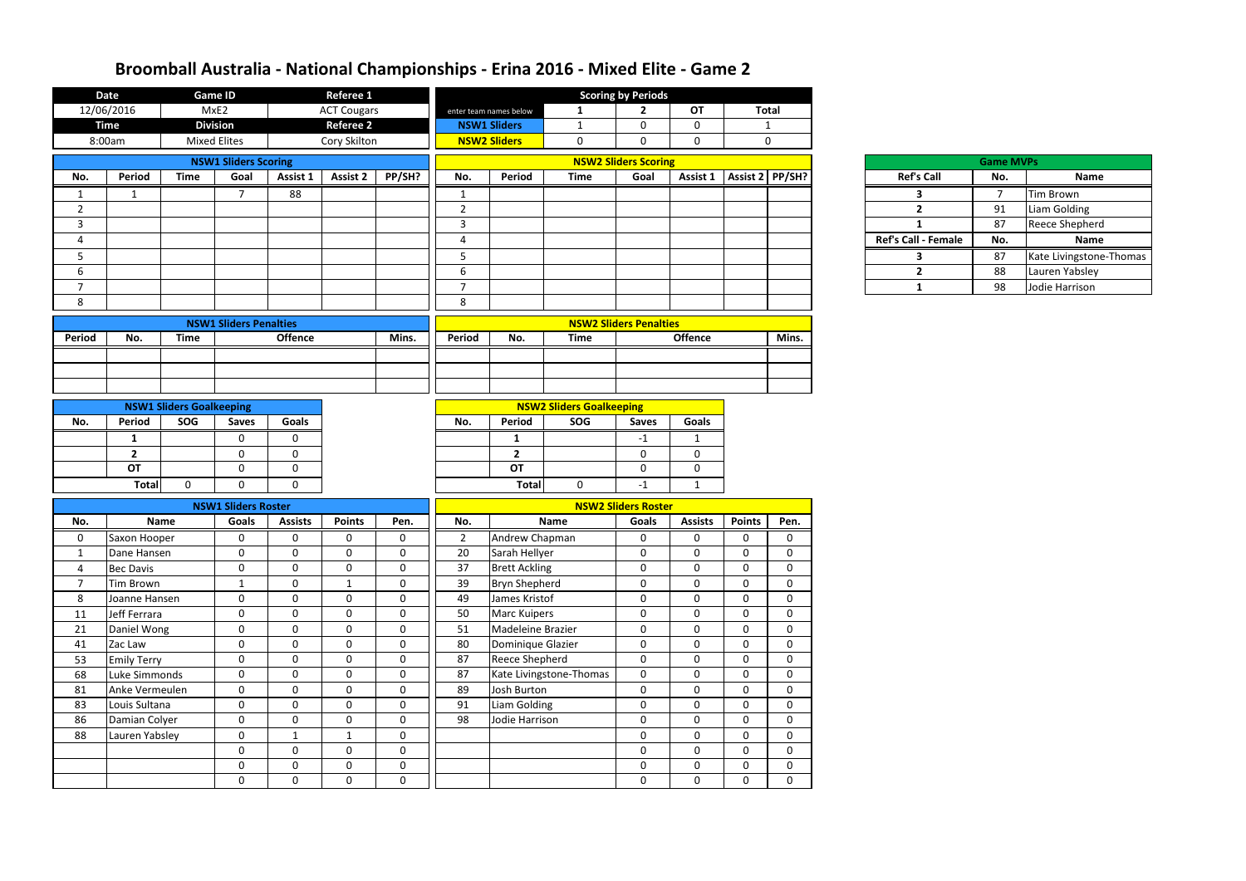|                | <b>Date</b>        |                                 | <b>Game ID</b>                |                | Referee 1                   |                             |                                                |                        |                         | <b>Scoring by Periods</b>   |                            |                              |                            |                     |                  |                         |
|----------------|--------------------|---------------------------------|-------------------------------|----------------|-----------------------------|-----------------------------|------------------------------------------------|------------------------|-------------------------|-----------------------------|----------------------------|------------------------------|----------------------------|---------------------|------------------|-------------------------|
|                | 12/06/2016         |                                 | MxE2                          |                | <b>ACT Cougars</b>          |                             |                                                | enter team names below | $\mathbf{1}$            | $\overline{2}$              | <b>OT</b>                  |                              | <b>Total</b>               |                     |                  |                         |
|                | <b>Time</b>        |                                 | <b>Division</b>               |                | <b>Referee 2</b>            |                             |                                                | <b>NSW1 Sliders</b>    | $\mathbf{1}$            | $\mathbf 0$                 | $\mathbf 0$                |                              | 1                          |                     |                  |                         |
|                | 8:00am             |                                 | <b>Mixed Elites</b>           |                | Cory Skilton                |                             |                                                | <b>NSW2 Sliders</b>    | $\mathbf 0$             | $\mathbf 0$                 | $\mathbf 0$                |                              | $\mathbf{0}$               |                     |                  |                         |
|                |                    |                                 | <b>NSW1 Sliders Scoring</b>   |                |                             |                             |                                                |                        |                         | <b>NSW2 Sliders Scoring</b> |                            |                              |                            |                     | <b>Game MVPs</b> |                         |
| No.            | Period             | <b>Time</b>                     | Goal                          | Assist 1       | <b>Assist 2</b>             | PP/SH?                      | No.                                            | <b>Period</b>          | <b>Time</b>             | Goal                        |                            | Assist 1   Assist 2   PP/SH? |                            | <b>Ref's Call</b>   | No.              | Name                    |
| $\mathbf{1}$   | $\mathbf{1}$       |                                 | $\overline{7}$                | 88             |                             |                             | $\mathbf{1}$                                   |                        |                         |                             |                            |                              |                            | $\mathbf{3}$        | $\overline{7}$   | <b>Tim Brown</b>        |
| $\overline{2}$ |                    |                                 |                               |                |                             |                             | $\overline{2}$                                 |                        |                         |                             |                            |                              |                            | $\overline{2}$      | 91               | Liam Golding            |
| $\mathbf{3}$   |                    |                                 |                               |                |                             |                             | $\overline{3}$                                 |                        |                         |                             |                            |                              |                            | $\mathbf{1}$        | 87               | <b>Reece Shepherd</b>   |
| 4              |                    |                                 |                               |                |                             |                             | $\overline{4}$                                 |                        |                         |                             |                            |                              |                            | Ref's Call - Female | No.              | <b>Name</b>             |
| 5              |                    |                                 |                               |                |                             |                             | 5                                              |                        |                         |                             |                            |                              |                            | $\mathbf{3}$        | 87               | Kate Livingstone-Thomas |
| 6              |                    |                                 |                               |                |                             |                             | $6\,$                                          |                        |                         |                             |                            |                              |                            | $2^{\circ}$         | 88               | Lauren Yabsley          |
| $\overline{ }$ |                    |                                 |                               |                |                             |                             | $\overline{7}$                                 |                        |                         |                             |                            |                              |                            | $\mathbf{1}$        | 98               | Jodie Harrison          |
| 8              |                    |                                 |                               |                |                             |                             | 8                                              |                        |                         |                             |                            |                              |                            |                     |                  |                         |
|                |                    |                                 | <b>NSW1 Sliders Penalties</b> |                |                             |                             | <b>NSW2 Sliders Penalties</b>                  |                        |                         |                             |                            |                              |                            |                     |                  |                         |
| <b>Period</b>  | No.                | <b>Time</b>                     |                               | <b>Offence</b> |                             | Mins.                       | <b>Offence</b><br>Period<br>No.<br><b>Time</b> |                        |                         |                             |                            |                              | Mins.                      |                     |                  |                         |
|                |                    |                                 |                               |                |                             |                             |                                                |                        |                         |                             |                            |                              |                            |                     |                  |                         |
|                |                    |                                 |                               |                |                             |                             |                                                |                        |                         |                             |                            |                              |                            |                     |                  |                         |
|                |                    |                                 |                               |                |                             |                             |                                                |                        |                         |                             |                            |                              |                            |                     |                  |                         |
|                |                    |                                 |                               |                |                             |                             |                                                |                        |                         |                             |                            |                              |                            |                     |                  |                         |
|                |                    | <b>NSW1 Sliders Goalkeeping</b> |                               |                |                             |                             | <b>NSW2 Sliders Goalkeeping</b>                |                        |                         |                             |                            |                              |                            |                     |                  |                         |
| No.            | Period             | SOG                             | <b>Saves</b>                  | Goals          |                             |                             |                                                | SOG<br>Period<br>No.   |                         | <b>Saves</b>                | Goals                      |                              |                            |                     |                  |                         |
|                | $\mathbf{1}$       |                                 | $\mathbf 0$                   | $\mathbf 0$    |                             |                             |                                                | $\mathbf{1}$           |                         | $-1$                        | $\mathbf{1}$               |                              |                            |                     |                  |                         |
|                | $\overline{2}$     |                                 | $\Omega$                      | $\Omega$       |                             |                             |                                                | $\overline{2}$         |                         | $\overline{0}$              | $\mathbf 0$                |                              |                            |                     |                  |                         |
|                | <b>OT</b>          |                                 | $\mathbf 0$                   | $\mathbf{0}$   |                             |                             |                                                | <b>OT</b>              |                         | $\mathbf 0$                 | $\mathbf{0}$               |                              |                            |                     |                  |                         |
|                | <b>Total</b>       | $\Omega$                        | $\mathbf 0$                   | $\mathbf{0}$   |                             |                             |                                                | <b>Total</b>           | $\mathbf 0$             | $-1$                        | 1                          |                              |                            |                     |                  |                         |
|                |                    |                                 | <b>NSW1 Sliders Roster</b>    |                |                             |                             |                                                |                        |                         | <b>NSW2 Sliders Roster</b>  |                            |                              |                            |                     |                  |                         |
| No.            |                    | <b>Name</b>                     | <b>Goals</b>                  | <b>Assists</b> | <b>Points</b>               | Pen.                        | No.                                            |                        | Name                    | Goals                       | <b>Assists</b>             | <b>Points</b>                | Pen.                       |                     |                  |                         |
| $\mathbf 0$    | Saxon Hooper       |                                 | 0                             | 0              | 0                           | 0                           | $\overline{2}$                                 | Andrew Chapman         |                         | $\mathbf 0$                 | $\bf{0}$                   | 0                            | 0                          |                     |                  |                         |
| $\mathbf 1$    | Dane Hansen        |                                 | 0                             | $\Omega$       | $\Omega$                    | 0                           | 20                                             | Sarah Hellyer          |                         | $\mathbf 0$                 | $\mathbf{0}$               | 0                            | $\Omega$                   |                     |                  |                         |
| 4              | <b>Bec Davis</b>   |                                 | $\mathbf 0$                   | $\mathbf 0$    | $\mathbf 0$                 | 0                           | 37                                             | <b>Brett Ackling</b>   |                         | $\mathbf 0$                 | $\mathbf 0$                | 0                            | 0                          |                     |                  |                         |
| $\overline{7}$ | Tim Brown          |                                 | $\mathbf{1}$                  | $\mathbf 0$    | $\mathbf{1}$                | $\mathbf{0}$                | 39                                             | <b>Bryn Shepherd</b>   |                         | $\mathbf 0$                 | $\mathbf 0$                | $\mathbf 0$                  | $\mathbf 0$                |                     |                  |                         |
| 8              | Joanne Hansen      |                                 | $\mathbf 0$                   | $\mathbf 0$    | $\mathbf 0$                 | $\mathbf{0}$                | 49                                             | James Kristof          |                         | $\bf{0}$                    | $\mathbf 0$                | $\mathbf 0$                  | $\mathbf 0$                |                     |                  |                         |
| 11             | Jeff Ferrara       |                                 | $\mathbf 0$                   | $\mathbf 0$    | $\mathbf 0$                 | $\mathbf{0}$                | 50                                             | <b>Marc Kuipers</b>    |                         | $\mathbf 0$                 | $\mathbf 0$                | $\mathbf 0$                  | $\mathbf 0$                |                     |                  |                         |
| 21             | Daniel Wong        |                                 | $\mathbf 0$                   | $\mathbf 0$    | $\mathbf 0$                 | $\mathbf{0}$                | 51                                             | Madeleine Brazier      |                         | $\mathbf 0$                 | $\mathbf 0$                | $\mathbf 0$                  | $\mathbf 0$                |                     |                  |                         |
| 41             | Zac Law            |                                 | $\mathbf 0$                   | $\mathbf 0$    | $\mathbf 0$                 | $\mathbf{0}$                | 80                                             | Dominique Glazier      |                         | $\mathbf 0$                 | $\mathbf 0$                | $\mathbf 0$                  | $\mathbf 0$                |                     |                  |                         |
| 53             | <b>Emily Terry</b> |                                 | $\mathbf 0$                   | $\pmb{0}$      | $\mathbf 0$                 | $\mathbf{0}$                | 87                                             | <b>Reece Shepherd</b>  |                         | $\overline{0}$              | $\mathbf 0$                | $\mathbf 0$                  | $\mathbf 0$                |                     |                  |                         |
| 68             | Luke Simmonds      |                                 | $\overline{0}$                | $\mathbf 0$    | $\mathbf 0$                 | $\mathbf{0}$                | 87                                             |                        | Kate Livingstone-Thomas | $\mathbf 0$                 | $\mathbf 0$                | $\mathbf 0$                  | $\mathbf 0$                |                     |                  |                         |
| 81             | Anke Vermeulen     |                                 | $\mathbf{0}$                  | $\mathbf 0$    | $\mathbf 0$                 | $\mathbf{0}$                | 89<br>Josh Burton                              |                        | $\mathbf 0$             | $\mathbf 0$                 | $\mathbf 0$                | $\mathbf 0$                  |                            |                     |                  |                         |
| 83             | Louis Sultana      |                                 | $\mathbf 0$                   | $\mathbf 0$    | $\mathbf 0$                 | $\mathbf{0}$                | 91                                             | Liam Golding           |                         | $\overline{0}$              | $\mathbf 0$                | $\mathbf 0$                  | $\mathbf 0$                |                     |                  |                         |
| 86             | Damian Colyer      |                                 | $\mathbf{0}$                  | $\mathbf 0$    | $\mathbf 0$                 | 0                           | 98                                             | Jodie Harrison         |                         | $\mathbf 0$                 | $\mathbf 0$                | $\mathbf 0$                  | $\mathbf 0$                |                     |                  |                         |
| 88             | Lauren Yabsley     |                                 | $\mathbf{0}$<br>$\mathbf 0$   | 1<br>$\pmb{0}$ | $\mathbf{1}$<br>$\mathbf 0$ | 0                           |                                                |                        |                         | $\mathbf 0$<br>$\mathbf 0$  | $\mathbf 0$<br>$\mathbf 0$ | $\mathbf 0$<br>$\mathbf 0$   | 0                          |                     |                  |                         |
|                |                    |                                 | $\mathbf{0}$                  | $\mathbf 0$    | $\mathbf 0$                 | $\mathbf{0}$<br>$\mathbf 0$ |                                                |                        |                         | $\mathbf 0$                 | $\mathbf 0$                | $\mathbf 0$                  | $\mathbf 0$<br>$\mathbf 0$ |                     |                  |                         |
|                |                    |                                 | $\mathbf 0$                   | $\mathbf 0$    | $\mathbf{0}$                | $\mathbf{0}$                |                                                |                        |                         | $\mathbf 0$                 | $\mathbf 0$                | $\overline{0}$               | $\mathbf 0$                |                     |                  |                         |
|                |                    |                                 |                               |                |                             |                             |                                                |                        |                         |                             |                            |                              |                            |                     |                  |                         |

| <b>Ref's Cal</b> |
|------------------|
| 3                |
| 2                |
| 1                |
| Ref's Call - Fe  |
| З                |
| 2                |
| 1                |
|                  |

|                            | <b>Game MVPs</b> |                         |
|----------------------------|------------------|-------------------------|
| <b>Ref's Call</b>          | No.              | <b>Name</b>             |
| 3                          |                  | <b>Tim Brown</b>        |
| 2                          | 91               | Liam Golding            |
|                            | 87               | <b>Reece Shepherd</b>   |
| <b>Ref's Call - Female</b> | No.              | <b>Name</b>             |
| ર                          | 87               | Kate Livingstone-Thomas |
| 2                          | 88               | Lauren Yabsley          |
|                            | 98               | Jodie Harrison          |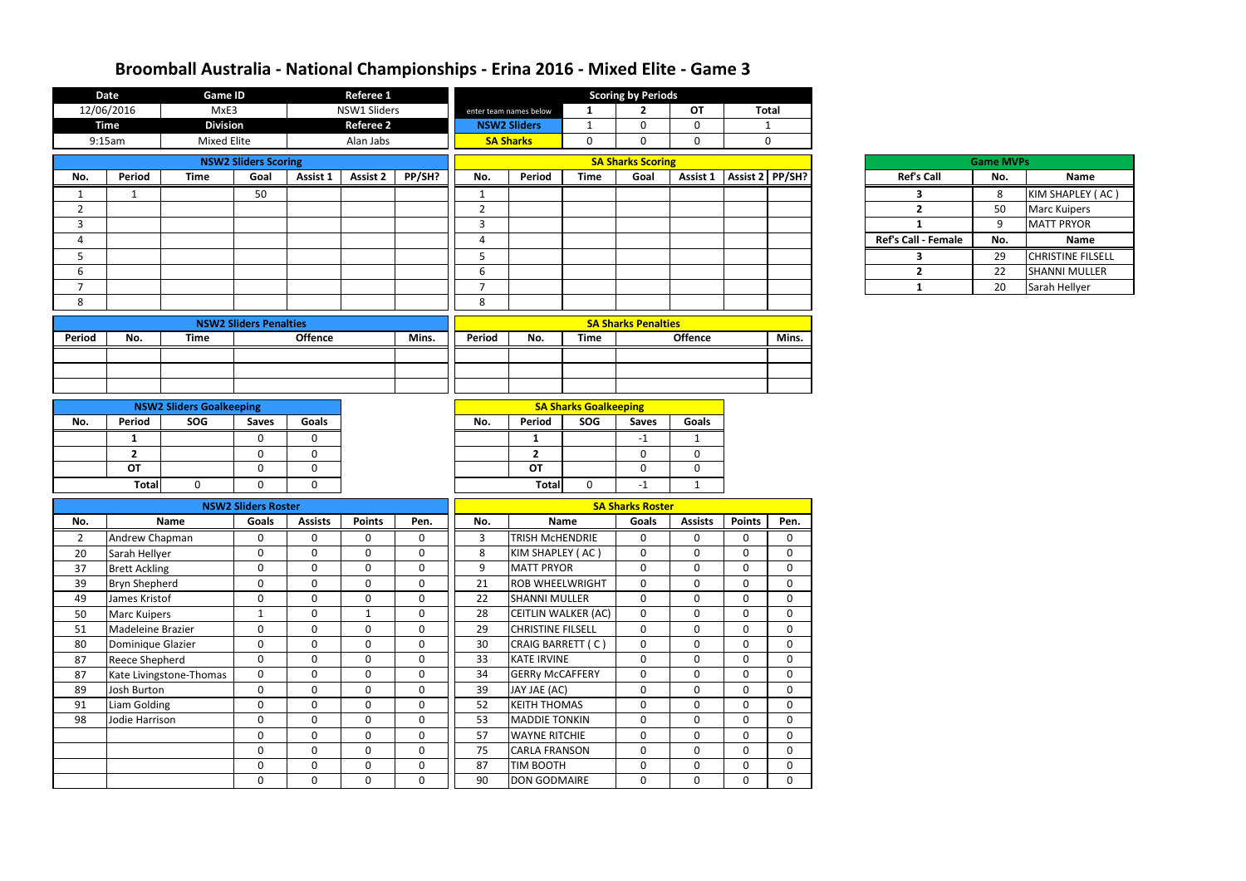|                | <b>Date</b>           | <b>Game ID</b>                  |                               |                | Referee 1        |                | <b>Scoring by Periods</b> |                          |                              |                            |                              |                |              |                            |                  |                          |
|----------------|-----------------------|---------------------------------|-------------------------------|----------------|------------------|----------------|---------------------------|--------------------------|------------------------------|----------------------------|------------------------------|----------------|--------------|----------------------------|------------------|--------------------------|
|                | 12/06/2016            | MxE3                            |                               |                | NSW1 Sliders     |                |                           | enter team names below   | 1                            | $\overline{2}$             | <b>OT</b>                    |                | <b>Total</b> |                            |                  |                          |
|                | <b>Time</b>           | <b>Division</b>                 |                               |                | <b>Referee 2</b> |                |                           | <b>NSW2 Sliders</b>      | $\mathbf 1$                  | 0                          | 0                            |                | $\mathbf{1}$ |                            |                  |                          |
|                | 9:15am                | <b>Mixed Elite</b>              |                               |                | Alan Jabs        |                |                           | <b>SA Sharks</b>         | $\mathbf 0$                  | 0                          | $\mathbf 0$                  |                | $\mathbf 0$  |                            |                  |                          |
|                |                       |                                 | <b>NSW2 Sliders Scoring</b>   |                |                  |                |                           |                          |                              | <b>SA Sharks Scoring</b>   |                              |                |              |                            | <b>Game MVPs</b> |                          |
| No.            | Period                | <b>Time</b>                     | Goal                          | Assist 1       | <b>Assist 2</b>  | PP/SH?         | No.                       | Period                   | <b>Time</b>                  | Goal                       | Assist 1   Assist 2   PP/SH? |                |              | <b>Ref's Call</b>          | No.              | Name                     |
| 1              | $\mathbf{1}$          |                                 | 50                            |                |                  |                | $\mathbf{1}$              |                          |                              |                            |                              |                |              | 3                          | 8                | KIM SHAPLEY (AC)         |
| $\overline{2}$ |                       |                                 |                               |                |                  |                | $\overline{2}$            |                          |                              |                            |                              |                |              | $2^{\circ}$                | 50               | <b>Marc Kuipers</b>      |
| 3              |                       |                                 |                               |                |                  |                | $\mathbf{3}$              |                          |                              |                            |                              |                |              | $\mathbf{1}$               | 9                | <b>MATT PRYOR</b>        |
| 4              |                       |                                 |                               |                |                  |                | $\overline{4}$            |                          |                              |                            |                              |                |              | <b>Ref's Call - Female</b> | No.              | Name                     |
| 5              |                       |                                 |                               |                |                  |                | 5 <sub>1</sub>            |                          |                              |                            |                              |                |              | 3                          | 29               | <b>CHRISTINE FILSELL</b> |
| 6              |                       |                                 |                               |                |                  |                | $6\phantom{1}$            |                          |                              |                            |                              |                |              | $2^{\circ}$                | 22               | <b>SHANNI MULLER</b>     |
| $\overline{7}$ |                       |                                 |                               |                |                  |                | $\overline{7}$            |                          |                              |                            |                              |                |              | $\mathbf{1}$               | 20               | Sarah Hellyer            |
| 8              |                       |                                 |                               |                |                  |                | 8                         |                          |                              |                            |                              |                |              |                            |                  |                          |
|                |                       |                                 | <b>NSW2 Sliders Penalties</b> |                |                  |                |                           |                          |                              | <b>SA Sharks Penalties</b> |                              |                |              |                            |                  |                          |
| Period         | No.                   | <b>Time</b>                     |                               | <b>Offence</b> |                  | Mins.          | Period                    | No.                      | <b>Time</b>                  |                            | <b>Offence</b>               |                | Mins.        |                            |                  |                          |
|                |                       |                                 |                               |                |                  |                |                           |                          |                              |                            |                              |                |              |                            |                  |                          |
|                |                       |                                 |                               |                |                  |                |                           |                          |                              |                            |                              |                |              |                            |                  |                          |
|                |                       |                                 |                               |                |                  |                |                           |                          |                              |                            |                              |                |              |                            |                  |                          |
|                |                       | <b>NSW2 Sliders Goalkeeping</b> |                               |                |                  |                |                           |                          | <b>SA Sharks Goalkeeping</b> |                            |                              |                |              |                            |                  |                          |
| No.            | <b>Period</b>         | SOG                             | <b>Saves</b>                  | <b>Goals</b>   |                  |                | No.                       | Period                   | SOG                          | <b>Saves</b>               | Goals                        |                |              |                            |                  |                          |
|                | 1                     |                                 | $\mathbf 0$                   | $\mathbf 0$    |                  |                |                           | 1                        |                              | $-1$                       | $\mathbf{1}$                 |                |              |                            |                  |                          |
|                | $\overline{2}$        |                                 | $\mathbf 0$                   | $\mathbf 0$    |                  |                |                           | $\overline{2}$           |                              | 0                          | $\mathbf 0$                  |                |              |                            |                  |                          |
|                | OT                    |                                 | $\mathbf 0$                   | $\mathbf 0$    |                  |                |                           | <b>OT</b>                |                              | 0                          | $\mathbf 0$                  |                |              |                            |                  |                          |
|                | <b>Total</b>          | $\mathbf 0$                     | 0                             | $\mathbf 0$    |                  |                |                           | Total                    | $\Omega$                     | $-1$                       | 1                            |                |              |                            |                  |                          |
|                |                       |                                 | <b>NSW2 Sliders Roster</b>    |                |                  |                |                           |                          |                              | <b>SA Sharks Roster</b>    |                              |                |              |                            |                  |                          |
| No.            |                       | <b>Name</b>                     | <b>Goals</b>                  | <b>Assists</b> | <b>Points</b>    | Pen.           | No.                       |                          | <b>Name</b>                  | Goals                      | <b>Assists</b>               | <b>Points</b>  | Pen.         |                            |                  |                          |
| $\overline{2}$ | Andrew Chapman        |                                 | 0                             | $\mathbf 0$    | $\mathbf 0$      | 0              | $\mathbf{3}$              | <b>TRISH MCHENDRIE</b>   |                              | 0                          | $\mathbf 0$                  | $\mathbf 0$    | 0            |                            |                  |                          |
| 20             | Sarah Hellyer         |                                 | $\Omega$                      | $\Omega$       | $\mathbf{0}$     | $\Omega$       | 8                         | KIM SHAPLEY (AC)         |                              | $\Omega$                   | $\Omega$                     | $\Omega$       | 0            |                            |                  |                          |
| 37             | <b>Brett Ackling</b>  |                                 | $\mathbf 0$                   | $\mathbf 0$    | $\mathbf 0$      | $\mathbf 0$    | 9                         | <b>MATT PRYOR</b>        |                              | $\Omega$                   | $\Omega$                     | $\mathbf 0$    | $\Omega$     |                            |                  |                          |
| 39             | <b>Bryn Shepherd</b>  |                                 | $\pmb{0}$                     | $\mathbf 0$    | $\mathbf 0$      | 0              | 21                        | <b>ROB WHEELWRIGHT</b>   |                              | $\mathbf 0$                | $\mathbf 0$                  | $\mathbf 0$    | 0            |                            |                  |                          |
| 49             | James Kristof         |                                 | $\mathbf 0$                   | $\mathbf 0$    | $\mathbf 0$      | $\mathbf{0}$   | 22                        | <b>SHANNI MULLER</b>     |                              | $\mathbf 0$                | $\mathbf 0$                  | $\mathbf 0$    | $\mathbf 0$  |                            |                  |                          |
| 50             | <b>Marc Kuipers</b>   |                                 | $\mathbf{1}$                  | $\mathbf 0$    | $\mathbf{1}$     | $\mathbf 0$    | 28                        | CEITLIN WALKER (AC)      |                              | $\mathbf 0$                | 0                            | $\overline{0}$ | $\mathbf 0$  |                            |                  |                          |
| 51             | Madeleine Brazier     |                                 | $\mathbf 0$                   | $\mathbf 0$    | $\mathbf 0$      | $\mathbf 0$    | 29                        | <b>CHRISTINE FILSELL</b> |                              | $\mathbf 0$                | $\overline{0}$               | $\mathbf 0$    | $\mathbf 0$  |                            |                  |                          |
| 80             | Dominique Glazier     |                                 | $\mathbf 0$                   | $\mathbf 0$    | $\mathbf 0$      | 0              | 30                        | CRAIG BARRETT (C)        |                              | $\mathbf 0$                | $\mathbf 0$                  | $\mathbf 0$    | $\mathbf 0$  |                            |                  |                          |
| 87             | <b>Reece Shepherd</b> |                                 | $\mathbf 0$                   | $\mathbf 0$    | $\mathbf 0$      | $\mathbf{0}$   | 33                        | <b>KATE IRVINE</b>       |                              | $\mathbf 0$                | $\mathbf 0$                  | $\mathbf 0$    | 0            |                            |                  |                          |
| 87             |                       | Kate Livingstone-Thomas         | $\mathbf 0$                   | $\mathbf 0$    | $\mathbf 0$      | $\mathbf 0$    | 34                        | <b>GERRY McCAFFERY</b>   |                              | 0                          | $\mathbf 0$                  | $\mathbf 0$    | $\mathbf 0$  |                            |                  |                          |
| 89             | Josh Burton           |                                 | $\pmb{0}$                     | $\mathbf 0$    | $\mathbf 0$      | 0              | 39                        | JAY JAE (AC)             |                              | $\mathbf 0$                | $\mathbf 0$                  | $\mathbf 0$    | $\mathbf 0$  |                            |                  |                          |
| 91             | Liam Golding          |                                 | $\mathbf 0$                   | $\mathbf 0$    | $\overline{0}$   | $\mathbf 0$    | 52                        | <b>KEITH THOMAS</b>      |                              | $\mathbf 0$                | $\mathbf 0$                  | $\mathbf 0$    | $\mathbf 0$  |                            |                  |                          |
| 98             | Jodie Harrison        |                                 | $\pmb{0}$                     | $\mathbf 0$    | $\boldsymbol{0}$ | $\overline{0}$ | 53                        | <b>MADDIE TONKIN</b>     |                              | $\mathbf 0$                | $\mathbf 0$                  | $\mathbf 0$    | $\mathbf 0$  |                            |                  |                          |
|                |                       |                                 | $\mathbf 0$                   | $\mathbf 0$    | $\mathbf 0$      | $\mathbf 0$    | 57                        | <b>WAYNE RITCHIE</b>     |                              | $\mathbf 0$                | $\mathbf 0$                  | $\mathbf 0$    | 0            |                            |                  |                          |
|                |                       |                                 | $\mathbf 0$                   | $\mathbf 0$    | $\mathbf 0$      | $\mathbf 0$    | 75                        | <b>CARLA FRANSON</b>     |                              | $\mathbf 0$                | $\mathbf 0$                  | $\mathbf 0$    | 0            |                            |                  |                          |
|                |                       |                                 | $\mathbf 0$                   | $\mathbf 0$    | $\mathbf 0$      | $\overline{0}$ | 87                        | <b>TIM BOOTH</b>         |                              | 0                          | $\mathbf 0$                  | $\mathbf 0$    | $\mathbf{0}$ |                            |                  |                          |
|                |                       |                                 | $\mathbf 0$                   | $\mathbf 0$    | $\mathbf 0$      | $\mathbf 0$    | 90                        | DON GODMAIRE             |                              | 0                          | $\mathbf 0$                  | $\mathbf 0$    | $\mathbf 0$  |                            |                  |                          |

| <b>Ref's Call</b> |
|-------------------|
| 3                 |
| 2                 |
| 1                 |
| Ref's Call - Fem  |
| 3                 |
| 2                 |
|                   |

|                      | <b>Game MVPs</b> |                          |
|----------------------|------------------|--------------------------|
| <b>Ref's Call</b>    | No.              | <b>Name</b>              |
| 3                    | 8                | KIM SHAPLEY (AC)         |
| 2                    | 50               | <b>Marc Kuipers</b>      |
| 1                    | ٩                | <b>MATT PRYOR</b>        |
| <b>Call - Female</b> | No.              | <b>Name</b>              |
| ว                    | 29               | <b>CHRISTINE FILSELL</b> |
| 2                    | 22               | <b>SHANNI MULLER</b>     |
|                      | 20               | Sarah Hellyer            |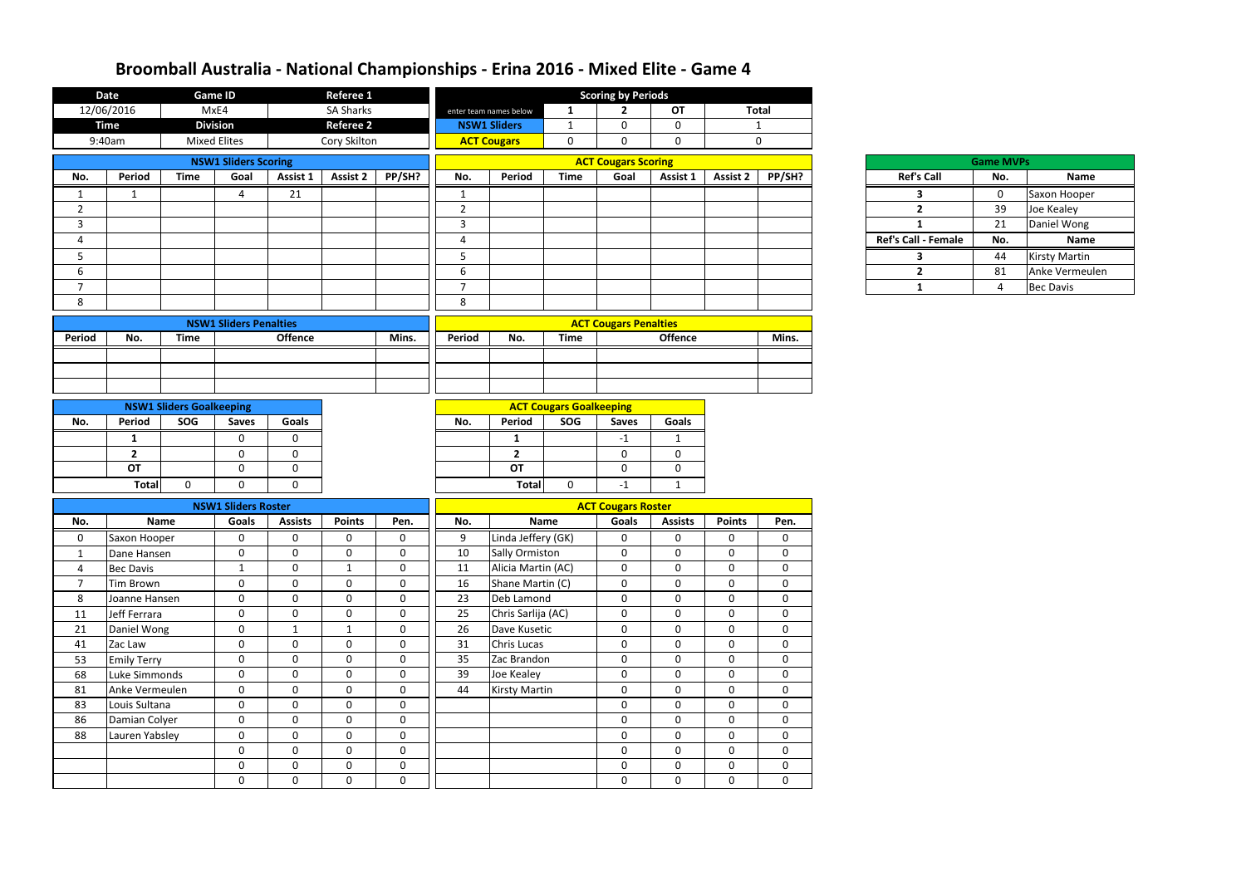|                     | <b>Date</b>                    |                                        | <b>Game ID</b>                |                            | Referee 1                   |                            | <b>Scoring by Periods</b> |                                                                          |                                                             |                              |                             |                  |                             |  |                     |                  |                      |
|---------------------|--------------------------------|----------------------------------------|-------------------------------|----------------------------|-----------------------------|----------------------------|---------------------------|--------------------------------------------------------------------------|-------------------------------------------------------------|------------------------------|-----------------------------|------------------|-----------------------------|--|---------------------|------------------|----------------------|
|                     | 12/06/2016                     |                                        | MxE4                          |                            | <b>SA Sharks</b>            |                            |                           | enter team names below                                                   | $\mathbf{1}$                                                | $\mathbf{2}$                 | OT                          |                  | <b>Total</b>                |  |                     |                  |                      |
|                     | <b>Time</b>                    |                                        | <b>Division</b>               |                            | <b>Referee 2</b>            |                            |                           | <b>NSW1 Sliders</b>                                                      | $\mathbf 0$<br>$\mathbf 0$<br>$\mathbf{1}$<br>$\mathbf{1}$  |                              |                             |                  |                             |  |                     |                  |                      |
|                     | 9:40am                         |                                        | <b>Mixed Elites</b>           |                            | Cory Skilton                |                            |                           | <b>ACT Cougars</b>                                                       | $\overline{0}$<br>$\mathbf 0$<br>$\mathbf 0$<br>$\mathbf 0$ |                              |                             |                  |                             |  |                     |                  |                      |
|                     |                                |                                        | <b>NSW1 Sliders Scoring</b>   |                            |                             |                            |                           |                                                                          |                                                             | <b>ACT Cougars Scoring</b>   |                             |                  |                             |  |                     | <b>Game MVPs</b> |                      |
| No.                 | Period                         | <b>Time</b>                            | Goal                          | Assist 1                   | <b>Assist 2</b>             | PP/SH?                     | No.                       | Period                                                                   | <b>Time</b>                                                 | Goal                         | Assist 1                    | <b>Assist 2</b>  | PP/SH?                      |  | <b>Ref's Call</b>   | No.              | Name                 |
| $\mathbf 1$         | 1                              |                                        | $\overline{4}$                | 21                         |                             |                            | $\mathbf{1}$              |                                                                          |                                                             |                              |                             |                  |                             |  | 3                   | $\mathbf{0}$     | Saxon Hooper         |
| $\overline{2}$      |                                |                                        |                               |                            |                             |                            | $\overline{2}$            |                                                                          |                                                             |                              |                             |                  |                             |  | $\overline{2}$      | 39               | Joe Kealey           |
| $\mathbf{3}$        |                                |                                        |                               |                            |                             |                            | $\overline{3}$            |                                                                          |                                                             |                              |                             |                  |                             |  | $\mathbf{1}$        | 21               | Daniel Wong          |
| 4                   |                                |                                        |                               |                            |                             |                            | $\overline{4}$            |                                                                          |                                                             |                              |                             |                  |                             |  | Ref's Call - Female | No.              | Name                 |
| 5                   |                                |                                        |                               |                            |                             |                            | 5                         |                                                                          |                                                             |                              |                             |                  |                             |  | $\mathbf{3}$        | 44               | <b>Kirsty Martin</b> |
| 6                   |                                |                                        |                               |                            |                             |                            | 6                         |                                                                          |                                                             |                              |                             |                  |                             |  | $\overline{2}$      | 81               | Anke Vermeuler       |
| $\overline{7}$      |                                |                                        |                               |                            |                             |                            | $\overline{7}$            |                                                                          |                                                             |                              |                             |                  |                             |  | $\mathbf{1}$        | 4                | <b>Bec Davis</b>     |
| 8                   |                                |                                        |                               |                            |                             |                            | 8                         |                                                                          |                                                             |                              |                             |                  |                             |  |                     |                  |                      |
|                     |                                |                                        | <b>NSW1 Sliders Penalties</b> |                            |                             |                            |                           |                                                                          |                                                             | <b>ACT Cougars Penalties</b> |                             |                  |                             |  |                     |                  |                      |
| Period              | No.                            | <b>Time</b>                            |                               | <b>Offence</b>             |                             | Mins.                      | Period                    | No.                                                                      | <b>Time</b>                                                 |                              | <b>Offence</b>              |                  | Mins.                       |  |                     |                  |                      |
|                     |                                |                                        |                               |                            |                             |                            |                           |                                                                          |                                                             |                              |                             |                  |                             |  |                     |                  |                      |
|                     |                                |                                        |                               |                            |                             |                            |                           |                                                                          |                                                             |                              |                             |                  |                             |  |                     |                  |                      |
|                     |                                |                                        |                               |                            |                             |                            |                           |                                                                          |                                                             |                              |                             |                  |                             |  |                     |                  |                      |
|                     |                                |                                        |                               |                            |                             |                            |                           |                                                                          |                                                             |                              |                             |                  |                             |  |                     |                  |                      |
| No.                 | <b>Period</b>                  | <b>NSW1 Sliders Goalkeeping</b><br>SOG | <b>Saves</b>                  | Goals                      |                             |                            | No.                       | <b>ACT Cougars Goalkeeping</b><br>SOG<br>Period<br>Goals<br><b>Saves</b> |                                                             |                              |                             |                  |                             |  |                     |                  |                      |
|                     |                                |                                        | $\mathbf 0$                   | $\overline{0}$             |                             |                            |                           |                                                                          |                                                             |                              |                             |                  |                             |  |                     |                  |                      |
|                     | $\mathbf{1}$<br>$\overline{2}$ |                                        | $\mathbf 0$                   | 0                          |                             |                            |                           | $\mathbf{1}$<br>$\overline{2}$                                           |                                                             | $-1$<br>$\mathbf{0}$         | $\mathbf{1}$<br>$\mathbf 0$ |                  |                             |  |                     |                  |                      |
|                     | <b>OT</b>                      |                                        | $\mathbf 0$                   | $\mathbf 0$                |                             |                            |                           | <b>OT</b>                                                                |                                                             | $\mathbf 0$                  | $\mathbf 0$                 |                  |                             |  |                     |                  |                      |
|                     | <b>Total</b>                   | $\Omega$                               | $\Omega$                      | $\Omega$                   |                             |                            |                           | <b>Total</b>                                                             | $\overline{0}$                                              | $-1$                         | $\mathbf{1}$                |                  |                             |  |                     |                  |                      |
|                     |                                |                                        |                               |                            |                             |                            |                           |                                                                          |                                                             |                              |                             |                  |                             |  |                     |                  |                      |
|                     |                                |                                        | <b>NSW1 Sliders Roster</b>    |                            |                             |                            |                           |                                                                          |                                                             | <b>ACT Cougars Roster</b>    |                             |                  |                             |  |                     |                  |                      |
| No.                 | Name                           |                                        | <b>Goals</b>                  | <b>Assists</b>             | <b>Points</b>               | Pen.                       | No.                       |                                                                          | <b>Name</b>                                                 | Goals                        | <b>Assists</b>              | <b>Points</b>    | Pen.                        |  |                     |                  |                      |
| 0                   | Saxon Hooper                   |                                        | 0                             | 0                          | 0                           | 0                          | 9                         | Linda Jeffery (GK)                                                       |                                                             | 0                            | $\mathbf 0$                 | 0                | $\mathbf 0$                 |  |                     |                  |                      |
| -1                  | Dane Hansen                    |                                        | $\mathbf 0$                   | $\mathbf{0}$               | $\mathbf 0$                 | $\Omega$                   | 10                        | <b>Sally Ormiston</b>                                                    |                                                             | $\mathbf{0}$                 | $\mathbf 0$                 | 0                | $\mathbf 0$                 |  |                     |                  |                      |
| 4<br>$\overline{7}$ | <b>Bec Davis</b>               |                                        | $\mathbf{1}$<br>$\mathbf 0$   | $\mathbf 0$<br>$\mathbf 0$ | $\mathbf{1}$<br>$\mathbf 0$ | $\mathbf 0$<br>$\mathbf 0$ | 11<br>16                  | Alicia Martin (AC)<br>Shane Martin (C)                                   |                                                             | $\pmb{0}$<br>$\mathbf 0$     | $\mathbf 0$<br>$\mathbf 0$  | 0<br>$\mathbf 0$ | $\mathbf 0$<br>$\mathbf{0}$ |  |                     |                  |                      |
| 8                   | Tim Brown<br>Joanne Hansen     |                                        | $\mathbf 0$                   | $\mathbf 0$                | $\mathbf 0$                 | $\mathbf 0$                | 23                        | Deb Lamond                                                               |                                                             | $\mathbf 0$                  | $\mathbf 0$                 | $\mathbf 0$      | $\overline{0}$              |  |                     |                  |                      |
| 11                  | Jeff Ferrara                   |                                        | $\mathbf 0$                   | $\mathbf 0$                | $\mathbf 0$                 | $\mathbf 0$                | 25                        | Chris Sarlija (AC)                                                       |                                                             | $\mathbf 0$                  | $\mathbf 0$                 | $\mathbf 0$      | $\mathbf 0$                 |  |                     |                  |                      |
| 21                  | Daniel Wong                    |                                        | $\mathbf 0$                   | $\mathbf{1}$               | $\mathbf{1}$                | $\mathbf 0$                | 26                        | Dave Kusetic                                                             |                                                             | 0                            | $\mathbf 0$                 | $\mathbf 0$      | $\mathbf 0$                 |  |                     |                  |                      |
| 41                  | Zac Law                        |                                        | $\mathbf 0$                   | $\mathbf 0$                | $\mathbf 0$                 | $\mathbf 0$                | 31                        | <b>Chris Lucas</b>                                                       |                                                             | $\pmb{0}$                    | $\mathbf 0$                 | $\mathbf 0$      | $\pmb{0}$                   |  |                     |                  |                      |
| 53                  | <b>Emily Terry</b>             |                                        | $\mathbf 0$                   | $\mathbf 0$                | $\mathbf 0$                 | $\mathbf 0$                | 35                        | Zac Brandon                                                              |                                                             | $\mathbf 0$                  | $\mathbf 0$                 | $\mathbf 0$      | $\mathbf 0$                 |  |                     |                  |                      |
| 68                  | Luke Simmonds                  |                                        | $\mathbf 0$                   | $\mathbf 0$                | $\mathbf 0$                 | $\mathbf 0$                | 39                        | Joe Kealey                                                               |                                                             | $\mathbf 0$                  | $\mathbf 0$                 | $\mathbf 0$      | $\mathbf{0}$                |  |                     |                  |                      |
| 81                  | Anke Vermeulen                 |                                        | $\mathbf 0$                   | $\mathbf 0$                | $\mathbf 0$                 | $\mathbf 0$                | 44                        | <b>Kirsty Martin</b>                                                     |                                                             | $\mathbf 0$                  | $\mathbf 0$                 | $\mathbf 0$      | $\overline{0}$              |  |                     |                  |                      |
| 83                  | Louis Sultana                  |                                        | $\mathbf 0$                   | $\mathbf 0$                | $\mathbf 0$                 | $\mathbf{0}$               |                           |                                                                          |                                                             | $\mathbf 0$                  | $\mathbf 0$                 | $\mathbf 0$      | $\mathbf 0$                 |  |                     |                  |                      |
| 86                  | Damian Colyer                  |                                        | $\mathbf 0$                   | $\mathbf 0$                | $\mathbf 0$                 | $\mathbf 0$                |                           |                                                                          |                                                             | $\mathbf 0$                  | $\mathbf 0$                 | $\mathbf 0$      | $\boldsymbol{0}$            |  |                     |                  |                      |
| 88                  | Lauren Yabsley                 |                                        | $\mathbf 0$                   | $\mathbf 0$                | $\mathbf 0$                 | $\mathbf 0$                |                           |                                                                          |                                                             | $\mathbf 0$                  | $\mathbf 0$                 | $\mathbf 0$      | $\boldsymbol{0}$            |  |                     |                  |                      |
|                     |                                |                                        | $\mathbf 0$                   | $\mathbf 0$                | $\mathbf 0$                 | $\mathbf 0$                |                           |                                                                          |                                                             | $\mathbf 0$                  | $\mathbf 0$                 | $\mathbf 0$      | $\mathbf 0$                 |  |                     |                  |                      |
|                     |                                |                                        | $\mathbf 0$                   | $\mathbf 0$                | $\mathbf 0$                 | $\mathbf 0$                |                           |                                                                          |                                                             | $\mathbf 0$                  | $\mathbf 0$                 | $\mathbf 0$      | $\mathbf{0}$                |  |                     |                  |                      |
|                     |                                |                                        | $\mathbf 0$                   | $\mathbf 0$                | $\mathbf 0$                 | $\mathbf 0$                |                           |                                                                          |                                                             | $\mathbf 0$                  | $\mathbf 0$                 | $\mathbf{0}$     | $\mathbf{0}$                |  |                     |                  |                      |

| <b>Ref's Call</b> |
|-------------------|
| 3                 |
| 2                 |
| 1                 |
| Ref's Call - Fema |
| 3                 |
| 2                 |
| 1                 |

|                            | <b>Game MVPs</b> |                      |  |  |  |  |  |  |  |  |  |  |
|----------------------------|------------------|----------------------|--|--|--|--|--|--|--|--|--|--|
| <b>Ref's Call</b>          | No.              | Name                 |  |  |  |  |  |  |  |  |  |  |
|                            |                  | Saxon Hooper         |  |  |  |  |  |  |  |  |  |  |
| 2                          | 39               | Joe Kealey           |  |  |  |  |  |  |  |  |  |  |
|                            | 21               | Daniel Wong          |  |  |  |  |  |  |  |  |  |  |
| <b>Ref's Call - Female</b> | No.              | Name                 |  |  |  |  |  |  |  |  |  |  |
|                            | 44               | <b>Kirsty Martin</b> |  |  |  |  |  |  |  |  |  |  |
| 7                          | 81               | Anke Vermeulen       |  |  |  |  |  |  |  |  |  |  |
|                            |                  | <b>Bec Davis</b>     |  |  |  |  |  |  |  |  |  |  |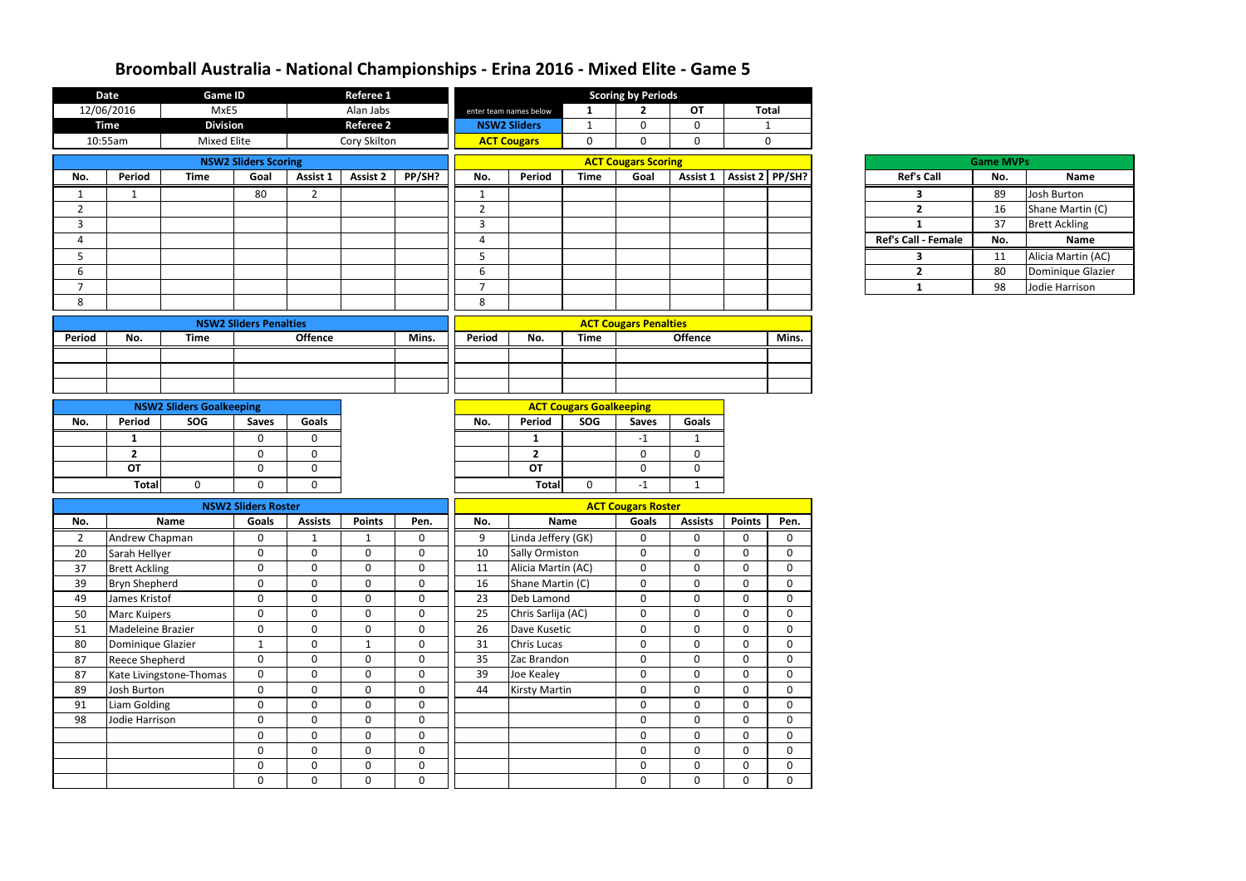| MxE5<br>12/06/2016<br>Alan Jabs<br>OT<br><b>Total</b><br>$\overline{2}$<br>$\mathbf{1}$<br>enter team names below<br><b>Division</b><br><b>Referee 2</b><br><b>Time</b><br><b>NSW2 Sliders</b><br>$\mathbf{0}$<br>$\Omega$<br>$\mathbf{1}$<br>$\mathbf{1}$<br>10:55am<br><b>Mixed Elite</b><br>Cory Skilton<br><b>ACT Cougars</b><br>$\mathbf 0$<br>$\mathbf 0$<br>$\mathbf 0$<br>$\mathbf{0}$<br><b>NSW2 Sliders Scoring</b><br><b>ACT Cougars Scoring</b><br><b>Game MVPs</b><br>Assist 2<br>PP/SH?<br>Assist 2 PP/SH?<br>Period<br>Assist 1<br>Period<br><b>Time</b><br>Goal<br><b>Assist 1</b><br><b>Ref's Call</b><br><b>Time</b><br>Goal<br>No.<br>No.<br>No.<br>Name<br>80<br>Josh Burton<br>$\overline{2}$<br>89<br>$\mathbf{1}$<br>3<br>-1<br>$\overline{2}$<br>$\overline{2}$<br>$\overline{2}$<br>16<br>$\mathbf{3}$<br>37<br><b>Brett Ackling</b><br>3<br>$\mathbf{1}$<br><b>Ref's Call - Female</b><br>$\overline{4}$<br>No.<br>Name<br>4<br>5<br>5<br>11<br>3<br>6<br>6<br>$\overline{2}$<br>80<br>$\overline{7}$<br>$\overline{7}$<br>98<br>Jodie Harrison<br>$\mathbf{1}$<br>8<br>8<br><b>NSW2 Sliders Penalties</b><br><b>ACT Cougars Penalties</b><br>Offence<br><b>Time</b><br><b>Offence</b><br>Mins.<br>Period<br><b>Time</b><br>Mins.<br>Period<br>No.<br>No.<br><b>ACT Cougars Goalkeeping</b><br><b>NSW2 Sliders Goalkeeping</b><br>Period<br>SOG<br>Period<br>SOG<br><b>Saves</b><br><b>Goals</b><br><b>Saves</b><br>Goals<br>No.<br>No.<br>0<br>0<br>1<br>$-1$<br>1<br>-1<br>$\overline{2}$<br>$\mathbf 0$<br>$\mathbf 0$<br>$\overline{2}$<br>$\mathbf 0$<br>$\mathbf{0}$<br>OT<br>$\mathbf 0$<br>OT<br>$\mathbf 0$<br>$\mathbf 0$<br>0<br><b>Total</b><br>$\mathbf 0$<br><b>Total</b><br>$\mathbf{0}$<br>$\mathbf 0$<br>$\mathbf{0}$<br>$-1$<br>$\mathbf{1}$<br><b>ACT Cougars Roster</b><br><b>NSW2 Sliders Roster</b><br><b>Goals</b><br><b>Assists</b><br>Name<br>Goals<br><b>Points</b><br><b>Points</b><br>Pen.<br>No.<br><b>Assists</b><br>Pen.<br>No.<br><b>Name</b><br>Andrew Chapman<br>Linda Jeffery (GK)<br>9<br>0<br>$\overline{2}$<br>$\boldsymbol{0}$<br>0<br>$\mathbf 0$<br>$\mathbf 0$<br>$\mathbf{1}$<br>$\mathbf{1}$<br>$\mathbf{0}$<br>10<br>Sally Ormiston<br>$\Omega$<br>20<br>Sarah Hellyer<br>$\mathbf 0$<br>$\mathbf 0$<br>$\Omega$<br>$\Omega$<br>$\Omega$<br>$\boldsymbol{0}$<br>$\Omega$<br>$\mathbf 0$<br>Alicia Martin (AC)<br>$\mathbf{0}$<br>$\mathbf 0$<br>$\mathbf 0$<br>$\mathbf 0$<br>$\mathbf 0$<br>$\mathbf 0$<br>$\mathbf 0$<br>11<br><b>Brett Ackling</b><br>37<br>$\mathbf 0$<br>$\mathbf 0$<br>$\mathbf 0$<br>$\mathbf 0$<br>16<br>Shane Martin (C)<br>$\mathbf 0$<br>$\mathbf 0$<br>$\overline{0}$<br>39<br><b>Bryn Shepherd</b><br>$\mathbf 0$<br>23<br>Deb Lamond<br>$\mathbf 0$<br>$\mathbf 0$<br>$\boldsymbol{0}$<br>$\mathbf 0$<br>$\overline{0}$<br>49<br>James Kristof<br>$\mathbf 0$<br>$\mathbf 0$<br>$\mathbf{0}$ | <b>Date</b> | <b>Game ID</b> |  | Referee 1 |  |  | <b>Scoring by Periods</b> |  |  |  |  |  |  |  |                    |
|---------------------------------------------------------------------------------------------------------------------------------------------------------------------------------------------------------------------------------------------------------------------------------------------------------------------------------------------------------------------------------------------------------------------------------------------------------------------------------------------------------------------------------------------------------------------------------------------------------------------------------------------------------------------------------------------------------------------------------------------------------------------------------------------------------------------------------------------------------------------------------------------------------------------------------------------------------------------------------------------------------------------------------------------------------------------------------------------------------------------------------------------------------------------------------------------------------------------------------------------------------------------------------------------------------------------------------------------------------------------------------------------------------------------------------------------------------------------------------------------------------------------------------------------------------------------------------------------------------------------------------------------------------------------------------------------------------------------------------------------------------------------------------------------------------------------------------------------------------------------------------------------------------------------------------------------------------------------------------------------------------------------------------------------------------------------------------------------------------------------------------------------------------------------------------------------------------------------------------------------------------------------------------------------------------------------------------------------------------------------------------------------------------------------------------------------------------------------------------------------------------------------------------------------------------------------------------------------------------------------------------------------------------------------------------------------------------------------------------------------------------------------------------------------------------------------------------------------------------------------------------------------------|-------------|----------------|--|-----------|--|--|---------------------------|--|--|--|--|--|--|--|--------------------|
|                                                                                                                                                                                                                                                                                                                                                                                                                                                                                                                                                                                                                                                                                                                                                                                                                                                                                                                                                                                                                                                                                                                                                                                                                                                                                                                                                                                                                                                                                                                                                                                                                                                                                                                                                                                                                                                                                                                                                                                                                                                                                                                                                                                                                                                                                                                                                                                                                                                                                                                                                                                                                                                                                                                                                                                                                                                                                                   |             |                |  |           |  |  |                           |  |  |  |  |  |  |  |                    |
|                                                                                                                                                                                                                                                                                                                                                                                                                                                                                                                                                                                                                                                                                                                                                                                                                                                                                                                                                                                                                                                                                                                                                                                                                                                                                                                                                                                                                                                                                                                                                                                                                                                                                                                                                                                                                                                                                                                                                                                                                                                                                                                                                                                                                                                                                                                                                                                                                                                                                                                                                                                                                                                                                                                                                                                                                                                                                                   |             |                |  |           |  |  |                           |  |  |  |  |  |  |  |                    |
|                                                                                                                                                                                                                                                                                                                                                                                                                                                                                                                                                                                                                                                                                                                                                                                                                                                                                                                                                                                                                                                                                                                                                                                                                                                                                                                                                                                                                                                                                                                                                                                                                                                                                                                                                                                                                                                                                                                                                                                                                                                                                                                                                                                                                                                                                                                                                                                                                                                                                                                                                                                                                                                                                                                                                                                                                                                                                                   |             |                |  |           |  |  |                           |  |  |  |  |  |  |  |                    |
|                                                                                                                                                                                                                                                                                                                                                                                                                                                                                                                                                                                                                                                                                                                                                                                                                                                                                                                                                                                                                                                                                                                                                                                                                                                                                                                                                                                                                                                                                                                                                                                                                                                                                                                                                                                                                                                                                                                                                                                                                                                                                                                                                                                                                                                                                                                                                                                                                                                                                                                                                                                                                                                                                                                                                                                                                                                                                                   |             |                |  |           |  |  |                           |  |  |  |  |  |  |  |                    |
|                                                                                                                                                                                                                                                                                                                                                                                                                                                                                                                                                                                                                                                                                                                                                                                                                                                                                                                                                                                                                                                                                                                                                                                                                                                                                                                                                                                                                                                                                                                                                                                                                                                                                                                                                                                                                                                                                                                                                                                                                                                                                                                                                                                                                                                                                                                                                                                                                                                                                                                                                                                                                                                                                                                                                                                                                                                                                                   |             |                |  |           |  |  |                           |  |  |  |  |  |  |  |                    |
|                                                                                                                                                                                                                                                                                                                                                                                                                                                                                                                                                                                                                                                                                                                                                                                                                                                                                                                                                                                                                                                                                                                                                                                                                                                                                                                                                                                                                                                                                                                                                                                                                                                                                                                                                                                                                                                                                                                                                                                                                                                                                                                                                                                                                                                                                                                                                                                                                                                                                                                                                                                                                                                                                                                                                                                                                                                                                                   |             |                |  |           |  |  |                           |  |  |  |  |  |  |  |                    |
|                                                                                                                                                                                                                                                                                                                                                                                                                                                                                                                                                                                                                                                                                                                                                                                                                                                                                                                                                                                                                                                                                                                                                                                                                                                                                                                                                                                                                                                                                                                                                                                                                                                                                                                                                                                                                                                                                                                                                                                                                                                                                                                                                                                                                                                                                                                                                                                                                                                                                                                                                                                                                                                                                                                                                                                                                                                                                                   |             |                |  |           |  |  |                           |  |  |  |  |  |  |  | Shane Martin (C)   |
|                                                                                                                                                                                                                                                                                                                                                                                                                                                                                                                                                                                                                                                                                                                                                                                                                                                                                                                                                                                                                                                                                                                                                                                                                                                                                                                                                                                                                                                                                                                                                                                                                                                                                                                                                                                                                                                                                                                                                                                                                                                                                                                                                                                                                                                                                                                                                                                                                                                                                                                                                                                                                                                                                                                                                                                                                                                                                                   |             |                |  |           |  |  |                           |  |  |  |  |  |  |  |                    |
|                                                                                                                                                                                                                                                                                                                                                                                                                                                                                                                                                                                                                                                                                                                                                                                                                                                                                                                                                                                                                                                                                                                                                                                                                                                                                                                                                                                                                                                                                                                                                                                                                                                                                                                                                                                                                                                                                                                                                                                                                                                                                                                                                                                                                                                                                                                                                                                                                                                                                                                                                                                                                                                                                                                                                                                                                                                                                                   |             |                |  |           |  |  |                           |  |  |  |  |  |  |  |                    |
|                                                                                                                                                                                                                                                                                                                                                                                                                                                                                                                                                                                                                                                                                                                                                                                                                                                                                                                                                                                                                                                                                                                                                                                                                                                                                                                                                                                                                                                                                                                                                                                                                                                                                                                                                                                                                                                                                                                                                                                                                                                                                                                                                                                                                                                                                                                                                                                                                                                                                                                                                                                                                                                                                                                                                                                                                                                                                                   |             |                |  |           |  |  |                           |  |  |  |  |  |  |  | Alicia Martin (AC) |
|                                                                                                                                                                                                                                                                                                                                                                                                                                                                                                                                                                                                                                                                                                                                                                                                                                                                                                                                                                                                                                                                                                                                                                                                                                                                                                                                                                                                                                                                                                                                                                                                                                                                                                                                                                                                                                                                                                                                                                                                                                                                                                                                                                                                                                                                                                                                                                                                                                                                                                                                                                                                                                                                                                                                                                                                                                                                                                   |             |                |  |           |  |  |                           |  |  |  |  |  |  |  | Dominique Glazier  |
|                                                                                                                                                                                                                                                                                                                                                                                                                                                                                                                                                                                                                                                                                                                                                                                                                                                                                                                                                                                                                                                                                                                                                                                                                                                                                                                                                                                                                                                                                                                                                                                                                                                                                                                                                                                                                                                                                                                                                                                                                                                                                                                                                                                                                                                                                                                                                                                                                                                                                                                                                                                                                                                                                                                                                                                                                                                                                                   |             |                |  |           |  |  |                           |  |  |  |  |  |  |  |                    |
|                                                                                                                                                                                                                                                                                                                                                                                                                                                                                                                                                                                                                                                                                                                                                                                                                                                                                                                                                                                                                                                                                                                                                                                                                                                                                                                                                                                                                                                                                                                                                                                                                                                                                                                                                                                                                                                                                                                                                                                                                                                                                                                                                                                                                                                                                                                                                                                                                                                                                                                                                                                                                                                                                                                                                                                                                                                                                                   |             |                |  |           |  |  |                           |  |  |  |  |  |  |  |                    |
|                                                                                                                                                                                                                                                                                                                                                                                                                                                                                                                                                                                                                                                                                                                                                                                                                                                                                                                                                                                                                                                                                                                                                                                                                                                                                                                                                                                                                                                                                                                                                                                                                                                                                                                                                                                                                                                                                                                                                                                                                                                                                                                                                                                                                                                                                                                                                                                                                                                                                                                                                                                                                                                                                                                                                                                                                                                                                                   |             |                |  |           |  |  |                           |  |  |  |  |  |  |  |                    |
|                                                                                                                                                                                                                                                                                                                                                                                                                                                                                                                                                                                                                                                                                                                                                                                                                                                                                                                                                                                                                                                                                                                                                                                                                                                                                                                                                                                                                                                                                                                                                                                                                                                                                                                                                                                                                                                                                                                                                                                                                                                                                                                                                                                                                                                                                                                                                                                                                                                                                                                                                                                                                                                                                                                                                                                                                                                                                                   |             |                |  |           |  |  |                           |  |  |  |  |  |  |  |                    |
|                                                                                                                                                                                                                                                                                                                                                                                                                                                                                                                                                                                                                                                                                                                                                                                                                                                                                                                                                                                                                                                                                                                                                                                                                                                                                                                                                                                                                                                                                                                                                                                                                                                                                                                                                                                                                                                                                                                                                                                                                                                                                                                                                                                                                                                                                                                                                                                                                                                                                                                                                                                                                                                                                                                                                                                                                                                                                                   |             |                |  |           |  |  |                           |  |  |  |  |  |  |  |                    |
|                                                                                                                                                                                                                                                                                                                                                                                                                                                                                                                                                                                                                                                                                                                                                                                                                                                                                                                                                                                                                                                                                                                                                                                                                                                                                                                                                                                                                                                                                                                                                                                                                                                                                                                                                                                                                                                                                                                                                                                                                                                                                                                                                                                                                                                                                                                                                                                                                                                                                                                                                                                                                                                                                                                                                                                                                                                                                                   |             |                |  |           |  |  |                           |  |  |  |  |  |  |  |                    |
|                                                                                                                                                                                                                                                                                                                                                                                                                                                                                                                                                                                                                                                                                                                                                                                                                                                                                                                                                                                                                                                                                                                                                                                                                                                                                                                                                                                                                                                                                                                                                                                                                                                                                                                                                                                                                                                                                                                                                                                                                                                                                                                                                                                                                                                                                                                                                                                                                                                                                                                                                                                                                                                                                                                                                                                                                                                                                                   |             |                |  |           |  |  |                           |  |  |  |  |  |  |  |                    |
|                                                                                                                                                                                                                                                                                                                                                                                                                                                                                                                                                                                                                                                                                                                                                                                                                                                                                                                                                                                                                                                                                                                                                                                                                                                                                                                                                                                                                                                                                                                                                                                                                                                                                                                                                                                                                                                                                                                                                                                                                                                                                                                                                                                                                                                                                                                                                                                                                                                                                                                                                                                                                                                                                                                                                                                                                                                                                                   |             |                |  |           |  |  |                           |  |  |  |  |  |  |  |                    |
|                                                                                                                                                                                                                                                                                                                                                                                                                                                                                                                                                                                                                                                                                                                                                                                                                                                                                                                                                                                                                                                                                                                                                                                                                                                                                                                                                                                                                                                                                                                                                                                                                                                                                                                                                                                                                                                                                                                                                                                                                                                                                                                                                                                                                                                                                                                                                                                                                                                                                                                                                                                                                                                                                                                                                                                                                                                                                                   |             |                |  |           |  |  |                           |  |  |  |  |  |  |  |                    |
|                                                                                                                                                                                                                                                                                                                                                                                                                                                                                                                                                                                                                                                                                                                                                                                                                                                                                                                                                                                                                                                                                                                                                                                                                                                                                                                                                                                                                                                                                                                                                                                                                                                                                                                                                                                                                                                                                                                                                                                                                                                                                                                                                                                                                                                                                                                                                                                                                                                                                                                                                                                                                                                                                                                                                                                                                                                                                                   |             |                |  |           |  |  |                           |  |  |  |  |  |  |  |                    |
|                                                                                                                                                                                                                                                                                                                                                                                                                                                                                                                                                                                                                                                                                                                                                                                                                                                                                                                                                                                                                                                                                                                                                                                                                                                                                                                                                                                                                                                                                                                                                                                                                                                                                                                                                                                                                                                                                                                                                                                                                                                                                                                                                                                                                                                                                                                                                                                                                                                                                                                                                                                                                                                                                                                                                                                                                                                                                                   |             |                |  |           |  |  |                           |  |  |  |  |  |  |  |                    |
|                                                                                                                                                                                                                                                                                                                                                                                                                                                                                                                                                                                                                                                                                                                                                                                                                                                                                                                                                                                                                                                                                                                                                                                                                                                                                                                                                                                                                                                                                                                                                                                                                                                                                                                                                                                                                                                                                                                                                                                                                                                                                                                                                                                                                                                                                                                                                                                                                                                                                                                                                                                                                                                                                                                                                                                                                                                                                                   |             |                |  |           |  |  |                           |  |  |  |  |  |  |  |                    |
|                                                                                                                                                                                                                                                                                                                                                                                                                                                                                                                                                                                                                                                                                                                                                                                                                                                                                                                                                                                                                                                                                                                                                                                                                                                                                                                                                                                                                                                                                                                                                                                                                                                                                                                                                                                                                                                                                                                                                                                                                                                                                                                                                                                                                                                                                                                                                                                                                                                                                                                                                                                                                                                                                                                                                                                                                                                                                                   |             |                |  |           |  |  |                           |  |  |  |  |  |  |  |                    |
|                                                                                                                                                                                                                                                                                                                                                                                                                                                                                                                                                                                                                                                                                                                                                                                                                                                                                                                                                                                                                                                                                                                                                                                                                                                                                                                                                                                                                                                                                                                                                                                                                                                                                                                                                                                                                                                                                                                                                                                                                                                                                                                                                                                                                                                                                                                                                                                                                                                                                                                                                                                                                                                                                                                                                                                                                                                                                                   |             |                |  |           |  |  |                           |  |  |  |  |  |  |  |                    |
|                                                                                                                                                                                                                                                                                                                                                                                                                                                                                                                                                                                                                                                                                                                                                                                                                                                                                                                                                                                                                                                                                                                                                                                                                                                                                                                                                                                                                                                                                                                                                                                                                                                                                                                                                                                                                                                                                                                                                                                                                                                                                                                                                                                                                                                                                                                                                                                                                                                                                                                                                                                                                                                                                                                                                                                                                                                                                                   |             |                |  |           |  |  |                           |  |  |  |  |  |  |  |                    |
|                                                                                                                                                                                                                                                                                                                                                                                                                                                                                                                                                                                                                                                                                                                                                                                                                                                                                                                                                                                                                                                                                                                                                                                                                                                                                                                                                                                                                                                                                                                                                                                                                                                                                                                                                                                                                                                                                                                                                                                                                                                                                                                                                                                                                                                                                                                                                                                                                                                                                                                                                                                                                                                                                                                                                                                                                                                                                                   |             |                |  |           |  |  |                           |  |  |  |  |  |  |  |                    |
|                                                                                                                                                                                                                                                                                                                                                                                                                                                                                                                                                                                                                                                                                                                                                                                                                                                                                                                                                                                                                                                                                                                                                                                                                                                                                                                                                                                                                                                                                                                                                                                                                                                                                                                                                                                                                                                                                                                                                                                                                                                                                                                                                                                                                                                                                                                                                                                                                                                                                                                                                                                                                                                                                                                                                                                                                                                                                                   |             |                |  |           |  |  |                           |  |  |  |  |  |  |  |                    |
|                                                                                                                                                                                                                                                                                                                                                                                                                                                                                                                                                                                                                                                                                                                                                                                                                                                                                                                                                                                                                                                                                                                                                                                                                                                                                                                                                                                                                                                                                                                                                                                                                                                                                                                                                                                                                                                                                                                                                                                                                                                                                                                                                                                                                                                                                                                                                                                                                                                                                                                                                                                                                                                                                                                                                                                                                                                                                                   |             |                |  |           |  |  |                           |  |  |  |  |  |  |  |                    |
|                                                                                                                                                                                                                                                                                                                                                                                                                                                                                                                                                                                                                                                                                                                                                                                                                                                                                                                                                                                                                                                                                                                                                                                                                                                                                                                                                                                                                                                                                                                                                                                                                                                                                                                                                                                                                                                                                                                                                                                                                                                                                                                                                                                                                                                                                                                                                                                                                                                                                                                                                                                                                                                                                                                                                                                                                                                                                                   |             |                |  |           |  |  |                           |  |  |  |  |  |  |  |                    |
|                                                                                                                                                                                                                                                                                                                                                                                                                                                                                                                                                                                                                                                                                                                                                                                                                                                                                                                                                                                                                                                                                                                                                                                                                                                                                                                                                                                                                                                                                                                                                                                                                                                                                                                                                                                                                                                                                                                                                                                                                                                                                                                                                                                                                                                                                                                                                                                                                                                                                                                                                                                                                                                                                                                                                                                                                                                                                                   |             |                |  |           |  |  |                           |  |  |  |  |  |  |  |                    |
| $\mathbf 0$<br>$\mathbf 0$<br>$\mathbf 0$<br>$\mathbf 0$<br>$\mathbf 0$<br>$\overline{0}$<br>$\mathbf 0$<br>25<br>Chris Sarlija (AC)<br>$\overline{0}$<br>50<br><b>Marc Kuipers</b>                                                                                                                                                                                                                                                                                                                                                                                                                                                                                                                                                                                                                                                                                                                                                                                                                                                                                                                                                                                                                                                                                                                                                                                                                                                                                                                                                                                                                                                                                                                                                                                                                                                                                                                                                                                                                                                                                                                                                                                                                                                                                                                                                                                                                                                                                                                                                                                                                                                                                                                                                                                                                                                                                                               |             |                |  |           |  |  |                           |  |  |  |  |  |  |  |                    |
| Madeleine Brazier<br>$\mathbf 0$<br>$\mathbf 0$<br>$\mathbf 0$<br>$\mathbf 0$<br>26<br>Dave Kusetic<br>$\mathbf 0$<br>$\mathbf 0$<br>$\mathbf{0}$<br>$\mathbf{0}$<br>51                                                                                                                                                                                                                                                                                                                                                                                                                                                                                                                                                                                                                                                                                                                                                                                                                                                                                                                                                                                                                                                                                                                                                                                                                                                                                                                                                                                                                                                                                                                                                                                                                                                                                                                                                                                                                                                                                                                                                                                                                                                                                                                                                                                                                                                                                                                                                                                                                                                                                                                                                                                                                                                                                                                           |             |                |  |           |  |  |                           |  |  |  |  |  |  |  |                    |
| $\mathbf 0$<br>$\mathbf 0$<br>31<br>$\mathbf 0$<br>$\mathbf 0$<br>$\overline{0}$<br>Dominique Glazier<br>Chris Lucas<br>$\pmb{0}$<br>80<br>$\mathbf{1}$<br>$\mathbf{1}$                                                                                                                                                                                                                                                                                                                                                                                                                                                                                                                                                                                                                                                                                                                                                                                                                                                                                                                                                                                                                                                                                                                                                                                                                                                                                                                                                                                                                                                                                                                                                                                                                                                                                                                                                                                                                                                                                                                                                                                                                                                                                                                                                                                                                                                                                                                                                                                                                                                                                                                                                                                                                                                                                                                           |             |                |  |           |  |  |                           |  |  |  |  |  |  |  |                    |
| $\mathbf 0$<br>$\mathbf 0$<br>$\mathbf 0$<br>35<br>Zac Brandon<br>$\overline{0}$<br><b>Reece Shepherd</b><br>0<br>$\mathbf 0$<br>$\mathbf 0$<br>$\Omega$<br>87                                                                                                                                                                                                                                                                                                                                                                                                                                                                                                                                                                                                                                                                                                                                                                                                                                                                                                                                                                                                                                                                                                                                                                                                                                                                                                                                                                                                                                                                                                                                                                                                                                                                                                                                                                                                                                                                                                                                                                                                                                                                                                                                                                                                                                                                                                                                                                                                                                                                                                                                                                                                                                                                                                                                    |             |                |  |           |  |  |                           |  |  |  |  |  |  |  |                    |
| 39<br>$\mathbf 0$<br>$\mathbf 0$<br>Joe Kealey<br>$\mathbf 0$<br>$\overline{0}$<br>87<br>$\mathbf 0$<br>$\mathbf 0$<br>$\mathbf 0$<br>$\mathbf 0$<br>Kate Livingstone-Thomas                                                                                                                                                                                                                                                                                                                                                                                                                                                                                                                                                                                                                                                                                                                                                                                                                                                                                                                                                                                                                                                                                                                                                                                                                                                                                                                                                                                                                                                                                                                                                                                                                                                                                                                                                                                                                                                                                                                                                                                                                                                                                                                                                                                                                                                                                                                                                                                                                                                                                                                                                                                                                                                                                                                      |             |                |  |           |  |  |                           |  |  |  |  |  |  |  |                    |
| $\mathbf 0$<br>$\mathbf 0$<br>$\mathbf 0$<br>$\mathbf 0$<br>$\overline{0}$<br>$\mathbf 0$<br>44<br>Kirsty Martin<br>$\mathbf 0$<br>$\mathbf{0}$<br>89<br>Josh Burton<br>Liam Golding<br>$\mathbf 0$<br>$\mathbf 0$<br>$\mathbf 0$<br>$\mathbf 0$<br>$\mathbf 0$<br>$\mathbf 0$<br>$\mathbf 0$<br>$\mathbf{0}$<br>91                                                                                                                                                                                                                                                                                                                                                                                                                                                                                                                                                                                                                                                                                                                                                                                                                                                                                                                                                                                                                                                                                                                                                                                                                                                                                                                                                                                                                                                                                                                                                                                                                                                                                                                                                                                                                                                                                                                                                                                                                                                                                                                                                                                                                                                                                                                                                                                                                                                                                                                                                                               |             |                |  |           |  |  |                           |  |  |  |  |  |  |  |                    |
| $\mathbf 0$<br>$\boldsymbol{0}$<br>$\mathbf 0$<br>$\mathbf 0$<br>$\mathbf 0$<br>$\mathbf 0$<br>$\mathbf{0}$<br>$\mathbf{0}$<br>98<br>Jodie Harrison                                                                                                                                                                                                                                                                                                                                                                                                                                                                                                                                                                                                                                                                                                                                                                                                                                                                                                                                                                                                                                                                                                                                                                                                                                                                                                                                                                                                                                                                                                                                                                                                                                                                                                                                                                                                                                                                                                                                                                                                                                                                                                                                                                                                                                                                                                                                                                                                                                                                                                                                                                                                                                                                                                                                               |             |                |  |           |  |  |                           |  |  |  |  |  |  |  |                    |
| $\mathbf 0$<br>$\mathbf 0$<br>$\mathbf 0$<br>$\mathbf 0$<br>$\mathbf 0$<br>$\mathbf{0}$<br>$\mathbf 0$<br>$\mathbf 0$                                                                                                                                                                                                                                                                                                                                                                                                                                                                                                                                                                                                                                                                                                                                                                                                                                                                                                                                                                                                                                                                                                                                                                                                                                                                                                                                                                                                                                                                                                                                                                                                                                                                                                                                                                                                                                                                                                                                                                                                                                                                                                                                                                                                                                                                                                                                                                                                                                                                                                                                                                                                                                                                                                                                                                             |             |                |  |           |  |  |                           |  |  |  |  |  |  |  |                    |
| $\mathbf 0$<br>$\mathbf 0$<br>$\mathbf 0$<br>$\mathbf 0$<br>$\mathbf 0$<br>$\mathbf 0$<br>$\mathbf 0$<br>$\mathbf 0$                                                                                                                                                                                                                                                                                                                                                                                                                                                                                                                                                                                                                                                                                                                                                                                                                                                                                                                                                                                                                                                                                                                                                                                                                                                                                                                                                                                                                                                                                                                                                                                                                                                                                                                                                                                                                                                                                                                                                                                                                                                                                                                                                                                                                                                                                                                                                                                                                                                                                                                                                                                                                                                                                                                                                                              |             |                |  |           |  |  |                           |  |  |  |  |  |  |  |                    |
| $\mathbf 0$<br>$\mathbf 0$<br>$\mathbf 0$<br>$\mathbf 0$<br>$\mathbf 0$<br>$\mathbf{0}$<br>0<br>$\mathbf 0$                                                                                                                                                                                                                                                                                                                                                                                                                                                                                                                                                                                                                                                                                                                                                                                                                                                                                                                                                                                                                                                                                                                                                                                                                                                                                                                                                                                                                                                                                                                                                                                                                                                                                                                                                                                                                                                                                                                                                                                                                                                                                                                                                                                                                                                                                                                                                                                                                                                                                                                                                                                                                                                                                                                                                                                       |             |                |  |           |  |  |                           |  |  |  |  |  |  |  |                    |
| $\boldsymbol{0}$<br>$\mathbf 0$<br>$\mathbf 0$<br>$\mathbf 0$<br>$\boldsymbol{0}$<br>$\mathbf 0$<br>$\mathbf{0}$<br>$\overline{0}$                                                                                                                                                                                                                                                                                                                                                                                                                                                                                                                                                                                                                                                                                                                                                                                                                                                                                                                                                                                                                                                                                                                                                                                                                                                                                                                                                                                                                                                                                                                                                                                                                                                                                                                                                                                                                                                                                                                                                                                                                                                                                                                                                                                                                                                                                                                                                                                                                                                                                                                                                                                                                                                                                                                                                                |             |                |  |           |  |  |                           |  |  |  |  |  |  |  |                    |

| <b>Ref's Cal</b> |
|------------------|
| 3                |
| 2                |
| 1                |
| Ref's Call - Fe  |
| 3                |
| 2                |
| 1                |
|                  |

|                            | <b>Game MVPs</b> |                      |  |  |  |  |
|----------------------------|------------------|----------------------|--|--|--|--|
| <b>Ref's Call</b>          | No.              | <b>Name</b>          |  |  |  |  |
|                            | 89               | Josh Burton          |  |  |  |  |
| 2                          | 16               | Shane Martin (C)     |  |  |  |  |
|                            | 37               | <b>Brett Ackling</b> |  |  |  |  |
| <b>Ref's Call - Female</b> | No.              | <b>Name</b>          |  |  |  |  |
|                            | 11               | Alicia Martin (AC)   |  |  |  |  |
| 2                          | 80               | Dominique Glazier    |  |  |  |  |
|                            | 98               | Jodie Harrison       |  |  |  |  |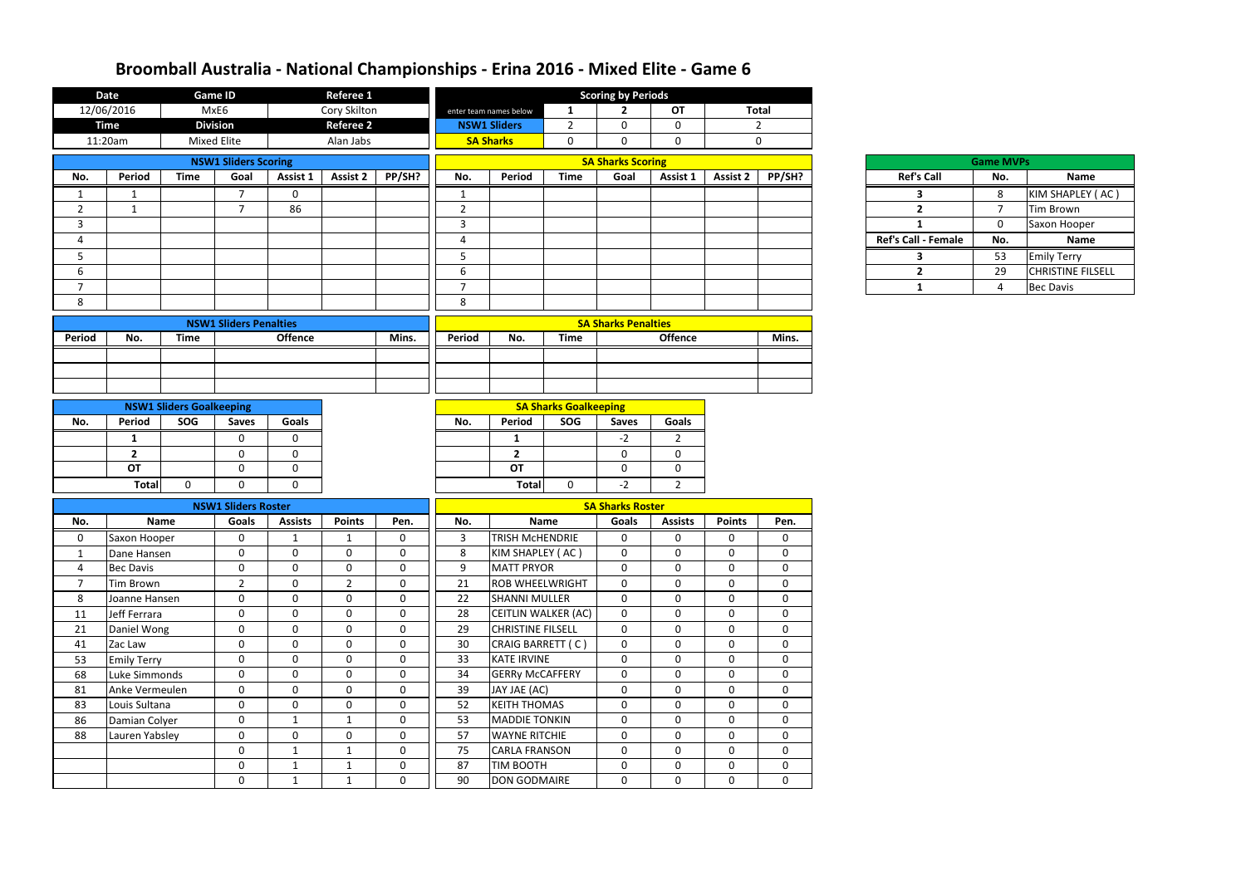|                               | <b>Date</b>        |                                 | <b>Game ID</b>              |                | <b>Referee 1</b> |              | <b>Scoring by Periods</b> |                          |                              |                            |                |                  |                |  |                     |                  |                          |
|-------------------------------|--------------------|---------------------------------|-----------------------------|----------------|------------------|--------------|---------------------------|--------------------------|------------------------------|----------------------------|----------------|------------------|----------------|--|---------------------|------------------|--------------------------|
|                               | 12/06/2016         |                                 | MxE6                        |                | Cory Skilton     |              |                           | enter team names below   | $\mathbf{1}$                 | $\mathbf{2}$               | <b>OT</b>      | <b>Total</b>     |                |  |                     |                  |                          |
|                               | <b>Time</b>        |                                 | <b>Division</b>             |                | <b>Referee 2</b> |              |                           | <b>NSW1 Sliders</b>      | $\overline{2}$               | $\mathbf 0$                | $\mathbf 0$    |                  | $\overline{2}$ |  |                     |                  |                          |
|                               | 11:20am            |                                 | <b>Mixed Elite</b>          |                | Alan Jabs        |              |                           | <b>SA Sharks</b>         | $\mathbf 0$                  | $\mathbf 0$                | $\mathbf 0$    | $\mathbf 0$      |                |  |                     |                  |                          |
|                               |                    |                                 | <b>NSW1 Sliders Scoring</b> |                |                  |              |                           |                          |                              | <b>SA Sharks Scoring</b>   |                |                  |                |  |                     | <b>Game MVPs</b> |                          |
| No.                           | Period             | <b>Time</b>                     | Goal                        | Assist 1       | <b>Assist 2</b>  | PP/SH?       | No.                       | Period                   | <b>Time</b>                  | Goal                       | Assist 1       | <b>Assist 2</b>  | PP/SH?         |  | <b>Ref's Call</b>   | No.              | Name                     |
| 1                             | $\mathbf{1}$       |                                 | $\overline{7}$              | $\mathbf 0$    |                  |              | $\mathbf{1}$              |                          |                              |                            |                |                  |                |  | $\mathbf{3}$        | 8                | KIM SHAPLEY (AC)         |
| $\overline{2}$                | $\overline{1}$     |                                 | $\overline{7}$              | 86             |                  |              | $\overline{2}$            |                          |                              |                            |                |                  |                |  | $\overline{2}$      | $\overline{7}$   | Tim Brown                |
| 3                             |                    |                                 |                             |                |                  |              | 3                         |                          |                              |                            |                |                  |                |  | 1                   | $\mathbf 0$      | Saxon Hooper             |
| 4                             |                    |                                 |                             |                |                  |              | 4                         |                          |                              |                            |                |                  |                |  | Ref's Call - Female | No.              | <b>Name</b>              |
| 5                             |                    |                                 |                             |                |                  |              | 5                         |                          |                              |                            |                |                  |                |  | $\mathbf{3}$        | 53               | <b>Emily Terry</b>       |
| 6                             |                    |                                 |                             |                |                  |              | 6                         |                          |                              |                            |                |                  |                |  | $\mathbf{2}$        | 29               | <b>CHRISTINE FILSELL</b> |
| $\overline{7}$                |                    |                                 |                             |                |                  |              | $\overline{7}$            |                          |                              |                            |                |                  |                |  | $\mathbf{1}$        | 4                | <b>Bec Davis</b>         |
| 8                             |                    |                                 |                             |                |                  |              | 8                         |                          |                              |                            |                |                  |                |  |                     |                  |                          |
| <b>NSW1 Sliders Penalties</b> |                    |                                 |                             |                |                  |              |                           |                          |                              | <b>SA Sharks Penalties</b> |                |                  |                |  |                     |                  |                          |
| Period                        | No.                | <b>Time</b>                     |                             | <b>Offence</b> |                  | Mins.        | Period                    | No.                      | <b>Time</b>                  |                            | <b>Offence</b> |                  | Mins.          |  |                     |                  |                          |
|                               |                    |                                 |                             |                |                  |              |                           |                          |                              |                            |                |                  |                |  |                     |                  |                          |
|                               |                    |                                 |                             |                |                  |              |                           |                          |                              |                            |                |                  |                |  |                     |                  |                          |
|                               |                    |                                 |                             |                |                  |              |                           |                          |                              |                            |                |                  |                |  |                     |                  |                          |
|                               |                    | <b>NSW1 Sliders Goalkeeping</b> |                             |                |                  |              |                           |                          | <b>SA Sharks Goalkeeping</b> |                            |                |                  |                |  |                     |                  |                          |
| No.                           | Period             | SOG                             | <b>Saves</b>                | Goals          |                  |              | No.                       | Period                   | SOG                          | <b>Saves</b>               | <b>Goals</b>   |                  |                |  |                     |                  |                          |
|                               | $\mathbf{1}$       |                                 | $\mathbf 0$                 | $\mathbf 0$    |                  |              |                           | $\mathbf{1}$             |                              | $-2$                       | $\overline{2}$ |                  |                |  |                     |                  |                          |
|                               | $\mathbf{2}$       |                                 | 0                           | 0              |                  |              |                           | $\overline{2}$           |                              | $\mathbf 0$                | $\overline{0}$ |                  |                |  |                     |                  |                          |
|                               | <b>OT</b>          |                                 | $\mathbf 0$                 | $\mathbf 0$    |                  |              |                           | <b>OT</b>                |                              | $\mathbf 0$                | $\mathbf 0$    |                  |                |  |                     |                  |                          |
|                               | <b>Total</b>       | $\mathbf 0$                     | $\Omega$                    | $\mathbf 0$    |                  |              |                           | <b>Total</b>             | $\Omega$                     | $-2$                       | $2^{\circ}$    |                  |                |  |                     |                  |                          |
|                               |                    |                                 | <b>NSW1 Sliders Roster</b>  |                |                  |              |                           |                          |                              | <b>SA Sharks Roster</b>    |                |                  |                |  |                     |                  |                          |
| No.                           |                    | <b>Name</b>                     | Goals                       | <b>Assists</b> | <b>Points</b>    | Pen.         | No.                       |                          | <b>Name</b>                  | <b>Goals</b>               | <b>Assists</b> | <b>Points</b>    | Pen.           |  |                     |                  |                          |
| 0                             | Saxon Hooper       |                                 | 0                           | $\mathbf{1}$   | 1                | 0            | 3                         | TRISH MCHENDRIE          |                              | 0                          | $\Omega$       | $\mathbf 0$      | 0              |  |                     |                  |                          |
|                               | Dane Hansen        |                                 | $\mathbf{0}$                | $\Omega$       | $\mathbf{0}$     | $\mathbf{0}$ | 8                         | KIM SHAPLEY (AC)         |                              | $\mathbf 0$                | $\Omega$       | $\mathbf{0}$     | $\mathbf 0$    |  |                     |                  |                          |
| 4                             | <b>Bec Davis</b>   |                                 | $\mathbf 0$                 | 0              | $\mathbf{0}$     | $\mathbf 0$  | 9                         | <b>MATT PRYOR</b>        |                              | $\mathbf 0$                | $\mathbf{0}$   | $\mathbf 0$      | $\mathbf 0$    |  |                     |                  |                          |
| $\overline{7}$                | Tim Brown          |                                 | $\overline{2}$              | $\mathbf{0}$   | $\overline{2}$   | $\mathbf 0$  | 21                        | <b>ROB WHEELWRIGHT</b>   |                              | $\mathbf 0$                | $\mathbf 0$    | $\mathbf 0$      | 0              |  |                     |                  |                          |
| 8                             | Joanne Hansen      |                                 | $\mathbf 0$                 | $\mathbf 0$    | $\mathbf 0$      | $\mathbf 0$  | 22                        | <b>SHANNI MULLER</b>     |                              | $\mathbf 0$                | $\mathbf 0$    | $\mathbf 0$      | $\mathbf 0$    |  |                     |                  |                          |
| 11                            | Jeff Ferrara       |                                 | $\mathbf 0$                 | $\mathbf{0}$   | $\mathbf 0$      | $\mathbf 0$  | 28                        | CEITLIN WALKER (AC)      |                              | $\mathbf 0$                | $\mathbf 0$    | $\mathbf 0$      | $\mathbf 0$    |  |                     |                  |                          |
| 21                            | Daniel Wong        |                                 | $\mathbf 0$                 | $\mathbf 0$    | $\mathbf 0$      | $\mathbf 0$  | 29                        | <b>CHRISTINE FILSELL</b> |                              | $\mathbf 0$                | $\mathbf{0}$   | $\mathbf 0$      | $\mathbf 0$    |  |                     |                  |                          |
| 41                            | Zac Law            |                                 | $\mathbf 0$                 | $\mathbf 0$    | $\mathbf 0$      | $\mathbf 0$  | 30                        | CRAIG BARRETT (C)        |                              | $\mathbf 0$                | $\mathbf 0$    | $\mathbf 0$      | $\mathbf 0$    |  |                     |                  |                          |
| 53                            | <b>Emily Terry</b> |                                 | $\mathbf 0$                 | $\mathbf{0}$   | $\mathbf 0$      | $\mathbf 0$  | 33                        | KATE IRVINE              |                              | $\mathbf 0$                | $\mathbf 0$    | $\boldsymbol{0}$ | $\mathbf 0$    |  |                     |                  |                          |
| 68                            | Luke Simmonds      |                                 | $\mathbf 0$                 | $\mathbf{0}$   | $\mathbf 0$      | $\mathbf 0$  | 34                        | <b>GERRY McCAFFERY</b>   |                              | $\mathbf 0$                | $\mathbf 0$    | $\mathbf 0$      | $\mathbf 0$    |  |                     |                  |                          |
| 81                            | Anke Vermeulen     |                                 | $\mathbf 0$                 | $\mathbf 0$    | $\mathbf 0$      | $\mathbf 0$  | 39                        | JAY JAE (AC)             |                              | $\mathbf 0$                | $\mathbf 0$    | $\mathbf 0$      | $\mathbf 0$    |  |                     |                  |                          |
| 83                            | Louis Sultana      |                                 | $\mathbf 0$                 | $\mathbf{0}$   | $\mathbf 0$      | $\mathbf 0$  | 52                        | <b>KEITH THOMAS</b>      |                              | $\mathbf 0$                | $\mathbf 0$    | $\mathbf 0$      | $\mathbf 0$    |  |                     |                  |                          |
| 86                            | Damian Colyer      |                                 | $\mathbf 0$                 | $\mathbf{1}$   | 1                | $\mathbf 0$  | 53                        | <b>MADDIE TONKIN</b>     |                              | $\mathbf 0$                | $\mathbf 0$    | $\mathbf 0$      | $\mathbf 0$    |  |                     |                  |                          |
| 88                            | Lauren Yabsley     |                                 | $\mathbf 0$                 | $\mathbf 0$    | $\mathbf 0$      | $\mathbf 0$  | 57                        | <b>WAYNE RITCHIE</b>     |                              | $\mathbf 0$                | $\mathbf 0$    | $\mathbf 0$      | $\mathbf 0$    |  |                     |                  |                          |
|                               |                    |                                 | $\mathbf 0$                 | $\mathbf{1}$   | $\mathbf{1}$     | $\mathbf 0$  | 75                        | <b>CARLA FRANSON</b>     |                              | $\mathbf 0$                | $\mathbf 0$    | $\mathbf 0$      | $\mathbf 0$    |  |                     |                  |                          |
|                               |                    |                                 | $\mathbf 0$                 | $\mathbf{1}$   | 1                | $\mathbf 0$  | 87                        | TIM BOOTH                |                              | $\mathbf 0$                | $\mathbf 0$    | $\mathbf 0$      | $\mathbf 0$    |  |                     |                  |                          |
|                               |                    |                                 | $\mathbf 0$                 | $\mathbf{1}$   | $\mathbf{1}$     | $\mathbf 0$  | 90                        | DON GODMAIRE             |                              | $\mathbf 0$                | $\mathbf 0$    | $\mathbf 0$      | $\mathbf 0$    |  |                     |                  |                          |

| Ref's Ca                |
|-------------------------|
| 3                       |
| $\overline{\mathbf{c}}$ |
| 1                       |
| Ref's Call - Fe         |
| 3                       |
| 2                       |
| 1                       |
|                         |

|        | <b>Game MVPs</b> |                          |  |  |  |  |  |  |  |
|--------|------------------|--------------------------|--|--|--|--|--|--|--|
| Call   | No.              | <b>Name</b>              |  |  |  |  |  |  |  |
|        | 8                | KIM SHAPLEY (AC)         |  |  |  |  |  |  |  |
|        | 7                | <b>Tim Brown</b>         |  |  |  |  |  |  |  |
|        | 0                | Saxon Hooper             |  |  |  |  |  |  |  |
| Female | No.              | <b>Name</b>              |  |  |  |  |  |  |  |
|        | 53               | <b>Emily Terry</b>       |  |  |  |  |  |  |  |
|        | 29               | <b>CHRISTINE FILSELL</b> |  |  |  |  |  |  |  |
|        | 4                | <b>Bec Davis</b>         |  |  |  |  |  |  |  |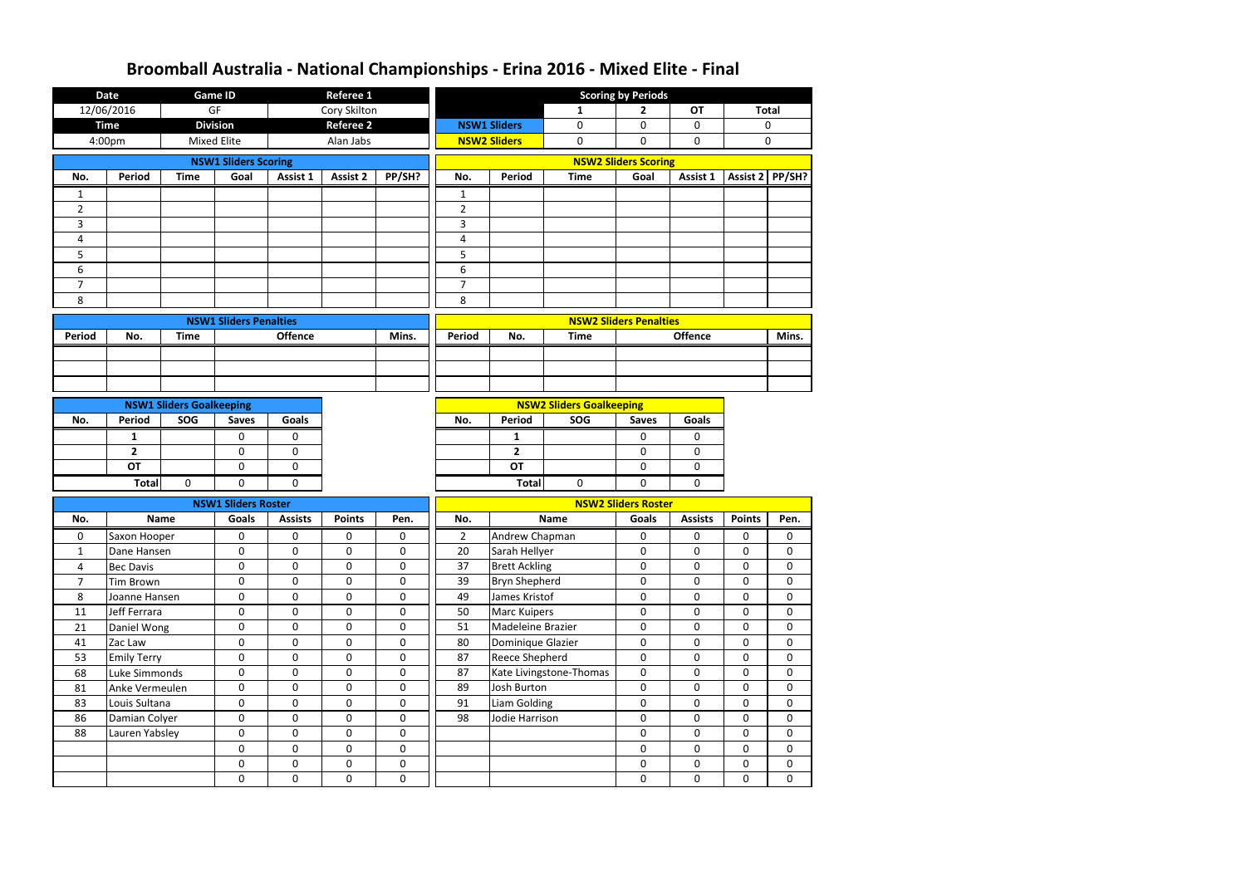|                | <b>Date</b>                     |                                 | <b>Game ID</b>                | <b>Referee 1</b> |                            |                  | <b>Scoring by Periods</b> |                     |                                 |                               |                  |                        |                   |               |             |   |   |             |             |
|----------------|---------------------------------|---------------------------------|-------------------------------|------------------|----------------------------|------------------|---------------------------|---------------------|---------------------------------|-------------------------------|------------------|------------------------|-------------------|---------------|-------------|---|---|-------------|-------------|
|                | 12/06/2016                      |                                 | GF                            |                  | Cory Skilton               |                  |                           |                     | 1                               | $\mathbf{2}$                  | <b>OT</b>        |                        | <b>Total</b>      |               |             |   |   |             |             |
|                | <b>Time</b>                     |                                 | <b>Division</b>               |                  | <b>Referee 2</b>           |                  |                           | <b>NSW1 Sliders</b> | $\mathbf 0$                     | 0                             | $\mathbf 0$      |                        | 0                 |               |             |   |   |             |             |
|                | 4:00pm                          |                                 | <b>Mixed Elite</b>            |                  | Alan Jabs                  |                  |                           | <b>NSW2 Sliders</b> | $\mathbf 0$                     | 0                             | $\mathbf 0$      |                        | $\mathbf 0$       |               |             |   |   |             |             |
|                |                                 |                                 | <b>NSW1 Sliders Scoring</b>   |                  |                            |                  |                           |                     |                                 | <b>NSW2 Sliders Scoring</b>   |                  |                        |                   |               |             |   |   |             |             |
| No.            | Period                          | <b>Time</b>                     | Goal                          | Assist 1         | <b>Assist 2</b>            | PP/SH?           | No.                       | Period              | <b>Time</b>                     | Goal                          | Assist 1         |                        | Assist $2$ PP/SH? |               |             |   |   |             |             |
| 1              |                                 |                                 |                               |                  |                            |                  | $\mathbf{1}$              |                     |                                 |                               |                  |                        |                   |               |             |   |   |             |             |
| $\overline{2}$ |                                 |                                 |                               |                  |                            |                  | $\overline{2}$            |                     |                                 |                               |                  |                        |                   |               |             |   |   |             |             |
| 3              |                                 |                                 |                               |                  |                            |                  | $\mathbf{3}$              |                     |                                 |                               |                  |                        |                   |               |             |   |   |             |             |
| 4              |                                 |                                 |                               |                  |                            |                  | $\overline{\mathbf{4}}$   |                     |                                 |                               |                  |                        |                   |               |             |   |   |             |             |
| 5              |                                 |                                 |                               |                  |                            |                  | 5                         |                     |                                 |                               |                  |                        |                   |               |             |   |   |             |             |
| 6              |                                 |                                 |                               |                  |                            |                  | 6                         |                     |                                 |                               |                  |                        |                   |               |             |   |   |             |             |
| $\overline{7}$ |                                 |                                 |                               |                  |                            |                  | $\overline{7}$            |                     |                                 |                               |                  |                        |                   |               |             |   |   |             |             |
| 8              |                                 |                                 |                               |                  |                            |                  | 8                         |                     |                                 |                               |                  |                        |                   |               |             |   |   |             |             |
|                |                                 |                                 | <b>NSW1 Sliders Penalties</b> |                  |                            |                  |                           |                     |                                 | <b>NSW2 Sliders Penalties</b> |                  |                        |                   |               |             |   |   |             |             |
| <b>Period</b>  | No.                             | <b>Time</b>                     |                               | Offence          |                            | Mins.            | Period                    | No.                 | <b>Time</b>                     |                               | <b>Offence</b>   |                        | Mins.             |               |             |   |   |             |             |
|                |                                 |                                 |                               |                  |                            |                  |                           |                     |                                 |                               |                  |                        |                   |               |             |   |   |             |             |
|                |                                 |                                 |                               |                  |                            |                  |                           |                     |                                 |                               |                  |                        |                   |               |             |   |   |             |             |
|                |                                 |                                 |                               |                  |                            |                  |                           |                     |                                 |                               |                  |                        |                   |               |             |   |   |             |             |
|                |                                 | <b>NSW1 Sliders Goalkeeping</b> |                               |                  |                            |                  |                           |                     | <b>NSW2 Sliders Goalkeeping</b> |                               |                  |                        |                   |               |             |   |   |             |             |
| No.            | <b>Period</b>                   | SOG                             | <b>Saves</b>                  | <b>Goals</b>     |                            |                  | Period<br>No.             |                     | SOG                             | <b>Saves</b>                  | <b>Goals</b>     |                        |                   |               |             |   |   |             |             |
|                | 1                               |                                 | 0                             | 0                |                            |                  | 1                         |                     |                                 | 0                             | 0                |                        |                   |               |             |   |   |             |             |
|                | $\overline{2}$                  |                                 | $\mathbf 0$                   | 0                |                            |                  |                           | $\overline{2}$      |                                 | 0                             | $\mathbf 0$      |                        |                   |               |             |   |   |             |             |
|                | <b>OT</b>                       |                                 | 0                             | 0                |                            |                  |                           | <b>OT</b>           |                                 | 0                             | 0                |                        |                   |               |             |   |   |             |             |
|                | <b>Total</b>                    | $\Omega$                        | $\mathbf{0}$                  | $\Omega$         |                            |                  |                           | <b>Total</b>        | $\mathbf 0$                     |                               |                  |                        |                   |               |             |   |   |             |             |
|                |                                 |                                 | <b>NSW1 Sliders Roster</b>    |                  |                            |                  |                           |                     |                                 | <b>NSW2 Sliders Roster</b>    |                  |                        |                   |               |             |   |   |             |             |
| No.            |                                 | <b>Name</b>                     | <b>Goals</b>                  | <b>Assists</b>   | <b>Points</b>              | Pen.             | No.                       | <b>Name</b>         |                                 |                               |                  | <b>Goals</b>           | <b>Assists</b>    | <b>Points</b> | Pen.        |   |   |             |             |
| 0              | Saxon Hooper                    |                                 | 0                             | 0                | 0                          | 0                | $\overline{2}$            |                     |                                 | Andrew Chapman                |                  |                        |                   | 0             | 0           | 0 | 0 |             |             |
| $\mathbf{1}$   | Dane Hansen                     |                                 | 0                             | 0                | 0                          | 0                | 20                        |                     |                                 | Sarah Hellyer                 |                  |                        |                   |               |             | 0 | 0 | 0           | $\mathbf 0$ |
| 4              | <b>Bec Davis</b>                |                                 | $\pmb{0}$                     | 0                | $\mathbf 0$                | $\mathbf 0$      | 37                        |                     |                                 | <b>Brett Ackling</b>          |                  | 0<br>$\mathbf 0$       | $\mathbf 0$       | $\pmb{0}$     | $\mathbf 0$ |   |   |             |             |
| $\overline{7}$ | <b>Tim Brown</b>                |                                 | $\mathbf 0$                   | $\mathbf 0$      | $\mathbf 0$                | $\mathbf 0$      | 39                        |                     | <b>Bryn Shepherd</b>            |                               |                  |                        |                   |               |             |   | 0 | $\mathbf 0$ | $\pmb{0}$   |
| 8              | Joanne Hansen                   |                                 | $\boldsymbol{0}$              | $\boldsymbol{0}$ | $\boldsymbol{0}$           | $\mathbf 0$      | 49                        | James Kristof       |                                 | 0                             | $\pmb{0}$        | $\pmb{0}$              | $\pmb{0}$         |               |             |   |   |             |             |
| 11             | Jeff Ferrara                    |                                 | $\pmb{0}$                     | $\mathbf 0$      | $\mathbf 0$                | $\mathbf 0$      | 50                        | <b>Marc Kuipers</b> |                                 | 0                             | 0                | 0                      | 0                 |               |             |   |   |             |             |
| 21             | Daniel Wong                     |                                 | $\pmb{0}$                     | $\mathbf 0$      | $\mathbf 0$                | $\mathbf 0$      | 51                        | Madeleine Brazier   |                                 | 0                             | 0                | $\pmb{0}$              | $\pmb{0}$         |               |             |   |   |             |             |
| 41             | Zac Law                         |                                 | $\mathbf 0$                   | $\mathbf 0$      | $\mathbf 0$                | 0                | 80                        | Dominique Glazier   |                                 | 0<br>$\mathbf 0$              | $\mathbf 0$      | $\pmb{0}$              | $\mathbf 0$       |               |             |   |   |             |             |
| 53             | <b>Emily Terry</b>              |                                 | $\mathbf 0$                   | $\mathbf 0$      | $\mathbf 0$                | $\mathbf 0$      | 87                        |                     | <b>Reece Shepherd</b>           |                               | $\mathbf 0$      | $\mathbf 0$            | $\pmb{0}$         |               |             |   |   |             |             |
| 68             | Luke Simmonds                   |                                 | $\mathbf 0$                   | $\mathbf 0$      | $\boldsymbol{0}$           | $\mathbf 0$      | 87                        |                     | Kate Livingstone-Thomas<br>0    |                               | 0                | 0                      | $\pmb{0}$         |               |             |   |   |             |             |
| 81             | Anke Vermeulen                  |                                 | $\mathbf 0$                   | $\mathbf 0$      | $\mathbf 0$                | $\mathbf 0$      | 89                        | Josh Burton         |                                 | 0                             | 0                | $\mathbf 0$            | $\pmb{0}$         |               |             |   |   |             |             |
| 83             | Louis Sultana                   |                                 | $\pmb{0}$<br>$\mathbf 0$      | $\mathbf 0$      | $\mathbf 0$                | $\mathbf 0$      | <b>Liam Golding</b><br>91 |                     |                                 | 0                             | $\mathbf 0$      | $\mathbf 0$            | $\mathbf 0$       |               |             |   |   |             |             |
| 86<br>88       | Damian Colyer<br>Lauren Yabsley |                                 | $\pmb{0}$                     | $\mathbf 0$<br>0 | $\mathbf 0$<br>$\mathbf 0$ | 0<br>$\mathbf 0$ | 98<br>Jodie Harrison      |                     |                                 | 0<br>0                        | 0<br>$\mathbf 0$ | $\pmb{0}$<br>$\pmb{0}$ | 0<br>$\pmb{0}$    |               |             |   |   |             |             |
|                |                                 |                                 | $\mathbf 0$                   | $\mathbf 0$      | $\mathbf 0$                | $\mathbf 0$      |                           |                     |                                 |                               |                  |                        | 0                 | 0             | 0           |   |   |             |             |
|                |                                 |                                 | $\mathbf 0$                   | $\mathbf 0$      | $\mathbf 0$                | $\mathbf 0$      |                           |                     |                                 | 0<br>$\mathbf 0$              | 0                | $\mathbf 0$            | $\pmb{0}$         |               |             |   |   |             |             |
|                |                                 |                                 | $\mathbf 0$                   | 0                | $\mathbf 0$                | $\mathbf 0$      |                           |                     |                                 | $\mathbf 0$                   | $\pmb{0}$        | $\pmb{0}$              | $\pmb{0}$         |               |             |   |   |             |             |
|                |                                 |                                 |                               |                  |                            |                  |                           |                     |                                 |                               |                  |                        |                   |               |             |   |   |             |             |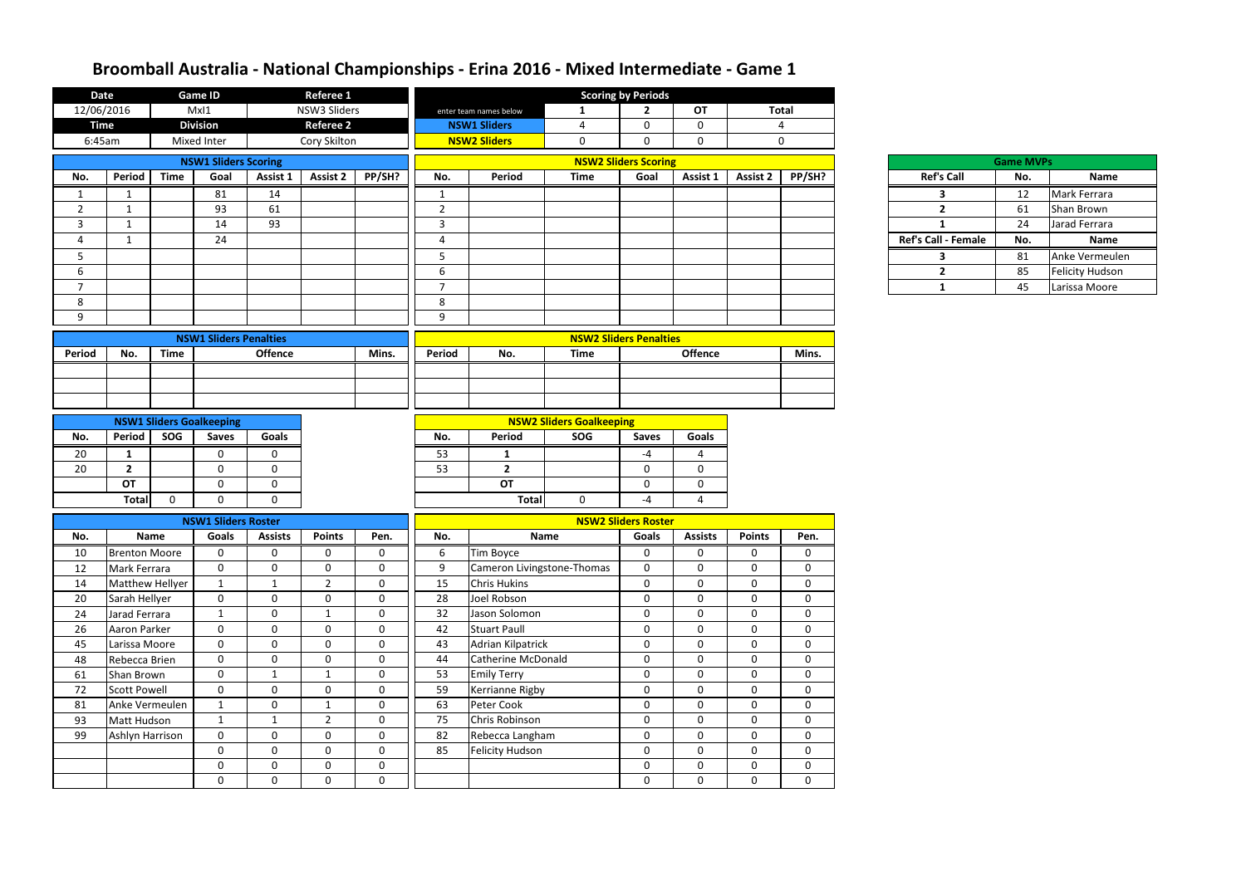| <b>Date</b>    |                                |             | <b>Game ID</b>                  |                                  | <b>Referee 1</b>               |                             |                |                                   |                                 | <b>Scoring by Periods</b>     |                            |                            |                            |                            |                  |                        |
|----------------|--------------------------------|-------------|---------------------------------|----------------------------------|--------------------------------|-----------------------------|----------------|-----------------------------------|---------------------------------|-------------------------------|----------------------------|----------------------------|----------------------------|----------------------------|------------------|------------------------|
| 12/06/2016     |                                |             | MxI1                            |                                  | NSW3 Sliders                   |                             |                | enter team names below            | $\mathbf{1}$                    | $\overline{2}$                | <b>OT</b>                  |                            | <b>Total</b>               |                            |                  |                        |
| <b>Time</b>    |                                |             | <b>Division</b>                 |                                  | <b>Referee 2</b>               |                             |                | <b>NSW1 Sliders</b>               | 4                               | $\mathbf 0$                   | $\mathbf 0$                |                            | $\overline{4}$             |                            |                  |                        |
| 6:45am         |                                |             | Mixed Inter                     |                                  | Cory Skilton                   |                             |                | <b>NSW2 Sliders</b>               | $\mathbf 0$                     | $\mathbf{0}$                  | $\mathbf 0$                |                            | $\mathbf 0$                |                            |                  |                        |
|                |                                |             | <b>NSW1 Sliders Scoring</b>     |                                  |                                |                             |                |                                   |                                 | <b>NSW2 Sliders Scoring</b>   |                            |                            |                            |                            | <b>Game MVPs</b> |                        |
| No.            | <b>Period</b>                  | <b>Time</b> | Goal                            | Assist 1                         | <b>Assist 2</b>                | PP/SH?                      | No.            | Period                            | <b>Time</b>                     | Goal                          | Assist 1                   | <b>Assist 2</b>            | PP/SH?                     | <b>Ref's Call</b>          | No.              | Name                   |
| 1              | 1                              |             | 81                              | 14                               |                                |                             | 1              |                                   |                                 |                               |                            |                            |                            | 3                          | 12               | Mark Ferrara           |
| $\overline{2}$ | 1                              |             | 93                              | 61                               |                                |                             | $\overline{2}$ |                                   |                                 |                               |                            |                            |                            | $2^{\circ}$                | 61               | Shan Brown             |
| 3              | $\mathbf{1}$                   |             | 14                              | 93                               |                                |                             | $\mathbf{3}$   |                                   |                                 |                               |                            |                            |                            | $\mathbf{1}$               | 24               | Jarad Ferrara          |
| $\overline{a}$ | 1                              |             | 24                              |                                  |                                |                             | $\overline{a}$ |                                   |                                 |                               |                            |                            |                            | <b>Ref's Call - Female</b> | No.              | Name                   |
| 5              |                                |             |                                 |                                  |                                |                             | 5              |                                   |                                 |                               |                            |                            |                            | 3                          | 81               | Anke Vermeuler         |
| 6              |                                |             |                                 |                                  |                                |                             | 6              |                                   |                                 |                               |                            |                            |                            | $\mathbf{2}$               | 85               | <b>Felicity Hudson</b> |
| $\overline{7}$ |                                |             |                                 |                                  |                                |                             | $\overline{7}$ |                                   |                                 |                               |                            |                            |                            | $\mathbf{1}$               | 45               | Larissa Moore          |
| 8              |                                |             |                                 |                                  |                                |                             | 8              |                                   |                                 |                               |                            |                            |                            |                            |                  |                        |
| 9              |                                |             |                                 |                                  |                                |                             | 9              |                                   |                                 |                               |                            |                            |                            |                            |                  |                        |
|                |                                |             | <b>NSW1 Sliders Penalties</b>   |                                  |                                |                             |                |                                   |                                 | <b>NSW2 Sliders Penalties</b> |                            |                            |                            |                            |                  |                        |
| Period         | No.                            | <b>Time</b> |                                 | <b>Offence</b>                   |                                | Mins.                       | Period         | No.                               | <b>Time</b>                     |                               | <b>Offence</b>             |                            | Mins.                      |                            |                  |                        |
|                |                                |             |                                 |                                  |                                |                             |                |                                   |                                 |                               |                            |                            |                            |                            |                  |                        |
|                |                                |             |                                 |                                  |                                |                             |                |                                   |                                 |                               |                            |                            |                            |                            |                  |                        |
|                |                                |             |                                 |                                  |                                |                             |                |                                   |                                 |                               |                            |                            |                            |                            |                  |                        |
|                |                                |             | <b>NSW1 Sliders Goalkeeping</b> |                                  |                                |                             |                |                                   | <b>NSW2 Sliders Goalkeeping</b> |                               |                            |                            |                            |                            |                  |                        |
| No.            | <b>Period</b>                  | SOG         | <b>Saves</b>                    | Goals                            |                                |                             | No.            | Period                            | SOG                             | <b>Saves</b>                  | Goals                      |                            |                            |                            |                  |                        |
| 20             | $\mathbf{1}$                   |             | $\mathbf 0$                     | 0                                |                                |                             | 53             | $\mathbf{1}$                      |                                 | $-4$                          | $\overline{4}$             |                            |                            |                            |                  |                        |
| 20             | $\overline{2}$                 |             | $\mathbf{0}$                    | $\mathbf 0$                      |                                |                             | 53             | $\overline{2}$                    |                                 | $\mathbf{0}$                  | $\mathbf 0$                |                            |                            |                            |                  |                        |
|                | OT                             |             | $\Omega$                        | 0                                |                                |                             |                | <b>OT</b>                         |                                 | $\mathbf{0}$                  | $\mathbf{0}$               |                            |                            |                            |                  |                        |
|                | <b>Total</b>                   | $\Omega$    | $\Omega$                        | 0                                |                                |                             |                | <b>Total</b>                      | $\Omega$                        | -4                            | 4                          |                            |                            |                            |                  |                        |
|                |                                |             | <b>NSW1 Sliders Roster</b>      |                                  |                                |                             |                |                                   |                                 | <b>NSW2 Sliders Roster</b>    |                            |                            |                            |                            |                  |                        |
| No.            | <b>Name</b>                    |             | <b>Goals</b>                    | <b>Assists</b>                   | <b>Points</b>                  | Pen.                        | No.            |                                   | <b>Name</b>                     | Goals                         | <b>Assists</b>             | <b>Points</b>              | Pen.                       |                            |                  |                        |
| 10             | <b>Brenton Moore</b>           |             | $\Omega$                        | 0                                | 0                              | $\Omega$                    | 6              | Tim Boyce                         |                                 | $\Omega$                      | $\Omega$                   | $\Omega$                   | $\Omega$                   |                            |                  |                        |
| 12             | Mark Ferrara                   |             | $\mathbf 0$                     | $\mathbf 0$                      | $\mathbf{0}$                   | $\mathbf 0$                 | 9              | Cameron Livingstone-Thomas        |                                 | 0                             | $\mathbf{0}$               | $\mathbf{0}$               | $\mathbf 0$                |                            |                  |                        |
| 14             | Matthew Hellyer                |             | 1                               | $\mathbf{1}$                     | $\overline{2}$                 | $\mathbf{0}$                | 15             | <b>Chris Hukins</b>               |                                 | $\mathbf 0$                   | $\mathbf 0$                | $\mathbf{0}$               | $\mathbf 0$                |                            |                  |                        |
| 20             | Sarah Hellyer                  |             | $\mathbf 0$                     | $\mathbf 0$                      | $\mathbf 0$                    | $\mathbf 0$                 | 28             | Joel Robson                       |                                 | $\mathbf 0$<br>$\pmb{0}$      | $\mathbf{0}$               | $\mathbf 0$                | $\mathbf 0$                |                            |                  |                        |
| 24             | Jarad Ferrara                  |             | $\mathbf{1}$                    | $\mathbf 0$                      | $\mathbf{1}$                   | $\mathbf 0$                 | 32             | Jason Solomon                     |                                 |                               | $\mathbf{0}$               | $\mathbf 0$                | $\mathbf 0$                |                            |                  |                        |
| 26             | Aaron Parker                   |             | $\mathbf{0}$                    | $\mathbf 0$                      | $\mathbf 0$                    | $\mathbf{0}$                | 42             | <b>Stuart Paull</b>               |                                 |                               | $\mathbf 0$                | $\mathbf{0}$               | $\mathbf 0$                |                            |                  |                        |
| 45             | Larissa Moore                  |             | $\mathbf 0$                     | $\pmb{0}$                        | $\mathbf 0$                    | $\mathbf 0$                 | 43             | Adrian Kilpatrick                 |                                 | $\mathbf 0$<br>$\mathbf 0$    | $\mathbf 0$                | $\mathbf 0$                | $\mathbf 0$                |                            |                  |                        |
| 48             | Rebecca Brien                  |             | $\mathbf{0}$                    | 0                                | 0                              | $\mathbf 0$                 | 44             |                                   | Catherine McDonald              |                               | $\mathbf 0$                | $\overline{0}$             | $\mathbf 0$                |                            |                  |                        |
| 61             | Shan Brown                     |             | $\mathbf 0$                     | $\mathbf{1}$                     | $\mathbf{1}$                   | $\mathbf 0$                 | 53             |                                   | <b>Emily Terry</b>              |                               | $\mathbf 0$                | $\mathbf 0$                | $\mathbf 0$                |                            |                  |                        |
| 72             | <b>Scott Powell</b>            |             | $\mathbf 0$                     | $\mathbf 0$                      | 0                              | $\mathbf 0$                 | 59             | Kerrianne Rigby                   |                                 | $\mathbf 0$<br>$\mathbf 0$    | $\mathbf 0$                | $\mathbf{0}$               | $\mathbf 0$                |                            |                  |                        |
| 81             | Anke Vermeulen                 |             | $\mathbf{1}$                    | $\mathbf 0$                      | $\mathbf{1}$<br>$\overline{2}$ | $\mathbf{0}$<br>$\mathbf 0$ | 63<br>75       |                                   | Peter Cook                      |                               | $\mathbf 0$<br>$\mathbf 0$ | $\mathbf 0$<br>$\mathbf 0$ | $\mathbf 0$<br>$\mathbf 0$ |                            |                  |                        |
| 93             | Matt Hudson<br>Ashlyn Harrison |             | $\mathbf{1}$<br>$\mathbf{0}$    | $\mathbf{1}$<br>$\boldsymbol{0}$ | $\mathbf 0$                    | $\mathbf 0$                 | 82             | Chris Robinson<br>Rebecca Langham |                                 | $\mathbf 0$<br>$\mathbf 0$    | $\mathbf 0$                | $\mathbf{0}$               | $\mathbf 0$                |                            |                  |                        |
| 99             |                                |             | $\mathbf 0$                     | $\mathbf 0$                      | $\mathbf 0$                    | $\mathbf 0$                 | 85             |                                   |                                 | $\mathbf 0$                   | $\mathbf 0$                | $\mathbf{0}$               | $\mathbf 0$                |                            |                  |                        |
|                |                                |             | 0                               | 0                                | $\mathbf 0$                    | $\mathbf 0$                 |                | <b>Felicity Hudson</b>            |                                 | $\mathbf 0$                   | $\mathbf 0$                | $\mathbf 0$                | $\mathbf 0$                |                            |                  |                        |
|                |                                |             | $\mathbf 0$                     | $\mathbf 0$                      | $\mathbf 0$                    | $\mathbf 0$                 |                |                                   |                                 | $\mathbf 0$                   | $\mathbf 0$                | $\mathbf 0$                | $\mathbf 0$                |                            |                  |                        |
|                |                                |             |                                 |                                  |                                |                             |                |                                   |                                 |                               |                            |                            |                            |                            |                  |                        |

|                            | <b>Game MVPs</b> |                 |
|----------------------------|------------------|-----------------|
| <b>Ref's Call</b>          | No.              | Name            |
|                            | 12               | Mark Ferrara    |
|                            | 61               | Shan Brown      |
|                            | 24               | Jarad Ferrara   |
| <b>Ref's Call - Female</b> | No.              | <b>Name</b>     |
| 2                          | 81               | Anke Vermeulen  |
|                            | 85               | Felicity Hudson |
|                            | 45               | Larissa Moore   |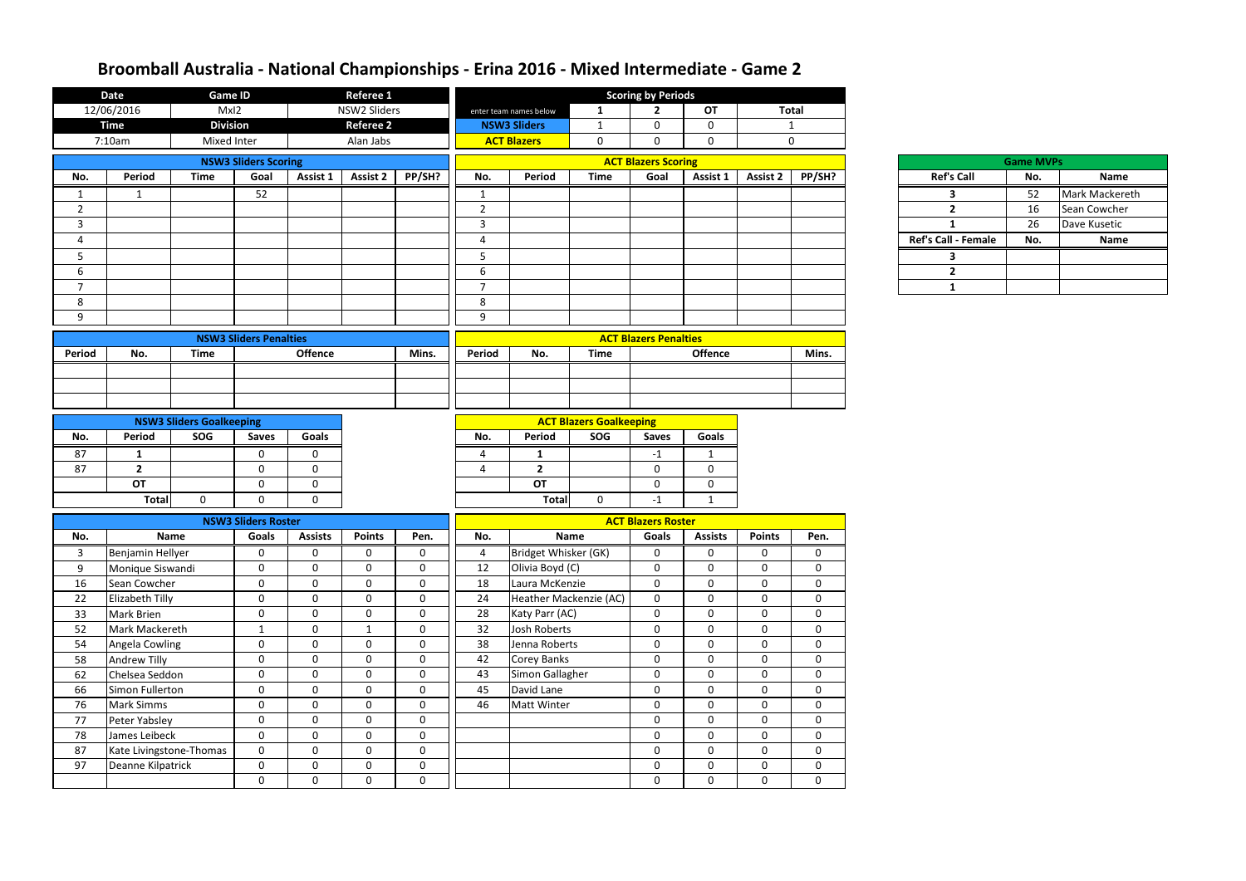|                | <b>Date</b>                   | <b>Game ID</b>                         |                             |                              | <b>Referee 1</b> |             | <b>Scoring by Periods</b>      |                             |                        |                              |                            |                 |                |                            |                  |                |
|----------------|-------------------------------|----------------------------------------|-----------------------------|------------------------------|------------------|-------------|--------------------------------|-----------------------------|------------------------|------------------------------|----------------------------|-----------------|----------------|----------------------------|------------------|----------------|
|                | 12/06/2016                    | MxI2                                   |                             |                              | NSW2 Sliders     |             |                                | enter team names below      | 1                      | $\overline{2}$               | OT                         |                 | <b>Total</b>   |                            |                  |                |
|                | <b>Time</b>                   | <b>Division</b>                        |                             |                              | <b>Referee 2</b> |             |                                | <b>NSW3 Sliders</b>         | -1                     | $\mathbf 0$                  | $\mathbf 0$                |                 | $\mathbf{1}$   |                            |                  |                |
|                | 7:10am                        | Mixed Inter                            |                             |                              | Alan Jabs        |             |                                | <b>ACT Blazers</b>          | $\mathbf 0$            | $\mathbf{0}$                 | $\mathbf 0$                |                 | $\mathbf 0$    |                            |                  |                |
|                |                               |                                        | <b>NSW3 Sliders Scoring</b> |                              |                  |             |                                |                             |                        | <b>ACT Blazers Scoring</b>   |                            |                 |                |                            | <b>Game MVPs</b> |                |
| No.            | Period                        | <b>Time</b>                            | Goal                        | Assist 1                     | <b>Assist 2</b>  | PP/SH?      | No.                            | Period                      | <b>Time</b>            | Goal                         | Assist 1                   | <b>Assist 2</b> | PP/SH?         | <b>Ref's Call</b>          | No.              | Name           |
| $\mathbf{1}$   | $\mathbf{1}$                  |                                        | 52                          |                              |                  |             | $\mathbf{1}$                   |                             |                        |                              |                            |                 |                | 3                          | 52               | Mark Mackereth |
| $\overline{2}$ |                               |                                        |                             |                              |                  |             | 2                              |                             |                        |                              |                            |                 |                | $\overline{2}$             | 16               | Sean Cowcher   |
| 3              |                               |                                        |                             |                              |                  |             | 3                              |                             |                        |                              |                            |                 |                | $\mathbf{1}$               | 26               | Dave Kusetic   |
| 4              |                               |                                        |                             |                              |                  |             | $\Lambda$                      |                             |                        |                              |                            |                 |                | <b>Ref's Call - Female</b> | No.              | Name           |
| 5              |                               |                                        |                             |                              |                  |             | 5                              |                             |                        |                              |                            |                 |                | 3                          |                  |                |
| 6              |                               |                                        |                             |                              |                  |             | 6                              |                             |                        |                              |                            |                 |                | $\overline{2}$             |                  |                |
| $\overline{7}$ |                               |                                        |                             |                              |                  |             | $\overline{7}$                 |                             |                        |                              |                            |                 |                | $\mathbf{1}$               |                  |                |
| 8              |                               |                                        |                             |                              |                  |             | 8                              |                             |                        |                              |                            |                 |                |                            |                  |                |
| 9              |                               |                                        |                             |                              |                  |             | 9                              |                             |                        |                              |                            |                 |                |                            |                  |                |
|                | <b>NSW3 Sliders Penalties</b> |                                        |                             |                              |                  |             |                                |                             |                        | <b>ACT Blazers Penalties</b> |                            |                 |                |                            |                  |                |
| <b>Period</b>  | No.                           | <b>Time</b>                            |                             | <b>Offence</b>               |                  | Mins.       | Period                         | No.                         | <b>Time</b>            |                              | <b>Offence</b>             |                 | Mins.          |                            |                  |                |
|                |                               |                                        |                             |                              |                  |             |                                |                             |                        |                              |                            |                 |                |                            |                  |                |
|                |                               |                                        |                             |                              |                  |             |                                |                             |                        |                              |                            |                 |                |                            |                  |                |
|                |                               |                                        |                             |                              |                  |             |                                |                             |                        |                              |                            |                 |                |                            |                  |                |
|                |                               |                                        |                             |                              |                  |             | <b>ACT Blazers Goalkeeping</b> |                             |                        |                              |                            |                 |                |                            |                  |                |
| No.            | Period                        | <b>NSW3 Sliders Goalkeeping</b><br>SOG |                             | Goals                        |                  |             | No.                            | Period                      | SOG                    | <b>Saves</b>                 | <b>Goals</b>               |                 |                |                            |                  |                |
|                |                               |                                        | <b>Saves</b>                |                              |                  |             |                                |                             |                        |                              |                            |                 |                |                            |                  |                |
| 87             | 1                             |                                        | 0                           | $\mathbf{0}$<br>$\mathbf{0}$ |                  |             | $\Delta$<br>$\Lambda$          | 1                           |                        | $-1$                         | 1                          |                 |                |                            |                  |                |
| 87             | $\overline{2}$<br><b>OT</b>   |                                        | $\mathbf 0$<br>$\mathbf 0$  | $\mathbf 0$                  |                  |             |                                | $\overline{2}$<br><b>OT</b> |                        | $\mathbf 0$<br>$\mathbf{0}$  | $\mathbf 0$<br>$\mathbf 0$ |                 |                |                            |                  |                |
|                |                               |                                        |                             |                              |                  |             |                                |                             |                        |                              |                            |                 |                |                            |                  |                |
|                | <b>Total</b>                  | $\mathbf{0}$                           | $\Omega$                    | $\mathbf{0}$                 |                  |             |                                | <b>Total</b>                | $\mathbf 0$            | $-1$                         | 1                          |                 |                |                            |                  |                |
|                |                               |                                        | <b>NSW3 Sliders Roster</b>  |                              |                  |             |                                |                             |                        | <b>ACT Blazers Roster</b>    |                            |                 |                |                            |                  |                |
| No.            | <b>Name</b>                   |                                        | Goals                       | <b>Assists</b>               | <b>Points</b>    | Pen.        | No.                            |                             | <b>Name</b>            | <b>Goals</b>                 | <b>Assists</b>             | <b>Points</b>   | Pen.           |                            |                  |                |
| 3              | Benjamin Hellyer              |                                        | $\mathbf 0$                 | $\mathbf 0$                  | $\Omega$         | 0           | 4                              | Bridget Whisker (GK)        |                        | 0                            | 0                          | $\mathbf{0}$    | $\Omega$       |                            |                  |                |
| 9              | Monique Siswandi              |                                        | $\mathbf 0$                 | $\mathbf 0$                  | $\mathbf{0}$     | $\mathbf 0$ | 12                             | Olivia Boyd (C)             |                        | $\mathbf 0$                  | $\mathbf 0$                | 0               | $\mathbf 0$    |                            |                  |                |
| 16             | Sean Cowcher                  |                                        | $\boldsymbol{0}$            | $\mathbf 0$                  | $\mathbf 0$      | $\mathbf 0$ | 18                             | Laura McKenzie              |                        | $\mathbf 0$                  | $\mathbf 0$                | $\mathbf 0$     | $\mathbf{0}$   |                            |                  |                |
| 22             | Elizabeth Tilly               |                                        | $\boldsymbol{0}$            | $\mathbf 0$                  | $\overline{0}$   | $\mathbf 0$ | 24                             |                             | Heather Mackenzie (AC) | $\boldsymbol{0}$             | $\mathbf 0$                | $\mathbf{0}$    | $\overline{0}$ |                            |                  |                |
| 33             | Mark Brien                    |                                        | $\mathbf 0$                 | $\mathbf 0$                  | $\mathbf 0$      | $\mathbf 0$ | 28                             | Katy Parr (AC)              |                        | $\mathbf 0$                  | $\mathbf 0$                | $\mathbf 0$     | $\mathbf 0$    |                            |                  |                |
| 52             | Mark Mackereth                |                                        | $\mathbf 1$                 | $\mathbf 0$                  | $\mathbf{1}$     | $\mathbf 0$ | 32                             | Josh Roberts                |                        | $\mathbf 0$                  | $\mathbf 0$                | $\mathbf 0$     | $\mathbf{0}$   |                            |                  |                |
| 54             | Angela Cowling                |                                        | $\boldsymbol{0}$            | $\mathbf 0$                  | $\mathbf 0$      | $\mathbf 0$ | 38                             | Jenna Roberts               |                        | $\mathbf 0$                  | $\mathbf 0$                | $\mathbf 0$     | $\mathbf 0$    |                            |                  |                |
| 58             | Andrew Tilly                  |                                        | $\boldsymbol{0}$            | $\mathbf 0$                  | $\mathbf 0$      | $\mathbf 0$ | 42                             | <b>Corey Banks</b>          |                        | $\mathbf 0$                  | $\mathbf 0$                | $\mathbf{0}$    | $\mathbf 0$    |                            |                  |                |
| 62             | Chelsea Seddon                |                                        | $\mathbf 0$                 | $\mathbf 0$                  | $\mathbf 0$      | $\mathbf 0$ | 43                             | Simon Gallagher             |                        | $\mathbf 0$                  | $\mathbf 0$                | $\mathbf{0}$    | $\mathbf 0$    |                            |                  |                |
| 66             | Simon Fullerton               |                                        | $\boldsymbol{0}$            | $\mathbf 0$                  | $\overline{0}$   | $\mathbf 0$ | 45                             | David Lane                  |                        | $\mathbf 0$                  | $\mathbf 0$                | $\mathbf{0}$    | $\mathbf 0$    |                            |                  |                |
| 76             | Mark Simms                    |                                        | $\boldsymbol{0}$            | $\mathbf 0$                  | $\overline{0}$   | $\mathbf 0$ | 46                             | Matt Winter                 |                        | $\mathbf 0$                  | $\mathbf 0$                | $\mathbf{0}$    | $\mathbf{0}$   |                            |                  |                |
| 77             | Peter Yabsley                 |                                        | $\mathbf 0$                 | $\mathbf 0$                  | $\mathbf 0$      | 0           |                                |                             |                        | $\mathbf 0$                  | $\mathbf 0$                | $\mathbf 0$     | $\mathbf 0$    |                            |                  |                |
| 78             | James Leibeck                 |                                        | $\mathbf 0$                 | $\mathbf 0$                  | $\mathbf 0$      | $\mathbf 0$ |                                |                             |                        | $\mathbf 0$                  | $\mathbf 0$                | $\mathbf 0$     | $\overline{0}$ |                            |                  |                |
| 87             | Kate Livingstone-Thomas       |                                        | $\boldsymbol{0}$            | $\mathbf 0$                  | $\overline{0}$   | $\mathbf 0$ |                                |                             |                        | $\mathbf 0$                  | $\mathbf 0$                | $\mathbf 0$     | $\mathbf 0$    |                            |                  |                |
| 97             | Deanne Kilpatrick             |                                        | $\mathbf 0$                 | $\mathbf 0$                  | $\mathbf 0$      | 0           |                                |                             |                        | $\mathbf 0$                  | $\mathbf 0$                | $\mathbf 0$     | $\mathbf 0$    |                            |                  |                |
|                |                               |                                        | $\mathbf 0$                 | $\mathbf 0$                  | $\overline{0}$   | $\mathbf 0$ |                                |                             |                        | $\mathbf 0$                  | $\mathbf 0$                | $\mathbf{0}$    | $\overline{0}$ |                            |                  |                |

| <b>Game MVPs</b>           |     |                |  |  |  |  |  |  |  |  |  |
|----------------------------|-----|----------------|--|--|--|--|--|--|--|--|--|
| <b>Ref's Call</b>          | No. | <b>Name</b>    |  |  |  |  |  |  |  |  |  |
|                            | 52  | Mark Mackereth |  |  |  |  |  |  |  |  |  |
| 2                          | 16  | Sean Cowcher   |  |  |  |  |  |  |  |  |  |
|                            | 26  | Dave Kusetic   |  |  |  |  |  |  |  |  |  |
| <b>Ref's Call - Female</b> | No. | <b>Name</b>    |  |  |  |  |  |  |  |  |  |
|                            |     |                |  |  |  |  |  |  |  |  |  |
| 2                          |     |                |  |  |  |  |  |  |  |  |  |
|                            |     |                |  |  |  |  |  |  |  |  |  |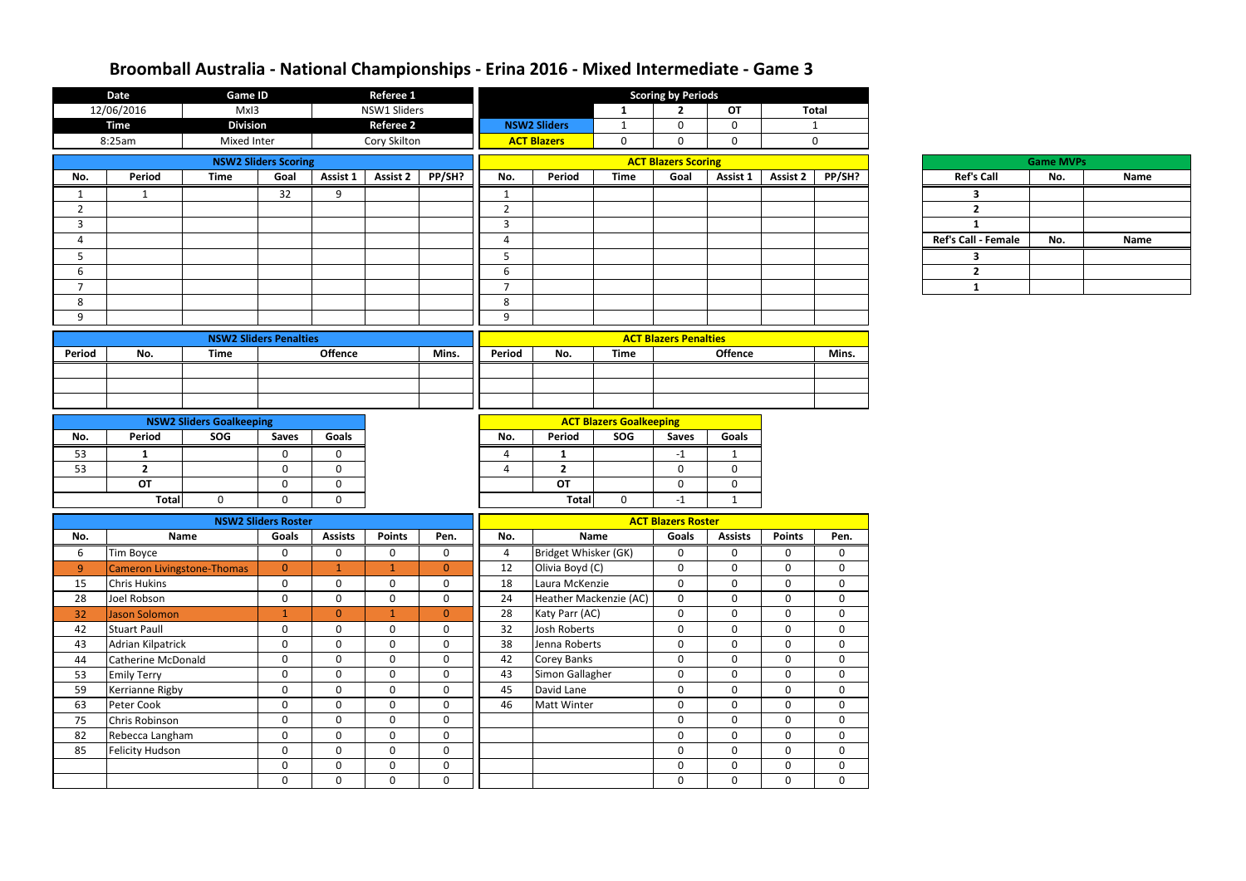| <b>Date</b><br><b>Game ID</b> |                                                                            |                                                                             |                                          |                | <b>Referee 1</b> |                  |                  |                      | <b>Scoring by Periods</b>      |                              |                  |                |                |                         |           |
|-------------------------------|----------------------------------------------------------------------------|-----------------------------------------------------------------------------|------------------------------------------|----------------|------------------|------------------|------------------|----------------------|--------------------------------|------------------------------|------------------|----------------|----------------|-------------------------|-----------|
|                               | 12/06/2016                                                                 | MxI3                                                                        |                                          |                | NSW1 Sliders     |                  |                  |                      | $\mathbf{1}$                   | $\overline{2}$               | OT               |                | <b>Total</b>   |                         |           |
|                               | <b>Time</b>                                                                | <b>Division</b>                                                             |                                          |                | <b>Referee 2</b> |                  |                  | <b>NSW2 Sliders</b>  | $\mathbf{1}$                   | $\mathbf 0$                  | $\mathbf 0$      |                | $\mathbf{1}$   |                         |           |
|                               | 8:25am                                                                     | Mixed Inter                                                                 |                                          |                | Cory Skilton     |                  |                  | <b>ACT Blazers</b>   | $\mathbf 0$                    | $\mathbf 0$                  | $\mathbf 0$      |                | $\mathbf 0$    |                         |           |
|                               |                                                                            |                                                                             | <b>NSW2 Sliders Scoring</b>              |                |                  |                  |                  |                      |                                | <b>ACT Blazers Scoring</b>   |                  |                |                | Game N                  |           |
| No.                           | <b>Period</b>                                                              | <b>Time</b>                                                                 | Goal                                     | Assist 1       | <b>Assist 2</b>  | PP/SH?           | No.              | Period               | <b>Time</b>                    | Goal                         | Assist 1         | Assist 2       | PP/SH?         | <b>Ref's Call</b>       | <b>No</b> |
| $\mathbf{1}$                  | $\mathbf{1}$                                                               |                                                                             | 32                                       | 9              |                  |                  | 1                |                      |                                |                              |                  |                |                | 3                       |           |
| $\overline{2}$                |                                                                            |                                                                             |                                          |                |                  |                  | $\overline{2}$   |                      |                                |                              |                  |                |                | $\overline{\mathbf{2}}$ |           |
| $\mathbf{3}$                  |                                                                            |                                                                             |                                          |                |                  |                  | $\mathbf{3}$     |                      |                                |                              |                  |                |                | $\mathbf{1}$            |           |
| $\overline{4}$                |                                                                            |                                                                             |                                          |                |                  |                  | $\overline{4}$   |                      |                                |                              |                  |                |                | Ref's Call - Female     | No.       |
| 5                             |                                                                            |                                                                             |                                          |                |                  |                  | 5                |                      |                                |                              |                  |                |                | 3                       |           |
| 6                             |                                                                            |                                                                             |                                          |                |                  |                  | 6                |                      |                                |                              |                  |                |                | $\overline{2}$          |           |
| $\overline{7}$                |                                                                            |                                                                             |                                          |                |                  |                  | $\overline{7}$   |                      |                                |                              |                  |                |                | $\mathbf{1}$            |           |
| 8                             |                                                                            |                                                                             |                                          |                |                  |                  | 8                |                      |                                |                              |                  |                |                |                         |           |
| 9                             |                                                                            |                                                                             |                                          |                |                  |                  | 9                |                      |                                |                              |                  |                |                |                         |           |
|                               | <b>NSW2 Sliders Penalties</b>                                              |                                                                             |                                          |                |                  |                  |                  |                      |                                | <b>ACT Blazers Penalties</b> |                  |                |                |                         |           |
| <b>Period</b>                 | No.                                                                        | <b>Time</b>                                                                 |                                          | <b>Offence</b> |                  | Mins.            | Period           | No.                  | <b>Time</b>                    |                              | <b>Offence</b>   |                | Mins.          |                         |           |
|                               |                                                                            |                                                                             |                                          |                |                  |                  |                  |                      |                                |                              |                  |                |                |                         |           |
|                               |                                                                            |                                                                             |                                          |                |                  |                  |                  |                      |                                |                              |                  |                |                |                         |           |
|                               |                                                                            |                                                                             |                                          |                |                  |                  |                  |                      |                                |                              |                  |                |                |                         |           |
|                               |                                                                            | <b>NSW2 Sliders Goalkeeping</b>                                             |                                          |                |                  |                  |                  |                      | <b>ACT Blazers Goalkeeping</b> |                              |                  |                |                |                         |           |
| No.                           | Period                                                                     | SOG                                                                         | <b>Saves</b>                             | Goals          |                  |                  | No.              | Period               | SOG                            | <b>Saves</b>                 | Goals            |                |                |                         |           |
| 53                            | $\mathbf{1}$                                                               |                                                                             | $\mathbf 0$                              | $\mathbf 0$    |                  |                  | 4                | $\mathbf{1}$         |                                | $-1$                         | $\mathbf{1}$     |                |                |                         |           |
| 53                            | $\overline{2}$                                                             |                                                                             | $\mathbf 0$                              | $\mathbf 0$    |                  |                  | 4                | $\overline{2}$       |                                | $\mathbf 0$                  | $\mathbf 0$      |                |                |                         |           |
|                               | <b>OT</b>                                                                  |                                                                             | $\mathbf 0$                              | $\mathbf 0$    |                  |                  |                  | <b>OT</b>            |                                | $\mathbf 0$                  | $\boldsymbol{0}$ |                |                |                         |           |
|                               | <b>Total</b>                                                               | $\mathbf 0$                                                                 | 0                                        | $\mathbf 0$    |                  |                  |                  | <b>Total</b>         | $\mathbf 0$                    | $-1$                         | $\mathbf{1}$     |                |                |                         |           |
|                               |                                                                            |                                                                             | <b>NSW2 Sliders Roster</b>               |                |                  |                  |                  |                      |                                | <b>ACT Blazers Roster</b>    |                  |                |                |                         |           |
| No.                           |                                                                            | Name                                                                        | Goals<br><b>Assists</b><br><b>Points</b> |                |                  | Pen.             | No.              |                      | <b>Name</b>                    |                              | <b>Assists</b>   | <b>Points</b>  | Pen.           |                         |           |
| 6                             | Tim Boyce                                                                  |                                                                             | $\mathbf{0}$                             | $\mathbf 0$    | $\mathbf 0$      | $\mathbf 0$      | 4                | Bridget Whisker (GK) |                                | $\overline{0}$               | $\mathbf 0$      | $\mathbf 0$    | $\bf{0}$       |                         |           |
| 9 <sup>°</sup>                | Cameron Livingstone-Thomas                                                 |                                                                             | $\overline{0}$                           | $\mathbf{1}$   | $\mathbf{1}$     | $\overline{0}$   | 12               | Olivia Boyd (C)      |                                | $\mathbf 0$                  | $\mathbf{0}$     | $\mathbf 0$    | $\mathbf 0$    |                         |           |
| 15                            | <b>Chris Hukins</b>                                                        |                                                                             | $\mathbf 0$                              | $\mathbf 0$    | $\mathbf 0$      | $\mathbf 0$      | 18               | Laura McKenzie       |                                | $\boldsymbol{0}$             | $\mathbf 0$      | $\overline{0}$ | $\mathbf 0$    |                         |           |
| 28                            | Joel Robson                                                                |                                                                             | $\mathbf 0$                              | $\mathbf 0$    | $\mathbf 0$      | $\mathbf 0$      | 24               |                      | Heather Mackenzie (AC)         | $\mathbf 0$                  | $\mathbf 0$      | $\mathbf 0$    | $\mathbf 0$    |                         |           |
| 32                            | <b>Jason Solomon</b>                                                       |                                                                             | $\mathbf{1}$                             | $\overline{0}$ | $\mathbf{1}$     | $\overline{0}$   | 28               | Katy Parr (AC)       |                                | $\overline{0}$               | $\mathbf 0$      | $\mathbf 0$    | $\mathbf 0$    |                         |           |
| 42                            | <b>Stuart Paull</b>                                                        |                                                                             | $\mathbf 0$                              | $\overline{0}$ | $\mathbf{0}$     | $\mathbf 0$      | 32               | Josh Roberts         |                                | $\mathbf 0$                  | $\mathbf 0$      | $\mathbf 0$    | $\mathbf 0$    |                         |           |
| 43                            | Adrian Kilpatrick                                                          |                                                                             | $\mathbf 0$                              | $\mathbf 0$    | $\mathbf 0$      | $\mathbf 0$      | 38               | Jenna Roberts        |                                | $\mathbf 0$                  | $\mathbf 0$      | $\mathbf 0$    | $\mathbf 0$    |                         |           |
| 44                            | Catherine McDonald                                                         |                                                                             | $\boldsymbol{0}$                         | $\mathbf 0$    | $\mathbf 0$      | $\mathbf 0$      | 42               | Corey Banks          |                                | $\boldsymbol{0}$             | $\mathbf 0$      | $\mathbf 0$    | $\overline{0}$ |                         |           |
| 53                            | <b>Emily Terry</b>                                                         |                                                                             | $\mathbf 0$                              | $\mathbf 0$    | $\mathbf 0$      | $\mathbf 0$      | 43               | Simon Gallagher      |                                | $\mathbf 0$                  | $\mathbf 0$      | $\mathbf 0$    | $\mathbf 0$    |                         |           |
| 59                            | Kerrianne Rigby                                                            |                                                                             | $\mathbf 0$                              | $\mathbf 0$    | $\mathbf 0$      | $\mathbf 0$      | 45               | David Lane           |                                | $\mathbf 0$                  | $\mathbf 0$      | $\mathbf 0$    | $\mathbf 0$    |                         |           |
| 63                            | Peter Cook                                                                 |                                                                             | $\mathbf 0$                              | $\overline{0}$ | $\overline{0}$   | $\mathbf 0$      | 46               | Matt Winter          |                                | $\boldsymbol{0}$             | $\mathbf 0$      | $\overline{0}$ | $\mathbf 0$    |                         |           |
| 75                            | $\mathbf 0$<br>$\mathbf 0$<br>$\mathbf 0$<br>$\mathbf 0$<br>Chris Robinson |                                                                             |                                          |                | $\mathbf 0$      | $\boldsymbol{0}$ | $\boldsymbol{0}$ | $\mathbf 0$          |                                |                              |                  |                |                |                         |           |
| 82                            |                                                                            | Rebecca Langham<br>$\mathbf 0$<br>$\mathbf 0$<br>$\mathbf 0$<br>$\mathbf 0$ |                                          |                |                  | $\overline{0}$   | $\mathbf 0$      | $\overline{0}$       | $\mathbf 0$                    |                              |                  |                |                |                         |           |
| 85                            | <b>Felicity Hudson</b>                                                     |                                                                             | $\mathbf 0$                              | $\mathbf 0$    | $\mathbf 0$      | $\mathbf 0$      |                  |                      |                                | $\mathbf 0$                  | $\mathbf 0$      | $\mathbf 0$    | $\overline{0}$ |                         |           |
|                               |                                                                            |                                                                             | $\mathbf 0$                              | $\mathbf 0$    | $\mathbf 0$      | $\mathbf 0$      |                  |                      |                                | $\boldsymbol{0}$             | $\mathbf 0$      | $\overline{0}$ | $\mathbf 0$    |                         |           |
|                               |                                                                            |                                                                             | $\mathbf 0$                              | $\mathbf 0$    | $\mathbf 0$      | $\mathbf 0$      |                  |                      |                                | $\mathbf 0$                  | $\mathbf 0$      | $\mathbf 0$    | $\mathbf 0$    |                         |           |

|                            | <b>Game MVPs</b> |             |
|----------------------------|------------------|-------------|
| <b>Ref's Call</b>          | No.              | <b>Name</b> |
|                            |                  |             |
|                            |                  |             |
|                            |                  |             |
| <b>Ref's Call - Female</b> | No.              | <b>Name</b> |
|                            |                  |             |
|                            |                  |             |
|                            |                  |             |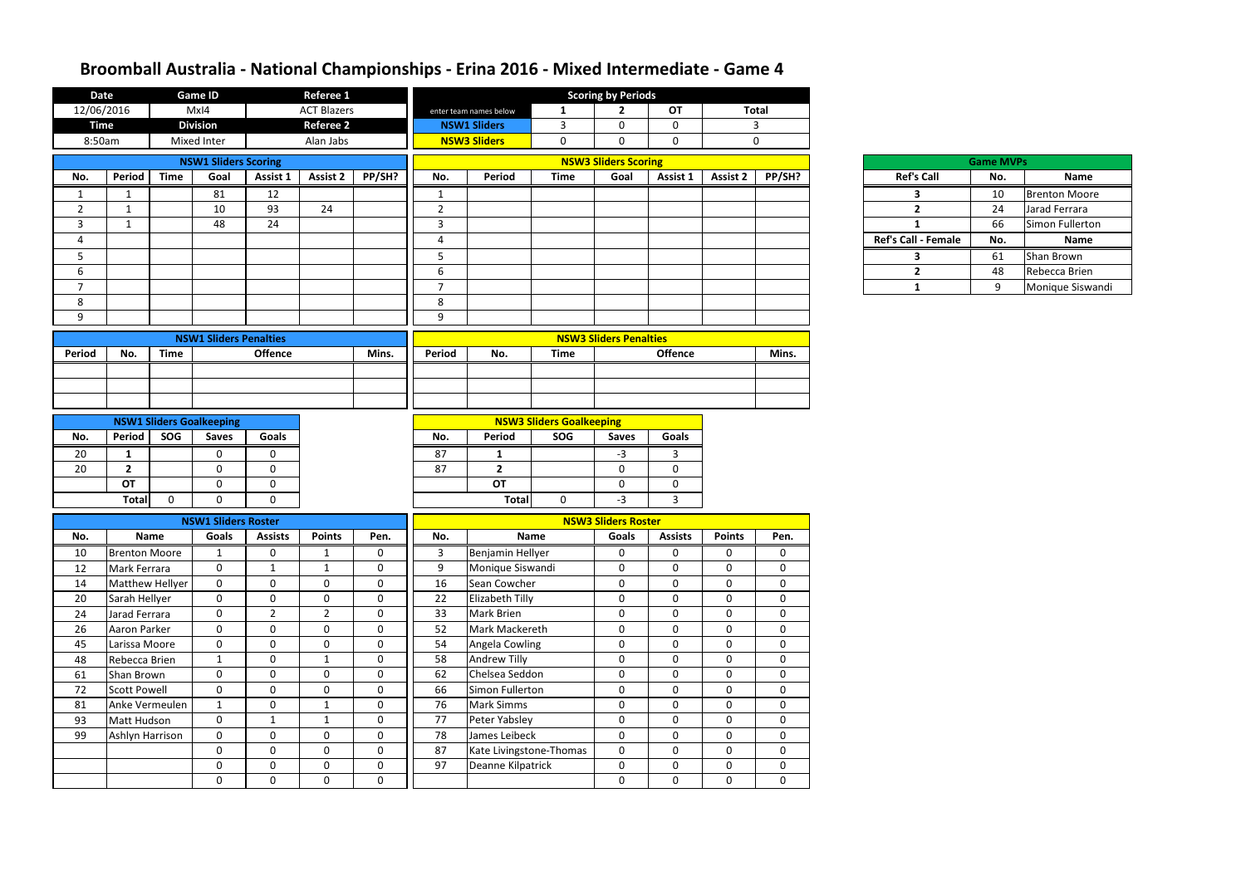| <b>Date</b>    |                                       |             | <b>Game ID</b>                                  |                            | <b>Referee 1</b>            |                            |                |                                |                                        | <b>Scoring by Periods</b>     |                            |                             |                            |  |                     |     |                        |
|----------------|---------------------------------------|-------------|-------------------------------------------------|----------------------------|-----------------------------|----------------------------|----------------|--------------------------------|----------------------------------------|-------------------------------|----------------------------|-----------------------------|----------------------------|--|---------------------|-----|------------------------|
| 12/06/2016     |                                       |             | MxI4                                            |                            | <b>ACT Blazers</b>          |                            |                | enter team names below         |                                        | $\mathbf{2}$                  | <b>OT</b>                  | <b>Total</b>                |                            |  |                     |     |                        |
| <b>Time</b>    |                                       |             | <b>Division</b>                                 |                            | <b>Referee 2</b>            |                            |                | <b>NSW1 Sliders</b>            | $\mathbf{3}$                           | $\mathbf 0$                   | $\mathbf 0$                | 3                           |                            |  |                     |     |                        |
| 8:50am         |                                       |             | Mixed Inter                                     |                            | Alan Jabs                   |                            |                | <b>NSW3 Sliders</b>            | $\mathbf 0$                            | $\mathbf 0$                   | 0                          |                             | $\mathbf 0$                |  |                     |     |                        |
|                |                                       |             | <b>NSW1 Sliders Scoring</b>                     |                            |                             |                            |                |                                |                                        | <b>NSW3 Sliders Scoring</b>   | <b>Game MVPs</b>           |                             |                            |  |                     |     |                        |
| No.            | <b>Period</b>                         | <b>Time</b> | Goal                                            | Assist 1                   | <b>Assist 2</b>             | PP/SH?                     | No.            | Period                         | <b>Time</b>                            | Goal                          | Assist 1                   | <b>Assist 2</b>             | PP/SH?                     |  | <b>Ref's Call</b>   | No. | Name                   |
| 1              | 1                                     |             | 81                                              | 12                         |                             |                            | -1             |                                |                                        |                               |                            |                             |                            |  | 3                   | 10  | <b>Brenton Moore</b>   |
| $\overline{2}$ | 1                                     |             | 10                                              | 93                         | 24                          |                            | $\overline{2}$ |                                |                                        |                               |                            |                             |                            |  | $\overline{2}$      | 24  | Jarad Ferrara          |
| 3              | $\mathbf{1}$                          |             | 48                                              | 24                         |                             |                            | $\overline{3}$ |                                |                                        |                               |                            |                             |                            |  | $\mathbf{1}$        | 66  | Simon Fullerton        |
| 4              |                                       |             |                                                 |                            |                             |                            | $\overline{4}$ |                                |                                        |                               |                            |                             |                            |  | Ref's Call - Female | No. | Name                   |
| 5              |                                       |             |                                                 |                            |                             |                            | 5              |                                |                                        |                               |                            |                             |                            |  | 3                   | 61  | Shan Brown             |
| 6              |                                       |             |                                                 |                            |                             |                            | 6              |                                |                                        |                               |                            |                             |                            |  | $\overline{2}$      | 48  | Rebecca Brien          |
| $\overline{7}$ |                                       |             |                                                 |                            |                             |                            | $\overline{7}$ |                                |                                        |                               |                            |                             |                            |  | $\mathbf{1}$        | 9   | <b>Monique Siswand</b> |
| 8              |                                       |             |                                                 |                            |                             |                            | 8              |                                |                                        |                               |                            |                             |                            |  |                     |     |                        |
| 9              |                                       |             |                                                 |                            |                             |                            | 9              |                                |                                        |                               |                            |                             |                            |  |                     |     |                        |
|                |                                       |             | <b>NSW1 Sliders Penalties</b>                   |                            |                             |                            |                |                                |                                        | <b>NSW3 Sliders Penalties</b> |                            |                             |                            |  |                     |     |                        |
| Period         | No.                                   | <b>Time</b> |                                                 | <b>Offence</b>             |                             | Mins.                      | Period         | No.                            | <b>Time</b>                            |                               | <b>Offence</b>             |                             | Mins.                      |  |                     |     |                        |
|                |                                       |             |                                                 |                            |                             |                            |                |                                |                                        |                               |                            |                             |                            |  |                     |     |                        |
|                |                                       |             |                                                 |                            |                             |                            |                |                                |                                        |                               |                            |                             |                            |  |                     |     |                        |
|                |                                       |             |                                                 |                            |                             |                            |                |                                |                                        |                               |                            |                             |                            |  |                     |     |                        |
|                |                                       |             |                                                 |                            |                             |                            |                |                                |                                        |                               |                            |                             |                            |  |                     |     |                        |
|                | Period                                | SOG         | <b>NSW1 Sliders Goalkeeping</b><br><b>Saves</b> | Goals                      |                             |                            | No.            | Period                         | <b>NSW3 Sliders Goalkeeping</b><br>SOG | <b>Saves</b>                  | Goals                      |                             |                            |  |                     |     |                        |
| No.            |                                       |             |                                                 |                            |                             |                            |                |                                |                                        |                               |                            |                             |                            |  |                     |     |                        |
| 20             | 1                                     |             | $\mathbf{0}$                                    | 0                          |                             |                            | 87             | $\mathbf{1}$                   |                                        | $-3$                          | 3                          |                             |                            |  |                     |     |                        |
| 20             | $\overline{2}$<br><b>OT</b>           |             | $\mathbf 0$<br>$\mathbf{0}$                     | $\mathbf{0}$<br>0          |                             |                            | 87             | $\overline{2}$<br><b>OT</b>    |                                        | $\mathbf 0$<br>$\mathbf 0$    | $\mathbf 0$<br>$\mathbf 0$ |                             |                            |  |                     |     |                        |
|                | <b>Total</b>                          | $\mathbf 0$ | $\overline{0}$                                  | $\mathbf{0}$               |                             |                            |                | <b>Total</b>                   | $\mathbf 0$                            | $-3$                          | 3                          |                             |                            |  |                     |     |                        |
|                |                                       |             |                                                 |                            |                             |                            |                |                                |                                        |                               |                            |                             |                            |  |                     |     |                        |
|                |                                       |             | <b>NSW1 Sliders Roster</b>                      |                            |                             |                            |                |                                |                                        | <b>NSW3 Sliders Roster</b>    |                            |                             |                            |  |                     |     |                        |
| No.            |                                       | <b>Name</b> | Goals                                           | <b>Assists</b>             | <b>Points</b>               | Pen.                       | No.            |                                | <b>Name</b>                            | Goals                         | <b>Assists</b>             | <b>Points</b>               | Pen.                       |  |                     |     |                        |
| 10             | <b>Brenton Moore</b>                  |             | 1                                               | 0                          | 1                           | $\mathbf 0$                | $\mathbf{3}$   | Benjamin Hellyer               |                                        | 0                             | 0                          | $\mathbf{0}$                | 0                          |  |                     |     |                        |
| 12             | Mark Ferrara                          |             | $\mathbf 0$                                     | 1                          | $\mathbf{1}$                | $\mathbf 0$                | 9              | Monique Siswandi               |                                        | $\mathbf 0$                   | 0                          | $\mathbf{0}$                | 0                          |  |                     |     |                        |
| 14             | Matthew Hellyer                       |             | $\mathbf{0}$                                    | $\mathbf 0$                | $\mathbf 0$                 | $\mathbf 0$                | 16             | Sean Cowcher                   |                                        | $\mathbf 0$                   | $\mathbf 0$                | $\mathbf{0}$                | $\mathbf 0$                |  |                     |     |                        |
| 20             | Sarah Hellyer                         |             | $\mathbf 0$                                     | $\mathbf 0$                | $\mathbf 0$                 | $\boldsymbol{0}$           | 22             | Elizabeth Tilly                |                                        | $\mathbf 0$                   | $\mathbf 0$                | $\mathbf 0$                 | $\mathbf 0$                |  |                     |     |                        |
| 24             | Jarad Ferrara                         |             | $\mathbf 0$                                     | $\overline{2}$             | $\overline{2}$              | $\mathbf 0$                | 33             | <b>Mark Brien</b>              |                                        | $\mathbf 0$                   | $\mathbf 0$                | $\mathbf 0$                 | $\mathbf 0$                |  |                     |     |                        |
| 26             | Aaron Parker                          |             | $\mathbf 0$                                     | $\mathbf 0$                | $\mathbf 0$                 | $\mathbf 0$                | 52             | Mark Mackereth                 |                                        | $\mathbf 0$                   | $\mathbf{0}$               | $\mathbf 0$                 | $\mathbf 0$                |  |                     |     |                        |
| 45             | Larissa Moore                         |             | $\mathbf 0$                                     | $\mathbf 0$<br>$\mathbf 0$ | $\mathbf 0$                 | $\mathbf 0$                | 54             | Angela Cowling<br>Andrew Tilly |                                        | $\mathbf 0$                   | $\mathbf 0$                | $\mathbf 0$<br>$\mathbf{0}$ | $\mathbf 0$<br>$\mathbf 0$ |  |                     |     |                        |
| 48             | Rebecca Brien                         |             | $\mathbf{1}$<br>$\mathbf 0$                     | $\mathbf 0$                | $\mathbf{1}$<br>$\mathbf 0$ | $\mathbf 0$<br>$\mathbf 0$ | 58<br>62       | Chelsea Seddon                 |                                        | $\mathbf 0$<br>$\mathbf 0$    | $\mathbf 0$<br>$\mathbf 0$ | $\mathbf 0$                 | $\mathbf 0$                |  |                     |     |                        |
| 61<br>72       | Shan Brown                            |             | $\mathbf{0}$                                    | $\mathbf 0$                | $\mathbf 0$                 | $\mathbf 0$                | 66             | Simon Fullerton                |                                        | $\mathbf 0$                   | $\mathbf 0$                | $\mathbf 0$                 | $\mathbf 0$                |  |                     |     |                        |
| 81             | <b>Scott Powell</b><br>Anke Vermeulen |             | $\mathbf{1}$                                    | $\mathbf 0$                | $\mathbf{1}$                | $\mathbf 0$                | 76             | <b>Mark Simms</b>              |                                        | $\mathbf 0$                   | $\mathbf 0$                | $\mathbf 0$                 | $\mathbf 0$                |  |                     |     |                        |
| 93             | Matt Hudson                           |             | $\mathbf 0$                                     | $\mathbf{1}$               | $\mathbf{1}$                | $\mathbf 0$                | 77             | Peter Yabsley                  |                                        | $\mathbf 0$                   | $\mathbf{0}$               | $\mathbf 0$                 | $\mathbf 0$                |  |                     |     |                        |
| 99             | Ashlyn Harrison                       |             | $\mathbf 0$                                     | $\mathbf 0$                | $\mathbf 0$                 | $\mathbf 0$                | 78             | James Leibeck                  |                                        | $\mathbf 0$                   | $\mathbf{0}$               | $\mathbf 0$                 | $\mathbf 0$                |  |                     |     |                        |
|                |                                       |             | $\mathbf 0$                                     | $\mathbf 0$                | $\mathbf 0$                 | $\mathbf 0$                | 87             | Kate Livingstone-Thomas        |                                        | $\mathbf 0$                   | $\mathbf{0}$               | $\mathbf 0$                 | $\mathbf 0$                |  |                     |     |                        |
|                |                                       |             | $\mathbf 0$                                     | 0                          | $\mathbf 0$                 | $\mathbf 0$                | 97             | Deanne Kilpatrick              |                                        | $\mathbf 0$                   | $\mathbf 0$                | 0                           | $\mathbf 0$                |  |                     |     |                        |
|                |                                       |             | $\mathbf 0$                                     | 0                          | $\mathbf 0$                 | $\mathbf 0$                |                |                                |                                        | 0                             | $\mathbf 0$                | $\mathbf 0$                 | $\mathbf 0$                |  |                     |     |                        |
|                |                                       |             |                                                 |                            |                             |                            |                |                                |                                        |                               |                            |                             |                            |  |                     |     |                        |

|                      | <b>Game MVPs</b> |                      |  |  |  |  |  |  |  |  |  |  |  |  |
|----------------------|------------------|----------------------|--|--|--|--|--|--|--|--|--|--|--|--|
| <b>Ref's Call</b>    | No.              | <b>Name</b>          |  |  |  |  |  |  |  |  |  |  |  |  |
| 3                    | 10               | <b>Brenton Moore</b> |  |  |  |  |  |  |  |  |  |  |  |  |
| $\mathbf{z}$         | 24               | Jarad Ferrara        |  |  |  |  |  |  |  |  |  |  |  |  |
| 1                    | 66               | Simon Fullerton      |  |  |  |  |  |  |  |  |  |  |  |  |
| <b>Call - Female</b> | No.              | <b>Name</b>          |  |  |  |  |  |  |  |  |  |  |  |  |
| 3                    | 61               | Shan Brown           |  |  |  |  |  |  |  |  |  |  |  |  |
| 7                    | 48               | Rebecca Brien        |  |  |  |  |  |  |  |  |  |  |  |  |
|                      | q                | Monique Siswandi     |  |  |  |  |  |  |  |  |  |  |  |  |

| <b>Ref's Call</b>          |
|----------------------------|
| 3                          |
| 2                          |
| 1                          |
| <b>Ref's Call - Female</b> |
| 3                          |
| 2                          |
|                            |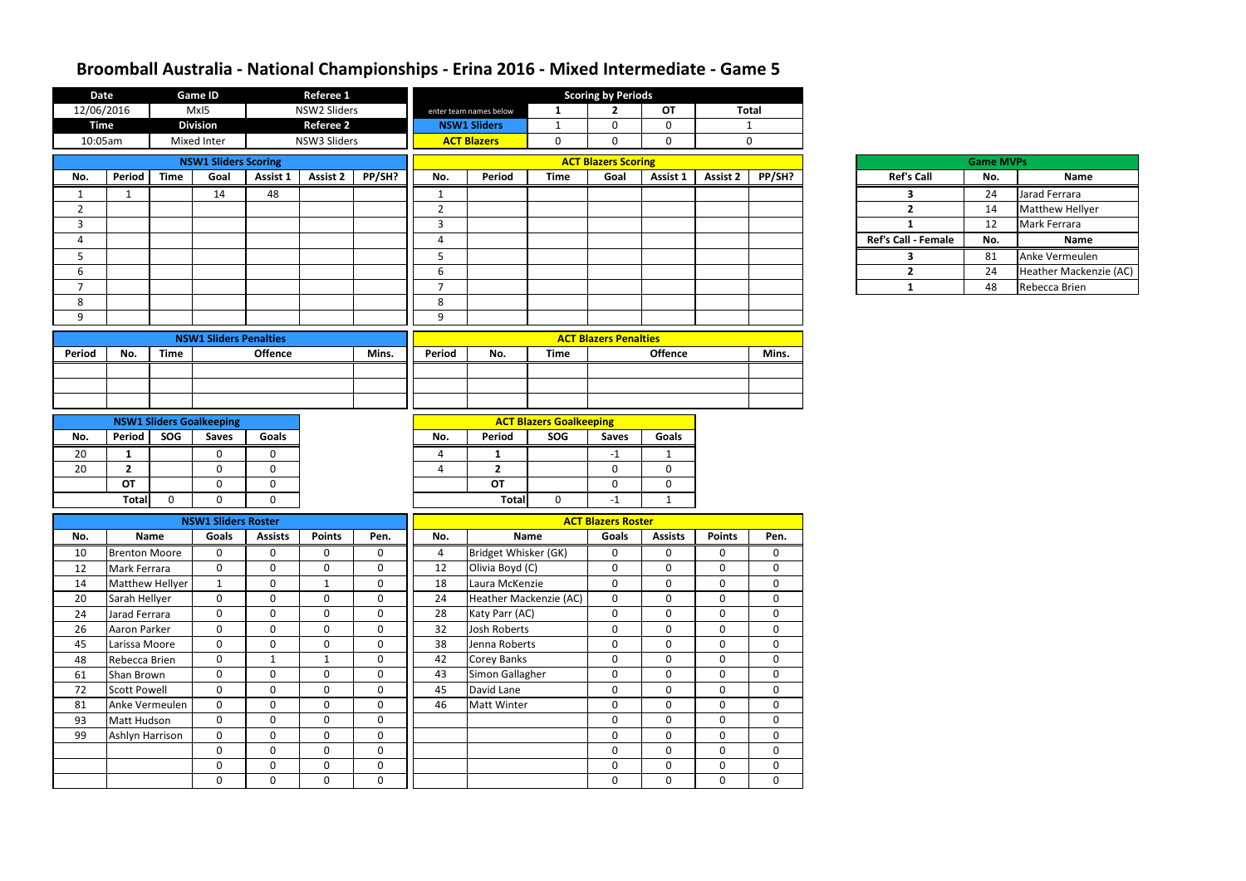| <b>Date</b>    |                                 |                              | <b>Game ID</b>                |                | <b>Referee 1</b> |             |                |                        |                                | <b>Scoring by Periods</b>    |                     |                                   |                  |                     |  |
|----------------|---------------------------------|------------------------------|-------------------------------|----------------|------------------|-------------|----------------|------------------------|--------------------------------|------------------------------|---------------------|-----------------------------------|------------------|---------------------|--|
| 12/06/2016     |                                 |                              | MxI5                          |                | NSW2 Sliders     |             |                | enter team names below | $\mathbf 1$                    | $\mathbf{2}$                 | <b>OT</b>           | <b>Total</b>                      |                  |                     |  |
| <b>Time</b>    |                                 | <b>Division</b><br>Referee 2 |                               |                |                  |             |                | <b>NSW1 Sliders</b>    | 1                              | 0                            | $\mathbf 0$         |                                   | $\mathbf{1}$     |                     |  |
| 10:05am        |                                 |                              | Mixed Inter<br>NSW3 Sliders   |                |                  |             |                | <b>ACT Blazers</b>     | 0                              | 0                            | $\mathbf 0$         |                                   | $\mathbf 0$      |                     |  |
|                |                                 |                              | <b>NSW1 Sliders Scoring</b>   |                |                  |             |                |                        |                                | <b>ACT Blazers Scoring</b>   |                     |                                   |                  |                     |  |
| No.            | <b>Period</b>                   | <b>Time</b>                  | Goal                          | Assist 1       | Assist 2         | PP/SH?      | No.            | Period                 | <b>Time</b>                    | Goal                         | Assist 1            | <b>Assist 2</b>                   | PP/SH?           | <b>Ref's Call</b>   |  |
| $\mathbf{1}$   | 1                               |                              | 14                            | 48             |                  |             | 1              |                        |                                |                              |                     |                                   |                  | 3                   |  |
| $\overline{2}$ |                                 |                              |                               |                |                  |             | $\overline{2}$ |                        |                                |                              |                     |                                   |                  | $\overline{2}$      |  |
| $\mathbf{3}$   |                                 |                              |                               |                |                  |             | $\mathbf{3}$   |                        |                                |                              |                     |                                   |                  | 1                   |  |
| 4              |                                 |                              |                               |                |                  |             | 4              |                        |                                |                              |                     |                                   |                  | Ref's Call - Female |  |
| 5              |                                 |                              |                               |                |                  |             | 5              |                        |                                |                              |                     |                                   |                  | 3                   |  |
| 6              |                                 |                              |                               |                |                  |             | 6              |                        |                                |                              |                     |                                   |                  | $\overline{2}$      |  |
| $\overline{7}$ |                                 |                              |                               |                |                  |             | $\overline{7}$ |                        |                                |                              |                     |                                   |                  | $\mathbf{1}$        |  |
| 8              |                                 |                              |                               |                |                  |             | 8              |                        |                                |                              |                     |                                   |                  |                     |  |
| 9              |                                 |                              |                               |                |                  |             | 9              |                        |                                |                              |                     |                                   |                  |                     |  |
|                |                                 |                              | <b>NSW1 Sliders Penalties</b> |                |                  |             |                |                        |                                | <b>ACT Blazers Penalties</b> |                     |                                   |                  |                     |  |
| <b>Period</b>  | No.                             | <b>Time</b>                  |                               | <b>Offence</b> |                  | Mins.       | Period         | No.                    | <b>Time</b>                    |                              | <b>Offence</b>      |                                   | Mins.            |                     |  |
|                |                                 |                              |                               |                |                  |             |                |                        |                                |                              |                     |                                   |                  |                     |  |
|                |                                 |                              |                               |                |                  |             |                |                        |                                |                              |                     |                                   |                  |                     |  |
|                |                                 |                              |                               |                |                  |             |                |                        |                                |                              |                     |                                   |                  |                     |  |
|                | <b>NSW1 Sliders Goalkeeping</b> |                              |                               |                |                  |             |                |                        | <b>ACT Blazers Goalkeeping</b> |                              |                     |                                   |                  |                     |  |
| No.            | <b>Period</b>                   | SOG                          | <b>Saves</b>                  | Goals          |                  |             | No.            | Period                 | SOG                            | <b>Saves</b>                 | Goals               |                                   |                  |                     |  |
| 20             | $\mathbf{1}$                    |                              | 0                             | 0              |                  |             |                | 1                      |                                | $-1$                         | -1                  |                                   |                  |                     |  |
| 20             | $\overline{2}$                  |                              | 0                             | $\mathbf 0$    |                  |             |                | $\overline{2}$         |                                | $\mathbf 0$                  | $\mathbf 0$         |                                   |                  |                     |  |
|                | <b>OT</b>                       |                              | 0                             | 0              |                  |             |                | OT                     |                                | $\mathbf 0$                  | $\mathbf 0$         |                                   |                  |                     |  |
|                | <b>Total</b>                    | $\mathbf 0$                  | $\Omega$                      | $\mathbf 0$    |                  |             |                | <b>Total</b>           | $\mathbf 0$                    | $-1$                         | $\mathbf{1}$        |                                   |                  |                     |  |
|                |                                 |                              | <b>NSW1 Sliders Roster</b>    |                |                  |             |                |                        | <b>ACT Blazers Roster</b>      |                              |                     |                                   |                  |                     |  |
| No.            |                                 | <b>Name</b>                  | Goals                         | <b>Assists</b> | <b>Points</b>    | Pen.        | No.            |                        | <b>Name</b>                    | Pen.                         |                     |                                   |                  |                     |  |
| 10             | <b>Brenton Moore</b>            |                              | $\mathbf 0$                   | 0              | 0                | $\mathbf 0$ | $\overline{4}$ | Bridget Whisker (GK)   |                                | Goals<br>0                   | <b>Assists</b><br>0 | <b>Points</b><br>$\boldsymbol{0}$ | $\boldsymbol{0}$ |                     |  |
| 12             | Mark Ferrara                    |                              | $\mathbf 0$                   | $\mathbf 0$    | 0                | $\mathbf 0$ | 12             | Olivia Boyd (C)        |                                | $\mathbf 0$                  | 0                   | $\boldsymbol{0}$                  | 0                |                     |  |
| 14             | Matthew Hellyer                 |                              | $\mathbf{1}$                  | $\mathbf 0$    | 1                | $\mathbf 0$ | 18             | Laura McKenzie         |                                | $\mathbf 0$                  | $\mathbf 0$         | $\mathbf 0$                       | $\mathbf 0$      |                     |  |
| 20             | Sarah Hellyer                   |                              | $\mathbf 0$                   | $\mathbf 0$    | 0                | $\mathbf 0$ | 24             | Heather Mackenzie (AC) |                                | $\mathbf 0$                  | $\mathbf 0$         | $\mathbf 0$                       | $\boldsymbol{0}$ |                     |  |
| 24             | Jarad Ferrara                   |                              | $\mathbf 0$                   | $\mathbf 0$    | 0                | $\mathbf 0$ | 28             | Katy Parr (AC)         |                                | $\mathbf 0$                  | $\mathbf 0$         | $\mathbf 0$                       | $\mathbf 0$      |                     |  |
| 26             | Aaron Parker                    |                              | $\mathbf 0$                   | $\mathbf 0$    | $\overline{0}$   | $\mathbf 0$ | 32             | Josh Roberts           |                                | $\mathbf 0$                  | $\mathbf 0$         | $\boldsymbol{0}$                  | $\mathbf 0$      |                     |  |
| 45             | Larissa Moore                   |                              | $\mathbf 0$                   | $\mathbf 0$    | $\mathbf 0$      | $\mathbf 0$ | 38             | Jenna Roberts          |                                | $\mathbf 0$                  | $\mathbf 0$         | $\boldsymbol{0}$                  | $\boldsymbol{0}$ |                     |  |
| 48             | Rebecca Brien                   |                              | $\mathbf 0$                   | $\mathbf{1}$   | $\mathbf{1}$     | $\mathbf 0$ | 42             | <b>Corey Banks</b>     |                                | $\mathbf 0$                  | $\mathbf 0$         | $\mathbf 0$                       | $\mathbf 0$      |                     |  |
| 61             | Shan Brown                      |                              | $\mathbf 0$                   | $\mathbf 0$    | 0                | $\mathbf 0$ | 43             | Simon Gallagher        |                                | $\mathbf 0$                  | $\mathbf 0$         | $\mathbf 0$                       | $\mathbf 0$      |                     |  |
| 72             | Scott Powell                    |                              | $\mathbf 0$                   | $\mathbf 0$    | 0                | $\mathbf 0$ | 45             | David Lane             |                                | $\mathbf 0$                  | $\mathbf 0$         | $\mathbf 0$                       | $\mathbf 0$      |                     |  |
| 81             | Anke Vermeulen                  |                              | $\mathbf 0$                   | $\mathbf 0$    | 0                | $\mathbf 0$ | 46             | Matt Winter            |                                | $\mathbf 0$                  | $\mathbf 0$         | $\mathbf 0$                       | $\mathbf 0$      |                     |  |
| 93             | Matt Hudson                     |                              | $\mathbf 0$                   | $\mathbf 0$    | $\overline{0}$   | $\mathbf 0$ |                |                        |                                | $\mathbf 0$                  | $\mathbf 0$         | $\mathbf 0$                       | $\mathbf 0$      |                     |  |
| 99             | Ashlyn Harrison                 |                              | $\mathbf 0$                   | $\mathbf 0$    | $\mathbf 0$      | $\mathbf 0$ |                |                        |                                | $\mathbf 0$                  | $\mathbf 0$         | $\boldsymbol{0}$                  | $\boldsymbol{0}$ |                     |  |
|                |                                 |                              | $\mathbf 0$                   | $\mathbf 0$    | $\mathbf 0$      | $\mathbf 0$ |                |                        |                                | $\mathbf 0$                  | $\mathbf 0$         | $\mathbf 0$                       | $\mathbf 0$      |                     |  |
|                |                                 |                              | $\mathbf 0$                   | $\mathbf 0$    | 0                | $\mathbf 0$ |                |                        |                                | $\mathbf 0$                  | $\mathbf 0$         | $\mathbf 0$                       | $\mathbf 0$      |                     |  |
|                |                                 |                              | 0                             | 0              | 0                | $\bf{0}$    |                |                        |                                | 0                            | $\mathbf 0$         | $\mathbf 0$                       | $\mathbf 0$      |                     |  |

|     | <b>Game MVPs</b> |                        |
|-----|------------------|------------------------|
|     | No.              | Name                   |
|     | 24               | Jarad Ferrara          |
|     | 14               | <b>Matthew Hellyer</b> |
|     | 12               | Mark Ferrara           |
| ale | No.              | Name                   |
|     | 81               | Anke Vermeulen         |
|     | 24               | Heather Mackenzie (AC) |
|     | 48               | Rebecca Brien          |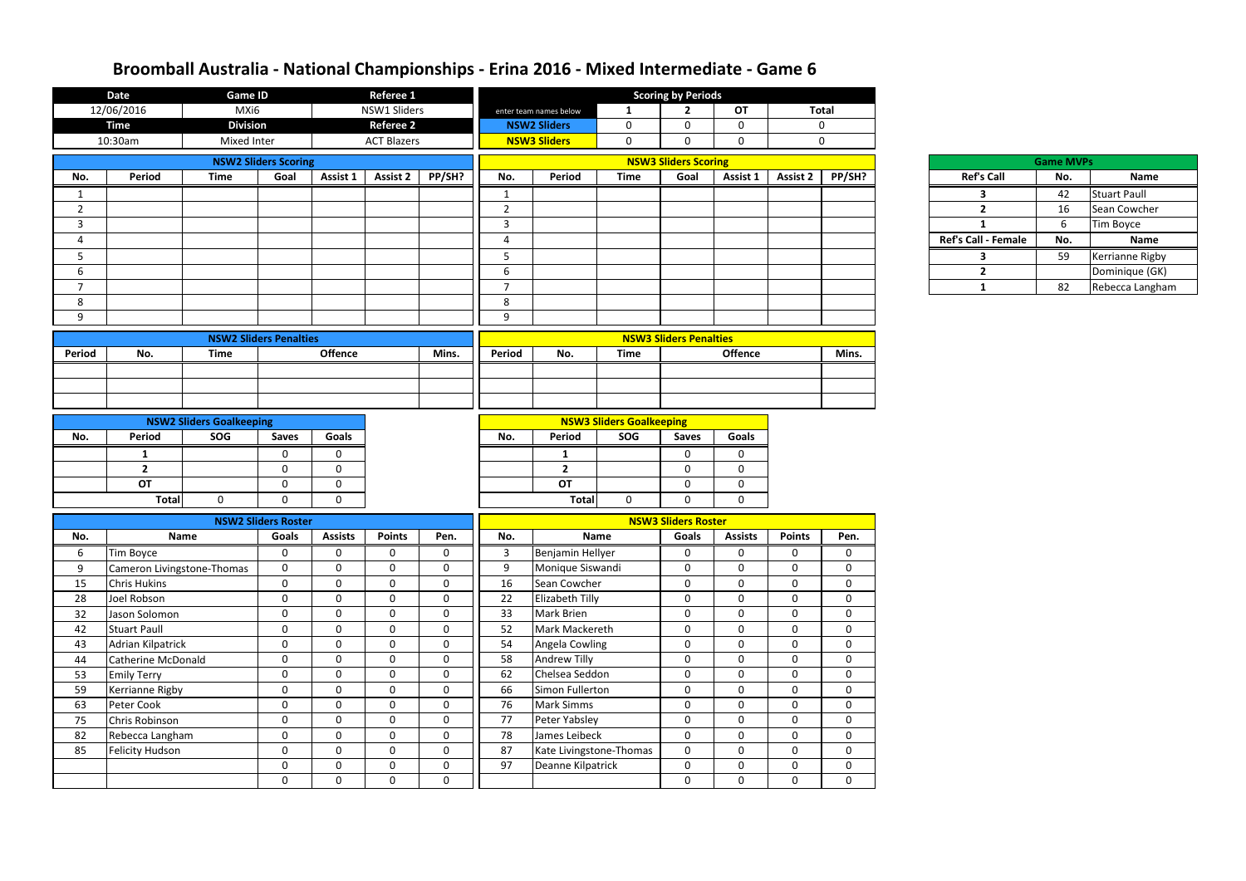| <b>Date</b><br><b>Game ID</b> |                               | <b>Referee 1</b>                |                             |                |                    |             | <b>Scoring by Periods</b>  |                         |                                 |                                          |                |                 |                |  |                            |                  |                     |
|-------------------------------|-------------------------------|---------------------------------|-----------------------------|----------------|--------------------|-------------|----------------------------|-------------------------|---------------------------------|------------------------------------------|----------------|-----------------|----------------|--|----------------------------|------------------|---------------------|
|                               | 12/06/2016                    | MXi6                            |                             |                | NSW1 Sliders       |             |                            | enter team names below  | 1                               | $\overline{2}$                           | <b>OT</b>      |                 | <b>Total</b>   |  |                            |                  |                     |
|                               | <b>Time</b>                   | <b>Division</b>                 |                             |                | <b>Referee 2</b>   |             |                            | <b>NSW2 Sliders</b>     | $\mathbf 0$                     | $\mathbf 0$                              | $\Omega$       |                 | $\mathbf 0$    |  |                            |                  |                     |
|                               | 10:30am                       | Mixed Inter                     |                             |                | <b>ACT Blazers</b> |             |                            | <b>NSW3 Sliders</b>     | $\mathbf 0$                     | $\mathbf 0$                              | $\Omega$       |                 |                |  |                            |                  |                     |
|                               |                               |                                 | <b>NSW2 Sliders Scoring</b> |                |                    |             |                            |                         |                                 | <b>NSW3 Sliders Scoring</b>              |                |                 |                |  |                            | <b>Game MVPs</b> |                     |
| No.                           | Period                        | <b>Time</b>                     | Goal                        | Assist 1       | <b>Assist 2</b>    | PP/SH?      | No.                        | Period                  | <b>Time</b>                     | Goal                                     | Assist 1       | <b>Assist 2</b> | PP/SH?         |  | <b>Ref's Call</b>          | No.              | Name                |
|                               |                               |                                 |                             |                |                    |             | 1                          |                         |                                 |                                          |                |                 |                |  | 3                          | 42               | <b>Stuart Paull</b> |
| $\overline{2}$                |                               |                                 |                             |                |                    |             | $\overline{2}$             |                         |                                 |                                          |                |                 |                |  | $\overline{2}$             | 16               | Sean Cowcher        |
| $\mathbf{3}$                  |                               |                                 |                             |                |                    |             | $\mathbf{3}$               |                         |                                 |                                          |                |                 |                |  | $\mathbf{1}$               | 6                | Tim Boyce           |
| 4                             |                               |                                 |                             |                |                    |             | $\overline{4}$             |                         |                                 |                                          |                |                 |                |  | <b>Ref's Call - Female</b> | No.              | Name                |
| 5                             |                               |                                 |                             |                |                    |             | 5                          |                         |                                 |                                          |                |                 |                |  | 3                          | 59               | Kerrianne Rigby     |
| 6                             |                               |                                 |                             |                |                    |             | 6                          |                         |                                 |                                          |                |                 |                |  | $\overline{2}$             |                  | Dominique (GK)      |
| $\overline{7}$                |                               |                                 |                             |                |                    |             | $\overline{7}$             |                         |                                 |                                          |                |                 |                |  | $\mathbf{1}$               | 82               | Rebecca Langham     |
| 8                             |                               |                                 |                             |                |                    |             | 8                          |                         |                                 |                                          |                |                 |                |  |                            |                  |                     |
| 9                             |                               |                                 |                             |                |                    |             | 9                          |                         |                                 |                                          |                |                 |                |  |                            |                  |                     |
|                               | <b>NSW2 Sliders Penalties</b> |                                 |                             |                |                    |             |                            |                         |                                 | <b>NSW3 Sliders Penalties</b>            |                |                 |                |  |                            |                  |                     |
| Period                        | No.<br><b>Time</b>            |                                 |                             | <b>Offence</b> |                    | Mins.       | Period                     | No.                     | <b>Time</b>                     |                                          | <b>Offence</b> |                 | Mins.          |  |                            |                  |                     |
|                               |                               |                                 |                             |                |                    |             |                            |                         |                                 |                                          |                |                 |                |  |                            |                  |                     |
|                               |                               |                                 |                             |                |                    |             |                            |                         |                                 |                                          |                |                 |                |  |                            |                  |                     |
|                               |                               |                                 |                             |                |                    |             |                            |                         |                                 |                                          |                |                 |                |  |                            |                  |                     |
|                               |                               | <b>NSW2 Sliders Goalkeeping</b> |                             |                |                    |             |                            |                         | <b>NSW3 Sliders Goalkeeping</b> |                                          |                |                 |                |  |                            |                  |                     |
| No.                           | <b>Period</b>                 | SOG                             |                             | Goals          |                    |             | No.                        | Period                  | SOG                             | <b>Saves</b>                             | Goals          |                 |                |  |                            |                  |                     |
|                               | $\mathbf{1}$                  |                                 | <b>Saves</b><br>0           | $\Omega$       |                    |             |                            | $\mathbf{1}$            |                                 | $\mathbf 0$                              | $\Omega$       |                 |                |  |                            |                  |                     |
|                               | $\overline{2}$                |                                 | $\mathbf 0$                 | $\mathbf 0$    |                    |             |                            | $\overline{2}$          |                                 | $\mathbf 0$                              | $\mathbf 0$    |                 |                |  |                            |                  |                     |
|                               | OT                            |                                 | 0                           | $\mathbf 0$    |                    |             |                            | <b>OT</b>               |                                 | $\mathbf 0$                              | $\mathbf 0$    |                 |                |  |                            |                  |                     |
|                               | Total                         | $\mathbf{0}$                    | 0                           | $\mathbf 0$    |                    |             |                            | <b>Total</b>            | $\mathbf 0$                     | $\mathbf 0$                              | $\mathbf{0}$   |                 |                |  |                            |                  |                     |
|                               |                               |                                 | <b>NSW2 Sliders Roster</b>  |                |                    |             | <b>NSW3 Sliders Roster</b> |                         |                                 |                                          |                |                 |                |  |                            |                  |                     |
| No.                           |                               | Name                            | Goals                       | <b>Assists</b> | <b>Points</b>      | Pen.        | No.                        |                         | <b>Name</b>                     | <b>Points</b><br>Goals<br><b>Assists</b> |                |                 | Pen.           |  |                            |                  |                     |
| 6                             | Tim Boyce                     |                                 | $\bf{0}$                    | $\Omega$       | $\mathbf{0}$       | 0           | $\mathbf{3}$               | Benjamin Hellyer        |                                 | $\mathbf 0$                              | $\mathbf 0$    | <sup>0</sup>    | $\Omega$       |  |                            |                  |                     |
| 9                             | Cameron Livingstone-Thomas    |                                 | $\mathbf{0}$                | $\mathbf 0$    | $\mathbf 0$        | $\mathbf 0$ | 9                          | Monique Siswandi        |                                 | $\mathbf 0$                              | $\mathbf 0$    | $\Omega$        | $\mathbf 0$    |  |                            |                  |                     |
| 15                            | <b>Chris Hukins</b>           |                                 | $\mathbf 0$                 | $\mathbf{0}$   | $\mathbf 0$        | $\mathbf 0$ | 16                         | Sean Cowcher            |                                 | $\mathbf 0$                              | $\mathbf 0$    | $\mathbf 0$     | $\mathbf 0$    |  |                            |                  |                     |
| 28                            | Joel Robson                   |                                 | $\mathbf 0$                 | $\mathbf 0$    | $\mathbf 0$        | $\mathbf 0$ | 22                         | Elizabeth Tilly         |                                 | $\mathbf 0$                              | $\mathbf 0$    | $\mathbf 0$     | $\overline{0}$ |  |                            |                  |                     |
| 32                            | Jason Solomon                 |                                 | $\mathbf 0$                 | $\mathbf 0$    | $\mathbf 0$        | $\mathbf 0$ | 33                         | Mark Brien              |                                 | $\mathbf 0$                              | $\mathbf 0$    | $\mathbf 0$     | $\mathbf{0}$   |  |                            |                  |                     |
| 42                            | Stuart Paull                  |                                 | $\mathbf 0$                 | $\mathbf 0$    | $\mathbf 0$        | $\mathbf 0$ | 52                         | Mark Mackereth          |                                 | $\mathbf 0$                              | $\mathbf 0$    | $\mathbf 0$     | $\mathbf 0$    |  |                            |                  |                     |
| 43                            | Adrian Kilpatrick             |                                 | $\mathbf 0$                 | $\mathbf 0$    | $\mathbf 0$        | $\mathbf 0$ | 54                         | Angela Cowling          |                                 | $\mathbf 0$                              | $\mathbf 0$    | 0               | $\mathbf 0$    |  |                            |                  |                     |
| 44                            | Catherine McDonald            |                                 | $\mathbf 0$                 | $\mathbf 0$    | $\mathbf 0$        | $\mathbf 0$ | 58                         | Andrew Tilly            |                                 | $\mathbf 0$                              | $\overline{0}$ | $\mathbf{0}$    | $\mathbf{0}$   |  |                            |                  |                     |
| 53                            | <b>Emily Terry</b>            |                                 | $\mathbf 0$                 | $\overline{0}$ | $\mathbf 0$        | $\mathbf 0$ | 62                         | Chelsea Seddon          |                                 | $\mathbf 0$                              | $\mathbf 0$    | $\Omega$        | $\mathbf 0$    |  |                            |                  |                     |
| 59                            | Kerrianne Rigby               |                                 | $\mathbf 0$                 | $\overline{0}$ | $\mathbf 0$        | $\mathbf 0$ | 66                         | Simon Fullerton         |                                 | $\mathbf 0$                              | $\mathbf{0}$   | $\mathbf 0$     | $\mathbf 0$    |  |                            |                  |                     |
| 63                            | Peter Cook                    |                                 | $\mathbf 0$                 | $\mathbf 0$    | $\mathbf 0$        | $\mathbf 0$ | 76                         | <b>Mark Simms</b>       |                                 | $\mathbf 0$                              | $\mathbf 0$    | $\mathbf 0$     | $\mathbf{0}$   |  |                            |                  |                     |
| 75                            | Chris Robinson                |                                 | $\mathbf 0$                 | $\overline{0}$ | $\mathbf 0$        | $\mathbf 0$ | 77                         | Peter Yabsley           |                                 | $\mathbf 0$                              | $\mathbf 0$    | 0               | $\mathbf{0}$   |  |                            |                  |                     |
| 82                            | Rebecca Langham               |                                 | $\mathbf 0$                 | $\mathbf 0$    | $\mathbf 0$        | $\mathbf 0$ | 78                         | James Leibeck           |                                 | $\mathbf 0$                              | $\mathbf 0$    | $\mathbf 0$     | $\mathbf{0}$   |  |                            |                  |                     |
| 85                            | Felicity Hudson               |                                 | $\mathbf 0$                 | $\overline{0}$ | $\mathbf 0$        | $\mathbf 0$ | 87                         | Kate Livingstone-Thomas |                                 | $\mathbf 0$                              | $\mathbf 0$    | $\mathbf 0$     | $\mathbf 0$    |  |                            |                  |                     |
|                               |                               |                                 | $\mathbf 0$                 | $\mathbf 0$    | $\mathbf 0$        | $\mathbf 0$ | 97                         | Deanne Kilpatrick       |                                 | $\mathbf 0$                              | $\mathbf{0}$   | 0               | $\mathbf 0$    |  |                            |                  |                     |
|                               |                               |                                 | $\mathbf 0$                 | $\mathbf 0$    | $\mathbf 0$        | $\mathbf 0$ |                            |                         |                                 | $\mathbf 0$                              | $\mathbf 0$    | $\mathbf 0$     | $\mathbf{0}$   |  |                            |                  |                     |

| <b>Game MVPs</b>           |     |                     |  |  |  |  |  |  |  |  |  |  |  |
|----------------------------|-----|---------------------|--|--|--|--|--|--|--|--|--|--|--|
| <b>Ref's Call</b>          | No. | <b>Name</b>         |  |  |  |  |  |  |  |  |  |  |  |
|                            | 42  | <b>Stuart Paull</b> |  |  |  |  |  |  |  |  |  |  |  |
| 2                          | 16  | Sean Cowcher        |  |  |  |  |  |  |  |  |  |  |  |
|                            | 6   | <b>Tim Boyce</b>    |  |  |  |  |  |  |  |  |  |  |  |
| <b>Ref's Call - Female</b> | No. | <b>Name</b>         |  |  |  |  |  |  |  |  |  |  |  |
|                            | 59  | Kerrianne Rigby     |  |  |  |  |  |  |  |  |  |  |  |
| 2                          |     | Dominique (GK)      |  |  |  |  |  |  |  |  |  |  |  |
|                            | 82  | Rebecca Langham     |  |  |  |  |  |  |  |  |  |  |  |